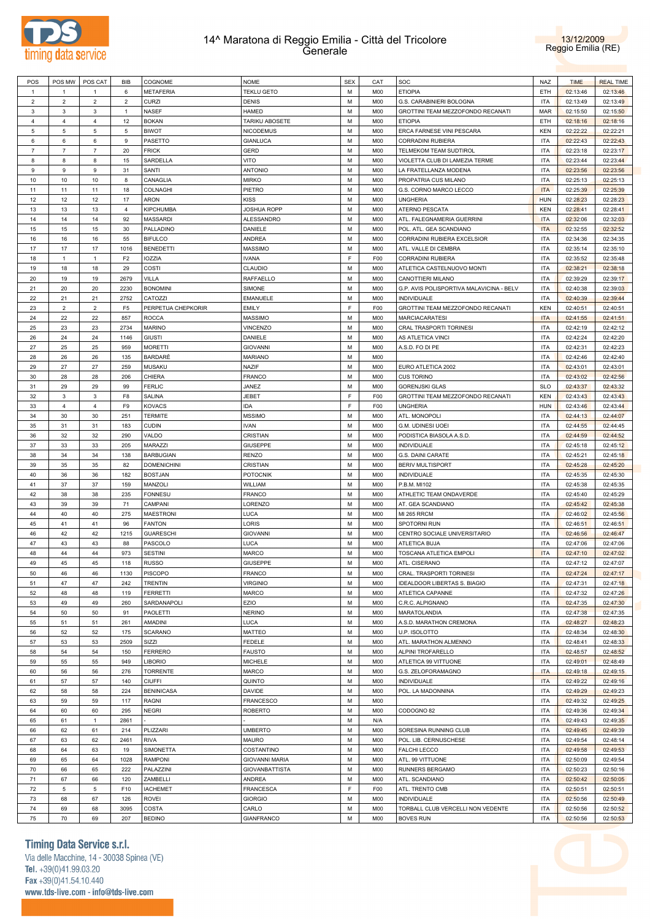



| POS            | POS MW         | POS CAT        | BIB            | COGNOME                | <b>NOME</b>           | <b>SEX</b> | CAT               | SOC                                                   | NAZ                      | <b>TIME</b>          | <b>REAL TIME</b>     |
|----------------|----------------|----------------|----------------|------------------------|-----------------------|------------|-------------------|-------------------------------------------------------|--------------------------|----------------------|----------------------|
| $\mathbf{1}$   | $\overline{1}$ | $\mathbf{1}$   | 6              | <b>METAFERIA</b>       | <b>TEKLU GETO</b>     | M          | M00               | <b>ETIOPIA</b>                                        | ETH                      | 02:13:46             | 02:13:46             |
| $\overline{2}$ | $\overline{2}$ | $\overline{2}$ | $\overline{2}$ | <b>CURZI</b>           | DENIS                 | M          | M <sub>0</sub>    | G.S. CARABINIERI BOLOGNA                              | <b>ITA</b>               | 02:13:49             | 02:13:49             |
|                |                |                |                |                        |                       |            |                   |                                                       |                          |                      |                      |
| $\mathbf{3}$   | $\mathbf{3}$   | $\mathbf 3$    | $\mathbf{1}$   | <b>NASEF</b>           | HAMED                 | M          | M <sub>0</sub>    | GROTTINI TEAM MEZZOFONDO RECANATI                     | <b>MAR</b>               | 02:15:50             | 02:15:50             |
| $\overline{4}$ | $\overline{4}$ | $\overline{4}$ | 12             | <b>BOKAN</b>           | TARIKU ABOSETE        | M          | M00               | <b>ETIOPIA</b>                                        | ETH                      | 02:18:16             | 02:18:16             |
| $\,$ 5 $\,$    | 5              | 5              | 5              | <b>BIWOT</b>           | NICODEMUS             | M          | M <sub>0</sub>    | ERCA FARNESE VINI PESCARA                             | <b>KEN</b>               | 02:22:22             | 02:22:21             |
| 6              | 6              | 6              | 9              | PASETTO                | GIANLUCA              | M          | M <sub>0</sub>    | CORRADINI RUBIERA                                     | <b>ITA</b>               | 02:22:43             | 02:22:43             |
| $\overline{7}$ | $\overline{7}$ | $\overline{7}$ | 20             | <b>FRICK</b>           | GERD                  | M          | M <sub>0</sub>    | TELMEKOM TEAM SUDTIROL                                | <b>ITA</b>               | 02:23:18             | 02:23:17             |
| 8              | 8              | 8              | 15             | SARDELLA               | <b>VITO</b>           | M          | M <sub>0</sub>    | VIOLETTA CLUB DI LAMEZIA TERME                        | <b>ITA</b>               | 02:23:44             | 02:23:44             |
| $\mathsf g$    | 9              | 9              |                |                        |                       | M          |                   |                                                       |                          |                      |                      |
|                |                |                | 31             | SANTI                  | <b>ANTONIO</b>        |            | M <sub>0</sub>    | LA FRATELLANZA MODENA                                 | <b>ITA</b>               | 02:23:56             | 02:23:56             |
| 10             | 10             | 10             | 8              | CANAGLIA               | MIRKO                 | M          | M <sub>0</sub>    | PROPATRIA CUS MILANO                                  | <b>ITA</b>               | 02:25:13             | 02:25:13             |
| 11             | 11             | 11             | 18             | COLNAGHI               | PIETRO                | M          | M <sub>0</sub>    | G.S. CORNO MARCO LECCO                                | <b>ITA</b>               | 02:25:39             | 02:25:39             |
| 12             | 12             | 12             | 17             | <b>ARON</b>            | <b>KISS</b>           | M          | M <sub>0</sub>    | <b>UNGHERIA</b>                                       | <b>HUN</b>               | 02:28:23             | 02:28:23             |
| 13             | 13             | 13             | $\overline{4}$ | <b>KIPCHUMBA</b>       | <b>JOSHUA ROPP</b>    | M          | M <sub>0</sub>    | ATERNO PESCATA                                        | <b>KEN</b>               | 02:28:41             | 02:28:41             |
| 14             | 14             | 14             | 92             | <b>MASSARDI</b>        | ALESSANDRO            | M          | M <sub>0</sub>    | ATL. FALEGNAMERIA GUERRINI                            | <b>ITA</b>               | 02:32:06             | 02:32:03             |
| 15             | 15             | 15             | 30             | PALLADINO              | DANIELE               | M          | M <sub>0</sub>    | POL. ATL. GEA SCANDIANO                               | <b>ITA</b>               | 02:32:55             | 02:32:52             |
|                |                |                |                |                        |                       |            |                   |                                                       |                          |                      |                      |
| 16             | 16             | 16             | 55             | <b>BIFULCO</b>         | ANDREA                | M          | M <sub>0</sub>    | CORRADINI RUBIERA EXCELSIOR                           | <b>ITA</b>               | 02:34:36             | 02:34:35             |
| 17             | 17             | 17             | 1016           | <b>BENEDETTI</b>       | <b>MASSIMO</b>        | M          | M <sub>0</sub>    | ATL. VALLE DI CEMBRA                                  | <b>ITA</b>               | 02:35:14             | 02:35:10             |
| 18             | $\mathbf{1}$   | $\mathbf{1}$   | F <sub>2</sub> | <b>IOZZIA</b>          | <b>IVANA</b>          | F          | F00               | CORRADINI RUBIERA                                     | <b>ITA</b>               | 02:35:52             | 02:35:48             |
| 19             | 18             | 18             | 29             | COSTI                  | CLAUDIO               | M          | M <sub>0</sub>    | ATLETICA CASTELNUOVO MONTI                            | <b>ITA</b>               | 02:38:21             | 02:38:18             |
| 20             | 19             | 19             | 2679           | <b>VILLA</b>           | RAFFAELLO             | M          | M <sub>0</sub>    | CANOTTIERI MILANO                                     | <b>ITA</b>               | 02:39:29             | 02:39:17             |
| 21             | 20             | 20             | 2230           | <b>BONOMINI</b>        | SIMONE                | M          | M <sub>0</sub>    | G.P. AVIS POLISPORTIVA MALAVICINA - BELV              | <b>ITA</b>               | 02:40:38             | 02:39:03             |
| 22             | 21             | 21             | 2752           | CATOZZI                | <b>EMANUELE</b>       | M          | M <sub>0</sub>    | <b>INDIVIDUALE</b>                                    | <b>ITA</b>               |                      |                      |
|                |                |                |                |                        |                       |            |                   |                                                       |                          | 02:40:39             | 02:39:44             |
| 23             | $\overline{2}$ | $\overline{2}$ | F <sub>5</sub> | PERPETUA CHEPKORIR     | EMILY                 | F          | F00               | GROTTINI TEAM MEZZOFONDO RECANATI                     | <b>KEN</b>               | 02:40:51             | 02:40:51             |
| 24             | 22             | 22             | 857            | <b>ROCCA</b>           | <b>MASSIMO</b>        | M          | M <sub>0</sub>    | <b>MARCIACARATESI</b>                                 | <b>ITA</b>               | 02:41:55             | 02:41:51             |
| 25             | 23             | 23             | 2734           | <b>MARINO</b>          | <b>VINCENZO</b>       | M          | M <sub>0</sub>    | CRAL TRASPORTI TORINESI                               | <b>ITA</b>               | 02:42:19             | 02:42:12             |
| 26             | 24             | 24             | 1146           | <b>GIUSTI</b>          | DANIELE               | M          | M <sub>0</sub>    | AS ATLETICA VINCI                                     | <b>ITA</b>               | 02:42:24             | 02:42:20             |
| 27             | 25             | 25             | 959            | <b>MORETTI</b>         | <b>GIOVANNI</b>       | M          | M <sub>0</sub>    | A.S.D. FO DI PE                                       | <b>ITA</b>               | 02:42:31             | 02:42:23             |
| 28             | 26             | 26             | 135            | BARDARE                | <b>MARIANO</b>        | M          | M00               |                                                       | <b>ITA</b>               | 02:42:46             | 02:42:40             |
| 29             | 27             | 27             |                |                        | NAZIF                 | M          |                   |                                                       |                          |                      |                      |
|                |                |                | 259            | <b>MUSAKU</b>          |                       |            | M <sub>0</sub>    | EURO ATLETICA 2002                                    | <b>ITA</b>               | 02:43:01             | 02:43:01             |
| 30             | 28             | 28             | 206            | CHIERA                 | FRANCO                | M          | M <sub>0</sub>    | <b>CUS TORINO</b>                                     | <b>ITA</b>               | 02:43:02             | 02:42:56             |
| 31             | 29             | 29             | 99             | <b>FERLIC</b>          | JANEZ                 | M          | M <sub>0</sub>    | <b>GORENJSKI GLAS</b>                                 | <b>SLO</b>               | 02:43:37             | 02:43:32             |
| 32             | $\mathbf{3}$   | $\mathbf 3$    | F <sub>8</sub> | <b>SALINA</b>          | <b>JEBET</b>          | F          | F00               | GROTTINI TEAM MEZZOFONDO RECANATI                     | <b>KEN</b>               | 02:43:43             | 02:43:43             |
| 33             | $\overline{4}$ | $\overline{4}$ | F9             | <b>KOVACS</b>          | <b>IDA</b>            | F          | F <sub>0</sub>    | <b>UNGHERIA</b>                                       | <b>HUN</b>               | 02:43:46             | 02:43:44             |
| 34             | 30             | 30             | 251            | <b>TERMITE</b>         | <b>MSSIMO</b>         | M          | M <sub>0</sub>    | ATL. MONOPOLI                                         | <b>ITA</b>               | 02:44:13             | 02:44:07             |
|                |                |                |                |                        |                       |            |                   |                                                       |                          |                      |                      |
| 35             | 31             | 31             | 183            | <b>CUDIN</b>           | IVAN                  | M          | M <sub>0</sub>    | G.M. UDINESI UOEI                                     | <b>ITA</b>               | 02:44:55             | 02:44:45             |
| 36             | 32             | 32             | 290            | VALDO                  | CRISTIAN              | M          | M <sub>0</sub>    | PODISTICA BIASOLA A.S.D.                              | <b>ITA</b>               | 02:44:59             | 02:44:52             |
| 37             | 33             | 33             | 205            | MARAZZI                | <b>GIUSEPPE</b>       | M          | M <sub>0</sub>    | <b>INDIVIDUALE</b>                                    | <b>ITA</b>               | 02:45:18             | 02:45:12             |
| 38             | 34             | 34             |                |                        |                       |            |                   |                                                       |                          |                      |                      |
|                |                |                | 138            | <b>BARBUGIAN</b>       | RENZO                 | M          | M <sub>0</sub>    | G.S. DAINI CARATE                                     | <b>ITA</b>               | 02:45:21             | 02:45:18             |
| 39             | 35             | 35             | 82             | <b>DOMENICHINI</b>     | CRISTIAN              | M          | M <sub>0</sub>    | <b>BERIV MULTISPORT</b>                               | <b>ITA</b>               | 02:45:28             | 02:45:20             |
|                |                |                |                |                        |                       |            |                   |                                                       |                          |                      |                      |
| 40             | 36             | 36             | 182            | <b>BOSTJAN</b>         | POTOCNIK              | M          | M <sub>0</sub>    | INDIVIDUALE                                           | <b>ITA</b>               | 02:45:35             | 02:45:30             |
| 41             | 37             | 37             | 159            | MANZOLI                | WILLIAM               | M          | M <sub>0</sub>    | P.B.M. MI102                                          | <b>ITA</b>               | 02:45:38             | 02:45:35             |
| 42             | 38             | 38             | 235            | <b>FONNESU</b>         | FRANCO                | M          | M <sub>0</sub>    | ATHLETIC TEAM ONDAVERDE                               | <b>ITA</b>               | 02:45:40             | 02:45:29             |
| 43             | 39             | 39             | 71             | CAMPANI                | LORENZO               | M          | M <sub>0</sub>    | AT. GEA SCANDIANO                                     | <b>ITA</b>               | 02:45:42             | 02:45:38             |
| 44             | 40             | 40             | 275            | <b>MAESTRONI</b>       | LUCA                  | M          | M <sub>0</sub>    | <b>MI 265 RRCM</b>                                    | <b>ITA</b>               | 02:46:02             | 02:45:56             |
| 45             | 41             | 41             | 96             | <b>FANTON</b>          | LORIS                 | M          | M <sub>0</sub>    | SPOTORNI RUN                                          | <b>ITA</b>               | 02:46:51             | 02:46:51             |
| 46             | 42             | 42             | 1215           | <b>GUARESCHI</b>       | <b>GIOVANNI</b>       | M          | M <sub>0</sub>    | CENTRO SOCIALE UNIVERSITARIO                          | <b>ITA</b>               | 02:46:56             | 02:46:47             |
|                |                |                |                |                        |                       |            |                   |                                                       |                          |                      |                      |
| 47             | 43             | 43             | 88             | PASCOLO                | LUCA                  | M          | M <sub>0</sub>    | ATLETICA BUJA                                         | <b>ITA</b>               | 02:47:06             | 02:47:06             |
| 48             | 44             | 44             | 973            | <b>SESTINI</b>         | MARCO                 | М          | <b>M00</b>        | TOSCANA ATLETICA EMPOLI                               | <b>ITA</b>               | 02:47:10             | 02:47:02             |
| 49             | 45             | 45             | 118            | <b>RUSSO</b>           | <b>GIUSEPPE</b>       | M          | <b>M00</b>        | ATL. CISERANO                                         | <b>ITA</b>               | 02:47:12             | 02:47:07             |
| 50             | 46             | 46             | 1130           | <b>PISCOPO</b>         | FRANCO                | M          | M00               | CRAL. TRASPORTI TORINESI                              | <b>ITA</b>               | 02:47:24             | 02:47:17             |
| 51             | 47             | 47             | 242            | <b>TRENTIN</b>         | <b>VIRGINIO</b>       | M          | M00               | IDEALDOOR LIBERTAS S. BIAGIO                          | <b>ITA</b>               | 02:47:31             | 02:47:18             |
| 52             | 48             | 48             | 119            | <b>FERRETTI</b>        | MARCO                 | M          | M00               | ATLETICA CAPANNE                                      | <b>ITA</b>               | 02:47:32             | 02:47:26             |
| 53             | 49             | 49             | 260            | SARDANAPOLI            | EZIO                  | M          | M00               | C.R.C. ALPIGNANO                                      | <b>ITA</b>               | 02:47:35             | 02:47:30             |
| 54             | 50             | 50             | 91             | PAOLETTI               | <b>NERINO</b>         | M          | M00               | MARATOLANDIA                                          | <b>ITA</b>               | 02:47:38             | 02:47:35             |
|                |                |                |                |                        |                       |            |                   |                                                       |                          |                      |                      |
| 55             | 51             | 51             | 261            | AMADINI                | LUCA                  | M          | M00               | A.S.D. MARATHON CREMONA                               | <b>ITA</b>               | 02:48:27             | 02:48:23             |
| 56             | 52             | 52             | 175            | SCARANO                | MATTEO                | M          | M00               | U.P. ISOLOTTO                                         | <b>ITA</b>               | 02:48:34             | 02:48:30             |
| 57             | 53             | 53             | 2509           | SIZZI                  | FEDELE                | M          | M00               | ATL. MARATHON ALMENNO                                 | <b>ITA</b>               | 02:48:41             | 02:48:33             |
| 58             | 54             | 54             | 150            | <b>FERRERO</b>         | <b>FAUSTO</b>         | M          | M00               | ALPINI TROFARELLO                                     | <b>ITA</b>               | 02:48:57             | 02:48:52             |
| 59             | 55             | 55             | 949            | LIBORIO                | <b>MICHELE</b>        | M          | M00               | ATLETICA 99 VITTUONE                                  | <b>ITA</b>               | 02:49:01             | 02:48:49             |
| 60             | 56             | 56             | 276            | <b>TORRENTE</b>        | MARCO                 | M          | M00               | G.S. ZELOFORAMAGNO                                    | <b>ITA</b>               | 02:49:18             | 02:49:15             |
|                |                |                |                |                        |                       |            |                   |                                                       |                          |                      |                      |
| 61             | 57             | 57             | 140            | <b>CIUFFI</b>          | QUINTO                | M          | M00               | <b>INDIVIDUALE</b>                                    | <b>ITA</b>               | 02:49:22             | 02:49:16             |
| 62             | 58             | 58             | 224            | <b>BENINICASA</b>      | DAVIDE                | M          | M00               | POL. LA MADONNINA                                     | <b>ITA</b>               | 02:49:29             | 02:49:23             |
| 63             | 59             | 59             | 117            | <b>RAGNI</b>           | <b>FRANCESCO</b>      | M          | M00               |                                                       | <b>ITA</b>               | 02:49:32             | 02:49:25             |
| 64             | 60             | 60             | 295            | <b>NEGRI</b>           | <b>ROBERTO</b>        | M          | M00               | CODOGNO 82                                            | <b>ITA</b>               | 02:49:36             | 02:49:34             |
| 65             | 61             | $\mathbf{1}$   | 2861           |                        |                       | M          | N/A               |                                                       | <b>ITA</b>               | 02:49:43             | 02:49:35             |
| 66             | 62             | 61             | 214            | PLIZZARI               | <b>UMBERTO</b>        | M          | M00               | SORESINA RUNNING CLUB                                 | <b>ITA</b>               | 02:49:45             | 02:49:39             |
|                |                |                |                |                        |                       | M          | M00               |                                                       |                          |                      |                      |
| 67             | 63             | 62             | 2461           | <b>RIVA</b>            | MAURO                 |            |                   | POL. LIB. CERNUSCHESE                                 | <b>ITA</b>               | 02:49:54             | 02:48:14             |
| 68             | 64             | 63             | 19             | SIMONETTA              | COSTANTINO            | M          | M00               | FALCHI LECCO                                          | <b>ITA</b>               | 02:49:58             | 02:49:53             |
| 69             | 65             | 64             | 1028           | <b>RAMPONI</b>         | <b>GIOVANNI MARIA</b> | M          | M00               | ATL. 99 VITTUONE                                      | <b>ITA</b>               | 02:50:09             | 02:49:54             |
| 70             | 66             | 65             | 222            | PALAZZINI              | <b>GIOVANBATTISTA</b> | M          | M00               | RUNNERS BERGAMO                                       | <b>ITA</b>               | 02:50:23             | 02:50:16             |
| 71             | 67             | 66             | 120            | ZAMBELLI               | ANDREA                | M          | M00               | ATL. SCANDIANO                                        | <b>ITA</b>               | 02:50:42             | 02:50:05             |
| 72             | $\,$ 5 $\,$    | $\mathbf 5$    | F10            | <b>IACHEMET</b>        | <b>FRANCESCA</b>      | F          | F <sub>0</sub>    | ATL. TRENTO CMB                                       | <b>ITA</b>               | 02:50:51             | 02:50:51             |
| 73             | 68             | 67             | 126            | <b>ROVEI</b>           | <b>GIORGIO</b>        | M          | M00               | <b>INDIVIDUALE</b>                                    | <b>ITA</b>               | 02:50:56             | 02:50:49             |
|                |                |                |                |                        |                       |            |                   |                                                       |                          |                      |                      |
| 74<br>75       | 69<br>70       | 68<br>69       | 3095<br>207    | COSTA<br><b>BEDINO</b> | CARLO<br>GIANFRANCO   | М<br>M     | M00<br><b>M00</b> | TORBALL CLUB VERCELLI NON VEDENTE<br><b>BOVES RUN</b> | <b>ITA</b><br><b>ITA</b> | 02:50:56<br>02:50:56 | 02:50:52<br>02:50:53 |

# **Timing Data Service s.r.l.**

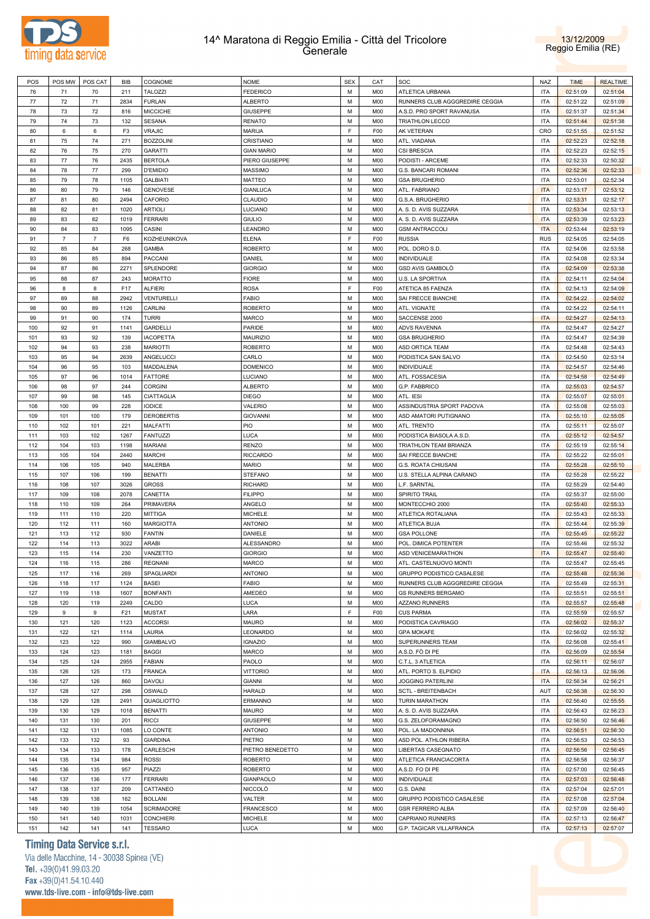



| POS | POS MW         | POS CAT        | <b>BIB</b>     | <b>COGNOME</b>    | <b>NOME</b>       | <b>SEX</b> | CAT             | SOC                            | <b>NAZ</b> | <b>TIME</b> | <b>REALTIME</b> |
|-----|----------------|----------------|----------------|-------------------|-------------------|------------|-----------------|--------------------------------|------------|-------------|-----------------|
| 76  | 71             | 70             | 211            | <b>TALOZZI</b>    | <b>FEDERICO</b>   | M          | M <sub>0</sub>  | ATLETICA URBANIA               | <b>ITA</b> | 02:51:09    | 02:51:04        |
| 77  | 72             | 71             | 2834           | <b>FURLAN</b>     | <b>ALBERTO</b>    | M          | M <sub>0</sub>  | RUNNERS CLUB AGGGREDIRE CEGGIA | <b>ITA</b> | 02:51:22    | 02:51:09        |
| 78  | 73             | 72             | 816            | <b>MICCICHE</b>   | <b>GIUSEPPE</b>   | M          | M <sub>0</sub>  | A.S.D. PRO SPORT RAVANUSA      | <b>ITA</b> | 02:51:37    | 02:51:34        |
|     |                |                |                |                   |                   |            |                 |                                |            |             |                 |
| 79  | 74             | 73             | 132            | SESANA            | <b>RENATO</b>     | М          | M <sub>0</sub>  | TRIATHLON LECCO                | <b>ITA</b> | 02:51:44    | 02:51:38        |
| 80  | 6              | 6              | F <sub>3</sub> | VRAJIC            | <b>MARIJA</b>     | E          | F <sub>0</sub>  | AK VETERAN                     | CRO        | 02:51:55    | 02:51:52        |
| 81  | 75             | 74             | 271            | <b>BOZZOLINI</b>  | CRISTIANO         | M          | M <sub>0</sub>  | ATL. VIADANA                   | <b>ITA</b> | 02:52:23    | 02:52:18        |
| 82  | 76             | 75             | 270            | <b>GARATTI</b>    | <b>GIAN MARIO</b> | М          | M <sub>0</sub>  | CSI BRESCIA                    | <b>ITA</b> | 02:52:23    | 02:52:15        |
| 83  | $77$           | 76             | 2435           | <b>BERTOLA</b>    | PIERO GIUSEPPE    | М          | M <sub>0</sub>  | PODISTI - ARCEME               | <b>ITA</b> | 02:52:33    | 02:50:32        |
| 84  | 78             | 77             | 299            | <b>D'EMIDIO</b>   | <b>MASSIMO</b>    | M          | M <sub>0</sub>  | G.S. BANCARI ROMANI            | <b>ITA</b> | 02:52:36    | 02:52:33        |
| 85  | 79             | 78             | 1105           | <b>GALBIATI</b>   | MATTEO            | M          | M <sub>0</sub>  | <b>GSA BRUGHERIO</b>           | <b>ITA</b> | 02:53:01    | 02:52:34        |
| 86  | 80             | 79             | 146            | <b>GENOVESE</b>   | <b>GIANLUCA</b>   | M          | M <sub>0</sub>  | ATL. FABRIANO                  | <b>ITA</b> | 02:53:17    | 02:53:12        |
| 87  | 81             | 80             | 2494           | CAFORIO           | CLAUDIO           | M          | M <sub>0</sub>  | G.S.A. BRUGHERIO               | <b>ITA</b> | 02:53:31    | 02:52:17        |
|     |                |                |                |                   |                   |            |                 |                                |            |             |                 |
| 88  | 82             | 81             | 1020           | <b>ARTIOLI</b>    | LUCIANO           | М          | M <sub>0</sub>  | A. S. D. AVIS SUZZARA          | <b>ITA</b> | 02:53:34    | 02:53:13        |
| 89  | 83             | 82             | 1019           | <b>FERRARI</b>    | <b>GIULIO</b>     | M          | M <sub>0</sub>  | A. S. D. AVIS SUZZARA          | <b>ITA</b> | 02:53:39    | 02:53:23        |
| 90  | 84             | 83             | 1095           | CASINI            | LEANDRO           | M          | M <sub>0</sub>  | <b>GSM ANTRACCOLI</b>          | <b>ITA</b> | 02:53:44    | 02:53:19        |
| 91  | $\overline{7}$ | $\overline{7}$ | F6             | KOZHEUNIKOVA      | <b>ELENA</b>      | E          | F <sub>0</sub>  | <b>RUSSIA</b>                  | <b>RUS</b> | 02:54:05    | 02:54:05        |
| 92  | 85             | 84             | 268            | GAMBA             | <b>ROBERTO</b>    | M          | M <sub>0</sub>  | POL. DORO S.D.                 | <b>ITA</b> | 02:54:06    | 02:53:58        |
| 93  | 86             | 85             | 894            | PACCANI           | DANIEL            | M          | M <sub>0</sub>  | <b>INDIVIDUALE</b>             | <b>ITA</b> | 02:54:08    | 02:53:34        |
| 94  | 87             | 86             | 2271           | SPLENDORE         | <b>GIORGIO</b>    | М          | M <sub>0</sub>  | <b>GSD AVIS GAMBOLO</b>        | <b>ITA</b> | 02:54:09    | 02:53:38        |
| 95  | 88             | 87             | 243            | <b>MORATTO</b>    | <b>FIORE</b>      | М          | M <sub>0</sub>  | U.S. LA SPORTIVA               | <b>ITA</b> | 02:54:11    | 02:54:04        |
| 96  | 8              | 8              | F17            | <b>ALFIERI</b>    | <b>ROSA</b>       | F          | F <sub>0</sub>  | ATETICA 85 FAENZA              | <b>ITA</b> | 02:54:13    | 02:54:09        |
|     |                |                |                |                   |                   |            |                 |                                |            |             |                 |
| 97  | 89             | 88             | 2942           | VENTURELLI        | <b>FABIO</b>      | M          | M <sub>0</sub>  | SAI FRECCE BIANCHE             | <b>ITA</b> | 02:54:22    | 02:54:02        |
| 98  | 90             | 89             | 1126           | CARLINI           | <b>ROBERTO</b>    | M          | M <sub>0</sub>  | ATL. VIGNATE                   | <b>ITA</b> | 02:54:22    | 02:54:11        |
| 99  | 91             | 90             | 174            | <b>TURRI</b>      | <b>MARCO</b>      | M          | M <sub>0</sub>  | SACCENSE 2000                  | <b>ITA</b> | 02:54:27    | 02:54:13        |
| 100 | 92             | 91             | 1141           | <b>GARDELLI</b>   | PARIDE            | М          | M <sub>0</sub>  | ADVS RAVENNA                   | <b>ITA</b> | 02:54:47    | 02:54:27        |
| 101 | 93             | 92             | 139            | <b>IACOPETTA</b>  | <b>MAURIZIO</b>   | M          | M <sub>0</sub>  | <b>GSA BRUGHERIO</b>           | <b>ITA</b> | 02:54:47    | 02:54:39        |
| 102 | 94             | 93             | 238            | <b>MARIOTTI</b>   | <b>ROBERTO</b>    | M          | M <sub>0</sub>  | <b>ASD ORTICA TEAM</b>         | <b>ITA</b> | 02:54:48    | 02:54:43        |
| 103 | 95             | 94             | 2639           | ANGELUCCI         | CARLO             | М          | M <sub>0</sub>  | PODISTICA SAN SALVO            | <b>ITA</b> | 02:54:50    | 02:53:14        |
| 104 | 96             | 95             | 103            | MADDALENA         | <b>DOMENICO</b>   | M          | M <sub>0</sub>  | <b>INDIVIDUALE</b>             | <b>ITA</b> | 02:54:57    | 02:54:46        |
| 105 | 97             | 96             | 1014           | <b>FATTORE</b>    | LUCIANO           | M          | M <sub>0</sub>  | ATL. FOSSACESIA                | <b>ITA</b> | 02:54:58    | 02:54:49        |
|     |                |                |                |                   |                   |            |                 |                                |            |             |                 |
| 106 | 98             | 97             | 244            | <b>CORGINI</b>    | <b>ALBERTO</b>    | М          | M <sub>0</sub>  | G.P. FABBRICO                  | <b>ITA</b> | 02:55:03    | 02:54:57        |
| 107 | 99             | 98             | 145            | <b>CIATTAGLIA</b> | <b>DIEGO</b>      | M          | M <sub>0</sub>  | ATL. IESI                      | <b>ITA</b> | 02:55:07    | 02:55:01        |
| 108 | 100            | 99             | 228            | <b>IODICE</b>     | VALERIO           | M          | M <sub>0</sub>  | ASSINDUSTRIA SPORT PADOVA      | <b>ITA</b> | 02:55:08    | 02:55:03        |
| 109 | 101            | 100            | 179            | <b>DEROBERTIS</b> | <b>GIOVANNI</b>   | M          | M <sub>0</sub>  | ASD AMATORI PUTIGNANO          | <b>ITA</b> | 02:55:10    | 02:55:05        |
| 110 | 102            | 101            | 221            | MALFATTI          | PIO               | M          | M <sub>0</sub>  | ATL. TRENTO                    | <b>ITA</b> | 02:55:11    | 02:55:07        |
| 111 | 103            | 102            | 1267           | <b>FANTUZZI</b>   | LUCA              | М          | M <sub>0</sub>  | PODISTICA BIASOLA A.S.D.       | <b>ITA</b> | 02:55:12    | 02:54:57        |
| 112 | 104            | 103            | 1198           | <b>MARIANI</b>    | <b>RENZO</b>      | М          | M <sub>0</sub>  | TRIATHLON TEAM BRIANZA         | <b>ITA</b> | 02:55:19    | 02:55:14        |
| 113 | 105            | 104            | 2440           | MARCHI            | <b>RICCARDO</b>   | M          | M <sub>0</sub>  | SAI FRECCE BIANCHE             | <b>ITA</b> | 02:55:22    | 02:55:01        |
| 114 | 106            | 105            | 940            | MALERBA           | <b>MARIO</b>      | М          | M <sub>0</sub>  | <b>G.S. ROATA CHIUSANI</b>     | <b>ITA</b> | 02:55:28    | 02:55:10        |
|     |                |                |                |                   |                   | М          | M <sub>0</sub>  |                                | <b>ITA</b> |             |                 |
| 115 | 107            | 106            | 199            | <b>BENATTI</b>    | <b>STEFANO</b>    |            |                 | U.S. STELLA ALPINA CARANO      |            | 02:55:28    | 02:55:22        |
| 116 | 108            | 107            | 3026           | <b>GROSS</b>      | <b>RICHARD</b>    | M          | M <sub>0</sub>  | L.F. SARNTAL                   | <b>ITA</b> | 02:55:29    | 02:54:40        |
| 117 | 109            | 108            | 2078           | CANETTA           | <b>FILIPPO</b>    | M          | M <sub>0</sub>  | SPIRITO TRAIL                  | <b>ITA</b> | 02:55:37    | 02:55:00        |
| 118 | 110            | 109            | 264            | <b>PRIMAVERA</b>  | ANGELO            | М          | M <sub>0</sub>  | MONTECCHIO 2000                | <b>ITA</b> | 02:55:40    | 02:55:33        |
| 119 | 111            | 110            | 220            | <b>MITTIGA</b>    | <b>MICHELE</b>    | M          | M <sub>0</sub>  | ATLETICA ROTALIANA             | <b>ITA</b> | 02:55:43    | 02:55:33        |
| 120 | 112            | 111            | 160            | <b>MARGIOTTA</b>  | <b>ANTONIO</b>    | М          | M <sub>0</sub>  | ATLETICA BUJA                  | <b>ITA</b> | 02:55:44    | 02:55:39        |
| 121 | 113            | 112            | 930            | <b>FANTIN</b>     | DANIELE           | М          | M <sub>0</sub>  | <b>GSA POLLONE</b>             | <b>ITA</b> | 02:55:45    | 02:55:22        |
| 122 | 114            | 113            | 3022           | ARABI             | ALESSANDRO        | М          | M <sub>0</sub>  | POL. DIMICA POTENTER           | <b>ITA</b> | 02:55:46    | 02:55:32        |
| 123 | 115            | 114            | 230            | VANZETTO          | <b>GIORGIO</b>    | M          | M <sub>0</sub>  | <b>ASD VENICEMARATHON</b>      | <b>ITA</b> | 02:55:47    | 02:55:40        |
|     |                |                |                |                   |                   | M          |                 |                                | <b>ITA</b> |             |                 |
| 124 | 116            | 115            | 286            | <b>REGNANI</b>    | <b>MARCO</b>      |            | <b>M00</b>      | ATL. CASTELNUOVO MONTI         |            | 02:55:47    | 02:55:45        |
| 125 | 117            | 116            | 269            | SPAGLIARDI        | <b>ANTONIO</b>    | М          | M <sub>0</sub>  | GRUPPO PODISTICO CASALESE      | <b>ITA</b> | 02:55:48    | 02:55:36        |
| 126 | 118            | 117            | 1124           | <b>BASEI</b>      | <b>FABIO</b>      | M          | M <sub>0</sub>  | RUNNERS CLUB AGGGREDIRE CEGGIA | <b>ITA</b> | 02:55:49    | 02:55:31        |
| 127 | 119            | 118            | 1607           | <b>BONFANTI</b>   | AMEDEO            | M          | M <sub>0</sub>  | <b>GS RUNNERS BERGAMO</b>      | <b>ITA</b> | 02:55:51    | 02:55:51        |
| 128 | 120            | 119            | 2249           | CALDO             | <b>LUCA</b>       | M          | M <sub>0</sub>  | <b>AZZANO RUNNERS</b>          | <b>ITA</b> | 02:55:57    | 02:55:48        |
| 129 | 9              | $9$            | F21            | <b>MUSTAT</b>     | LARA              | E          | F <sub>00</sub> | <b>CUS PARMA</b>               | <b>ITA</b> | 02:55:59    | 02:55:57        |
| 130 | 121            | 120            | 1123           | <b>ACCORSI</b>    | <b>MAURO</b>      | М          | M <sub>0</sub>  | PODISTICA CAVRIAGO             | <b>ITA</b> | 02:56:02    | 02:55:37        |
| 131 | 122            | 121            | 1114           | LAURIA            | LEONARDO          | M          | M <sub>0</sub>  | <b>GPA MOKAFE</b>              | <b>ITA</b> | 02:56:02    | 02:55:32        |
| 132 | 123            | 122            | 990            | GIAMBALVO         | <b>IGNAZIO</b>    | М          | M <sub>0</sub>  | SUPERUNNERS TEAM               | <b>ITA</b> | 02:56:08    | 02:55:41        |
|     |                |                |                |                   | <b>MARCO</b>      |            |                 |                                |            |             |                 |
| 133 | 124            | 123            | 1181           | <b>BAGGI</b>      |                   | М          | M <sub>0</sub>  | A.S.D. FÒ DI PE                | <b>ITA</b> | 02:56:09    | 02:55:54        |
| 134 | 125            | 124            | 2955           | <b>FABIAN</b>     | PAOLO             | М          | M <sub>0</sub>  | C.T.L. 3 ATLETICA              | <b>ITA</b> | 02:56:11    | 02:56:07        |
| 135 | 126            | 125            | 173            | <b>FRANCA</b>     | <b>VITTORIO</b>   | М          | M <sub>0</sub>  | ATL. PORTO S. ELPIDIO          | <b>ITA</b> | 02:56:13    | 02:56:06        |
| 136 | 127            | 126            | 860            | DAVOLI            | <b>GIANNI</b>     | M          | M <sub>0</sub>  | JOGGING PATERLINI              | <b>ITA</b> | 02:56:34    | 02:56:21        |
| 137 | 128            | 127            | 298            | OSWALD            | <b>HARALD</b>     | М          | M <sub>0</sub>  | SCTL - BREITENBACH             | AUT        | 02:56:38    | 02:56:30        |
| 138 | 129            | 128            | 2491           | QUAGLIOTTO        | ERMANNO           | М          | M <sub>0</sub>  | <b>TURIN MARATHON</b>          | <b>ITA</b> | 02:56:40    | 02:55:55        |
| 139 | 130            | 129            | 1018           | <b>BENATTI</b>    | <b>MAURO</b>      | M          | M <sub>0</sub>  | A. S. D. AVIS SUZZARA          | <b>ITA</b> | 02:56:43    | 02:56:23        |
| 140 | 131            | 130            | 201            | <b>RICCI</b>      | <b>GIUSEPPE</b>   | M          | M <sub>0</sub>  | G.S. ZELOFORAMAGNO             | <b>ITA</b> | 02:56:50    | 02:56:46        |
| 141 | 132            | 131            | 1085           | LO CONTE          | <b>ANTONIO</b>    | М          | M <sub>0</sub>  | POL. LA MADONNINA              | <b>ITA</b> | 02:56:51    | 02:56:30        |
|     |                |                |                |                   |                   |            |                 |                                |            |             |                 |
| 142 | 133            | 132            | 93             | <b>GIARDINA</b>   | PIETRO            | M          | M <sub>0</sub>  | ASD POL. ATHLON RIBERA         | <b>ITA</b> | 02:56:53    | 02:56:53        |
| 143 | 134            | 133            | 178            | CARLESCHI         | PIETRO BENEDETTO  | М          | M <sub>0</sub>  | LIBERTAS CASEGNATO             | <b>ITA</b> | 02:56:56    | 02:56:45        |
| 144 | 135            | 134            | 984            | <b>ROSSI</b>      | <b>ROBERTO</b>    | M          | M <sub>0</sub>  | ATLETICA FRANCIACORTA          | <b>ITA</b> | 02:56:58    | 02:56:37        |
| 145 | 136            | 135            | 957            | PIAZZI            | <b>ROBERTO</b>    | M          | M <sub>0</sub>  | A.S.D. FO DI PE                | <b>ITA</b> | 02:57:00    | 02:56:45        |
| 146 | 137            | 136            | 177            | <b>FERRARI</b>    | <b>GIANPAOLO</b>  | М          | M <sub>0</sub>  | <b>INDIVIDUALE</b>             | <b>ITA</b> | 02:57:03    | 02:56:48        |
| 147 | 138            | 137            | 209            | CATTANEO          | <b>NICCOLO</b>    | М          | M <sub>0</sub>  | G.S. DAINI                     | <b>ITA</b> | 02:57:04    | 02:57:01        |
| 148 | 139            | 138            | 162            | <b>BOLLANI</b>    | VALTER            | M          | M <sub>0</sub>  | GRUPPO PODISTICO CASALESE      | <b>ITA</b> | 02:57:08    | 02:57:04        |
| 149 | 140            | 139            | 1054           | <b>SCRIMADORE</b> | <b>FRANCESCO</b>  | М          | M <sub>0</sub>  | <b>GSR FERRERO ALBA</b>        | <b>ITA</b> | 02:57:09    | 02:56:40        |
|     |                |                |                |                   |                   |            |                 |                                |            |             |                 |
| 150 | 141            | 140            | 1031           | <b>CONCHIERI</b>  | <b>MICHELE</b>    | М          | M <sub>0</sub>  | CAPRIANO RUNNERS               | <b>ITA</b> | 02:57:13    | 02:56:47        |
| 151 | 142            | 141            | 141            | <b>TESSARO</b>    | LUCA              | М          | M00             | G.P. TAGICAR VILLAFRANCA       | <b>ITA</b> | 02:57:13    | 02:57:07        |

# **Timing Data Service s.r.l.**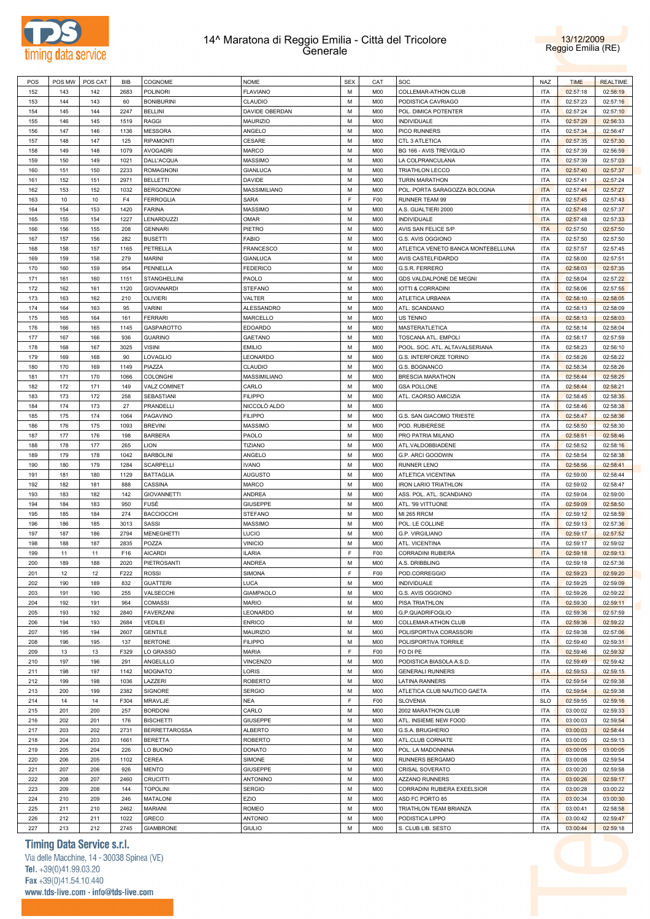



| POS | POS MW | POS CAT | BIB            | COGNOME              | <b>NOME</b>      | <b>SEX</b> | CAT            | <b>SOC</b>                         | NAZ        | <b>TIME</b> | <b>REALTIME</b> |
|-----|--------|---------|----------------|----------------------|------------------|------------|----------------|------------------------------------|------------|-------------|-----------------|
| 152 | 143    | 142     | 2683           | <b>POLINORI</b>      | <b>FLAVIANO</b>  | M          | M00            | COLLEMAR-ATHON CLUB                | <b>ITA</b> | 02:57:18    | 02:56:19        |
|     |        |         |                |                      |                  |            |                |                                    |            |             |                 |
| 153 | 144    | 143     | 60             | <b>BONIBURINI</b>    | CLAUDIO          | M          | M00            | PODISTICA CAVRIAGO                 | <b>ITA</b> | 02:57:23    | 02:57:16        |
| 154 | 145    | 144     | 2247           | <b>BELLINI</b>       | DAVIDE OBERDAN   | M          | M00            | POL. DIMICA POTENTER               | <b>ITA</b> | 02:57:24    | 02:57:10        |
| 155 | 146    | 145     | 1519           | RAGGI                | <b>MAURIZIO</b>  | М          | M00            | INDIVIDUALE                        | <b>ITA</b> | 02:57:29    | 02:56:33        |
| 156 | 147    | 146     | 1136           | <b>MESSORA</b>       | ANGELO           | M          | M00            | PICO RUNNERS                       | <b>ITA</b> | 02:57:34    | 02:56:47        |
| 157 | 148    | 147     | 125            | <b>RIPAMONTI</b>     | CESARE           | M          | M00            | CTL 3 ATLETICA                     | <b>ITA</b> | 02:57:35    | 02:57:30        |
| 158 | 149    | 148     | 1079           | <b>AVOGADRI</b>      | <b>MARCO</b>     | M          | M00            | BG 166 - AVIS TREVIGLIO            | <b>ITA</b> | 02:57:39    | 02:56:59        |
| 159 | 150    | 149     | 1021           | DALL'ACQUA           | MASSIMO          | M          | M00            | LA COLPRANCULANA                   | <b>ITA</b> | 02:57:39    | 02:57:03        |
| 160 | 151    | 150     | 2233           | ROMAGNONI            | <b>GIANLUCA</b>  | M          | M00            | TRIATHLON LECCO                    | <b>ITA</b> | 02:57:40    | 02:57:37        |
| 161 | 152    | 151     | 2971           | BELLETTI             | DAVIDE           | M          | M00            | <b>TURIN MARATHON</b>              | <b>ITA</b> | 02:57:41    | 02:57:24        |
| 162 | 153    | 152     | 1032           | <b>BERGONZONI</b>    | MASSIMILIANO     | M          | M00            | POL. PORTA SARAGOZZA BOLOGNA       | <b>ITA</b> | 02:57:44    | 02:57:27        |
|     |        |         |                |                      |                  | E          |                |                                    |            |             |                 |
| 163 | 10     | 10      | F <sub>4</sub> | <b>FERROGLIA</b>     | SARA             |            | F <sub>0</sub> | RUNNER TEAM 99                     | <b>ITA</b> | 02:57:45    | 02:57:43        |
| 164 | 154    | 153     | 1420           | <b>FARINA</b>        | <b>MASSIMO</b>   | M          | M00            | A.S. GUALTIERI 2000                | <b>ITA</b> | 02:57:48    | 02:57:37        |
| 165 | 155    | 154     | 1227           | <b>LENARDUZZI</b>    | <b>OMAR</b>      | M          | M00            | <b>INDIVIDUALE</b>                 | <b>ITA</b> | 02:57:48    | 02:57:33        |
| 166 | 156    | 155     | 208            | <b>GENNARI</b>       | PIETRO           | M          | M00            | AVIS SAN FELICE S/P                | <b>ITA</b> | 02:57:50    | 02:57:50        |
| 167 | 157    | 156     | 282            | <b>BUSETTI</b>       | <b>FABIO</b>     | M          | M00            | G.S. AVIS OGGIONO                  | <b>ITA</b> | 02:57:50    | 02:57:50        |
| 168 | 158    | 157     | 1165           | PETRELLA             | <b>FRANCESCO</b> | M          | M00            | ATLETICA VENETO BANCA MONTEBELLUNA | <b>ITA</b> | 02:57:57    | 02:57:45        |
| 169 | 159    | 158     | 279            | MARINI               | GIANLUCA         | M          | M00            | AVIS CASTELFIDARDO                 | <b>ITA</b> | 02:58:00    | 02:57:51        |
| 170 | 160    | 159     | 954            | PENNELLA             | <b>FEDERICO</b>  | M          | M00            | G.S.R. FERRERO                     | <b>ITA</b> | 02:58:03    | 02:57:35        |
| 171 | 161    | 160     | 1151           | STANGHELLINI         | PAOLO            | M          | M00            | GDS VALDALPONE DE MEGNI            | <b>ITA</b> | 02:58:04    | 02:57:22        |
|     |        |         |                |                      |                  |            |                |                                    |            |             |                 |
| 172 | 162    | 161     | 1120           | <b>GIOVANARDI</b>    | <b>STEFANO</b>   | M          | M00            | IOTTI & CORRADINI                  | <b>ITA</b> | 02:58:06    | 02:57:55        |
| 173 | 163    | 162     | 210            | <b>OLIVIERI</b>      | VALTER           | M          | M00            | ATLETICA URBANIA                   | <b>ITA</b> | 02:58:10    | 02:58:05        |
| 174 | 164    | 163     | 95             | <b>VARINI</b>        | ALESSANDRO       | M          | M00            | ATL. SCANDIANO                     | <b>ITA</b> | 02:58:13    | 02:58:09        |
| 175 | 165    | 164     | 161            | <b>FERRARI</b>       | MARCELLO         | M          | M00            | US TENNO                           | <b>ITA</b> | 02:58:13    | 02:58:03        |
| 176 | 166    | 165     | 1145           | GASPAROTTO           | <b>EDOARDO</b>   | M          | M00            | MASTERATLETICA                     | <b>ITA</b> | 02:58:14    | 02:58:04        |
| 177 | 167    | 166     | 936            | <b>GUARINO</b>       | GAETANO          | M          | M00            | TOSCANA ATL. EMPOLI                | <b>ITA</b> | 02:58:17    | 02:57:59        |
| 178 | 168    | 167     | 3025           | <b>VISINI</b>        | <b>EMILIO</b>    | M          | M00            | POOL. SOC. ATL. ALTAVALSERIANA     | <b>ITA</b> | 02:58:23    | 02:56:10        |
| 179 | 169    | 168     | 90             | LOVAGLIO             | LEONARDO         | M          | M00            | G.S. INTERFORZE TORINO             | <b>ITA</b> | 02:58:26    | 02:58:22        |
| 180 | 170    | 169     | 1149           | PIAZZA               | CLAUDIO          | M          | M00            | G.S. BOGNANCO                      | <b>ITA</b> | 02:58:34    | 02:58:26        |
|     |        |         |                |                      |                  | М          |                |                                    | <b>ITA</b> |             |                 |
| 181 | 171    | 170     | 1066           | <b>COLONGHI</b>      | MASSIMILIANO     |            | M00            | <b>BRESCIA MARATHON</b>            |            | 02:58:44    | 02:58:25        |
| 182 | 172    | 171     | 149            | VALZ COMINET         | CARLO            | M          | M00            | <b>GSA POLLONE</b>                 | <b>ITA</b> | 02:58:44    | 02:58:21        |
| 183 | 173    | 172     | 258            | SEBASTIANI           | <b>FILIPPO</b>   | M          | M00            | ATL. CAORSO AMICIZIA               | <b>ITA</b> | 02:58:45    | 02:58:35        |
| 184 | 174    | 173     | 27             | PRANDELLI            | NICCOLÒ ALDO     | M          | M00            |                                    | <b>ITA</b> | 02:58:46    | 02:58:38        |
| 185 | 175    | 174     | 1064           | PAGAVINO             | <b>FILIPPO</b>   | M          | M00            | G.S. SAN GIACOMO TRIESTE           | <b>ITA</b> | 02:58:47    | 02:58:36        |
| 186 | 176    | 175     | 1093           | <b>BREVINI</b>       | <b>MASSIMO</b>   | M          | M00            | POD. RUBIERESE                     | <b>ITA</b> | 02:58:50    | 02:58:30        |
| 187 | 177    | 176     | 198            | <b>BARBERA</b>       | PAOLO            | M          | M00            | PRO PATRIA MILANO                  | <b>ITA</b> | 02:58:51    | 02:58:46        |
| 188 | 178    | 177     | 265            | <b>LION</b>          | <b>TIZIANO</b>   | M          | M00            | ATL.VALDOBBIADENE                  | <b>ITA</b> | 02:58:52    | 02:58:16        |
| 189 | 179    | 178     | 1042           | <b>BARBOLINI</b>     | ANGELO           | M          | M00            | G.P. ARCI GOODWIN                  | <b>ITA</b> | 02:58:54    | 02:58:38        |
| 190 | 180    | 179     | 1284           | <b>SCARPELLI</b>     | <b>IVANO</b>     | M          | M00            | <b>RUNNER LENO</b>                 | <b>ITA</b> | 02:58:56    | 02:58:41        |
|     |        |         |                |                      |                  | M          |                |                                    |            |             |                 |
| 191 | 181    | 180     | 1129           | <b>BATTAGLIA</b>     | AUGUSTO          |            | M00            | ATLETICA VICENTINA                 | <b>ITA</b> | 02:59:00    | 02:58:44        |
| 192 | 182    | 181     | 888            | CASSINA              | <b>MARCO</b>     | M          | M00            | <b>IRON LARIO TRIATHLON</b>        | <b>ITA</b> | 02:59:02    | 02:58:47        |
| 193 | 183    | 182     | 142            | <b>GIOVANNETTI</b>   | ANDREA           | M          | M00            | ASS. POL. ATL. SCANDIANO           | <b>ITA</b> | 02:59:04    | 02:59:00        |
| 194 | 184    | 183     | 950            | FUSÈ                 | <b>GIUSEPPE</b>  | M          | M00            | ATL. '99 VITTUONE                  | <b>ITA</b> | 02:59:09    | 02:58:50        |
| 195 | 185    | 184     | 274            | <b>BACCIOCCHI</b>    | <b>STEFANO</b>   | M          | M00            | <b>MI 265 RRCM</b>                 | <b>ITA</b> | 02:59:12    | 02:58:59        |
| 196 | 186    | 185     | 3013           | <b>SASSI</b>         | <b>MASSIMO</b>   | M          | M00            | POL. LE COLLINE                    | <b>ITA</b> | 02:59:13    | 02:57:36        |
| 197 | 187    | 186     | 2794           | <b>MENEGHETTI</b>    | <b>LUCIO</b>     | М          | M00            | G.P. VIRGILIANO                    | <b>ITA</b> | 02:59:17    | 02:57:52        |
| 198 | 188    | 187     | 2835           | POZZA                | <b>VINICIO</b>   | M          | M00            | ATL. VICENTINA                     | <b>ITA</b> | 02:59:17    | 02:59:02        |
| 199 | 11     | 11      | F16            | <b>AICARDI</b>       | <b>ILARIA</b>    | F          | F <sub>0</sub> | <b>CORRADINI RUBIERA</b>           | <b>ITA</b> | 02:59:18    | 02:59:13        |
| 200 | 189    | 188     | 2020           | PIETROSANTI          | ANDREA           | М          | <b>M00</b>     | A.S. DRIBBLING                     | <b>ITA</b> | 02:59:18    | 02:57:36        |
|     |        |         |                |                      |                  |            |                |                                    |            |             |                 |
| 201 | 12     | 12      | F222           | ROSSI                | SIMONA           | F          | F <sub>0</sub> | POD.CORREGGIO                      | <b>ITA</b> | 02:59:23    | 02:59:20        |
| 202 | 190    | 189     | 832            | <b>GUATTERI</b>      | LUCA             | M          | M00            | <b>INDIVIDUALE</b>                 | <b>ITA</b> | 02:59:25    | 02:59:09        |
| 203 | 191    | 190     | 255            | VALSECCHI            | <b>GIAMPAOLO</b> | M          | M00            | G.S. AVIS OGGIONO                  | <b>ITA</b> | 02:59:26    | 02:59:22        |
| 204 | 192    | 191     | 964            | COMASSI              | <b>MARIO</b>     | M          | M00            | PISA TRIATHLON                     | <b>ITA</b> | 02:59:30    | 02:59:11        |
| 205 | 193    | 192     | 2840           | <b>FAVERZANI</b>     | LEONARDO         | M          | M00            | G.P.QUADRIFOGLIO                   | <b>ITA</b> | 02:59:36    | 02:57:59        |
| 206 | 194    | 193     | 2684           | VEDILEI              | <b>ENRICO</b>    | M          | M00            | COLLEMAR-ATHON CLUB                | <b>ITA</b> | 02:59:36    | 02:59:22        |
| 207 | 195    | 194     | 2607           | <b>GENTILE</b>       | <b>MAURIZIO</b>  | M          | M00            | POLISPORTIVA CORASSORI             | <b>ITA</b> | 02:59:38    | 02:57:06        |
| 208 | 196    | 195     | 137            | <b>BERTONE</b>       | <b>FILIPPO</b>   | M          | M00            | POLISPORTIVA TORRILE               | <b>ITA</b> | 02:59:40    | 02:59:31        |
| 209 | 13     | 13      | F329           | LO GRASSO            | MARIA            | F          | F <sub>0</sub> | FO DI PE                           | <b>ITA</b> |             | 02:59:32        |
|     |        |         |                |                      |                  |            |                |                                    |            | 02:59:46    |                 |
| 210 | 197    | 196     | 291            | ANGELILLO            | <b>VINCENZO</b>  | M          | M00            | PODISTICA BIASOLA A.S.D.           | <b>ITA</b> | 02:59:49    | 02:59:42        |
| 211 | 198    | 197     | 1142           | MOGNATO              | LORIS            | M          | M00            | <b>GENERALI RUNNERS</b>            | <b>ITA</b> | 02:59:53    | 02:59:15        |
| 212 | 199    | 198     | 1036           | LAZZERI              | <b>ROBERTO</b>   | M          | M00            | <b>LATINA RANNERS</b>              | <b>ITA</b> | 02:59:54    | 02:59:38        |
| 213 | 200    | 199     | 2382           | SIGNORE              | <b>SERGIO</b>    | M          | M00            | ATLETICA CLUB NAUTICO GAETA        | <b>ITA</b> | 02:59:54    | 02:59:38        |
| 214 | 14     | 14      | F304           | MRAVLJE              | <b>NEA</b>       | F          | F <sub>0</sub> | <b>SLOVENIA</b>                    | <b>SLO</b> | 02:59:55    | 02:59:16        |
| 215 | 201    | 200     | 257            | <b>BORDONI</b>       | CARLO            | M          | M00            | 2002 MARATHON CLUB                 | <b>ITA</b> | 03:00:02    | 02:59:33        |
| 216 | 202    | 201     | 176            | <b>BISCHETTI</b>     | <b>GIUSEPPE</b>  | M          | M00            | ATL. INSIEME NEW FOOD              | <b>ITA</b> | 03:00:03    | 02:59:54        |
| 217 | 203    | 202     | 2731           | <b>BERRETTAROSSA</b> | ALBERTO          | M          | M00            | G.S.A. BRUGHERIO                   | <b>ITA</b> | 03:00:03    | 02:58:44        |
| 218 | 204    | 203     | 1661           | <b>BERETTA</b>       | <b>ROBERTO</b>   | M          | M00            | ATL.CLUB CORNATE                   | <b>ITA</b> | 03:00:05    | 02:59:13        |
|     |        |         |                |                      |                  |            |                |                                    |            |             |                 |
| 219 | 205    | 204     | 226            | LO BUONO             | <b>DONATO</b>    | M          | M00            | POL. LA MADONNINA                  | <b>ITA</b> | 03:00:05    | 03:00:05        |
| 220 | 206    | 205     | 1102           | CEREA                | SIMONE           | M          | M00            | RUNNERS BERGAMO                    | <b>ITA</b> | 03:00:08    | 02:59:54        |
| 221 | 207    | 206     | 926            | MENTO                | <b>GIUSEPPE</b>  | M          | M00            | CRISAL SOVERATO                    | <b>ITA</b> | 03:00:20    | 02:59:58        |
| 222 | 208    | 207     | 2460           | <b>CRUCITTI</b>      | ANTONINO         | M          | M00            | AZZANO RUNNERS                     | <b>ITA</b> | 03:00:26    | 02:59:17        |
| 223 | 209    | 208     | 144            | <b>TOPOLINI</b>      | <b>SERGIO</b>    | M          | M00            | CORRADINI RUBIERA EXEELSIOR        | <b>ITA</b> | 03:00:28    | 03:00:22        |
| 224 | 210    | 209     | 246            | MATALONI             | EZIO             | M          | M00            | ASD FC PORTO 85                    | <b>ITA</b> | 03:00:34    | 03:00:30        |
| 225 | 211    | 210     | 2462           | MARIANI              | ROMEO            | M          | M00            | TRIATHLON TEAM BRIANZA             | <b>ITA</b> | 03:00:41    | 02:58:58        |
| 226 | 212    | 211     | 1022           | GRECO                | <b>ANTONIO</b>   | M          | M00            | PODISTICA LIPPO                    | <b>ITA</b> | 03:00:42    | 02:59:47        |
|     |        |         |                |                      |                  |            |                |                                    |            |             |                 |
| 227 | 213    | 212     | 2745           | <b>GIAMBRONE</b>     | <b>GIULIO</b>    | М          | M00            | S. CLUB LIB. SESTO                 | <b>ITA</b> | 03:00:44    | 02:59:18        |

# **Timing Data Service s.r.l.**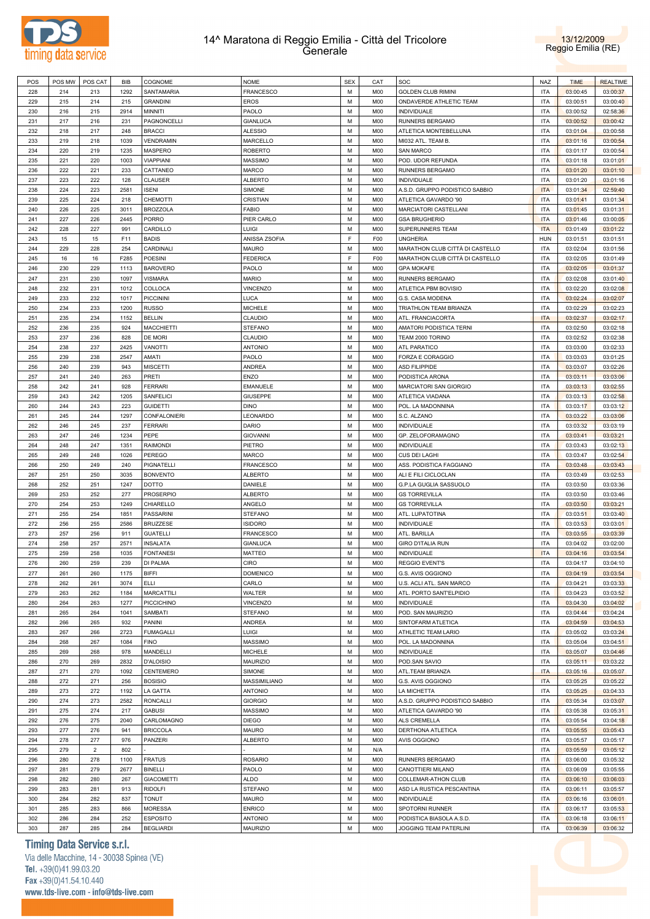



| POS | POS MW | POS CAT        | <b>BIB</b> | COGNOME             | <b>NOME</b>      | <b>SEX</b> | CAT        | SOC                             | <b>NAZ</b> | <b>TIME</b> | <b>REALTIME</b> |
|-----|--------|----------------|------------|---------------------|------------------|------------|------------|---------------------------------|------------|-------------|-----------------|
| 228 | 214    | 213            | 1292       | SANTAMARIA          | <b>FRANCESCO</b> | M          | M00        | <b>GOLDEN CLUB RIMINI</b>       | <b>ITA</b> | 03:00:45    | 03:00:37        |
|     |        |                |            |                     |                  |            |            |                                 |            |             |                 |
| 229 | 215    | 214            | 215        | <b>GRANDINI</b>     | <b>EROS</b>      | M          | M00        | ONDAVERDE ATHLETIC TEAM         | <b>ITA</b> | 03:00:51    | 03:00:40        |
| 230 | 216    | 215            | 2914       | <b>MINNITI</b>      | PAOLO            | M          | M00        | <b>INDIVIDUALE</b>              | <b>ITA</b> | 03:00:52    | 02:58:36        |
| 231 | 217    | 216            | 231        | PAGNONCELLI         | <b>GIANLUCA</b>  | M          | M00        | RUNNERS BERGAMO                 | <b>ITA</b> | 03:00:52    | 03:00:42        |
| 232 | 218    | 217            | 248        | <b>BRACCI</b>       | <b>ALESSIO</b>   | M          | M00        | ATLETICA MONTEBELLUNA           | <b>ITA</b> | 03:01:04    | 03:00:58        |
| 233 | 219    | 218            | 1039       | VENDRAMIN           | MARCELLO         | M          | M00        | MI032 ATL. TEAM B.              | <b>ITA</b> | 03:01:16    | 03:00:54        |
|     |        |                |            |                     |                  |            |            |                                 |            |             |                 |
| 234 | 220    | 219            | 1235       | MASPERO             | <b>ROBERTO</b>   | M          | M00        | <b>SAN MARCO</b>                | <b>ITA</b> | 03:01:17    | 03:00:54        |
| 235 | 221    | 220            | 1003       | <b>VIAPPIANI</b>    | MASSIMO          | M          | M00        | POD. UDOR REFUNDA               | <b>ITA</b> | 03:01:18    | 03:01:01        |
| 236 | 222    | 221            | 233        | CATTANEO            | MARCO            | M          | M00        | RUNNERS BERGAMO                 | <b>ITA</b> | 03:01:20    | 03:01:10        |
| 237 | 223    | 222            | 128        | <b>CLAUSER</b>      | <b>ALBERTO</b>   | M          | M00        | <b>INDIVIDUALE</b>              | <b>ITA</b> | 03:01:20    | 03:01:16        |
| 238 | 224    | 223            | 2581       | <b>ISENI</b>        | SIMONE           | M          | M00        | A.S.D. GRUPPO PODISTICO SABBIO  | <b>ITA</b> | 03:01:34    | 02:59:40        |
|     |        |                |            |                     |                  |            |            |                                 |            |             |                 |
| 239 | 225    | 224            | 218        | <b>CHEMOTTI</b>     | CRISTIAN         | M          | M00        | ATLETICA GAVARDO '90            | <b>ITA</b> | 03:01:41    | 03:01:34        |
| 240 | 226    | 225            | 3011       | <b>BROZZOLA</b>     | FABIO            | M          | M00        | MARCIATORI CASTELLANI           | <b>ITA</b> | 03:01:45    | 03:01:31        |
| 241 | 227    | 226            | 2445       | <b>PORRO</b>        | PIER CARLO       | M          | M00        | <b>GSA BRUGHERIO</b>            | <b>ITA</b> | 03:01:46    | 03:00:05        |
| 242 | 228    | 227            | 991        | CARDILLO            | LUIGI            | M          | M00        | SUPERUNNERS TEAM                | <b>ITA</b> | 03:01:49    | 03:01:22        |
| 243 | 15     | 15             | F11        | <b>BADIS</b>        | ANISSA ZSOFIA    | E          | F00        | <b>UNGHERIA</b>                 | <b>HUN</b> | 03:01:51    | 03:01:51        |
|     |        |                |            |                     |                  |            |            |                                 |            |             |                 |
| 244 | 229    | 228            | 254        | CARDINALI           | <b>MAURO</b>     | M          | M00        | MARATHON CLUB CITTÀ DI CASTELLO | <b>ITA</b> | 03:02:04    | 03:01:56        |
| 245 | 16     | 16             | F285       | <b>POESINI</b>      | <b>FEDERICA</b>  | F.         | F00        | MARATHON CLUB CITTÀ DI CASTELLO | <b>ITA</b> | 03:02:05    | 03:01:49        |
| 246 | 230    | 229            | 1113       | <b>BAROVERO</b>     | PAOLO            | M          | M00        | <b>GPA MOKAFE</b>               | <b>ITA</b> | 03:02:05    | 03:01:37        |
| 247 | 231    | 230            | 1097       | <b>VISMARA</b>      | <b>MARIO</b>     | M          | M00        | RUNNERS BERGAMO                 | <b>ITA</b> | 03:02:08    | 03:01:40        |
| 248 | 232    | 231            | 1012       | COLLOCA             | <b>VINCENZO</b>  | M          | M00        | ATLETICA PBM BOVISIO            | <b>ITA</b> | 03:02:20    | 03:02:08        |
|     |        |                |            |                     |                  |            |            |                                 |            |             |                 |
| 249 | 233    | 232            | 1017       | <b>PICCININI</b>    | LUCA             | M          | M00        | G.S. CASA MODENA                | <b>ITA</b> | 03:02:24    | 03:02:07        |
| 250 | 234    | 233            | 1200       | <b>RUSSO</b>        | MICHELE          | M          | M00        | TRIATHLON TEAM BRIANZA          | <b>ITA</b> | 03:02:29    | 03:02:23        |
| 251 | 235    | 234            | 1152       | <b>BELLIN</b>       | CLAUDIO          | M          | M00        | ATL. FRANCIACORTA               | <b>ITA</b> | 03:02:37    | 03:02:17        |
| 252 | 236    | 235            | 924        | <b>MACCHIETTI</b>   | STEFANO          | M          | M00        | AMATORI PODISTICA TERNI         | <b>ITA</b> | 03:02:50    | 03:02:18        |
|     | 237    |                |            |                     |                  | M          |            |                                 | <b>ITA</b> |             |                 |
| 253 |        | 236            | 828        | DE MORI             | CLAUDIO          |            | M00        | TEAM 2000 TORINO                |            | 03:02:52    | 03:02:38        |
| 254 | 238    | 237            | 2425       | <b>VANOTTI</b>      | <b>ANTONIO</b>   | M          | M00        | ATL PARATICO                    | <b>ITA</b> | 03:03:00    | 03:02:33        |
| 255 | 239    | 238            | 2547       | <b>AMATI</b>        | PAOLO            | M          | M00        | FORZA E CORAGGIO                | <b>ITA</b> | 03:03:03    | 03:01:25        |
| 256 | 240    | 239            | 943        | <b>MISCETTI</b>     | <b>ANDREA</b>    | M          | M00        | <b>ASD FILIPPIDE</b>            | <b>ITA</b> | 03:03:07    | 03:02:26        |
| 257 | 241    | 240            | 263        | PRETI               | ENZO             | M          | M00        | PODISTICA ARONA                 | <b>ITA</b> | 03:03:11    | 03:03:06        |
|     |        |                |            |                     | <b>EMANUELE</b>  |            |            | <b>MARCIATORI SAN GIORGIO</b>   |            |             |                 |
| 258 | 242    | 241            | 928        | <b>FERRARI</b>      |                  | M          | M00        |                                 | <b>ITA</b> | 03:03:13    | 03:02:55        |
| 259 | 243    | 242            | 1205       | SANFELICI           | <b>GIUSEPPE</b>  | M          | M00        | ATLETICA VIADANA                | <b>ITA</b> | 03:03:13    | 03:02:58        |
| 260 | 244    | 243            | 223        | <b>GUIDETTI</b>     | <b>DINO</b>      | M          | M00        | POL. LA MADONNINA               | <b>ITA</b> | 03:03:17    | 03:03:12        |
| 261 | 245    | 244            | 1297       | <b>CONFALONIERI</b> | LEONARDO         | M          | M00        | S.C. ALZANO                     | <b>ITA</b> | 03:03:22    | 03:03:06        |
| 262 | 246    | 245            | 237        | <b>FERRARI</b>      | DARIO            | M          | M00        | <b>INDIVIDUALE</b>              | <b>ITA</b> | 03:03:32    | 03:03:19        |
|     |        |                |            |                     |                  | M          |            |                                 |            |             |                 |
| 263 | 247    | 246            | 1234       | PEPE                | <b>GIOVANNI</b>  |            | M00        | GP. ZELOFORAMAGNO               | <b>ITA</b> | 03:03:41    | 03:03:21        |
| 264 | 248    | 247            | 1351       | <b>RAIMONDI</b>     | PIETRO           | M          | M00        | INDIVIDUALE                     | <b>ITA</b> | 03:03:43    | 03:02:13        |
| 265 | 249    | 248            | 1026       | <b>PEREGO</b>       | MARCO            | M          | M00        | <b>CUS DEI LAGHI</b>            | <b>ITA</b> | 03:03:47    | 03:02:54        |
| 266 | 250    | 249            | 240        | PIGNATELLI          | <b>FRANCESCO</b> | M          | M00        | ASS. PODISTICA FAGGIANO         | <b>ITA</b> | 03:03:48    | 03:03:43        |
| 267 | 251    | 250            | 3035       | <b>BONVENTO</b>     | <b>ALBERTO</b>   | M          | M00        | ALI E FILI CICLOCLAN            | <b>ITA</b> | 03:03:49    | 03:02:53        |
| 268 | 252    | 251            | 1247       | <b>DOTTO</b>        | DANIELE          | M          | M00        | G.P.LA GUGLIA SASSUOLO          | <b>ITA</b> | 03:03:50    | 03:03:36        |
|     |        |                |            |                     |                  |            |            |                                 |            |             |                 |
| 269 | 253    | 252            | 277        | <b>PROSERPIO</b>    | <b>ALBERTO</b>   | M          | M00        | <b>GS TORREVILLA</b>            | <b>ITA</b> | 03:03:50    | 03:03:46        |
| 270 | 254    | 253            | 1249       | CHIARELLO           | ANGELO           | M          | M00        | <b>GS TORREVILLA</b>            | <b>ITA</b> | 03:03:50    | 03:03:21        |
| 271 | 255    | 254            | 1851       | PASSARINI           | <b>STEFANO</b>   | M          | M00        | ATL. LUPATOTINA                 | <b>ITA</b> | 03:03:51    | 03:03:40        |
| 272 | 256    | 255            | 2586       | <b>BRUZZESE</b>     | <b>ISIDORO</b>   | M          | M00        | <b>INDIVIDUALE</b>              | <b>ITA</b> | 03:03:53    | 03:03:01        |
| 273 | 257    | 256            | 911        | <b>GUATELLI</b>     | <b>FRANCESCO</b> | м          | M00        | ATL. BARILLA                    | <b>ITA</b> | 03:03:55    | 03:03:39        |
|     |        |                |            |                     |                  |            |            |                                 |            |             |                 |
| 274 | 258    | 257            | 2571       | INSALATA            | <b>GIANLUCA</b>  | M          | M00        | <b>GIRO D'ITALIA RUN</b>        | <b>ITA</b> | 03:04:02    | 03:02:00        |
| 275 | 259    | 258            | 1035       | <b>FONTANESI</b>    | <b>MATTEO</b>    | M          | M00        | <b>INDIVIDUALE</b>              | <b>ITA</b> | 03:04:16    | 03:03:54        |
| 276 | 260    | 259            | 239        | DI PALMA            | CIRO             | M          | <b>M00</b> | <b>REGGIO EVENT'S</b>           | <b>ITA</b> | 03:04:17    | 03:04:10        |
| 277 | 261    | 260            | 1175       | <b>BIFFI</b>        | DOMENICO         | M          | M00        | G.S. AVIS OGGIONO               | <b>ITA</b> | 03:04:19    | 03:03:54        |
| 278 | 262    | 261            | 3074       | <b>ELLI</b>         | CARLO            | M          | M00        | U.S. ACLI ATL. SAN MARCO        | <b>ITA</b> | 03:04:21    | 03:03:33        |
|     |        |                |            | <b>MARCATTILI</b>   | WALTER           | M          |            |                                 | <b>ITA</b> | 03:04:23    |                 |
| 279 | 263    | 262            | 1184       |                     |                  |            | M00        | ATL. PORTO SANT'ELPIDIO         |            |             | 03:03:52        |
| 280 | 264    | 263            | 1277       | <b>PICCICHINO</b>   | <b>VINCENZO</b>  | M          | M00        | <b>INDIVIDUALE</b>              | <b>ITA</b> | 03:04:30    | 03:04:02        |
| 281 | 265    | 264            | 1041       | <b>SAMBATI</b>      | <b>STEFANO</b>   | M          | M00        | POD. SAN MAURIZIO               | <b>ITA</b> | 03:04:44    | 03:04:24        |
| 282 | 266    | 265            | 932        | PANINI              | ANDREA           | M          | M00        | SINTOFARM ATLETICA              | <b>ITA</b> | 03:04:59    | 03:04:53        |
| 283 | 267    | 266            | 2723       | <b>FUMAGALLI</b>    | Luigi            | M          | M00        | ATHLETIC TEAM LARIO             | <b>ITA</b> | 03:05:02    | 03:03:24        |
| 284 | 268    | 267            | 1084       | <b>FINO</b>         | MASSIMO          | M          | M00        | POL. LA MADONNINA               | <b>ITA</b> | 03:05:04    | 03:04:51        |
|     |        |                |            |                     |                  |            |            |                                 |            |             |                 |
| 285 | 269    | 268            | 978        | MANDELLI            | MICHELE          | м          | M00        | <b>INDIVIDUALE</b>              | <b>ITA</b> | 03:05:07    | 03:04:46        |
| 286 | 270    | 269            | 2832       | <b>D'ALOISIO</b>    | <b>MAURIZIO</b>  | M          | M00        | POD.SAN SAVIO                   | <b>ITA</b> | 03:05:11    | 03:03:22        |
| 287 | 271    | 270            | 1092       | CENTEMERO           | SIMONE           | м          | M00        | ATL.TEAM BRIANZA                | <b>ITA</b> | 03:05:16    | 03:05:07        |
| 288 | 272    | 271            | 256        | <b>BOSISIO</b>      | MASSIMILIANO     | M          | M00        | G.S. AVIS OGGIONO               | <b>ITA</b> | 03:05:25    | 03:05:22        |
|     |        |                |            |                     |                  | M          |            |                                 | <b>ITA</b> |             |                 |
| 289 | 273    | 272            | 1192       | LA GATTA            | <b>ANTONIO</b>   |            | M00        | LA MICHETTA                     |            | 03:05:25    | 03:04:33        |
| 290 | 274    | 273            | 2582       | <b>RONCALLI</b>     | <b>GIORGIO</b>   | M          | M00        | A.S.D. GRUPPO PODISTICO SABBIO  | <b>ITA</b> | 03:05:34    | 03:03:07        |
| 291 | 275    | 274            | 217        | GABUSI              | MASSIMO          | M          | M00        | ATLETICA GAVARDO '90            | <b>ITA</b> | 03:05:38    | 03:05:31        |
| 292 | 276    | 275            | 2040       | CARLOMAGNO          | <b>DIEGO</b>     | M          | M00        | ALS CREMELLA                    | <b>ITA</b> | 03:05:54    | 03:04:18        |
| 293 | 277    | 276            | 941        | <b>BRICCOLA</b>     | <b>MAURO</b>     | M          | M00        | DERTHONA ATLETICA               | <b>ITA</b> | 03:05:55    | 03:05:43        |
|     |        |                |            |                     |                  | M          |            |                                 |            |             |                 |
| 294 | 278    | 277            | 976        | PANZERI             | ALBERTO          |            | M00        | <b>AVIS OGGIONO</b>             | <b>ITA</b> | 03:05:57    | 03:05:17        |
| 295 | 279    | $\overline{2}$ | 802        |                     |                  | M          | N/A        |                                 | <b>ITA</b> | 03:05:59    | 03:05:12        |
| 296 | 280    | 278            | 1100       | <b>FRATUS</b>       | <b>ROSARIO</b>   | M          | M00        | RUNNERS BERGAMO                 | <b>ITA</b> | 03:06:00    | 03:05:32        |
| 297 | 281    | 279            | 2677       | <b>BINELLI</b>      | PAOLO            | M          | M00        | CANOTTIERI MILANO               | <b>ITA</b> | 03:06:09    | 03:05:55        |
| 298 | 282    | 280            | 267        | <b>GIACOMETTI</b>   | <b>ALDO</b>      | M          | M00        | COLLEMAR-ATHON CLUB             | <b>ITA</b> | 03:06:10    | 03:06:03        |
|     |        |                |            |                     |                  |            |            |                                 |            |             |                 |
| 299 | 283    | 281            | 913        | <b>RIDOLFI</b>      | STEFANO          | м          | M00        | ASD LA RUSTICA PESCANTINA       | <b>ITA</b> | 03:06:11    | 03:05:57        |
| 300 | 284    | 282            | 837        | <b>TONUT</b>        | <b>MAURO</b>     | M          | M00        | <b>INDIVIDUALE</b>              | <b>ITA</b> | 03:06:16    | 03:06:01        |
| 301 | 285    | 283            | 866        | <b>MORESSA</b>      | <b>ENRICO</b>    | м          | M00        | SPOTORNI RUNNER                 | <b>ITA</b> | 03:06:17    | 03:05:53        |
| 302 | 286    | 284            | 252        | <b>ESPOSITO</b>     | <b>ANTONIO</b>   | M          | M00        | PODISTICA BIASOLA A.S.D.        | <b>ITA</b> | 03:06:18    | 03:06:11        |
| 303 | 287    | 285            | 284        | <b>BEGLIARDI</b>    | MAURIZIO         | M          | M00        | JOGGING TEAM PATERLINI          | <b>ITA</b> | 03:06:39    | 03:06:32        |
|     |        |                |            |                     |                  |            |            |                                 |            |             |                 |

# **Timing Data Service s.r.l.**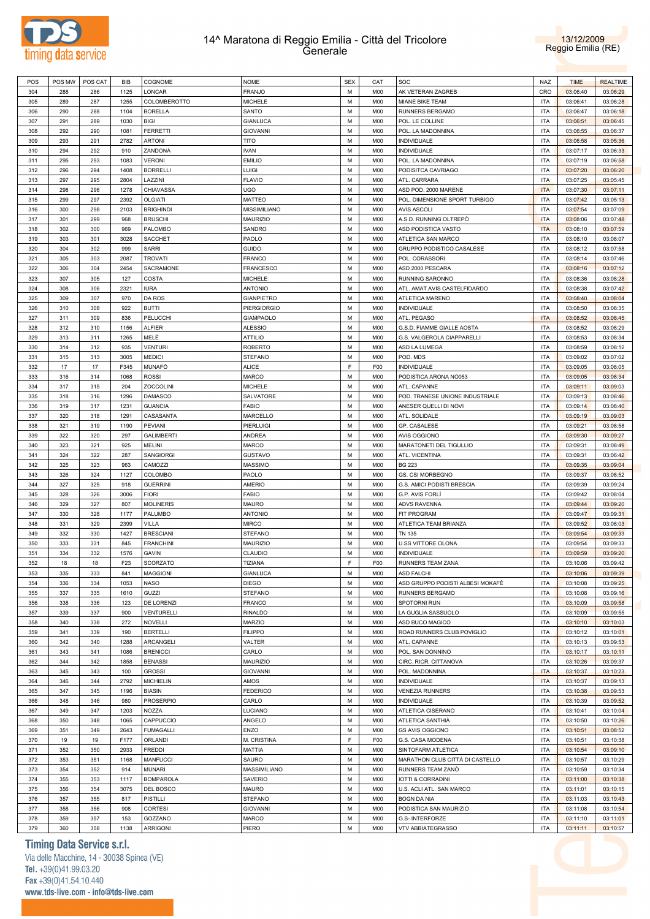



| POS | POS MW | POS CAT | <b>BIB</b> | COGNOME           | <b>NOME</b>         | <b>SEX</b> | CAT             | SOC                              | <b>NAZ</b> | <b>TIME</b> | <b>REALTIME</b> |
|-----|--------|---------|------------|-------------------|---------------------|------------|-----------------|----------------------------------|------------|-------------|-----------------|
| 304 | 288    | 286     | 1125       | LONCAR            | FRANJO              | M          | M00             | AK VETERAN ZAGREB                | CRO        | 03:06:40    | 03:06:29        |
|     |        |         |            |                   |                     |            |                 |                                  |            |             |                 |
| 305 | 289    | 287     | 1255       | COLOMBEROTTO      | <b>MICHELE</b>      | M          | M00             | MIANE BIKE TEAM                  | <b>ITA</b> | 03:06:41    | 03:06:28        |
| 306 | 290    | 288     | 1104       | <b>BORELLA</b>    | SANTO               | М          | M00             | RUNNERS BERGAMO                  | <b>ITA</b> | 03:06:47    | 03:06:18        |
| 307 | 291    | 289     | 1030       | <b>BIGI</b>       | <b>GIANLUCA</b>     | M          | M00             | POL. LE COLLINE                  | <b>ITA</b> | 03:06:51    | 03:06:45        |
| 308 | 292    | 290     | 1081       | <b>FERRETTI</b>   | <b>GIOVANNI</b>     | М          | M00             | POL. LA MADONNINA                | <b>ITA</b> | 03:06:55    | 03:06:37        |
| 309 | 293    | 291     | 2782       | <b>ARTONI</b>     | <b>TITO</b>         | M          | M00             | <b>INDIVIDUALE</b>               | <b>ITA</b> | 03:06:58    | 03:05:36        |
|     |        |         |            |                   |                     |            |                 |                                  |            |             |                 |
| 310 | 294    | 292     | 910        | ZANDONÀ           | <b>IVAN</b>         | М          | M <sub>0</sub>  | <b>INDIVIDUALE</b>               | ITA        | 03:07:17    | 03:06:33        |
| 311 | 295    | 293     | 1083       | <b>VERONI</b>     | <b>EMILIO</b>       | М          | M <sub>0</sub>  | POL. LA MADONNINA                | <b>ITA</b> | 03:07:19    | 03:06:58        |
| 312 | 296    | 294     | 1408       | <b>BORRELLI</b>   | LUIGI               | М          | M <sub>0</sub>  | PODISITCA CAVRIAGO               | ITA        | 03:07:20    | 03:06:20        |
| 313 | 297    | 295     | 2804       | LAZZINI           | <b>FLAVIO</b>       | М          | M <sub>0</sub>  | ATL. CARRARA                     | <b>ITA</b> | 03:07:25    | 03:05:45        |
| 314 | 298    | 296     | 1278       | CHIAVASSA         | <b>UGO</b>          | М          | M <sub>0</sub>  | ASD POD. 2000 MARENE             | <b>ITA</b> | 03:07:30    | 03:07:11        |
|     |        |         |            |                   | <b>MATTEO</b>       | M          |                 |                                  | <b>ITA</b> |             |                 |
| 315 | 299    | 297     | 2392       | <b>OLGIATI</b>    |                     |            | M <sub>0</sub>  | POL. DIMENSIONE SPORT TURBIGO    |            | 03:07:42    | 03:05:13        |
| 316 | 300    | 298     | 2103       | <b>BRIGHINDI</b>  | <b>MISSIMILIANO</b> | М          | M <sub>0</sub>  | <b>AVIS ASCOLI</b>               | <b>ITA</b> | 03:07:54    | 03:07:09        |
| 317 | 301    | 299     | 968        | <b>BRUSCHI</b>    | <b>MAURIZIO</b>     | M          | M <sub>0</sub>  | A.S.D. RUNNING OLTREPÒ           | <b>ITA</b> | 03:08:06    | 03:07:48        |
| 318 | 302    | 300     | 969        | <b>PALOMBO</b>    | SANDRO              | М          | M <sub>0</sub>  | ASD PODISTICA VASTO              | <b>ITA</b> | 03:08:10    | 03:07:59        |
| 319 | 303    | 301     | 3028       | <b>SACCHET</b>    | PAOLO               | M          | M <sub>0</sub>  | ATLETICA SAN MARCO               | <b>ITA</b> | 03:08:10    | 03:08:07        |
| 320 | 304    | 302     | 999        | <b>SARRI</b>      | GUIDO               | M          | M <sub>0</sub>  | GRUPPO PODISTICO CASALESE        | <b>ITA</b> | 03:08:12    | 03:07:58        |
|     |        |         |            |                   |                     |            |                 |                                  |            |             |                 |
| 321 | 305    | 303     | 2087       | <b>TROVATI</b>    | FRANCO              | M          | M <sub>0</sub>  | POL. CORASSORI                   | <b>ITA</b> | 03:08:14    | 03:07:46        |
| 322 | 306    | 304     | 2454       | SACRAMONE         | <b>FRANCESCO</b>    | М          | M <sub>0</sub>  | ASD 2000 PESCARA                 | ITA        | 03:08:16    | 03:07:12        |
| 323 | 307    | 305     | 127        | COSTA             | <b>MICHELE</b>      | М          | M <sub>0</sub>  | RUNNING SARONNO                  | <b>ITA</b> | 03:08:36    | 03:08:28        |
| 324 | 308    | 306     | 2321       | <b>IURA</b>       | <b>ANTONIO</b>      | М          | M <sub>0</sub>  | ATL. AMAT.AVIS CASTELFIDARDO     | ITA        | 03:08:38    | 03:07:42        |
| 325 | 309    | 307     | 970        | DA ROS            | <b>GIANPIETRO</b>   | M          | M <sub>0</sub>  | ATLETICA MARENO                  | <b>ITA</b> | 03:08:40    | 03:08:04        |
|     |        |         |            |                   |                     |            |                 |                                  |            |             |                 |
| 326 | 310    | 308     | 922        | <b>BUTTI</b>      | <b>PIERGIORGIO</b>  | М          | M <sub>0</sub>  | <b>INDIVIDUALE</b>               | ITA        | 03:08:50    | 03:08:35        |
| 327 | 311    | 309     | 836        | PELUCCHI          | <b>GIAMPAOLO</b>    | М          | M <sub>0</sub>  | ATL. PEGASO                      | <b>ITA</b> | 03:08:52    | 03:08:45        |
| 328 | 312    | 310     | 1156       | <b>ALFIER</b>     | <b>ALESSIO</b>      | М          | M <sub>0</sub>  | G.S.D. FIAMME GIALLE AOSTA       | <b>ITA</b> | 03:08:52    | 03:08:29        |
| 329 | 313    | 311     | 1265       | MELÈ              | <b>ATTILIO</b>      | M          | M <sub>0</sub>  | G.S. VALGEROLA CIAPPARELLI       | <b>ITA</b> | 03:08:53    | 03:08:34        |
| 330 | 314    | 312     | 935        | <b>VENTURI</b>    | <b>ROBERTO</b>      | М          | M <sub>0</sub>  | ASD LA LUMEGA                    | <b>ITA</b> |             | 03:08:12        |
|     |        |         |            |                   |                     |            |                 |                                  |            | 03:08:59    |                 |
| 331 | 315    | 313     | 3005       | <b>MEDICI</b>     | STEFANO             | M          | M <sub>0</sub>  | POD. MDS                         | <b>ITA</b> | 03:09:02    | 03:07:02        |
| 332 | 17     | 17      | F345       | <b>MUNAFO</b>     | <b>ALICE</b>        | E          | F <sub>00</sub> | <b>INDIVIDUALE</b>               | <b>ITA</b> | 03:09:05    | 03:08:05        |
| 333 | 316    | 314     | 1068       | <b>ROSSI</b>      | <b>MARCO</b>        | M          | M <sub>0</sub>  | PODISTICA ARONA NO053            | <b>ITA</b> | 03:09:05    | 03:08:34        |
| 334 | 317    | 315     | 204        | <b>ZOCCOLINI</b>  | <b>MICHELE</b>      | М          | M <sub>0</sub>  | ATL. CAPANNE                     | <b>ITA</b> | 03:09:11    | 03:09:03        |
|     |        |         |            |                   |                     |            |                 |                                  |            |             |                 |
| 335 | 318    | 316     | 1296       | <b>DAMASCO</b>    | SALVATORE           | M          | M <sub>0</sub>  | POD. TRANESE UNIONE INDUSTRIALE  | <b>ITA</b> | 03:09:13    | 03:08:46        |
| 336 | 319    | 317     | 1231       | <b>GUANCIA</b>    | FABIO               | М          | M <sub>0</sub>  | ANESER QUELLI DI NOVI            | ITA        | 03:09:14    | 03:08:40        |
| 337 | 320    | 318     | 1291       | CASASANTA         | MARCELLO            | M          | M <sub>0</sub>  | ATL. SOLIDALE                    | <b>ITA</b> | 03:09:19    | 03:09:03        |
| 338 | 321    | 319     | 1190       | PEVIANI           | <b>PIERLUIGI</b>    | М          | M <sub>0</sub>  | GP. CASALESE                     | ITA        | 03:09:21    | 03:08:58        |
| 339 | 322    | 320     | 297        | <b>GALIMBERTI</b> | ANDREA              | M          | M <sub>0</sub>  | <b>AVIS OGGIONO</b>              | <b>ITA</b> | 03:09:30    | 03:09:27        |
|     |        |         |            |                   |                     |            |                 |                                  |            |             |                 |
| 340 | 323    | 321     | 925        | MELINI            | MARCO               | М          | M <sub>0</sub>  | MARATONETI DEL TIGULLIO          | <b>ITA</b> | 03:09:31    | 03:08:49        |
| 341 | 324    | 322     | 287        | <b>SANGIORGI</b>  | <b>GUSTAVO</b>      | M          | M <sub>0</sub>  | ATL. VICENTINA                   | <b>ITA</b> | 03:09:31    | 03:06:42        |
| 342 | 325    | 323     | 963        | CAMOZZI           | <b>MASSIMO</b>      | М          | M <sub>0</sub>  | <b>BG 223</b>                    | <b>ITA</b> | 03:09:35    | 03:09:04        |
| 343 | 326    | 324     | 1127       | COLOMBO           | PAOLO               | M          | M <sub>0</sub>  | GS. CSI MORBEGNO                 | <b>ITA</b> | 03:09:37    | 03:08:52        |
| 344 | 327    | 325     | 918        | <b>GUERRINI</b>   | AMERIO              | M          | M <sub>0</sub>  | G.S. AMICI PODISTI BRESCIA       | <b>ITA</b> | 03:09:39    | 03:09:24        |
|     |        |         |            |                   |                     | M          |                 |                                  |            |             |                 |
| 345 | 328    | 326     | 3006       | <b>FIORI</b>      | <b>FABIO</b>        |            | M <sub>0</sub>  | G.P. AVIS FORLI                  | <b>ITA</b> | 03:09:42    | 03:08:04        |
| 346 | 329    | 327     | 807        | <b>MOLINERIS</b>  | <b>MAURO</b>        | М          | M <sub>0</sub>  | <b>ADVS RAVENNA</b>              | ITA        | 03:09:44    | 03:09:20        |
| 347 | 330    | 328     | 1177       | PALUMBO           | <b>ANTONIO</b>      | M          | M <sub>0</sub>  | FIT PROGRAM                      | <b>ITA</b> | 03:09:47    | 03:09:31        |
| 348 | 331    | 329     | 2399       | VILLA             | <b>MIRCO</b>        | М          | M <sub>0</sub>  | ATLETICA TEAM BRIANZA            | ITA        | 03:09:52    | 03:08:03        |
| 349 | 332    | 330     | 1427       | <b>BRESCIANI</b>  | <b>STEFANO</b>      | М          | M <sub>0</sub>  | TN 135                           | ITA        | 03:09:54    | 03:09:33        |
|     |        |         |            |                   | <b>MAURIZIO</b>     |            |                 |                                  |            |             |                 |
| 350 | 333    | 331     | 845        | <b>FRANCHINI</b>  |                     | М          | M <sub>0</sub>  | <b>U.SS VITTORE OLONA</b>        | ITA        | 03:09:54    | 03:09:33        |
| 351 | 334    | 332     | 1576       | GAVIN             | CLAUDIO             | M          | M <sub>0</sub>  | <b>INDIVIDUALE</b>               | <b>ITA</b> | 03:09:59    | 03:09:20        |
| 352 | 18     | 18      | F23        | SCORZATO          | TIZIANA             | F          | F <sub>00</sub> | RUNNERS TEAM ZANA                | <b>ITA</b> | 03:10:06    | 03:09:42        |
| 353 | 335    | 333     | 841        | <b>MAGGIONI</b>   | <b>GIANLUCA</b>     | М          | M <sub>0</sub>  | <b>ASD FALCHI</b>                | <b>ITA</b> | 03:10:06    | 03:09:39        |
| 354 | 336    | 334     | 1053       | <b>NASO</b>       | <b>DIEGO</b>        | М          | M00             | ASD GRUPPO PODISTI ALBESI MOKAFÈ | <b>ITA</b> | 03:10:08    | 03:09:25        |
|     |        |         |            |                   |                     | M          |                 |                                  |            |             |                 |
| 355 | 337    | 335     | 1610       | GUZZI             | <b>STEFANO</b>      |            | M00             | RUNNERS BERGAMO                  | <b>ITA</b> | 03:10:08    | 03:09:16        |
| 356 | 338    | 336     | 123        | DE LORENZI        | <b>FRANCO</b>       | М          | M00             | SPOTORNI RUN                     | <b>ITA</b> | 03:10:09    | 03:09:58        |
| 357 | 339    | 337     | 900        | VENTURELLI        | <b>RINALDO</b>      | M          | M00             | LA GUGLIA SASSUOLO               | <b>ITA</b> | 03:10:09    | 03:09:55        |
| 358 | 340    | 338     | 272        | <b>NOVELLI</b>    | MARZIO              | М          | M00             | ASD BUCO MAGICO                  | <b>ITA</b> | 03:10:10    | 03:10:03        |
| 359 | 341    | 339     | 190        | <b>BERTELLI</b>   | <b>FILIPPO</b>      | M          | M00             | ROAD RUNNERS CLUB POVIGLIO       | <b>ITA</b> | 03:10:12    | 03:10:01        |
| 360 |        | 340     | 1288       | ARCANGELI         | VALTER              | М          | M00             | ATL. CAPANNE                     | ITA        |             |                 |
|     | 342    |         |            |                   |                     |            |                 |                                  |            | 03:10:13    | 03:09:53        |
| 361 | 343    | 341     | 1086       | <b>BRENICCI</b>   | CARLO               | M          | M00             | POL. SAN DONNINO                 | ITA        | 03:10:17    | 03:10:11        |
| 362 | 344    | 342     | 1858       | <b>BENASSI</b>    | MAURIZIO            | М          | M00             | CIRC. RICR. CITTANOVA            | ITA        | 03:10:26    | 03:09:37        |
| 363 | 345    | 343     | 100        | <b>GROSSI</b>     | <b>GIOVANNI</b>     | M          | M00             | POL. MADONNINA                   | <b>ITA</b> | 03:10:37    | 03:10:23        |
| 364 | 346    | 344     | 2792       | <b>MICHIELIN</b>  | AMOS                | М          | M00             | <b>INDIVIDUALE</b>               | <b>ITA</b> | 03:10:37    | 03:09:13        |
|     |        |         |            |                   |                     | M          |                 |                                  | <b>ITA</b> |             |                 |
| 365 | 347    | 345     | 1196       | <b>BIASIN</b>     | <b>FEDERICO</b>     |            | M00             | <b>VENEZIA RUNNERS</b>           |            | 03:10:38    | 03:09:53        |
| 366 | 348    | 346     | 980        | <b>PROSERPIO</b>  | CARLO               | М          | M00             | <b>INDIVIDUALE</b>               | ITA        | 03:10:39    | 03:09:52        |
| 367 | 349    | 347     | 1203       | NOZZA             | LUCIANO             | M          | M00             | ATLETICA CISERANO                | <b>ITA</b> | 03:10:41    | 03:10:04        |
| 368 | 350    | 348     | 1065       | CAPPUCCIO         | ANGELO              | M          | M00             | ATLETICA SANTHIÀ                 | ITA        | 03:10:50    | 03:10:26        |
| 369 | 351    | 349     | 2643       | <b>FUMAGALLI</b>  | ENZO                | M          | M00             | <b>GS AVIS OGGIONO</b>           | <b>ITA</b> | 03:10:51    | 03:08:52        |
|     |        |         |            |                   |                     |            |                 |                                  |            |             |                 |
| 370 | 19     | 19      | F177       | <b>ORLANDI</b>    | M. CRISTINA         | E          | F <sub>00</sub> | G.S. CASA MODENA                 | ITA        | 03:10:51    | 03:10:38        |
| 371 | 352    | 350     | 2933       | <b>FREDDI</b>     | MATTIA              | M          | M00             | SINTOFARM ATLETICA               | <b>ITA</b> | 03:10:54    | 03:09:10        |
| 372 | 353    | 351     | 1168       | <b>MANFUCCI</b>   | SAURO               | М          | M00             | MARATHON CLUB CITTÀ DI CASTELLO  | ITA        | 03:10:57    | 03:10:29        |
| 373 | 354    | 352     | 914        | <b>MUNARI</b>     | MASSIMILIANO        | M          | M00             | RUNNERS TEAM ZANO                | ITA        | 03:10:59    | 03:10:34        |
| 374 | 355    | 353     | 1117       | <b>BOMPAROLA</b>  | SAVERIO             | М          | M00             | <b>IOTTI &amp; CORRADINI</b>     | ITA        | 03:11:00    | 03:10:38        |
|     |        |         |            |                   |                     |            |                 |                                  |            |             |                 |
| 375 | 356    | 354     | 3075       | DEL BOSCO         | <b>MAURO</b>        | M          | M00             | U.S. ACLI ATL. SAN MARCO         | ITA        | 03:11:01    | 03:10:15        |
| 376 | 357    | 355     | 817        | <b>PISTILLI</b>   | STEFANO             | М          | M00             | <b>BOGN DA NIA</b>               | ITA        | 03:11:03    | 03:10:43        |
| 377 | 358    | 356     | 908        | CORTESI           | <b>GIOVANNI</b>     | M          | M00             | PODISTICA SAN MAURIZIO           | <b>ITA</b> | 03:11:08    | 03:10:54        |
| 378 | 359    | 357     | 153        | GOZZANO           | <b>MARCO</b>        | М          | M00             | <b>G.S-INTERFORZE</b>            | <b>ITA</b> | 03:11:10    | 03:11:01        |
| 379 | 360    | 358     | 1138       | <b>ARRIGONI</b>   | PIERO               | М          | M00             | <b>VTV ABBIATEGRASSO</b>         | <b>ITA</b> | 03:11:11    | 03:10:57        |
|     |        |         |            |                   |                     |            |                 |                                  |            |             |                 |

# **Timing Data Service s.r.l.**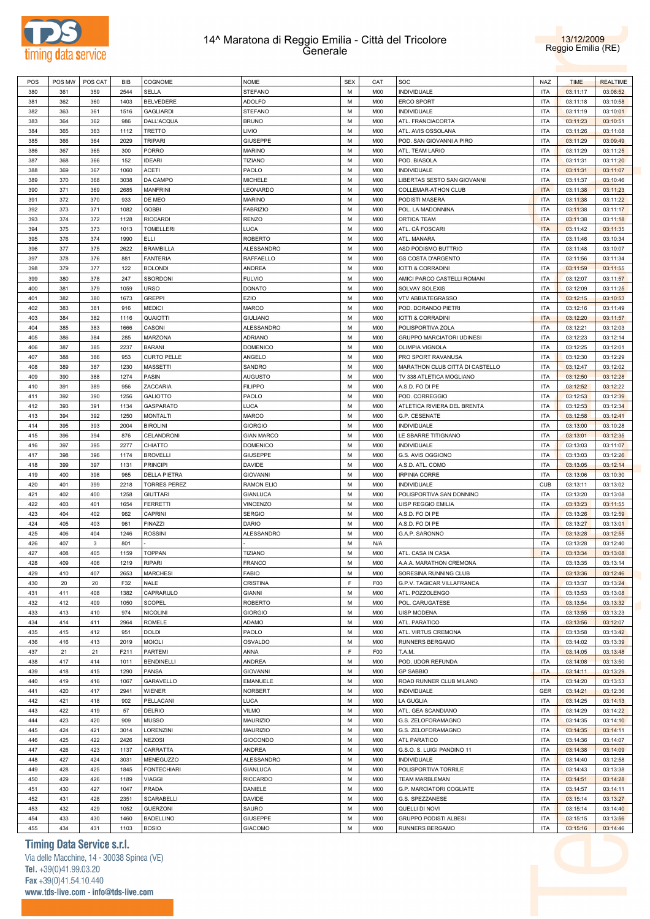



| POS | POS MW | POS CAT | <b>BIB</b> | COGNOME             | <b>NOME</b>       | <b>SEX</b> | CAT            | SOC                              | <b>NAZ</b> | <b>TIME</b> | <b>REALTIME</b> |
|-----|--------|---------|------------|---------------------|-------------------|------------|----------------|----------------------------------|------------|-------------|-----------------|
| 380 | 361    | 359     | 2544       | SELLA               | <b>STEFANO</b>    | M          | M00            | <b>INDIVIDUALE</b>               | <b>ITA</b> | 03:11:17    | 03:08:52        |
|     |        |         |            |                     |                   |            |                |                                  |            |             |                 |
| 381 | 362    | 360     | 1403       | <b>BELVEDERE</b>    | <b>ADOLFO</b>     | M          | M00            | <b>ERCO SPORT</b>                | <b>ITA</b> | 03:11:18    | 03:10:58        |
| 382 | 363    | 361     | 1516       | <b>GAGLIARDI</b>    | <b>STEFANO</b>    | M          | M00            | <b>INDIVIDUALE</b>               | <b>ITA</b> | 03:11:19    | 03:10:01        |
| 383 | 364    | 362     | 986        | DALL'ACQUA          | <b>BRUNO</b>      | M          | M00            | ATL. FRANCIACORTA                | <b>ITA</b> | 03:11:23    | 03:10:51        |
| 384 | 365    | 363     | 1112       | <b>TRETTO</b>       | LIVIO             | M          | M00            | ATL. AVIS OSSOLANA               | <b>ITA</b> | 03:11:26    | 03:11:08        |
| 385 | 366    | 364     | 2029       | <b>TRIPARI</b>      | <b>GIUSEPPE</b>   | M          | M00            | POD. SAN GIOVANNI A PIRO         | <b>ITA</b> | 03:11:29    | 03:09:49        |
|     |        |         |            |                     |                   |            |                |                                  |            |             |                 |
| 386 | 367    | 365     | 300        | PORRO               | <b>MARINO</b>     | M          | M00            | ATL. TEAM LARIO                  | <b>ITA</b> | 03:11:29    | 03:11:25        |
| 387 | 368    | 366     | 152        | <b>IDEARI</b>       | <b>TIZIANO</b>    | M          | M00            | POD. BIASOLA                     | <b>ITA</b> | 03:11:31    | 03:11:20        |
| 388 | 369    | 367     | 1060       | <b>ACETI</b>        | PAOLO             | M          | M00            | <b>INDIVIDUALE</b>               | <b>ITA</b> | 03:11:31    | 03:11:07        |
| 389 | 370    | 368     | 3038       | DA CAMPO            | <b>MICHELE</b>    | M          | M00            | LIBERTAS SESTO SAN GIOVANNI      | <b>ITA</b> | 03:11:37    | 03:10:46        |
| 390 |        | 369     | 2685       | <b>MANFRINI</b>     | LEONARDO          | M          | M00            | COLLEMAR-ATHON CLUB              | <b>ITA</b> |             |                 |
|     | 371    |         |            |                     |                   |            |                |                                  |            | 03:11:38    | 03:11:23        |
| 391 | 372    | 370     | 933        | DE MEO              | <b>MARINO</b>     | M          | M00            | PODISTI MASERÀ                   | <b>ITA</b> | 03:11:38    | 03:11:22        |
| 392 | 373    | 371     | 1082       | <b>GOBBI</b>        | <b>FABRIZIO</b>   | M          | M00            | POL. LA MADONNINA                | <b>ITA</b> | 03:11:38    | 03:11:17        |
| 393 | 374    | 372     | 1128       | <b>RICCARDI</b>     | <b>RENZO</b>      | M          | M00            | ORTICA TEAM                      | <b>ITA</b> | 03:11:38    | 03:11:18        |
| 394 | 375    | 373     | 1013       | <b>TOMELLERI</b>    | LUCA              | M          | M00            | ATL. CÀ FOSCARI                  | <b>ITA</b> | 03:11:42    | 03:11:35        |
|     |        |         |            | ELLI                |                   | M          |                |                                  |            |             |                 |
| 395 | 376    | 374     | 1990       |                     | <b>ROBERTO</b>    |            | M00            | ATL. MANARA                      | <b>ITA</b> | 03:11:46    | 03:10:34        |
| 396 | 377    | 375     | 2622       | <b>BRAMBILLA</b>    | ALESSANDRO        | M          | M00            | ASD PODISMO BUTTRIO              | <b>ITA</b> | 03:11:48    | 03:10:07        |
| 397 | 378    | 376     | 881        | <b>FANTERIA</b>     | <b>RAFFAELLO</b>  | M          | M00            | GS COSTA D'ARGENTO               | <b>ITA</b> | 03:11:56    | 03:11:34        |
| 398 | 379    | 377     | 122        | <b>BOLONDI</b>      | ANDREA            | M          | M00            | <b>IOTTI &amp; CORRADINI</b>     | <b>ITA</b> | 03:11:59    | 03:11:55        |
| 399 | 380    | 378     | 247        | <b>SBORDONI</b>     | <b>FULVIO</b>     | M          | M00            | AMICI PARCO CASTELLI ROMANI      | <b>ITA</b> | 03:12:07    | 03:11:57        |
|     |        |         |            |                     |                   |            |                |                                  |            |             |                 |
| 400 | 381    | 379     | 1059       | URSO                | <b>DONATO</b>     | M          | M00            | SOLVAY SOLEXIS                   | <b>ITA</b> | 03:12:09    | 03:11:25        |
| 401 | 382    | 380     | 1673       | <b>GREPPI</b>       | EZIO              | M          | M00            | <b>VTV ABBIATEGRASSO</b>         | <b>ITA</b> | 03:12:15    | 03:10:53        |
| 402 | 383    | 381     | 916        | MEDICI              | <b>MARCO</b>      | M          | M00            | POD, DORANDO PIETRI              | <b>ITA</b> | 03:12:16    | 03:11:49        |
| 403 | 384    | 382     | 1116       | QUAIOTTI            | <b>GIULIANO</b>   | M          | M00            | <b>IOTTI &amp; CORRADINI</b>     | <b>ITA</b> | 03:12:20    | 03:11:57        |
|     |        |         |            |                     |                   | M          |                |                                  |            |             |                 |
| 404 | 385    | 383     | 1666       | CASONI              | <b>ALESSANDRO</b> |            | M00            | POLISPORTIVA ZOLA                | <b>ITA</b> | 03:12:21    | 03:12:03        |
| 405 | 386    | 384     | 285        | MARZONA             | <b>ADRIANO</b>    | M          | M00            | <b>GRUPPO MARCIATORI UDINESI</b> | <b>ITA</b> | 03:12:23    | 03:12:14        |
| 406 | 387    | 385     | 2237       | <b>BARANI</b>       | <b>DOMENICO</b>   | M          | M00            | OLIMPIA VIGNOLA                  | <b>ITA</b> | 03:12:25    | 03:12:01        |
| 407 | 388    | 386     | 953        | <b>CURTO PELLE</b>  | ANGELO            | M          | M00            | PRO SPORT RAVANUSA               | <b>ITA</b> | 03:12:30    | 03:12:29        |
| 408 | 389    | 387     | 1230       | MASSETTI            | SANDRO            | M          | M00            | MARATHON CLUB CITTÀ DI CASTELLO  | <b>ITA</b> | 03:12:47    | 03:12:02        |
|     |        |         |            |                     |                   |            |                |                                  |            |             |                 |
| 409 | 390    | 388     | 1274       | PASIN               | <b>AUGUSTO</b>    | M          | M00            | TV 338 ATLETICA MOGLIANO         | <b>ITA</b> | 03:12:50    | 03:12:28        |
| 410 | 391    | 389     | 956        | ZACCARIA            | <b>FILIPPO</b>    | M          | M00            | A.S.D. FO DI PE                  | <b>ITA</b> | 03:12:52    | 03:12:22        |
| 411 | 392    | 390     | 1256       | <b>GALIOTTO</b>     | PAOLO             | M          | M00            | POD. CORREGGIO                   | <b>ITA</b> | 03:12:53    | 03:12:39        |
| 412 | 393    | 391     | 1134       | GASPARATO           | LUCA              | M          | M00            | ATLETICA RIVIERA DEL BRENTA      | <b>ITA</b> | 03:12:53    | 03:12:34        |
|     |        |         |            |                     |                   | M          |                |                                  | <b>ITA</b> |             |                 |
| 413 | 394    | 392     | 1250       | <b>MONTALTI</b>     | <b>MARCO</b>      |            | M00            | G.P. CESENATE                    |            | 03:12:58    | 03:12:41        |
| 414 | 395    | 393     | 2004       | <b>BIROLINI</b>     | <b>GIORGIO</b>    | M          | M00            | <b>INDIVIDUALE</b>               | <b>ITA</b> | 03:13:00    | 03:10:28        |
| 415 | 396    | 394     | 876        | CELANDRONI          | <b>GIAN MARCO</b> | M          | M00            | LE SBARRE TITIGNANO              | <b>ITA</b> | 03:13:01    | 03:12:35        |
| 416 | 397    | 395     | 2277       | CHIATTO             | <b>DOMENICO</b>   | M          | M00            | <b>INDIVIDUALE</b>               | <b>ITA</b> | 03:13:03    | 03:11:07        |
| 417 | 398    | 396     | 1174       | <b>BROVELLI</b>     | <b>GIUSEPPE</b>   | M          | <b>M00</b>     | G.S. AVIS OGGIONO                | <b>ITA</b> | 03:13:03    | 03:12:26        |
|     |        |         |            |                     |                   |            |                |                                  |            |             |                 |
| 418 | 399    | 397     | 1131       | <b>PRINCIPI</b>     | <b>DAVIDE</b>     | M          | M00            | A.S.D. ATL. COMO                 | <b>ITA</b> | 03:13:05    | 03:12:14        |
| 419 | 400    | 398     | 965        | <b>DELLA PIETRA</b> | <b>GIOVANNI</b>   | M          | M00            | <b>IRPINIA CORRE</b>             | <b>ITA</b> | 03:13:06    | 03:10:30        |
| 420 | 401    | 399     | 2218       | <b>TORRES PEREZ</b> | <b>RAMON ELIO</b> | M          | M00            | <b>INDIVIDUALE</b>               | <b>CUB</b> | 03:13:11    | 03:13:02        |
| 421 | 402    | 400     | 1258       | <b>GIUTTARI</b>     | <b>GIANLUCA</b>   | M          | M00            | POLISPORTIVA SAN DONNINO         | <b>ITA</b> | 03:13:20    | 03:13:08        |
| 422 | 403    | 401     | 1654       | <b>FERRETTI</b>     | <b>VINCENZO</b>   | M          | M00            | <b>UISP REGGIO EMILIA</b>        | <b>ITA</b> | 03:13:23    | 03:11:55        |
|     |        |         |            |                     |                   |            |                |                                  |            |             |                 |
| 423 | 404    | 402     | 962        | <b>CAPRINI</b>      | <b>SERGIO</b>     | M          | M00            | A.S.D. FO DI PE                  | <b>ITA</b> | 03:13:26    | 03:12:59        |
| 424 | 405    | 403     | 961        | <b>FINAZZI</b>      | <b>DARIO</b>      | M          | M00            | A.S.D. FO DI PE                  | <b>ITA</b> | 03:13:27    | 03:13:01        |
| 425 | 406    | 404     | 1246       | <b>ROSSINI</b>      | <b>ALESSANDRO</b> | M          | M00            | G.A.P. SARONNO                   | <b>ITA</b> | 03:13:28    | 03:12:55        |
| 426 | 407    | 3       | 801        |                     |                   | M          | N/A            |                                  | <b>ITA</b> | 03:13:28    | 03:12:40        |
|     |        |         |            |                     |                   |            |                |                                  |            |             |                 |
| 427 | 408    | 405     | 1159       | <b>TOPPAN</b>       | <b>TIZIANO</b>    | M          | M00            | ATL. CASA IN CASA                | <b>ITA</b> | 03:13:34    | 03:13:08        |
| 428 | 409    | 406     | 1219       | <b>RIPARI</b>       | FRANCO            | M          | <b>M00</b>     | A.A.A. MARATHON CREMONA          | <b>ITA</b> | 03:13:35    | 03:13:14        |
| 429 | 410    | 407     | 2653       | <b>MARCHESI</b>     | <b>FABIO</b>      | M          | M00            | SORESINA RUNNING CLUB            | <b>ITA</b> | 03:13:36    | 03:12:46        |
| 430 | 20     | 20      | F32        | NALE                | CRISTINA          | F.         | F <sub>0</sub> | G.P.V. TAGICAR VILLAFRANCA       | <b>ITA</b> | 03:13:37    | 03:13:24        |
|     |        |         |            |                     |                   |            |                |                                  |            |             |                 |
| 431 | 411    | 408     | 1382       | CAPRARULO           | <b>GIANNI</b>     | M          | M00            | ATL. POZZOLENGO                  | <b>ITA</b> | 03:13:53    | 03:13:08        |
| 432 | 412    | 409     | 1050       | <b>SCOPEL</b>       | <b>ROBERTO</b>    | M          | M00            | POL. CARUGATESE                  | <b>ITA</b> | 03:13:54    | 03:13:32        |
| 433 | 413    | 410     | 974        | <b>NICOLINI</b>     | <b>GIORGIO</b>    | M          | M00            | <b>UISP MODENA</b>               | <b>ITA</b> | 03:13:55    | 03:13:23        |
| 434 | 414    | 411     | 2964       | ROMELE              | ADAMO             | M          | M00            | ATL. PARATICO                    | <b>ITA</b> | 03:13:56    | 03:12:07        |
| 435 | 415    | 412     | 951        | DOLDI               | PAOLO             | M          | M00            | ATL. VIRTUS CREMONA              | <b>ITA</b> | 03:13:58    | 03:13:42        |
|     |        |         |            |                     |                   |            |                |                                  |            |             |                 |
| 436 | 416    | 413     | 2019       | <b>MOIOLI</b>       | OSVALDO           | M          | M00            | RUNNERS BERGAMO                  | <b>ITA</b> | 03:14:02    | 03:13:39        |
| 437 | 21     | 21      | F211       | PARTEMI             | ANNA              | E          | F <sub>0</sub> | T.A.M.                           | <b>ITA</b> | 03:14:05    | 03:13:48        |
| 438 | 417    | 414     | 1011       | <b>BENDINELLI</b>   | ANDREA            | M          | M00            | POD. UDOR REFUNDA                | <b>ITA</b> | 03:14:08    | 03:13:50        |
| 439 | 418    | 415     | 1290       | PANSA               | <b>GIOVANNI</b>   | M          | M00            | <b>GP SABBIO</b>                 | <b>ITA</b> | 03:14:11    | 03:13:29        |
|     |        |         |            |                     |                   |            |                |                                  |            |             |                 |
| 440 | 419    | 416     | 1067       | GARAVELLO           | <b>EMANUELE</b>   | М          | M00            | ROAD RUNNER CLUB MILANO          | <b>ITA</b> | 03:14:20    | 03:13:53        |
| 441 | 420    | 417     | 2941       | <b>WIENER</b>       | <b>NORBERT</b>    | M          | M00            | <b>INDIVIDUALE</b>               | GER        | 03:14:21    | 03:12:36        |
| 442 | 421    | 418     | 902        | PELLACANI           | LUCA              | М          | M00            | LA GUGLIA                        | <b>ITA</b> | 03:14:25    | 03:14:13        |
| 443 | 422    | 419     | 57         | <b>DELRIO</b>       | VILMO             | M          | M00            | ATL. GEA SCANDIANO               | <b>ITA</b> | 03:14:29    | 03:14:22        |
|     |        |         |            |                     |                   |            |                |                                  |            |             |                 |
| 444 | 423    | 420     | 909        | MUSSO               | <b>MAURIZIO</b>   | M          | M00            | G.S. ZELOFORAMAGNO               | <b>ITA</b> | 03:14:35    | 03:14:10        |
| 445 | 424    | 421     | 3014       | LORENZINI           | MAURIZIO          | M          | M00            | G.S. ZELOFORAMAGNO               | <b>ITA</b> | 03:14:35    | 03:14:11        |
| 446 | 425    | 422     | 2426       | <b>NEZOSI</b>       | GIOCONDO          | M          | M00            | ATL PARATICO                     | <b>ITA</b> | 03:14:36    | 03:14:07        |
| 447 | 426    | 423     | 1137       | CARRATTA            | ANDREA            | M          | M00            | G.S.O. S. LUIGI PANDINO 11       | <b>ITA</b> | 03:14:38    | 03:14:09        |
| 448 |        |         | 3031       | <b>MENEGUZZO</b>    | ALESSANDRO        | M          | M00            | <b>INDIVIDUALE</b>               | <b>ITA</b> |             |                 |
|     | 427    | 424     |            |                     |                   |            |                |                                  |            | 03:14:40    | 03:12:58        |
| 449 | 428    | 425     | 1845       | <b>FONTECHIARI</b>  | <b>GIANLUCA</b>   | M          | M00            | POLISPORTIVA TORRILE             | <b>ITA</b> | 03:14:43    | 03:13:38        |
| 450 | 429    | 426     | 1189       | VIAGGI              | <b>RICCARDO</b>   | M          | M00            | TEAM MARBLEMAN                   | <b>ITA</b> | 03:14:51    | 03:14:28        |
| 451 | 430    | 427     | 1047       | PRADA               | DANIELE           | M          | M00            | G.P. MARCIATORI COGLIATE         | <b>ITA</b> | 03:14:57    | 03:14:11        |
| 452 | 431    | 428     | 2351       | <b>SCARABELLI</b>   | DAVIDE            | M          | M00            | G.S. SPEZZANESE                  | <b>ITA</b> | 03:15:14    | 03:13:27        |
|     |        |         |            |                     |                   |            |                |                                  |            |             |                 |
| 453 | 432    | 429     | 1052       | <b>GUERZONI</b>     | SAURO             | M          | M00            | QUELLI DI NOVI                   | <b>ITA</b> | 03:15:14    | 03:14:40        |
| 454 | 433    | 430     | 1460       | <b>BADELLINO</b>    | <b>GIUSEPPE</b>   | М          | M00            | GRUPPO PODISTI ALBESI            | <b>ITA</b> | 03:15:15    | 03:13:56        |
| 455 | 434    | 431     | 1103       | <b>BOSIO</b>        | <b>GIACOMO</b>    | М          | M00            | RUNNERS BERGAMO                  | <b>ITA</b> | 03:15:16    | 03:14:46        |

**Timing Data Service s.r.l.**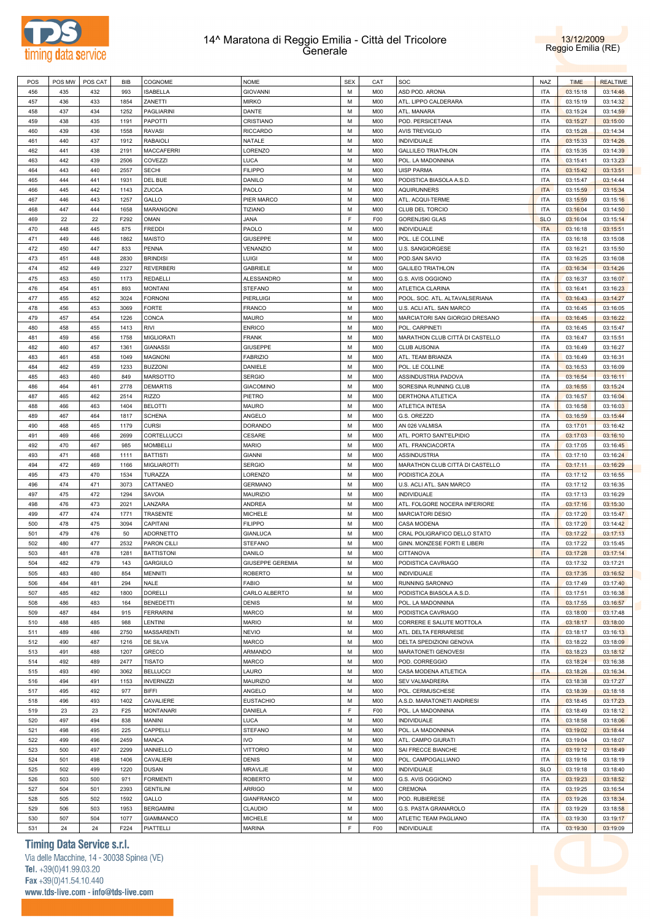



| POS | POS MW | POS CAT | <b>BIB</b> | COGNOME            | <b>NOME</b>             | <b>SEX</b> | CAT             | SOC                             | NAZ        | <b>TIME</b> | <b>REALTIME</b> |
|-----|--------|---------|------------|--------------------|-------------------------|------------|-----------------|---------------------------------|------------|-------------|-----------------|
| 456 | 435    | 432     | 993        | <b>ISABELLA</b>    | <b>GIOVANNI</b>         | М          | M <sub>0</sub>  | ASD POD. ARONA                  | <b>ITA</b> | 03:15:18    | 03:14:46        |
|     |        | 433     |            |                    |                         | М          | M <sub>0</sub>  |                                 | <b>ITA</b> |             |                 |
| 457 | 436    |         | 1854       | ZANETTI            | <b>MIRKO</b>            |            |                 | ATL. LIPPO CALDERARA            |            | 03:15:19    | 03:14:32        |
| 458 | 437    | 434     | 1252       | PAGLIARINI         | DANTE                   | М          | M <sub>0</sub>  | ATL. MANARA                     | <b>ITA</b> | 03:15:24    | 03:14:59        |
| 459 | 438    | 435     | 1191       | PAPOTTI            | CRISTIANO               | М          | M <sub>0</sub>  | POD. PERSICETANA                | <b>ITA</b> | 03:15:27    | 03:15:00        |
| 460 | 439    | 436     | 1558       | <b>RAVASI</b>      | <b>RICCARDO</b>         | М          | M <sub>0</sub>  | <b>AVIS TREVIGLIO</b>           | <b>ITA</b> | 03:15:28    | 03:14:34        |
| 461 | 440    | 437     | 1912       | <b>RABAIOLI</b>    | NATALE                  | М          | M <sub>0</sub>  | INDIVIDUALE                     | <b>ITA</b> | 03:15:33    | 03:14:26        |
|     |        |         |            |                    |                         |            |                 |                                 |            |             |                 |
| 462 | 441    | 438     | 2191       | <b>MACCAFERRI</b>  | LORENZO                 | М          | M <sub>0</sub>  | <b>GALLILEO TRIATHLON</b>       | <b>ITA</b> | 03:15:35    | 03:14:39        |
| 463 | 442    | 439     | 2506       | COVEZZI            | LUCA                    | М          | M <sub>0</sub>  | POL. LA MADONNINA               | <b>ITA</b> | 03:15:41    | 03:13:23        |
| 464 | 443    | 440     | 2557       | <b>SECHI</b>       | <b>FILIPPO</b>          | М          | M <sub>0</sub>  | <b>UISP PARMA</b>               | <b>ITA</b> | 03:15:42    | 03:13:51        |
| 465 | 444    | 441     | 1931       | DEL BUE            | DANILO                  | М          | M <sub>0</sub>  | PODISTICA BIASOLA A.S.D.        | <b>ITA</b> | 03:15:47    | 03:14:44        |
| 466 | 445    | 442     | 1143       | ZUCCA              | PAOLO                   | М          | M <sub>0</sub>  | <b>AQUIRUNNERS</b>              | <b>ITA</b> | 03:15:59    | 03:15:34        |
|     |        |         |            |                    |                         |            |                 |                                 |            |             |                 |
| 467 | 446    | 443     | 1257       | GALLO              | PIER MARCO              | М          | M <sub>0</sub>  | ATL. ACQUI-TERME                | <b>ITA</b> | 03:15:59    | 03:15:16        |
| 468 | 447    | 444     | 1658       | MARANGONI          | <b>TIZIANO</b>          | М          | M <sub>0</sub>  | CLUB DEL TORCIO                 | <b>ITA</b> | 03:16:04    | 03:14:50        |
| 469 | 22     | 22      | F292       | OMAN               | <b>JANA</b>             | E          | F <sub>00</sub> | <b>GORENJSKI GLAS</b>           | <b>SLO</b> | 03:16:04    | 03:15:14        |
| 470 | 448    | 445     | 875        | <b>FREDDI</b>      | PAOLO                   | М          | M <sub>0</sub>  | INDIVIDUALE                     | <b>ITA</b> | 03:16:18    | 03:15:51        |
| 471 | 449    | 446     | 1862       | <b>MAISTO</b>      | <b>GIUSEPPE</b>         | М          | M <sub>0</sub>  | POL. LE COLLINE                 | <b>ITA</b> | 03:16:18    | 03:15:08        |
|     |        |         |            |                    |                         |            |                 |                                 |            |             |                 |
| 472 | 450    | 447     | 833        | PENNA              | VENANZIO                | М          | M <sub>0</sub>  | U.S. SANGIORGESE                | <b>ITA</b> | 03:16:21    | 03:15:50        |
| 473 | 451    | 448     | 2830       | <b>BRINDISI</b>    | LUIGI                   | М          | M <sub>0</sub>  | POD.SAN SAVIO                   | <b>ITA</b> | 03:16:25    | 03:16:08        |
| 474 | 452    | 449     | 2327       | <b>REVERBERI</b>   | <b>GABRIELE</b>         | М          | M <sub>0</sub>  | <b>GALILEO TRIATHLON</b>        | <b>ITA</b> | 03:16:34    | 03:14:26        |
| 475 | 453    | 450     | 1173       | <b>REDAELLI</b>    | ALESSANDRO              | М          | M <sub>0</sub>  | G.S. AVIS OGGIONO               | <b>ITA</b> | 03:16:37    | 03:16:07        |
|     |        |         |            |                    |                         |            |                 |                                 |            |             |                 |
| 476 | 454    | 451     | 893        | <b>MONTANI</b>     | <b>STEFANO</b>          | М          | M <sub>0</sub>  | ATLETICA CLARINA                | <b>ITA</b> | 03:16:41    | 03:16:23        |
| 477 | 455    | 452     | 3024       | <b>FORNONI</b>     | PIERLUIGI               | М          | M <sub>0</sub>  | POOL. SOC. ATL. ALTAVALSERIANA  | <b>ITA</b> | 03:16:43    | 03:14:27        |
| 478 | 456    | 453     | 3069       | FORTE              | <b>FRANCO</b>           | М          | M <sub>0</sub>  | U.S. ACLI ATL. SAN MARCO        | <b>ITA</b> | 03:16:45    | 03:16:05        |
| 479 | 457    | 454     | 1226       | CONCA              | MAURO                   | М          | M <sub>0</sub>  | MARCIATORI SAN GIORGIO DRESANO  | <b>ITA</b> | 03:16:45    | 03:16:22        |
| 480 | 458    | 455     | 1413       | <b>RIVI</b>        | <b>ENRICO</b>           | М          | M <sub>0</sub>  | POL. CARPINETI                  | <b>ITA</b> | 03:16:45    | 03:15:47        |
|     |        |         |            |                    |                         |            |                 |                                 |            |             |                 |
| 481 | 459    | 456     | 1758       | <b>MIGLIORATI</b>  | <b>FRANK</b>            | М          | M <sub>0</sub>  | MARATHON CLUB CITTÀ DI CASTELLO | <b>ITA</b> | 03:16:47    | 03:15:51        |
| 482 | 460    | 457     | 1361       | <b>GIANASSI</b>    | <b>GIUSEPPE</b>         | М          | M <sub>0</sub>  | <b>CLUB AUSONIA</b>             | <b>ITA</b> | 03:16:49    | 03:16:27        |
| 483 | 461    | 458     | 1049       | <b>MAGNONI</b>     | <b>FABRIZIO</b>         | М          | M <sub>0</sub>  | ATL. TEAM BRIANZA               | <b>ITA</b> | 03:16:49    | 03:16:31        |
| 484 | 462    | 459     | 1233       | <b>BUZZONI</b>     | DANIELE                 | М          | M <sub>0</sub>  | POL. LE COLLINE                 | <b>ITA</b> | 03:16:53    | 03:16:09        |
| 485 | 463    | 460     | 849        | <b>MARSOTTO</b>    | <b>SERGIO</b>           | М          | M <sub>0</sub>  | ASSINDUSTRIA PADOVA             | <b>ITA</b> | 03:16:54    | 03:16:11        |
|     |        |         |            |                    |                         |            |                 |                                 |            |             |                 |
| 486 | 464    | 461     | 2778       | <b>DEMARTIS</b>    | <b>GIACOMINO</b>        | М          | M <sub>0</sub>  | SORESINA RUNNING CLUB           | <b>ITA</b> | 03:16:55    | 03:15:24        |
| 487 | 465    | 462     | 2514       | <b>RIZZO</b>       | PIETRO                  | М          | M <sub>0</sub>  | DERTHONA ATLETICA               | <b>ITA</b> | 03:16:57    | 03:16:04        |
| 488 | 466    | 463     | 1404       | <b>BELOTTI</b>     | <b>MAURO</b>            | М          | M <sub>0</sub>  | <b>ATLETICA INTESA</b>          | <b>ITA</b> | 03:16:58    | 03:16:03        |
| 489 | 467    | 464     | 1817       | <b>SCHENA</b>      | ANGELO                  | М          | M <sub>0</sub>  | G.S. OREZZO                     | <b>ITA</b> | 03:16:59    | 03:15:44        |
| 490 | 468    | 465     | 1179       | <b>CURSI</b>       | DORANDO                 | М          | M <sub>0</sub>  | AN 026 VALMISA                  | <b>ITA</b> | 03:17:01    | 03:16:42        |
|     |        |         |            |                    |                         |            |                 |                                 |            |             |                 |
| 491 | 469    | 466     | 2699       | CORTELLUCCI        | CESARE                  | М          | M <sub>0</sub>  | ATL. PORTO SANT'ELPIDIO         | <b>ITA</b> | 03:17:03    | 03:16:10        |
| 492 | 470    | 467     | 985        | <b>MOMBELLI</b>    | <b>MARIO</b>            | М          | M <sub>0</sub>  | ATL. FRANCIACORTA               | <b>ITA</b> | 03:17:05    | 03:16:45        |
| 493 | 471    | 468     | 1111       | <b>BATTISTI</b>    | <b>GIANNI</b>           | М          | M <sub>0</sub>  | ASSINDUSTRIA                    | <b>ITA</b> | 03:17:10    | 03:16:24        |
| 494 | 472    | 469     | 1166       | <b>MIGLIAROTTI</b> | <b>SERGIO</b>           | М          | M <sub>0</sub>  | MARATHON CLUB CITTÀ DI CASTELLO | <b>ITA</b> | 03:17:11    | 03:16:29        |
| 495 | 473    | 470     | 1534       | TURAZZA            | LORENZO                 | М          | M <sub>0</sub>  | PODISTICA ZOLA                  | <b>ITA</b> | 03:17:12    | 03:16:55        |
|     |        |         |            |                    |                         |            |                 |                                 |            |             |                 |
| 496 | 474    | 471     | 3073       | CATTANEO           | <b>GERMANO</b>          | М          | M <sub>0</sub>  | U.S. ACLI ATL. SAN MARCO        | <b>ITA</b> | 03:17:12    | 03:16:35        |
| 497 | 475    | 472     | 1294       | SAVOIA             | <b>MAURIZIO</b>         | М          | M <sub>0</sub>  | INDIVIDUALE                     | <b>ITA</b> | 03:17:13    | 03:16:29        |
| 498 | 476    | 473     | 2021       | LANZARA            | ANDREA                  | М          | M <sub>0</sub>  | ATL. FOLGORE NOCERA INFERIORE   | <b>ITA</b> | 03:17:16    | 03:15:30        |
| 499 | 477    | 474     | 1771       | <b>TRASENTE</b>    | MICHELE                 | М          | M <sub>0</sub>  | <b>MARCIATORI DESIO</b>         | <b>ITA</b> | 03:17:20    | 03:15:47        |
|     |        |         |            |                    |                         |            |                 |                                 |            |             |                 |
| 500 | 478    | 475     | 3094       | CAPITANI           | <b>FILIPPO</b>          | М          | M <sub>0</sub>  | CASA MODENA                     | <b>ITA</b> | 03:17:20    | 03:14:42        |
| 501 | 479    | 476     | 50         | ADORNETTO          | <b>GIANLUCA</b>         | М          | M <sub>0</sub>  | CRAL POLIGRAFICO DELLO STATO    | <b>ITA</b> | 03:17:22    | 03:17:13        |
| 502 | 480    | 477     | 2532       | PARON CILLI        | <b>STEFANO</b>          | М          | M <sub>0</sub>  | GINN. MONZESE FORTI E LIBERI    | <b>ITA</b> | 03:17:22    | 03:15:45        |
| 503 | 481    | 478     | 1281       | <b>BATTISTONI</b>  | DANILO                  | М          | M <sub>0</sub>  | CITTANOVA                       | <b>ITA</b> | 03:17:28    | 03:17:14        |
| 504 | 482    | 479     | 143        | <b>GARGIULO</b>    | <b>GIUSEPPE GEREMIA</b> | М          | <b>M00</b>      | PODISTICA CAVRIAGO              | <b>ITA</b> | 03:17:32    | 03:17:21        |
|     |        |         |            |                    |                         |            |                 |                                 |            |             |                 |
| 505 | 483    | 480     | 854        | <b>MENNITI</b>     | <b>ROBERTO</b>          | М          | M <sub>0</sub>  | INDIVIDUALE                     | <b>ITA</b> | 03:17:35    | 03:16:52        |
| 506 | 484    | 481     | 294        | NALE               | <b>FABIO</b>            | М          | <b>M00</b>      | RUNNING SARONNO                 | <b>ITA</b> | 03:17:49    | 03:17:40        |
| 507 | 485    | 482     | 1800       | <b>DORELLI</b>     | CARLO ALBERTO           | М          | <b>M00</b>      | PODISTICA BIASOLA A.S.D.        | <b>ITA</b> | 03:17:51    | 03:16:38        |
| 508 | 486    | 483     | 164        | <b>BENEDETTI</b>   | <b>DENIS</b>            | М          | M <sub>0</sub>  | POL. LA MADONNINA               | <b>ITA</b> | 03:17:55    | 03:16:57        |
| 509 | 487    | 484     | 915        | <b>FERRARINI</b>   | MARCO                   | М          | M00             | PODISTICA CAVRIAGO              | <b>ITA</b> | 03:18:00    | 03:17:48        |
|     |        | 485     | 988        | LENTINI            | <b>MARIO</b>            | М          |                 |                                 | <b>ITA</b> |             |                 |
| 510 | 488    |         |            |                    |                         |            | M <sub>0</sub>  | CORRERE E SALUTE MOTTOLA        |            | 03:18:17    | 03:18:00        |
| 511 | 489    | 486     | 2750       | <b>MASSARENTI</b>  | <b>NEVIO</b>            | М          | M <sub>0</sub>  | ATL. DELTA FERRARESE            | <b>ITA</b> | 03:18:17    | 03:16:13        |
| 512 | 490    | 487     | 1216       | DE SILVA           | MARCO                   | М          | M <sub>0</sub>  | DELTA SPEDIZIONI GENOVA         | <b>ITA</b> | 03:18:22    | 03:18:09        |
| 513 | 491    | 488     | 1207       | GRECO              | ARMANDO                 | М          | M00             | MARATONETI GENOVESI             | <b>ITA</b> | 03:18:23    | 03:18:12        |
| 514 | 492    | 489     | 2477       | <b>TISATO</b>      | MARCO                   | М          | M <sub>0</sub>  | POD. CORREGGIO                  | <b>ITA</b> | 03:18:24    | 03:16:38        |
| 515 | 493    | 490     | 3062       | <b>BELLUCCI</b>    | LAURO                   | М          | M00             | CASA MODENA ATLETICA            | <b>ITA</b> | 03:18:26    | 03:16:34        |
|     |        |         |            |                    |                         |            |                 |                                 |            |             |                 |
| 516 | 494    | 491     | 1153       | <b>INVERNIZZI</b>  | <b>MAURIZIO</b>         | М          | M <sub>0</sub>  | SEV VALMADRERA                  | <b>ITA</b> | 03:18:38    | 03:17:27        |
| 517 | 495    | 492     | 977        | <b>BIFFI</b>       | ANGELO                  | М          | M00             | POL. CERMUSCHESE                | <b>ITA</b> | 03:18:39    | 03:18:18        |
| 518 | 496    | 493     | 1402       | CAVALIERE          | <b>EUSTACHIO</b>        | М          | M00             | A.S.D. MARATONETI ANDRIESI      | <b>ITA</b> | 03:18:45    | 03:17:23        |
| 519 | 23     | 23      | F25        | <b>MONTANARI</b>   | DANIELA                 | F          | F00             | POL. LA MADONNINA               | <b>ITA</b> | 03:18:49    | 03:18:12        |
|     |        | 494     |            |                    |                         |            |                 |                                 |            |             |                 |
| 520 | 497    |         | 838        | MANINI             | LUCA                    | М          | M00             | INDIVIDUALE                     | <b>ITA</b> | 03:18:58    | 03:18:06        |
| 521 | 498    | 495     | 225        | CAPPELLI           | <b>STEFANO</b>          | М          | M00             | POL. LA MADONNINA               | <b>ITA</b> | 03:19:02    | 03:18:44        |
| 522 | 499    | 496     | 2459       | MANCA              | <b>IVO</b>              | М          | M00             | ATL. CAMPO GIURATI              | <b>ITA</b> | 03:19:04    | 03:18:07        |
| 523 | 500    | 497     | 2299       | <b>IANNIELLO</b>   | <b>VITTORIO</b>         | М          | M <sub>0</sub>  | SAI FRECCE BIANCHE              | <b>ITA</b> | 03:19:12    | 03:18:49        |
| 524 | 501    | 498     | 1406       | CAVALIERI          | <b>DENIS</b>            | М          | M <sub>0</sub>  | POL. CAMPOGALLIANO              | <b>ITA</b> | 03:19:16    | 03:18:19        |
|     |        |         |            |                    |                         |            |                 |                                 |            |             |                 |
| 525 | 502    | 499     | 1220       | <b>DUSAN</b>       | MRAVLJE                 | М          | M00             | INDIVIDUALE                     | <b>SLO</b> | 03:19:18    | 03:18:40        |
| 526 | 503    | 500     | 971        | <b>FORMENTI</b>    | <b>ROBERTO</b>          | М          | M00             | G.S. AVIS OGGIONO               | <b>ITA</b> | 03:19:23    | 03:18:52        |
| 527 | 504    | 501     | 2393       | <b>GENTILINI</b>   | <b>ARRIGO</b>           | М          | M00             | CREMONA                         | <b>ITA</b> | 03:19:25    | 03:16:54        |
| 528 | 505    | 502     | 1592       | GALLO              | GIANFRANCO              | М          | M <sub>0</sub>  | POD. RUBIERESE                  | <b>ITA</b> | 03:19:26    | 03:18:34        |
|     |        |         |            |                    |                         |            |                 |                                 |            |             |                 |
| 529 | 506    | 503     | 1953       | <b>BERGAMINI</b>   | CLAUDIO                 | М          | M <sub>0</sub>  | G.S. PASTA GRANAROLO            | <b>ITA</b> | 03:19:29    | 03:18:58        |
| 530 | 507    | 504     | 1077       | <b>GIAMMANCO</b>   | <b>MICHELE</b>          | М          | M00             | ATLETIC TEAM PAGLIANO           | <b>ITA</b> | 03:19:30    | 03:19:17        |
| 531 | 24     | 24      | F224       | PIATTELLI          | <b>MARINA</b>           | F          | F <sub>00</sub> | <b>INDIVIDUALE</b>              | <b>ITA</b> | 03:19:30    | 03:19:09        |

# **Timing Data Service s.r.l.**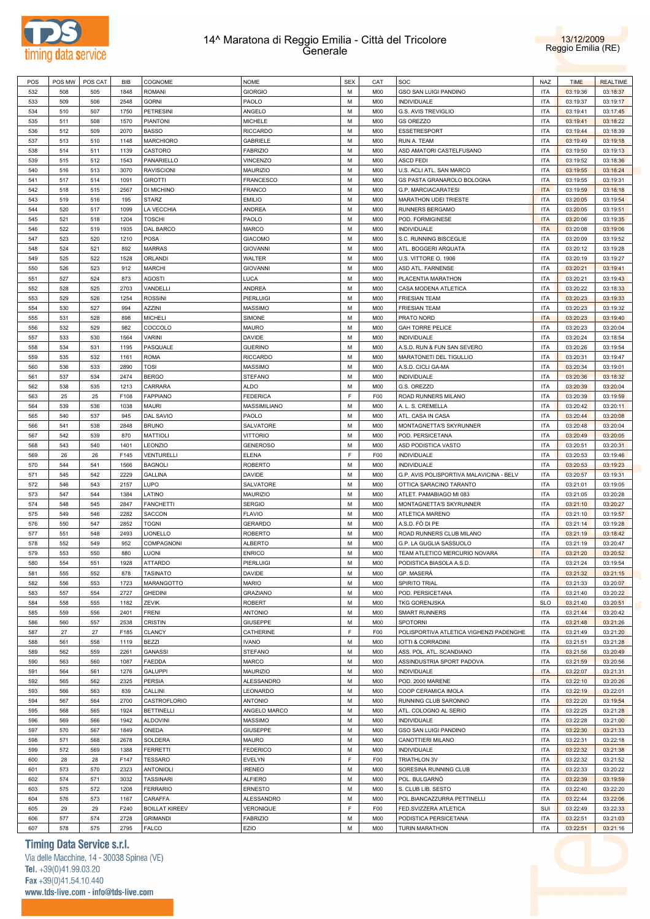



| POS | POS MW   POS CAT |     | BIB  | COGNOME               | <b>NOME</b>     | <b>SEX</b> | CAT             | SOC                                      | NAZ        | <b>TIME</b> | <b>REALTIME</b> |
|-----|------------------|-----|------|-----------------------|-----------------|------------|-----------------|------------------------------------------|------------|-------------|-----------------|
| 532 | 508              | 505 | 1848 | ROMANI                | <b>GIORGIO</b>  | М          | M00             | GSO SAN LUIGI PANDINO                    | <b>ITA</b> | 03:19:36    | 03:18:37        |
| 533 | 509              | 506 | 2548 | <b>GORNI</b>          | PAOLO           | м          | M00             | <b>INDIVIDUALE</b>                       | <b>ITA</b> | 03:19:37    | 03:19:17        |
|     |                  | 507 |      |                       | ANGELO          | М          |                 | G.S. AVIS TREVIGLIO                      | <b>ITA</b> |             |                 |
| 534 | 510              |     | 1750 | <b>PETRESINI</b>      |                 |            | M00             |                                          |            | 03:19:41    | 03:17:45        |
| 535 | 511              | 508 | 1570 | <b>PIANTONI</b>       | <b>MICHELE</b>  | м          | M00             | <b>GS OREZZO</b>                         | <b>ITA</b> | 03:19:41    | 03:18:22        |
| 536 | 512              | 509 | 2070 | <b>BASSO</b>          | <b>RICCARDO</b> | М          | M00             | <b>ESSETRESPORT</b>                      | <b>ITA</b> | 03:19:44    | 03:18:39        |
| 537 | 513              | 510 | 1148 | <b>MARCHIORO</b>      | GABRIELE        | м          | M00             | RUN A. TEAM                              | ITA        | 03:19:49    | 03:19:18        |
| 538 | 514              | 511 | 1139 | CASTORO               | <b>FABRIZIO</b> | М          | M00             | ASD AMATORI CASTELFUSANO                 | <b>ITA</b> | 03:19:50    | 03:19:13        |
| 539 | 515              | 512 | 1543 | PANARIELLO            | VINCENZO        | м          | M00             | ASCD FEDI                                | ITA        | 03:19:52    | 03:18:36        |
| 540 | 516              | 513 | 3070 | <b>RAVISCIONI</b>     | <b>MAURIZIO</b> | М          | M00             | U.S. ACLI ATL. SAN MARCO                 | <b>ITA</b> | 03:19:55    | 03:18:24        |
| 541 | 517              | 514 | 1091 | <b>GIROTTI</b>        | FRANCESCO       | м          | M00             | GS PASTA GRANAROLO BOLOGNA               | <b>ITA</b> | 03:19:55    | 03:19:31        |
| 542 | 518              | 515 | 2567 | DI MICHINO            | <b>FRANCO</b>   | М          | M00             | G.P. MARCIACARATESI                      | <b>ITA</b> | 03:19:59    | 03:18:18        |
| 543 | 519              | 516 | 195  | <b>STARZ</b>          | <b>EMILIO</b>   | м          | M00             | MARATHON UDEI TRIESTE                    | ITA        | 03:20:05    | 03:19:54        |
|     |                  |     |      |                       |                 |            |                 |                                          |            |             |                 |
| 544 | 520              | 517 | 1099 | LA VECCHIA            | ANDREA          | М          | M00             | RUNNERS BERGAMO                          | <b>ITA</b> | 03:20:05    | 03:19:51        |
| 545 | 521              | 518 | 1204 | <b>TOSCHI</b>         | PAOLO           | м          | M00             | POD. FORMIGINESE                         | <b>ITA</b> | 03:20:06    | 03:19:35        |
| 546 | 522              | 519 | 1935 | DAL BARCO             | MARCO           | М          | M00             | INDIVIDUALE                              | <b>ITA</b> | 03:20:08    | 03:19:06        |
| 547 | 523              | 520 | 1210 | POSA                  | <b>GIACOMO</b>  | м          | M00             | S.C. RUNNING BISCEGLIE                   | <b>ITA</b> | 03:20:09    | 03:19:52        |
| 548 | 524              | 521 | 892  | <b>MARRAS</b>         | <b>GIOVANNI</b> | М          | M <sub>0</sub>  | ATL. BOGGERI ARQUATA                     | <b>ITA</b> | 03:20:12    | 03:19:28        |
| 549 | 525              | 522 | 1528 | <b>ORLANDI</b>        | WALTER          | М          | M00             | U.S. VITTORE O. 1906                     | <b>ITA</b> | 03:20:19    | 03:19:27        |
| 550 | 526              | 523 | 912  | <b>MARCHI</b>         | <b>GIOVANNI</b> | М          | M <sub>0</sub>  | ASD ATL. FARNENSE                        | <b>ITA</b> | 03:20:21    | 03:19:41        |
| 551 | 527              | 524 | 873  | <b>AGOSTI</b>         | LUCA            | м          | M00             | PLACENTIA MARATHON                       | <b>ITA</b> | 03:20:21    | 03:19:43        |
| 552 |                  | 525 | 2703 | VANDELLI              | ANDREA          | М          |                 |                                          | <b>ITA</b> | 03:20:22    | 03:18:33        |
|     | 528              |     |      |                       |                 |            | M00             | CASA MODENA ATLETICA                     |            |             |                 |
| 553 | 529              | 526 | 1254 | <b>ROSSINI</b>        | PIERLUIGI       | м          | M00             | <b>FRIESIAN TEAM</b>                     | ITA        | 03:20:23    | 03:19:33        |
| 554 | 530              | 527 | 994  | AZZINI                | <b>MASSIMO</b>  | М          | M00             | <b>FRIESIAN TEAM</b>                     | <b>ITA</b> | 03:20:23    | 03:19:32        |
| 555 | 531              | 528 | 898  | MICHELI               | SIMONE          | м          | M00             | PRATO NORD                               | <b>ITA</b> | 03:20:23    | 03:19:40        |
| 556 | 532              | 529 | 982  | COCCOLO               | MAURO           | М          | M00             | GAH TORRE PELICE                         | <b>ITA</b> | 03:20:23    | 03:20:04        |
| 557 | 533              | 530 | 1564 | <b>VARINI</b>         | DAVIDE          | м          | M00             | INDIVIDUALE                              | ITA        | 03:20:24    | 03:18:54        |
| 558 | 534              | 531 | 1195 | PASQUALE              | <b>GUERINO</b>  | М          | M00             | A.S.D. RUN & FUN SAN SEVERO              | <b>ITA</b> | 03:20:26    | 03:19:54        |
| 559 | 535              | 532 | 1161 | <b>ROMA</b>           | <b>RICCARDO</b> | м          | M00             | MARATONETI DEL TIGULLIO                  | ITA        | 03:20:31    | 03:19:47        |
| 560 | 536              | 533 | 2890 | <b>TOSI</b>           | <b>MASSIMO</b>  | М          | M00             | A.S.D. CICLI GA-MA                       | <b>ITA</b> | 03:20:34    | 03:19:01        |
| 561 | 537              | 534 | 2474 | <b>BERGO</b>          | STEFANO         | м          | M00             | INDIVIDUALE                              | ITA        | 03:20:36    | 03:18:32        |
|     |                  |     |      |                       |                 | М          |                 |                                          |            |             |                 |
| 562 | 538              | 535 | 1213 | CARRARA               | <b>ALDO</b>     |            | M00             | G.S. OREZZO                              | <b>ITA</b> | 03:20:39    | 03:20:04        |
| 563 | 25               | 25  | F108 | FAPPIANO              | <b>FEDERICA</b> | E          | F <sub>00</sub> | ROAD RUNNERS MILANO                      | <b>ITA</b> | 03:20:39    | 03:19:59        |
| 564 | 539              | 536 | 1038 | MAURI                 | MASSIMILIANO    | М          | M <sub>0</sub>  | A. L. S. CREMELLA                        | <b>ITA</b> | 03:20:42    | 03:20:11        |
| 565 | 540              | 537 | 945  | DAL SAVIO             | PAOLO           | м          | M00             | ATL. CASA IN CASA                        | <b>ITA</b> | 03:20:44    | 03:20:08        |
| 566 | 541              | 538 | 2848 | <b>BRUNO</b>          | SALVATORE       | М          | M <sub>0</sub>  | MONTAGNETTA'S SKYRUNNER                  | <b>ITA</b> | 03:20:48    | 03:20:04        |
| 567 | 542              | 539 | 870  | <b>MATTIOLI</b>       | <b>VITTORIO</b> | м          | M00             | POD. PERSICETANA                         | <b>ITA</b> | 03:20:49    | 03:20:05        |
| 568 | 543              | 540 | 1401 | LEONZIO               | <b>GENEROSO</b> | М          | M00             | ASD PODISTICA VASTO                      | <b>ITA</b> | 03:20:51    | 03:20:31        |
| 569 | 26               | 26  | F145 | VENTURELLI            | <b>ELENA</b>    | F          | F <sub>0</sub>  | INDIVIDUALE                              | <b>ITA</b> | 03:20:53    | 03:19:46        |
| 570 | 544              | 541 | 1566 | <b>BAGNOLI</b>        | <b>ROBERTO</b>  | М          | M00             | <b>INDIVIDUALE</b>                       | <b>ITA</b> | 03:20:53    | 03:19:23        |
| 571 | 545              | 542 | 2229 | <b>GALLINA</b>        | DAVIDE          | м          | M00             | G.P. AVIS POLISPORTIVA MALAVICINA - BELV | ITA        | 03:20:57    | 03:19:31        |
|     |                  |     |      |                       |                 |            |                 |                                          |            |             |                 |
| 572 | 546              | 543 | 2157 | LUPO                  | SALVATORE       | М          | M00             | OTTICA SARACINO TARANTO                  | <b>ITA</b> | 03:21:01    | 03:19:05        |
| 573 | 547              | 544 | 1384 | LATINO                | <b>MAURIZIO</b> | м          | M00             | ATLET. PAMABIAGO MI 083                  | ITA        | 03:21:05    | 03:20:28        |
| 574 | 548              | 545 | 2847 | <b>FANCHETTI</b>      | <b>SERGIO</b>   | М          | M00             | MONTAGNETTA'S SKYRUNNER                  | <b>ITA</b> | 03:21:10    | 03:20:27        |
| 575 | 549              | 546 | 2282 | SACCON                | <b>FLAVIO</b>   | м          | M00             | ATLETICA MARENO                          | ITA        | 03:21:10    | 03:19:57        |
| 576 | 550              | 547 | 2852 | <b>TOGNI</b>          | <b>GERARDO</b>  | М          | M00             | A.S.D. FÒ DI PE                          | <b>ITA</b> | 03:21:14    | 03:19:28        |
| 577 | 551              | 548 | 2493 | LIONELLO              | <b>ROBERTO</b>  | м          | M00             | ROAD RUNNERS CLUB MILANO                 | ITA        | 03:21:19    | 03:18:42        |
| 578 | 552              | 549 | 952  | COMPAGNONI            | <b>ALBERTO</b>  | М          | M <sub>0</sub>  | G.P. LA GUGLIA SASSUOLO                  | <b>ITA</b> | 03:21:19    | 03:20:47        |
| 579 | 553              | 550 | 880  | LUONI                 | <b>ENRICO</b>   | М          | M00             | TEAM ATLETICO MERCURIO NOVARA            | <b>ITA</b> | 03:21:20    | 03:20:52        |
| 580 | 554              | 551 | 1928 | <b>ATTARDO</b>        | PIERLUIGI       | M          | M00             | PODISTICA BIASOLA A.S.D.                 | <b>ITA</b> | 03:21:24    | 03:19:54        |
|     |                  |     |      | <b>TASINATO</b>       |                 | М          |                 |                                          | <b>ITA</b> |             |                 |
| 581 | 555              | 552 | 878  |                       | DAVIDE          |            | M00             | GP. MASERÀ                               |            | 03:21:32    | 03:21:15        |
| 582 | 556              | 553 | 1723 | MARANGOTTO            | <b>MARIO</b>    | M          | M00             | SPIRITO TRIAL                            | <b>ITA</b> | 03:21:33    | 03:20:07        |
| 583 | 557              | 554 | 2727 | <b>GHEDINI</b>        | <b>GRAZIANO</b> | М          | M00             | POD. PERSICETANA                         | <b>ITA</b> | 03:21:40    | 03:20:22        |
| 584 | 558              | 555 | 1182 | ZEVIK                 | <b>ROBERT</b>   | M          | M00             | <b>TKG GORENJSKA</b>                     | <b>SLO</b> | 03:21:40    | 03:20:51        |
| 585 | 559              | 556 | 2401 | <b>FRENI</b>          | <b>ANTONIO</b>  | М          | M00             | <b>SMART RUNNERS</b>                     | <b>ITA</b> | 03:21:44    | 03:20:42        |
| 586 | 560              | 557 | 2538 | <b>CRISTIN</b>        | <b>GIUSEPPE</b> | M          | M00             | SPOTORNI                                 | <b>ITA</b> | 03:21:48    | 03:21:26        |
| 587 | 27               | 27  | F185 | CLANCY                | CATHERINE       | F          | F <sub>0</sub>  | POLISPORTIVA ATLETICA VIGHENZI PADENGHE  | <b>ITA</b> | 03:21:49    | 03:21:20        |
| 588 | 561              | 558 | 1119 | <b>BEZZI</b>          | <b>IVANO</b>    | М          | M00             | IOTTI & CORRADINI                        | <b>ITA</b> | 03:21:51    | 03:21:28        |
| 589 | 562              | 559 | 2261 | <b>GANASSI</b>        | STEFANO         | М          | M00             | ASS. POL. ATL. SCANDIANO                 | <b>ITA</b> | 03:21:56    | 03:20:49        |
| 590 | 563              | 560 | 1087 | <b>FAEDDA</b>         | MARCO           | M          | M00             | ASSINDUSTRIA SPORT PADOVA                | <b>ITA</b> | 03:21:59    | 03:20:56        |
|     |                  |     |      |                       |                 |            |                 |                                          |            |             |                 |
| 591 | 564              | 561 | 1276 | GALUPPI               | <b>MAURIZIO</b> | М          | M00             | <b>INDIVIDUALE</b>                       | <b>ITA</b> | 03:22:07    | 03:21:31        |
| 592 | 565              | 562 | 2325 | PERSIA                | ALESSANDRO      | M          | M00             | POD. 2000 MARENE                         | <b>ITA</b> | 03:22:10    | 03:20:26        |
| 593 | 566              | 563 | 839  | CALLINI               | LEONARDO        | М          | M00             | COOP CERAMICA IMOLA                      | <b>ITA</b> | 03:22:19    | 03:22:01        |
| 594 | 567              | 564 | 2700 | CASTROFLORIO          | <b>ANTONIO</b>  | M          | M00             | RUNNING CLUB SARONNO                     | <b>ITA</b> | 03:22:20    | 03:19:54        |
| 595 | 568              | 565 | 1924 | <b>BETTINELLI</b>     | ANGELO MARCO    | М          | M00             | ATL. COLOGNO AL SERIO                    | <b>ITA</b> | 03:22:25    | 03:21:28        |
| 596 | 569              | 566 | 1942 | <b>ALDOVINI</b>       | <b>MASSIMO</b>  | M          | M00             | <b>INDIVIDUALE</b>                       | <b>ITA</b> | 03:22:28    | 03:21:00        |
| 597 | 570              | 567 | 1849 | ONEDA                 | <b>GIUSEPPE</b> | М          | M00             | GSO SAN LUIGI PANDINO                    | <b>ITA</b> | 03:22:30    | 03:21:33        |
| 598 | 571              | 568 | 2678 | SOLDERA               | MAURO           | M          | M00             | CANOTTIERI MILANO                        | <b>ITA</b> | 03:22:31    | 03:22:18        |
|     |                  |     |      |                       |                 |            |                 |                                          |            |             |                 |
| 599 | 572              | 569 | 1388 | <b>FERRETTI</b>       | <b>FEDERICO</b> | М          | M00             | <b>INDIVIDUALE</b>                       | <b>ITA</b> | 03:22:32    | 03:21:38        |
| 600 | 28               | 28  | F147 | <b>TESSARO</b>        | EVELYN          | E          | F <sub>0</sub>  | TRIATHLON 3V                             | <b>ITA</b> | 03:22:32    | 03:21:52        |
| 601 | 573              | 570 | 2323 | <b>ANTONIOLI</b>      | <b>IRENEO</b>   | М          | M00             | SORESINA RUNNING CLUB                    | <b>ITA</b> | 03:22:33    | 03:20:22        |
| 602 | 574              | 571 | 3032 | <b>TASSINARI</b>      | <b>ALFIERO</b>  | M          | M00             | POL. BULGARNO                            | <b>ITA</b> | 03:22:39    | 03:19:59        |
| 603 | 575              | 572 | 1208 | <b>FERRARIO</b>       | <b>ERNESTO</b>  | М          | M00             | S. CLUB LIB. SESTO                       | <b>ITA</b> | 03:22:40    | 03:22:20        |
| 604 | 576              | 573 | 1167 | CARAFFA               | ALESSANDRO      | М          | M00             | POL.BIANCAZZURRA PETTINELLI              | <b>ITA</b> | 03:22:44    | 03:22:06        |
| 605 | 29               | 29  | F240 | <b>BOILLAT KIREEV</b> | VERONIQUE       | F.         | F <sub>0</sub>  | FED.SVIZZERA ATLETICA                    | SUI        | 03:22:49    | 03:22:33        |
| 606 | 577              | 574 | 2728 | <b>GRIMANDI</b>       | <b>FABRIZIO</b> | М          | M00             | PODISTICA PERSICETANA                    | <b>ITA</b> | 03:22:51    | 03:21:03        |
|     |                  |     |      | FALCO                 |                 | М          |                 | <b>TURIN MARATHON</b>                    |            |             |                 |
| 607 | 578              | 575 | 2795 |                       | EZIO            |            | M00             |                                          | ITA        | 03:22:51    | 03:21:16        |

# **Timing Data Service s.r.l.**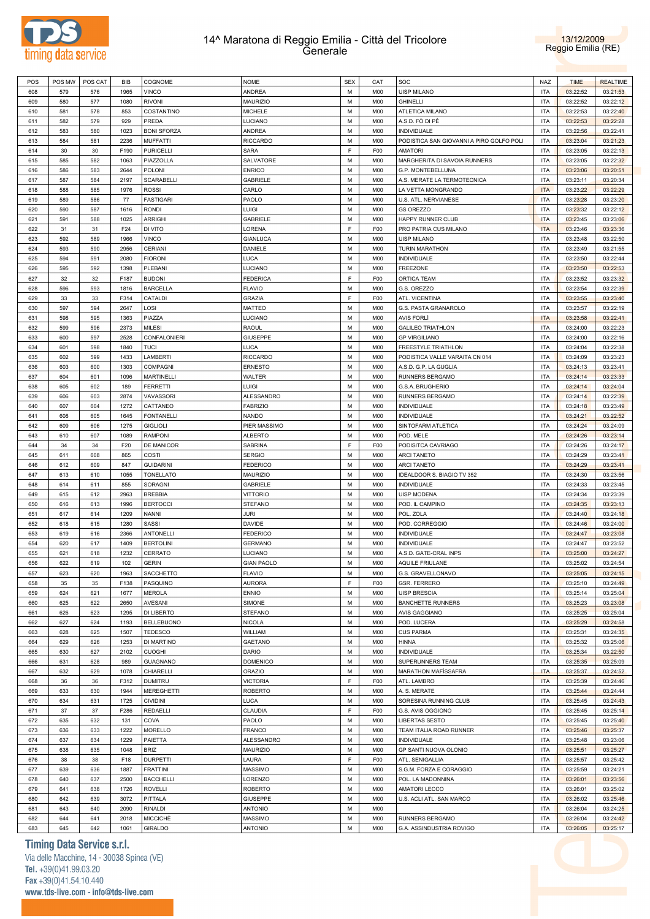



| POS | POS MW | POS CAT | <b>BIB</b> | COGNOME            | <b>NOME</b>       | <b>SEX</b> | CAT             | SOC                                      | NAZ        | <b>TIME</b> | <b>REALTIME</b> |
|-----|--------|---------|------------|--------------------|-------------------|------------|-----------------|------------------------------------------|------------|-------------|-----------------|
| 608 | 579    | 576     | 1965       | <b>VINCO</b>       | ANDREA            | M          | M00             | <b>UISP MILANO</b>                       | <b>ITA</b> | 03:22:52    | 03:21:53        |
| 609 | 580    | 577     | 1080       | <b>RIVONI</b>      | <b>MAURIZIO</b>   | М          | M00             | <b>GHINELLI</b>                          | <b>ITA</b> | 03:22:52    | 03:22:12        |
| 610 | 581    | 578     | 853        | COSTANTINO         | <b>MICHELE</b>    | M          | M00             | <b>ATLETICA MILANO</b>                   | <b>ITA</b> | 03:22:53    | 03:22:40        |
| 611 | 582    | 579     | 929        | PREDA              | LUCIANO           | М          | M <sub>0</sub>  | A.S.D. FÒ DI PÈ                          | <b>ITA</b> | 03:22:53    | 03:22:28        |
|     |        |         |            |                    |                   | M          |                 |                                          |            |             |                 |
| 612 | 583    | 580     | 1023       | <b>BONI SFORZA</b> | ANDREA            |            | M00             | <b>INDIVIDUALE</b>                       | <b>ITA</b> | 03:22:56    | 03:22:41        |
| 613 | 584    | 581     | 2236       | <b>MUFFATTI</b>    | <b>RICCARDO</b>   | M          | M <sub>0</sub>  | PODISTICA SAN GIOVANNI A PIRO GOLFO POLI | <b>ITA</b> | 03:23:04    | 03:21:23        |
| 614 | 30     | 30      | F190       | <b>PURICELLI</b>   | <b>SARA</b>       | F.         | F00             | <b>AMATORI</b>                           | <b>ITA</b> | 03:23:05    | 03:22:13        |
| 615 | 585    | 582     | 1063       | PIAZZOLLA          | SALVATORE         | M          | M <sub>0</sub>  | MARGHERITA DI SAVOIA RUNNERS             | <b>ITA</b> | 03:23:05    | 03:22:32        |
| 616 | 586    | 583     | 2644       | <b>POLONI</b>      | <b>ENRICO</b>     | M          | M00             | G.P. MONTEBELLUNA                        | <b>ITA</b> | 03:23:06    | 03:20:51        |
| 617 | 587    | 584     | 2197       | <b>SCARABELLI</b>  | <b>GABRIELE</b>   | M          | M <sub>0</sub>  | A.S. MERATE LA TERMOTECNICA              | <b>ITA</b> | 03:23:11    | 03:20:34        |
| 618 | 588    | 585     | 1976       | <b>ROSSI</b>       | CARLO             | M          | M00             | LA VETTA MONGRANDO                       | <b>ITA</b> | 03:23:22    | 03:22:29        |
| 619 | 589    | 586     | 77         | <b>FASTIGARI</b>   | PAOLO             | M          | M <sub>0</sub>  | U.S. ATL. NERVIANESE                     | <b>ITA</b> | 03:23:28    | 03:23:20        |
| 620 | 590    | 587     | 1616       | <b>RONDI</b>       | LUIGI             | M          | M00             | <b>GS OREZZO</b>                         | <b>ITA</b> | 03:23:32    | 03:22:12        |
|     | 591    |         |            | ARRIGHI            | <b>GABRIELE</b>   | М          |                 |                                          | <b>ITA</b> |             |                 |
| 621 |        | 588     | 1025       |                    |                   |            | M <sub>0</sub>  | HAPPY RUNNER CLUB                        |            | 03:23:45    | 03:23:06        |
| 622 | 31     | 31      | F24        | DI VITO            | LORENA            | F.         | F <sub>00</sub> | PRO PATRIA CUS MILANO                    | <b>ITA</b> | 03:23:46    | 03:23:36        |
| 623 | 592    | 589     | 1966       | VINCO              | <b>GIANLUCA</b>   | M          | M <sub>0</sub>  | <b>UISP MILANO</b>                       | <b>ITA</b> | 03:23:48    | 03:22:50        |
| 624 | 593    | 590     | 2956       | <b>CERIANI</b>     | DANIELE           | M          | M00             | <b>TURIN MARATHON</b>                    | <b>ITA</b> | 03:23:49    | 03:21:55        |
| 625 | 594    | 591     | 2080       | <b>FIORONI</b>     | LUCA              | M          | M <sub>0</sub>  | INDIVIDUALE                              | <b>ITA</b> | 03:23:50    | 03:22:44        |
| 626 | 595    | 592     | 1398       | PLEBANI            | LUCIANO           | M          | M00             | <b>FREEZONE</b>                          | <b>ITA</b> | 03:23:50    | 03:22:53        |
| 627 | 32     | 32      | F187       | <b>BUDONI</b>      | <b>FEDERICA</b>   | F.         | F00             | ORTICA TEAM                              | <b>ITA</b> | 03:23:52    | 03:23:32        |
| 628 | 596    | 593     | 1816       | <b>BARCELLA</b>    | <b>FLAVIO</b>     | M          | M00             | G.S. OREZZO                              | <b>ITA</b> | 03:23:54    | 03:22:39        |
| 629 | 33     | 33      | F314       | CATALDI            | <b>GRAZIA</b>     | F.         | F00             | ATL. VICENTINA                           | <b>ITA</b> | 03:23:55    | 03:23:40        |
|     |        | 594     | 2647       | LOSI               |                   | M          |                 |                                          | <b>ITA</b> |             |                 |
| 630 | 597    |         |            |                    | MATTEO            |            | M00             | G.S. PASTA GRANAROLO                     |            | 03:23:57    | 03:22:19        |
| 631 | 598    | 595     | 1363       | PIAZZA             | LUCIANO           | M          | M <sub>0</sub>  | AVIS FORLÌ                               | <b>ITA</b> | 03:23:58    | 03:22:41        |
| 632 | 599    | 596     | 2373       | <b>MILESI</b>      | <b>RAOUL</b>      | M          | M00             | <b>GALILEO TRIATHLON</b>                 | <b>ITA</b> | 03:24:00    | 03:22:23        |
| 633 | 600    | 597     | 2528       | CONFALONIERI       | GIUSEPPE          | М          | M <sub>0</sub>  | <b>GP VIRGILIANO</b>                     | <b>ITA</b> | 03:24:00    | 03:22:16        |
| 634 | 601    | 598     | 1840       | <b>TUCI</b>        | LUCA              | M          | M00             | <b>FREESTYLE TRIATHLON</b>               | <b>ITA</b> | 03:24:04    | 03:22:38        |
| 635 | 602    | 599     | 1433       | LAMBERTI           | <b>RICCARDO</b>   | М          | M <sub>0</sub>  | PODISTICA VALLE VARAITA CN 014           | <b>ITA</b> | 03:24:09    | 03:23:23        |
| 636 | 603    | 600     | 1303       | <b>COMPAGNI</b>    | <b>ERNESTO</b>    | M          | M00             | A.S.D. G.P. LA GUGLIA                    | <b>ITA</b> | 03:24:13    | 03:23:41        |
| 637 | 604    | 601     | 1096       | <b>MARTINELLI</b>  | WALTER            | М          | M <sub>0</sub>  | RUNNERS BERGAMO                          | <b>ITA</b> | 03:24:14    | 03:23:33        |
| 638 | 605    | 602     | 189        | <b>FERRETTI</b>    | LUIGI             | M          | M00             | G.S.A. BRUGHERIO                         | <b>ITA</b> | 03:24:14    | 03:24:04        |
| 639 | 606    | 603     | 2874       | VAVASSORI          | <b>ALESSANDRO</b> | M          | M <sub>0</sub>  | RUNNERS BERGAMO                          | <b>ITA</b> | 03:24:14    | 03:22:39        |
|     |        |         |            |                    |                   |            |                 |                                          |            |             |                 |
| 640 | 607    | 604     | 1272       | CATTANEO           | <b>FABRIZIO</b>   | M          | M00             | <b>INDIVIDUALE</b>                       | <b>ITA</b> | 03:24:18    | 03:23:49        |
| 641 | 608    | 605     | 1645       | <b>FONTANELLI</b>  | NANDO             | М          | M <sub>0</sub>  | <b>INDIVIDUALE</b>                       | <b>ITA</b> | 03:24:21    | 03:22:52        |
| 642 | 609    | 606     | 1275       | <b>GIGLIOLI</b>    | PIER MASSIMO      | M          | M00             | SINTOFARM ATLETICA                       | <b>ITA</b> | 03:24:24    | 03:24:09        |
| 643 | 610    | 607     | 1089       | <b>RAMPONI</b>     | <b>ALBERTO</b>    | M          | M <sub>0</sub>  | POD. MELE                                | <b>ITA</b> | 03:24:26    | 03:23:14        |
| 644 | 34     | 34      | F20        | DE MANICOR         | SABRINA           | F          | F <sub>00</sub> | PODISITCA CAVRIAGO                       | <b>ITA</b> | 03:24:26    | 03:24:17        |
| 645 | 611    | 608     | 865        | COSTI              | <b>SERGIO</b>     | M          | M <sub>0</sub>  | <b>ARCI TANETO</b>                       | <b>ITA</b> | 03:24:29    | 03:23:41        |
| 646 | 612    | 609     | 847        | <b>GUIDARINI</b>   | <b>FEDERICO</b>   | M          | M00             | <b>ARCI TANETO</b>                       | <b>ITA</b> | 03:24:29    | 03:23:41        |
| 647 | 613    | 610     | 1055       | TONELLATO          | <b>MAURIZIO</b>   | М          | M <sub>0</sub>  | IDEALDOOR S. BIAGIO TV 352               | <b>ITA</b> | 03:24:30    | 03:23:56        |
| 648 | 614    | 611     | 855        | SORAGNI            | <b>GABRIELE</b>   | M          | M00             | <b>INDIVIDUALE</b>                       | <b>ITA</b> | 03:24:33    | 03:23:45        |
|     |        |         |            |                    |                   |            |                 |                                          |            |             |                 |
| 649 | 615    | 612     | 2963       | <b>BREBBIA</b>     | <b>VITTORIO</b>   | М          | M <sub>0</sub>  | <b>UISP MODENA</b>                       | <b>ITA</b> | 03:24:34    | 03:23:39        |
| 650 | 616    | 613     | 1996       | <b>BERTOCCI</b>    | <b>STEFANO</b>    | M          | M00             | POD. IL CAMPINO                          | <b>ITA</b> | 03:24:35    | 03:23:13        |
| 651 | 617    | 614     | 1209       | <b>NANNI</b>       | JURI              | M          | M <sub>0</sub>  | POL. ZOLA                                | <b>ITA</b> | 03:24:40    | 03:24:18        |
| 652 | 618    | 615     | 1280       | SASSI              | DAVIDE            | M          | M00             | POD. CORREGGIO                           | <b>ITA</b> | 03:24:46    | 03:24:00        |
| 653 | 619    | 616     | 2366       | <b>ANTONELLI</b>   | <b>FEDERICO</b>   | М          | M00             | INDIVIDUALE                              | <b>ITA</b> | 03:24:47    | 03:23:08        |
| 654 | 620    | 617     | 1409       | <b>BERTOLINI</b>   | <b>GERMANO</b>    | M          | M00             | INDIVIDUALE                              | <b>ITA</b> | 03:24:47    | 03:23:52        |
| 655 | 621    | 618     | 1232       | CERRATO            | LUCIANO           | M          | M00             | A.S.D. GATE-CRAL INPS                    | <b>ITA</b> | 03:25:00    | 03:24:27        |
| 656 | 622    | 619     | 102        | <b>GERIN</b>       | <b>GIAN PAOLO</b> | M          | M00             | <b>AQUILE FRIULANE</b>                   | <b>ITA</b> | 03:25:02    | 03:24:54        |
| 657 | 623    | 620     | 1963       | SACCHETTO          | <b>FLAVIO</b>     | М          | M00             | G.S. GRAVELLONAVO                        | <b>ITA</b> | 03:25:05    | 03:24:15        |
|     |        |         |            | PASQUINO           | <b>AURORA</b>     | F          | F00             | <b>GSR. FERRERO</b>                      | <b>ITA</b> |             |                 |
| 658 | 35     | 35      | F138       |                    |                   |            |                 |                                          |            | 03:25:10    | 03:24:49        |
| 659 | 624    | 621     | 1677       | MEROLA             | <b>ENNIO</b>      | M          | M <sub>0</sub>  | <b>UISP BRESCIA</b>                      | <b>ITA</b> | 03:25:14    | 03:25:04        |
| 660 | 625    | 622     | 2650       | <b>AVESANI</b>     | SIMONE            | M          | M00             | <b>BANCHETTE RUNNERS</b>                 | <b>ITA</b> | 03:25:23    | 03:23:08        |
| 661 | 626    | 623     | 1295       | DI LIBERTO         | <b>STEFANO</b>    | M          | M <sub>0</sub>  | <b>AVIS GAGGIANO</b>                     | <b>ITA</b> | 03:25:25    | 03:25:04        |
| 662 | 627    | 624     | 1193       | <b>BELLEBUONO</b>  | <b>NICOLA</b>     | M          | M00             | POD. LUCERA                              | <b>ITA</b> | 03:25:29    | 03:24:58        |
| 663 | 628    | 625     | 1507       | <b>TEDESCO</b>     | WILLIAM           | M          | M00             | <b>CUS PARMA</b>                         | <b>ITA</b> | 03:25:31    | 03:24:35        |
| 664 | 629    | 626     | 1253       | DI MARTINO         | <b>GAETANO</b>    | M          | M00             | <b>HINNA</b>                             | <b>ITA</b> | 03:25:32    | 03:25:06        |
| 665 | 630    | 627     | 2102       | <b>CUOGHI</b>      | DARIO             | М          | M00             | <b>INDIVIDUALE</b>                       | <b>ITA</b> | 03:25:34    | 03:22:50        |
| 666 | 631    | 628     | 989        | <b>GUAGNANO</b>    | <b>DOMENICO</b>   | M          | M00             | SUPERUNNERS TEAM                         | <b>ITA</b> | 03:25:35    | 03:25:09        |
| 667 | 632    | 629     | 1078       | CHIARELLI          | <b>ORAZIO</b>     | M          | M <sub>0</sub>  | MARATHON MAFISSAFRA                      | <b>ITA</b> | 03:25:37    | 03:24:52        |
|     |        |         |            |                    |                   |            |                 |                                          |            |             |                 |
| 668 | 36     | 36      | F312       | <b>DUMITRU</b>     | <b>VICTORIA</b>   | F          | F00             | ATL. LAMBRO                              | <b>ITA</b> | 03:25:39    | 03:24:46        |
| 669 | 633    | 630     | 1944       | <b>MEREGHETTI</b>  | <b>ROBERTO</b>    | M          | M <sub>0</sub>  | A. S. MERATE                             | <b>ITA</b> | 03:25:44    | 03:24:44        |
| 670 | 634    | 631     | 1725       | <b>CIVIDINI</b>    | LUCA              | M          | M00             | SORESINA RUNNING CLUB                    | <b>ITA</b> | 03:25:45    | 03:24:43        |
| 671 | 37     | 37      | F286       | <b>REDAELLI</b>    | CLAUDIA           | F.         | F00             | G.S. AVIS OGGIONO                        | <b>ITA</b> | 03:25:45    | 03:25:14        |
| 672 | 635    | 632     | 131        | COVA               | PAOLO             | M          | M00             | LIBERTAS SESTO                           | <b>ITA</b> | 03:25:45    | 03:25:40        |
| 673 | 636    | 633     | 1222       | <b>MORELLO</b>     | <b>FRANCO</b>     | M          | M <sub>0</sub>  | TEAM ITALIA ROAD RUNNER                  | <b>ITA</b> | 03:25:46    | 03:25:37        |
| 674 | 637    | 634     | 1229       | PAIETTA            | <b>ALESSANDRO</b> | M          | M00             | <b>INDIVIDUALE</b>                       | <b>ITA</b> | 03:25:48    | 03:23:06        |
| 675 | 638    | 635     | 1048       | <b>BRIZ</b>        | <b>MAURIZIO</b>   | M          | M <sub>0</sub>  | GP SANTI NUOVA OLONIO                    | <b>ITA</b> | 03:25:51    | 03:25:27        |
| 676 | 38     | 38      | F18        | <b>DURPETTI</b>    | LAURA             | F.         | F00             | ATL. SENIGALLIA                          | <b>ITA</b> | 03:25:57    | 03:25:42        |
|     |        |         |            |                    |                   |            |                 |                                          |            |             |                 |
| 677 | 639    | 636     | 1887       | <b>FRATTINI</b>    | MASSIMO           | M          | M00             | S.G.M. FORZA E CORAGGIO                  | <b>ITA</b> | 03:25:59    | 03:24:21        |
| 678 | 640    | 637     | 2500       | <b>BACCHELLI</b>   | LORENZO           | M          | M00             | POL. LA MADONNINA                        | <b>ITA</b> | 03:26:01    | 03:23:56        |
| 679 | 641    | 638     | 1726       | <b>ROVELLI</b>     | <b>ROBERTO</b>    | М          | M00             | <b>AMATORI LECCO</b>                     | <b>ITA</b> | 03:26:01    | 03:25:02        |
| 680 | 642    | 639     | 3072       | PITTALÀ            | GIUSEPPE          | M          | M00             | U.S. ACLI ATL. SAN MARCO                 | <b>ITA</b> | 03:26:02    | 03:25:46        |
| 681 | 643    | 640     | 2090       | <b>RINALDI</b>     | <b>ANTONIO</b>    | M          | M00             |                                          | <b>ITA</b> | 03:26:04    | 03:24:25        |
| 682 | 644    | 641     | 2018       | MICCICHÈ           | <b>MASSIMO</b>    | M          | M00             | RUNNERS BERGAMO                          | <b>ITA</b> | 03:26:04    | 03:24:42        |
| 683 | 645    | 642     | 1061       | GIRALDO            | ANTONIO           | М          | M00             | G.A. ASSINDUSTRIA ROVIGO                 | <b>ITA</b> | 03:26:05    | 03:25:17        |
|     |        |         |            |                    |                   |            |                 |                                          |            |             |                 |

# **Timing Data Service s.r.l.**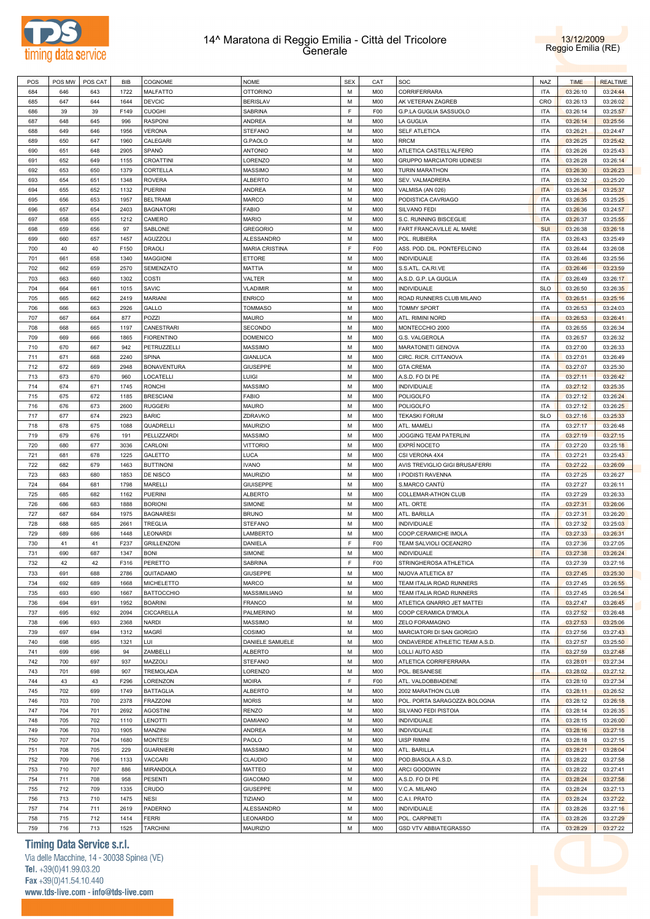



| POS MW   POS CAT<br>POS<br>COGNOME<br><b>NOME</b><br><b>OTTORINO</b><br>684<br>1722<br><b>MALFATTO</b><br>М<br>646<br>643<br>685<br>1644<br><b>DEVCIC</b><br><b>BERISLAV</b><br>М<br>647<br>644<br>SABRINA<br>F<br>686<br>39<br>39<br>F149<br><b>CUOGHI</b><br><b>RASPONI</b><br>687<br>996<br>ANDREA<br>М<br>648<br>645<br>688<br>1956<br><b>VERONA</b><br>STEFANO<br>М<br>649<br>646<br>689<br>1960<br>CALEGARI<br>G.PAOLO<br>М<br>650<br>647<br>690<br>2905<br>SPANO<br><b>ANTONIO</b><br>М<br>651<br>648<br>LORENZO<br>691<br>652<br>649<br>1155<br>CROATTINI<br>м<br>692<br>1379<br>CORTELLA<br><b>MASSIMO</b><br>М<br>653<br>650 | CAT             | SOC                            | <b>NAZ</b> | <b>TIME</b> | <b>REALTIME</b> |
|----------------------------------------------------------------------------------------------------------------------------------------------------------------------------------------------------------------------------------------------------------------------------------------------------------------------------------------------------------------------------------------------------------------------------------------------------------------------------------------------------------------------------------------------------------------------------------------------------------------------------------------|-----------------|--------------------------------|------------|-------------|-----------------|
|                                                                                                                                                                                                                                                                                                                                                                                                                                                                                                                                                                                                                                        | M00             | <b>CORRIFERRARA</b>            | <b>ITA</b> | 03:26:10    | 03:24:44        |
|                                                                                                                                                                                                                                                                                                                                                                                                                                                                                                                                                                                                                                        | M00             | AK VETERAN ZAGREB              | CRO        | 03:26:13    | 03:26:02        |
|                                                                                                                                                                                                                                                                                                                                                                                                                                                                                                                                                                                                                                        |                 |                                |            |             | 03:25:57        |
|                                                                                                                                                                                                                                                                                                                                                                                                                                                                                                                                                                                                                                        | F <sub>0</sub>  | G.P.LA GUGLIA SASSUOLO         | <b>ITA</b> | 03:26:14    |                 |
|                                                                                                                                                                                                                                                                                                                                                                                                                                                                                                                                                                                                                                        | M00             | LA GUGLIA                      | <b>ITA</b> | 03:26:14    | 03:25:56        |
|                                                                                                                                                                                                                                                                                                                                                                                                                                                                                                                                                                                                                                        | M00             | <b>SELF ATLETICA</b>           | <b>ITA</b> | 03:26:21    | 03:24:47        |
|                                                                                                                                                                                                                                                                                                                                                                                                                                                                                                                                                                                                                                        | M00             | RRCM                           | <b>ITA</b> | 03:26:25    | 03:25:42        |
|                                                                                                                                                                                                                                                                                                                                                                                                                                                                                                                                                                                                                                        | M00             | ATLETICA CASTELL'ALFERO        | <b>ITA</b> | 03:26:26    | 03:25:43        |
|                                                                                                                                                                                                                                                                                                                                                                                                                                                                                                                                                                                                                                        | M00             | GRUPPO MARCIATORI UDINESI      | ITA        | 03:26:28    | 03:26:14        |
|                                                                                                                                                                                                                                                                                                                                                                                                                                                                                                                                                                                                                                        | M00             | TURIN MARATHON                 | <b>ITA</b> | 03:26:30    | 03:26:23        |
| 693<br>1348<br><b>ROVERA</b><br><b>ALBERTO</b><br>654<br>651<br>м                                                                                                                                                                                                                                                                                                                                                                                                                                                                                                                                                                      | M00             | SEV. VALMADRERA                | <b>ITA</b> | 03:26:32    | 03:25:20        |
| 694<br>1132<br><b>PUERINI</b><br><b>ANDREA</b><br>М<br>655<br>652                                                                                                                                                                                                                                                                                                                                                                                                                                                                                                                                                                      | M00             | VALMISA (AN 026)               | <b>ITA</b> | 03:26:34    | 03:25:37        |
| 695<br><b>BELTRAMI</b><br>MARCO<br>656<br>653<br>1957<br>м                                                                                                                                                                                                                                                                                                                                                                                                                                                                                                                                                                             | M00             |                                | <b>ITA</b> | 03:26:35    | 03:25:25        |
|                                                                                                                                                                                                                                                                                                                                                                                                                                                                                                                                                                                                                                        |                 | PODISTICA CAVRIAGO             |            |             |                 |
| 696<br>2403<br><b>BAGNATORI</b><br>FABIO<br>М<br>657<br>654                                                                                                                                                                                                                                                                                                                                                                                                                                                                                                                                                                            | M00             | SILVANO FEDI                   | <b>ITA</b> | 03:26:36    | 03:24:57        |
| 697<br>CAMERO<br><b>MARIO</b><br>658<br>655<br>1212<br>м                                                                                                                                                                                                                                                                                                                                                                                                                                                                                                                                                                               | M00             | S.C. RUNNING BISCEGLIE         | <b>ITA</b> | 03:26:37    | 03:25:55        |
| 698<br>97<br>SABLONE<br><b>GREGORIO</b><br>М<br>659<br>656                                                                                                                                                                                                                                                                                                                                                                                                                                                                                                                                                                             | M00             | FART FRANCAVILLE AL MARE       | <b>SUI</b> | 03:26:38    | 03:26:18        |
| 699<br><b>AGUZZOLI</b><br>ALESSANDRO<br>М<br>660<br>657<br>1457                                                                                                                                                                                                                                                                                                                                                                                                                                                                                                                                                                        | M00             | POL. RUBIERA                   | <b>ITA</b> | 03:26:43    | 03:25:49        |
| E<br>700<br>40<br>F150<br>DRAOLI<br><b>MARIA CRISTINA</b><br>40                                                                                                                                                                                                                                                                                                                                                                                                                                                                                                                                                                        | F <sub>0</sub>  | ASS. POD. DIL. PONTEFELCINO    | <b>ITA</b> | 03:26:44    | 03:26:08        |
| 701<br>658<br>1340<br><b>MAGGIONI</b><br>ETTORE<br>М<br>661                                                                                                                                                                                                                                                                                                                                                                                                                                                                                                                                                                            | M00             | INDIVIDUALE                    | <b>ITA</b> | 03:26:46    | 03:25:56        |
| MATTIA<br>702<br>659<br>2570<br>SEMENZATO<br>М<br>662                                                                                                                                                                                                                                                                                                                                                                                                                                                                                                                                                                                  | M <sub>0</sub>  | S.S.ATL. CA.RI.VE              | <b>ITA</b> | 03:26:46    | 03:23:59        |
| 703<br>660<br>1302<br>COSTI<br>VALTER<br>М<br>663                                                                                                                                                                                                                                                                                                                                                                                                                                                                                                                                                                                      | M00             | A.S.D. G.P. LA GUGLIA          | <b>ITA</b> | 03:26:49    | 03:26:17        |
| 704<br>661<br>1015<br>SAVIC<br><b>VLADIMIR</b><br>М<br>664                                                                                                                                                                                                                                                                                                                                                                                                                                                                                                                                                                             | M00             | <b>INDIVIDUALE</b>             | <b>SLO</b> | 03:26:50    | 03:26:35        |
|                                                                                                                                                                                                                                                                                                                                                                                                                                                                                                                                                                                                                                        |                 |                                |            |             |                 |
| 705<br>2419<br><b>MARIANI</b><br><b>ENRICO</b><br>М<br>665<br>662                                                                                                                                                                                                                                                                                                                                                                                                                                                                                                                                                                      | M00             | ROAD RUNNERS CLUB MILANO       | <b>ITA</b> | 03:26:51    | 03:25:16        |
| GALLO<br>706<br>2926<br><b>TOMMASO</b><br>М<br>666<br>663                                                                                                                                                                                                                                                                                                                                                                                                                                                                                                                                                                              | M00             | <b>TOMMY SPORT</b>             | <b>ITA</b> | 03:26:53    | 03:24:03        |
| 707<br>877<br>POZZI<br>MAURO<br>667<br>664<br>м                                                                                                                                                                                                                                                                                                                                                                                                                                                                                                                                                                                        | M00             | ATL. RIMINI NORD               | <b>ITA</b> | 03:26:53    | 03:26:41        |
| 708<br>CANESTRARI<br>SECONDO<br>М<br>668<br>665<br>1197                                                                                                                                                                                                                                                                                                                                                                                                                                                                                                                                                                                | M00             | MONTECCHIO 2000                | <b>ITA</b> | 03:26:55    | 03:26:34        |
| <b>FIORENTINO</b><br><b>DOMENICO</b><br>709<br>669<br>666<br>1865<br>м                                                                                                                                                                                                                                                                                                                                                                                                                                                                                                                                                                 | M00             | <b>G.S. VALGEROLA</b>          | ITA        | 03:26:57    | 03:26:32        |
| 710<br>PETRUZZELLI<br><b>MASSIMO</b><br>М<br>670<br>667<br>942                                                                                                                                                                                                                                                                                                                                                                                                                                                                                                                                                                         | M00             | MARATONETI GENOVA              | <b>ITA</b> | 03:27:00    | 03:26:33        |
| 2240<br><b>SPINA</b><br><b>GIANLUCA</b><br>711<br>671<br>668<br>м                                                                                                                                                                                                                                                                                                                                                                                                                                                                                                                                                                      | M00             | CIRC. RICR. CITTANOVA          | ITA        | 03:27:01    | 03:26:49        |
| 712<br>2948<br>GIUSEPPE<br>М<br>672<br>669<br><b>BONAVENTURA</b>                                                                                                                                                                                                                                                                                                                                                                                                                                                                                                                                                                       | M00             | <b>GTA CREMA</b>               | <b>ITA</b> | 03:27:07    | 03:25:30        |
| 670<br>LOCATELLI<br>Luigi<br>713<br>673<br>960<br>м                                                                                                                                                                                                                                                                                                                                                                                                                                                                                                                                                                                    | M00             | A.S.D. FO DI PE                | ITA        | 03:27:11    | 03:26:42        |
| MASSIMO<br>М                                                                                                                                                                                                                                                                                                                                                                                                                                                                                                                                                                                                                           |                 |                                |            |             |                 |
| 714<br>671<br>1745<br><b>RONCHI</b><br>674                                                                                                                                                                                                                                                                                                                                                                                                                                                                                                                                                                                             | M00             | INDIVIDUALE                    | <b>ITA</b> | 03:27:12    | 03:25:35        |
| 672<br><b>BRESCIANI</b><br>FABIO<br>715<br>675<br>1185<br>м                                                                                                                                                                                                                                                                                                                                                                                                                                                                                                                                                                            | M00             | POLIGOLFO                      | <b>ITA</b> | 03:27:12    | 03:26:24        |
| 716<br>673<br>2600<br><b>RUGGERI</b><br>MAURO<br>М<br>676                                                                                                                                                                                                                                                                                                                                                                                                                                                                                                                                                                              | M00             | POLIGOLFO                      | <b>ITA</b> | 03:27:12    | 03:26:25        |
| 717<br>677<br>674<br>2923<br><b>BARIC</b><br>ZDRAVKO<br>М                                                                                                                                                                                                                                                                                                                                                                                                                                                                                                                                                                              | M00             | <b>TEKASKI FORUM</b>           | <b>SLO</b> | 03:27:16    | 03:25:33        |
| QUADRELLI<br>MAURIZIO<br>718<br>675<br>1088<br>М<br>678                                                                                                                                                                                                                                                                                                                                                                                                                                                                                                                                                                                | M00             | ATL. MAMELI                    | <b>ITA</b> | 03:27:17    | 03:26:48        |
| PELLIZZARDI<br>719<br>679<br>676<br><b>MASSIMO</b><br>М<br>191                                                                                                                                                                                                                                                                                                                                                                                                                                                                                                                                                                         | M00             | JOGGING TEAM PATERLINI         | <b>ITA</b> | 03:27:19    | 03:27:15        |
| 720<br>677<br>3036<br>CARLONI<br><b>VITTORIO</b><br>М<br>680                                                                                                                                                                                                                                                                                                                                                                                                                                                                                                                                                                           | M00             | <b>EXPRÌ NOCETO</b>            | <b>ITA</b> | 03:27:20    | 03:25:18        |
| 721<br>678<br>1225<br>GALETTO<br>LUCA<br>М<br>681                                                                                                                                                                                                                                                                                                                                                                                                                                                                                                                                                                                      | M00             | CSI VERONA 4X4                 | <b>ITA</b> | 03:27:21    | 03:25:43        |
| 722<br>679<br>1463<br><b>BUTTINONI</b><br><b>IVANO</b><br>М<br>682                                                                                                                                                                                                                                                                                                                                                                                                                                                                                                                                                                     | M00             | AVIS TREVIGLIO GIGI BRUSAFERRI | <b>ITA</b> | 03:27:22    | 03:26:09        |
| 723<br>DE NISCO<br><b>MAURIZIO</b><br>683<br>680<br>1853<br>м                                                                                                                                                                                                                                                                                                                                                                                                                                                                                                                                                                          | M00             | I PODISTI RAVENNA              | ITA        | 03:27:25    | 03:26:27        |
|                                                                                                                                                                                                                                                                                                                                                                                                                                                                                                                                                                                                                                        |                 |                                |            |             |                 |
| 724<br>1798<br>MARELLI<br><b>GIUISEPPE</b><br>М<br>684<br>681                                                                                                                                                                                                                                                                                                                                                                                                                                                                                                                                                                          | M00             | S.MARCO CANTÙ                  | <b>ITA</b> | 03:27:27    | 03:26:11        |
| 725<br><b>PUERINI</b><br><b>ALBERTO</b><br>685<br>682<br>1162<br>м                                                                                                                                                                                                                                                                                                                                                                                                                                                                                                                                                                     | M00             | COLLEMAR-ATHON CLUB            | ITA        | 03:27:29    | 03:26:33        |
| 726<br><b>BORIONI</b><br>SIMONE<br>М<br>686<br>683<br>1888                                                                                                                                                                                                                                                                                                                                                                                                                                                                                                                                                                             | M00             | ATL. ORTE                      | <b>ITA</b> | 03:27:31    | 03:26:06        |
| 727<br><b>BAGNARESI</b><br>687<br>684<br>1975<br><b>BRUNO</b><br>м                                                                                                                                                                                                                                                                                                                                                                                                                                                                                                                                                                     | M00             | ATL. BARILLA                   | ITA        | 03:27:31    | 03:26:20        |
| 728<br><b>TREGLIA</b><br>STEFANO<br>М<br>688<br>685<br>2661                                                                                                                                                                                                                                                                                                                                                                                                                                                                                                                                                                            | M00             | INDIVIDUALE                    | <b>ITA</b> | 03:27:32    | 03:25:03        |
|                                                                                                                                                                                                                                                                                                                                                                                                                                                                                                                                                                                                                                        | M00             | COOP.CERAMICHE IMOLA           |            |             |                 |
| 729<br>LAMBERTO<br>689<br>686<br>1448<br>LEONARDI<br>м                                                                                                                                                                                                                                                                                                                                                                                                                                                                                                                                                                                 | F <sub>0</sub>  | TEAM SALVIOLI OCEAN2RO         | ITA        | 03:27:33    | 03:26:31        |
| F<br>41                                                                                                                                                                                                                                                                                                                                                                                                                                                                                                                                                                                                                                | M00             |                                | <b>ITA</b> |             |                 |
| <b>GRILLENZONI</b><br>730<br>F237<br>41<br>DANIELA                                                                                                                                                                                                                                                                                                                                                                                                                                                                                                                                                                                     | F00             |                                |            | 03:27:36    | 03:27:05        |
| 731<br>690<br>687<br><b>BONI</b><br>М<br>1347<br>SIMONE                                                                                                                                                                                                                                                                                                                                                                                                                                                                                                                                                                                |                 | INDIVIDUALE                    | <b>ITA</b> | 03:27:38    | 03:26:24        |
| F.<br>732<br>42<br>F316<br>PERETTO<br>42<br>SABRINA                                                                                                                                                                                                                                                                                                                                                                                                                                                                                                                                                                                    |                 | STRINGHEROSA ATHLETICA         | <b>ITA</b> | 03:27:39    | 03:27:16        |
| QUITADAMO<br><b>GIUSEPPE</b><br>733<br>691<br>688<br>2786<br>М                                                                                                                                                                                                                                                                                                                                                                                                                                                                                                                                                                         | M00             | NUOVA ATLETICA 87              | <b>ITA</b> | 03:27:45    | 03:25:30        |
| MARCO<br>M<br>734<br>692<br>689<br>1668<br><b>MICHELETTO</b>                                                                                                                                                                                                                                                                                                                                                                                                                                                                                                                                                                           | M00             | TEAM ITALIA ROAD RUNNERS       | <b>ITA</b> | 03:27:45    | 03:26:55        |
| 735<br>693<br>690<br><b>BATTOCCHIO</b><br>MASSIMILIANO<br>М<br>1667                                                                                                                                                                                                                                                                                                                                                                                                                                                                                                                                                                    | M00             | TEAM ITALIA ROAD RUNNERS       | <b>ITA</b> | 03:27:45    | 03:26:54        |
| 736<br><b>FRANCO</b><br>M<br>694<br>691<br>1952<br><b>BOARINI</b>                                                                                                                                                                                                                                                                                                                                                                                                                                                                                                                                                                      | M00             | ATLETICA GNARRO JET MATTEI     | <b>ITA</b> | 03:27:47    | 03:26:45        |
| CICCARELLA<br>PALMERINO<br>737<br>695<br>692<br>2094<br>М                                                                                                                                                                                                                                                                                                                                                                                                                                                                                                                                                                              | M00             | COOP CERAMICA D'IMOLA          | <b>ITA</b> | 03:27:52    | 03:26:48        |
| M<br>738<br>696<br>693<br>2368<br><b>NARDI</b><br>MASSIMO                                                                                                                                                                                                                                                                                                                                                                                                                                                                                                                                                                              | M00             | ZELO FORAMAGNO                 | <b>ITA</b> | 03:27:53    | 03:25:06        |
| MAGRÌ<br>739<br>697<br>694<br>1312<br>COSIMO<br>М                                                                                                                                                                                                                                                                                                                                                                                                                                                                                                                                                                                      | M00             | MARCIATORI DI SAN GIORGIO      | <b>ITA</b> | 03:27:56    | 03:27:43        |
| M                                                                                                                                                                                                                                                                                                                                                                                                                                                                                                                                                                                                                                      |                 |                                |            |             |                 |
| LUI<br>740<br>698<br>695<br>1321<br>DANIELE SAMUELE                                                                                                                                                                                                                                                                                                                                                                                                                                                                                                                                                                                    | M00             | ONDAVERDE ATHLETIC TEAM A.S.D. | <b>ITA</b> | 03:27:57    | 03:25:50        |
| 741<br>699<br>696<br>94<br>ZAMBELLI<br><b>ALBERTO</b><br>М                                                                                                                                                                                                                                                                                                                                                                                                                                                                                                                                                                             | M00             | LOLLI AUTO ASD                 | <b>ITA</b> | 03:27:59    | 03:27:48        |
| MAZZOLI<br>М<br>742<br>700<br>697<br>937<br>STEFANO                                                                                                                                                                                                                                                                                                                                                                                                                                                                                                                                                                                    | M00             | ATLETICA CORRIFERRARA          | <b>ITA</b> | 03:28:01    | 03:27:34        |
| 743<br>701<br>698<br>907<br><b>TREMOLADA</b><br>LORENZO<br>М                                                                                                                                                                                                                                                                                                                                                                                                                                                                                                                                                                           | M00             | POL. BESANESE                  | <b>ITA</b> | 03:28:02    | 03:27:12        |
| F<br>744<br>43<br>43<br>F296<br>LORENZON<br><b>MOIRA</b>                                                                                                                                                                                                                                                                                                                                                                                                                                                                                                                                                                               | F <sub>00</sub> | ATL. VALDOBBIADENE             | <b>ITA</b> | 03:28:10    | 03:27:34        |
| 745<br>702<br>699<br>1749<br><b>BATTAGLIA</b><br><b>ALBERTO</b><br>М                                                                                                                                                                                                                                                                                                                                                                                                                                                                                                                                                                   | M00             | 2002 MARATHON CLUB             | <b>ITA</b> | 03:28:11    | 03:26:52        |
| FRAZZONI<br>M<br>746<br>703<br>700<br>2378<br><b>MORIS</b>                                                                                                                                                                                                                                                                                                                                                                                                                                                                                                                                                                             | M00             | POL. PORTA SARAGOZZA BOLOGNA   | <b>ITA</b> | 03:28:12    | 03:26:18        |
| 747<br>704<br>701<br>2692<br><b>AGOSTINI</b><br>RENZO<br>М                                                                                                                                                                                                                                                                                                                                                                                                                                                                                                                                                                             | M00             | SILVANO FEDI PISTOIA           | <b>ITA</b> | 03:28:14    | 03:26:35        |
| M<br>748<br>705<br>702<br>1110<br>LENOTTI<br>DAMIANO                                                                                                                                                                                                                                                                                                                                                                                                                                                                                                                                                                                   | M00             | <b>INDIVIDUALE</b>             | <b>ITA</b> | 03:28:15    | 03:26:00        |
| 706<br>М                                                                                                                                                                                                                                                                                                                                                                                                                                                                                                                                                                                                                               |                 |                                |            |             |                 |
| ANDREA<br>749<br>703<br>1905<br>MANZINI                                                                                                                                                                                                                                                                                                                                                                                                                                                                                                                                                                                                | M00             | <b>INDIVIDUALE</b>             | <b>ITA</b> | 03:28:16    | 03:27:18        |
| 750<br>PAOLO<br>M<br>707<br>704<br>1680<br><b>MONTESI</b>                                                                                                                                                                                                                                                                                                                                                                                                                                                                                                                                                                              | M00             | <b>UISP RIMINI</b>             | <b>ITA</b> | 03:28:18    | 03:27:15        |
| <b>GUARNIERI</b><br>751<br>708<br>705<br>229<br>MASSIMO<br>М                                                                                                                                                                                                                                                                                                                                                                                                                                                                                                                                                                           | M00             | ATL. BARILLA                   | <b>ITA</b> | 03:28:21    | 03:28:04        |
| 752<br>VACCARI<br>CLAUDIO<br>M<br>709<br>706<br>1133                                                                                                                                                                                                                                                                                                                                                                                                                                                                                                                                                                                   | M00             | POD.BIASOLA A.S.D.             | <b>ITA</b> | 03:28:22    | 03:27:58        |
| 753<br>710<br>707<br>886<br>MIRANDOLA<br>MATTEO<br>М                                                                                                                                                                                                                                                                                                                                                                                                                                                                                                                                                                                   | M00             | ARCI GOODWIN                   | <b>ITA</b> | 03:28:22    | 03:27:41        |
| 754<br>M<br>711<br>708<br>958<br><b>PESENTI</b><br><b>GIACOMO</b>                                                                                                                                                                                                                                                                                                                                                                                                                                                                                                                                                                      | M00             | A.S.D. FO DI PE                | <b>ITA</b> | 03:28:24    | 03:27:58        |
| 755<br>709<br>1335<br>CRUDO<br><b>GIUSEPPE</b><br>М<br>712                                                                                                                                                                                                                                                                                                                                                                                                                                                                                                                                                                             | M00             | V.C.A. MILANO                  | <b>ITA</b> | 03:28:24    | 03:27:13        |
| M<br>756<br>713<br>710<br>1475<br><b>NESI</b><br><b>TIZIANO</b>                                                                                                                                                                                                                                                                                                                                                                                                                                                                                                                                                                        | M00             | C.A.I. PRATO                   | <b>ITA</b> | 03:28:24    | 03:27:22        |
| 757<br>714<br>711<br>2619<br>PADERNO<br>ALESSANDRO<br>М                                                                                                                                                                                                                                                                                                                                                                                                                                                                                                                                                                                | M00             | <b>INDIVIDUALE</b>             | <b>ITA</b> | 03:28:26    | 03:27:16        |
| 758<br>М<br>715<br>712<br>1414<br><b>FERRI</b><br>LEONARDO                                                                                                                                                                                                                                                                                                                                                                                                                                                                                                                                                                             | M00             | POL. CARPINETI                 | <b>ITA</b> | 03:28:26    | 03:27:29        |

# **Timing Data Service s.r.l.**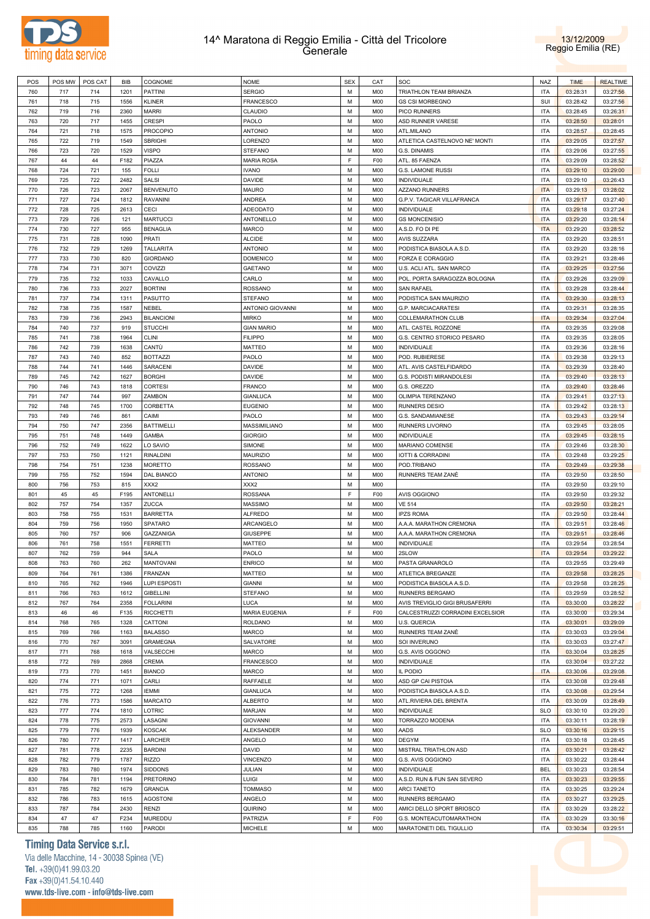



| POS | POS MW | POS CAT    | <b>BIB</b> | COGNOME           | <b>NOME</b>          | <b>SEX</b> | CAT            | SOC                              | NAZ        | <b>TIME</b> | <b>REALTIME</b> |
|-----|--------|------------|------------|-------------------|----------------------|------------|----------------|----------------------------------|------------|-------------|-----------------|
| 760 | 717    | 714        | 1201       | PATTINI           | <b>SERGIO</b>        | M          | M00            | TRIATHLON TEAM BRIANZA           | <b>ITA</b> | 03:28:31    | 03:27:56        |
| 761 | 718    | 715        | 1556       | KLINER            | FRANCESCO            | M          | M00            | <b>GS CSI MORBEGNO</b>           | SUI        | 03:28:42    | 03:27:56        |
| 762 | 719    | 716        | 2360       | MARRI             | CLAUDIO              | M          | M00            | PICO RUNNERS                     | <b>ITA</b> | 03:28:45    | 03:26:31        |
| 763 | 720    | 717        | 1455       | CRESPI            | PAOLO                | M          | M00            | ASD RUNNER VARESE                | <b>ITA</b> | 03:28:50    | 03:28:01        |
| 764 | 721    | 718        | 1575       | <b>PROCOPIO</b>   | <b>ANTONIO</b>       | M          | M00            | ATL.MILANO                       | <b>ITA</b> | 03:28:57    | 03:28:45        |
| 765 | 722    | 719        | 1549       | <b>SBRIGHI</b>    | LORENZO              | M          | M00            | ATLETICA CASTELNOVO NE' MONTI    | <b>ITA</b> | 03:29:05    | 03:27:57        |
| 766 | 723    | 720        | 1529       | VISPO             | <b>STEFANO</b>       | M          | M00            | G.S. DINAMIS                     | <b>ITA</b> | 03:29:06    | 03:27:55        |
| 767 | 44     | 44         | F182       | PIAZZA            | <b>MARIA ROSA</b>    | E          | F <sub>0</sub> | ATL. 85 FAENZA                   | <b>ITA</b> | 03:29:09    | 03:28:52        |
| 768 | 724    | 721        | 155        | FOLLI             | <b>IVANO</b>         | M          | M00            | G.S. LAMONE RUSSI                | <b>ITA</b> | 03:29:10    | 03:29:00        |
| 769 | 725    | 722        | 2482       | <b>SALSI</b>      | <b>DAVIDE</b>        | M          | M00            | <b>INDIVIDUALE</b>               | <b>ITA</b> | 03:29:10    | 03:26:43        |
| 770 | 726    | 723        | 2067       | <b>BENVENUTO</b>  | <b>MAURO</b>         | M          | M00            | <b>AZZANO RUNNERS</b>            | <b>ITA</b> | 03:29:13    | 03:28:02        |
| 771 | 727    | 724        | 1812       | RAVANINI          | ANDREA               | M          | M00            | G.P.V. TAGICAR VILLAFRANCA       | <b>ITA</b> | 03:29:17    | 03:27:40        |
| 772 | 728    | 725        | 2613       | CECI              | ADEODATO             | M          | M00            | <b>INDIVIDUALE</b>               | <b>ITA</b> | 03:29:18    | 03:27:24        |
| 773 | 729    | 726        | 121        | <b>MARTUCCI</b>   | ANTONELLO            | M          | M00            | <b>GS MONCENISIO</b>             | <b>ITA</b> | 03:29:20    | 03:28:14        |
| 774 | 730    | 727        | 955        | <b>BENAGLIA</b>   | <b>MARCO</b>         | M          | M00            | A.S.D. FO DI PE                  | <b>ITA</b> | 03:29:20    | 03:28:52        |
| 775 | 731    | 728        | 1090       | PRATI             | ALCIDE               | M          | M00            | <b>AVIS SUZZARA</b>              | <b>ITA</b> | 03:29:20    | 03:28:51        |
| 776 | 732    | 729        | 1269       | <b>TALLARITA</b>  | <b>ANTONIO</b>       | M          | M00            | PODISTICA BIASOLA A.S.D.         | <b>ITA</b> | 03:29:20    | 03:28:16        |
| 777 | 733    | 730        | 820        | GIORDANO          | <b>DOMENICO</b>      | M          | M00            | FORZA E CORAGGIO                 | <b>ITA</b> | 03:29:21    | 03:28:46        |
|     |        |            |            |                   |                      | M          |                |                                  |            |             |                 |
| 778 | 734    | 731        | 3071       | COVIZZI           | <b>GAETANO</b>       |            | M00            | U.S. ACLI ATL. SAN MARCO         | <b>ITA</b> | 03:29:25    | 03:27:56        |
| 779 | 735    | 732        | 1033       | CAVALLO           | CARLO                | M          | M00            | POL. PORTA SARAGOZZA BOLOGNA     | <b>ITA</b> | 03:29:26    | 03:29:09        |
| 780 | 736    | 733        | 2027       | <b>BORTINI</b>    | <b>ROSSANO</b>       | M          | M00            | <b>SAN RAFAEL</b>                | <b>ITA</b> | 03:29:28    | 03:28:44        |
| 781 | 737    | 734        | 1311       | PASUTTO           | <b>STEFANO</b>       | M          | M00            | PODISTICA SAN MAURIZIO           | <b>ITA</b> | 03:29:30    | 03:28:13        |
| 782 | 738    | 735        | 1587       | NEBEL             | ANTONIO GIOVANNI     | M          | M00            | <b>G.P. MARCIACARATESI</b>       | <b>ITA</b> | 03:29:31    | 03:28:35        |
| 783 | 739    | 736        | 2943       | <b>BILANCIONI</b> | <b>MIRKO</b>         | M          | M00            | COLLEMARATHON CLUB               | <b>ITA</b> | 03:29:34    | 03:27:04        |
| 784 | 740    | 737        | 919        | <b>STUCCHI</b>    | <b>GIAN MARIO</b>    | M          | M00            | ATL. CASTEL ROZZONE              | <b>ITA</b> | 03:29:35    | 03:29:08        |
| 785 | 741    | 738        | 1964       | <b>CLINI</b>      | <b>FILIPPO</b>       | M          | M00            | G.S. CENTRO STORICO PESARO       | <b>ITA</b> | 03:29:35    | 03:28:05        |
| 786 | 742    | 739        | 1638       | CANTÙ             | <b>MATTEO</b>        | M          | M00            | <b>INDIVIDUALE</b>               | <b>ITA</b> | 03:29:36    | 03:28:16        |
| 787 | 743    | 740        | 852        | <b>BOTTAZZI</b>   | PAOLO                | M          | M00            | POD. RUBIERESE                   | <b>ITA</b> | 03:29:38    | 03:29:13        |
| 788 | 744    | 741        | 1446       | SARACENI          | <b>DAVIDE</b>        | M          | M00            | ATL. AVIS CASTELFIDARDO          | <b>ITA</b> | 03:29:39    | 03:28:40        |
| 789 | 745    | 742        | 1627       | <b>BORGHI</b>     | <b>DAVIDE</b>        | M          | M00            | G.S. PODISTI MIRANDOLESI         | <b>ITA</b> | 03:29:40    | 03:28:13        |
| 790 | 746    | 743        | 1818       | <b>CORTESI</b>    | <b>FRANCO</b>        | M          | M00            | G.S. OREZZO                      | <b>ITA</b> | 03:29:40    | 03:28:46        |
| 791 | 747    | 744        | 997        | ZAMBON            | <b>GIANLUCA</b>      | M          | M00            | OLIMPIA TERENZANO                | <b>ITA</b> | 03:29:41    | 03:27:13        |
| 792 | 748    | 745        | 1700       | CORBETTA          | <b>EUGENIO</b>       | M          | M00            | <b>RUNNERS DESIO</b>             | <b>ITA</b> | 03:29:42    | 03:28:13        |
| 793 | 749    | 746        | 861        | CAIMI             | PAOLO                | M          | M00            | G.S. SANDAMIANESE                | <b>ITA</b> | 03:29:43    | 03:29:14        |
| 794 | 750    | 747        | 2356       | <b>BATTIMELLI</b> | MASSIMILIANO         | M          | M00            | RUNNERS LIVORNO                  | <b>ITA</b> | 03:29:45    | 03:28:05        |
| 795 | 751    | 748        | 1449       | GAMBA             | <b>GIORGIO</b>       | M          | M00            | <b>INDIVIDUALE</b>               | <b>ITA</b> | 03:29:45    | 03:28:15        |
| 796 | 752    | 749        | 1622       | LO SAVIO          | SIMONE               | M          | M00            | MARIANO COMENSE                  | <b>ITA</b> | 03:29:46    | 03:28:30        |
| 797 | 753    | 750        | 1121       | RINALDINI         | <b>MAURIZIO</b>      | М          | M00            | <b>IOTTI &amp; CORRADINI</b>     | <b>ITA</b> | 03:29:48    | 03:29:25        |
| 798 | 754    | 751        | 1238       | <b>MORETTO</b>    | <b>ROSSANO</b>       | M          | M00            | POD.TRIBANO                      | <b>ITA</b> | 03:29:49    | 03:29:38        |
| 799 | 755    | 752        | 1594       | DAL BIANCO        | <b>ANTONIO</b>       | M          | M00            | RUNNERS TEAM ZANÈ                | <b>ITA</b> | 03:29:50    | 03:28:50        |
| 800 | 756    | 753        | 815        | XXX2              | XXX2                 | M          | M00            |                                  | <b>ITA</b> | 03:29:50    | 03:29:10        |
| 801 | 45     | 45         | F195       | <b>ANTONELLI</b>  | <b>ROSSANA</b>       | E          | F <sub>0</sub> | AVIS OGGIONO                     | <b>ITA</b> | 03:29:50    | 03:29:32        |
| 802 | 757    | 754        | 1357       | ZUCCA             | <b>MASSIMO</b>       | M          | M00            | <b>VE 514</b>                    | <b>ITA</b> | 03:29:50    | 03:28:21        |
| 803 | 758    | 755        | 1531       | <b>BARRETTA</b>   | <b>ALFREDO</b>       | M          | M00            | <b>IPZS ROMA</b>                 | <b>ITA</b> | 03:29:50    | 03:28:44        |
| 804 | 759    | 756        | 1950       | SPATARO           | ARCANGELO            | M          | M00            | A.A.A. MARATHON CREMONA          | <b>ITA</b> | 03:29:51    | 03:28:46        |
| 805 | 760    | 757        | 906        | GAZZANIGA         | <b>GIUSEPPE</b>      | M          | M00            | A.A.A. MARATHON CREMONA          | <b>ITA</b> | 03:29:51    | 03:28:46        |
| 806 | 761    | 758        | 1551       | FERRETTI          | <b>MATTEO</b>        | M          | M00            | <b>INDIVIDUALE</b>               | <b>ITA</b> | 03:29:54    | 03:28:54        |
| 807 | 762    | 759        | 944        | SALA              | PAOLO                | M          | M00            | 2SLOW                            | <b>ITA</b> | 03:29:54    | 03:29:22        |
| 808 | 763    | 760        | 262        | <b>MANTOVANI</b>  | <b>ENRICO</b>        | M          | <b>M00</b>     | PASTA GRANAROLO                  | <b>ITA</b> | 03:29:55    | 03:29:49        |
| 809 | 764    | 761        | 1386       | FRANZAN           | <b>MATTEO</b>        | М          | M00            | ATLETICA BREGANZE                | <b>ITA</b> | 03:29:58    | 03:28:25        |
| 810 | 765    | 762        | 1946       | LUPI ESPOSTI      | <b>GIANNI</b>        | M          | M00            | PODISTICA BIASOLA A.S.D.         | <b>ITA</b> | 03:29:58    | 03:28:25        |
| 811 | 766    | 763        | 1612       | <b>GIBELLINI</b>  | <b>STEFANO</b>       | М          | M00            | RUNNERS BERGAMO                  | <b>ITA</b> | 03:29:59    | 03:28:52        |
| 812 | 767    | 764        | 2358       | <b>FOLLARINI</b>  | LUCA                 | M          | M00            | AVIS TREVIGLIO GIGI BRUSAFERRI   | <b>ITA</b> | 03:30:00    | 03:28:22        |
| 813 | 46     | 46         | F135       | <b>RICCHETTI</b>  | <b>MARIA EUGENIA</b> | F          | F00            | CALCESTRUZZI CORRADINI EXCELSIOR | <b>ITA</b> | 03:30:00    | 03:29:34        |
| 814 | 768    | 765        | 1328       | CATTONI           | <b>ROLDANO</b>       | M          | M00            | U.S. QUERCIA                     | <b>ITA</b> | 03:30:01    | 03:29:09        |
| 815 | 769    | 766        | 1163       | <b>BALASSO</b>    | <b>MARCO</b>         | M          | M00            | RUNNERS TEAM ZANÈ                | <b>ITA</b> | 03:30:03    | 03:29:04        |
| 816 | 770    | 767        | 3091       | <b>GRAMEGNA</b>   | SALVATORE            | M          | M00            | SOI INVERUNO                     | <b>ITA</b> | 03:30:03    | 03:27:47        |
| 817 | 771    | 768        | 1618       | VALSECCHI         | <b>MARCO</b>         | M          | M00            | G.S. AVIS OGGONO                 | <b>ITA</b> | 03:30:04    | 03:28:25        |
| 818 | 772    |            | 2868       | <b>CREMA</b>      | <b>FRANCESCO</b>     | M          | M00            | <b>INDIVIDUALE</b>               | <b>ITA</b> |             |                 |
|     | 773    | 769<br>770 |            | <b>BIANCO</b>     |                      | M          |                |                                  | <b>ITA</b> | 03:30:04    | 03:27:22        |
| 819 |        |            | 1451       |                   | <b>MARCO</b>         |            | M00            | IL PODIO                         |            | 03:30:06    | 03:29:08        |
| 820 | 774    | 771        | 1071       | CARLI             | <b>RAFFAELE</b>      | M          | M00            | ASD GP CAI PISTOIA               | <b>ITA</b> | 03:30:08    | 03:29:48        |
| 821 | 775    | 772        | 1268       | <b>IEMMI</b>      | <b>GIANLUCA</b>      | М          | M00            | PODISTICA BIASOLA A.S.D.         | <b>ITA</b> | 03:30:08    | 03:29:54        |
| 822 | 776    | 773        | 1586       | <b>MARCATO</b>    | <b>ALBERTO</b>       | M          | M00            | ATL.RIVIERA DEL BRENTA           | <b>ITA</b> | 03:30:09    | 03:28:49        |
| 823 | 777    | 774        | 1810       | LOTRIC            | MARJAN               | М          | M00            | <b>INDIVIDUALE</b>               | <b>SLO</b> | 03:30:10    | 03:29:20        |
| 824 | 778    | 775        | 2573       | LASAGNI           | <b>GIOVANNI</b>      | M          | M00            | TORRAZZO MODENA                  | <b>ITA</b> | 03:30:11    | 03:28:19        |
| 825 | 779    | 776        | 1939       | KOSCAK            | ALEKSANDER           | М          | M00            | AADS                             | <b>SLO</b> | 03:30:16    | 03:29:15        |
| 826 | 780    | 777        | 1417       | LARCHER           | ANGELO               | M          | M00            | <b>DEGYM</b>                     | <b>ITA</b> | 03:30:18    | 03:28:45        |
| 827 | 781    | 778        | 2235       | <b>BARDINI</b>    | DAVID                | М          | M00            | MISTRAL TRIATHLON ASD            | <b>ITA</b> | 03:30:21    | 03:28:42        |
| 828 | 782    | 779        | 1787       | <b>RIZZO</b>      | <b>VINCENZO</b>      | M          | M00            | G.S. AVIS OGGIONO                | <b>ITA</b> | 03:30:22    | 03:28:44        |
| 829 | 783    | 780        | 1974       | <b>SIDDONS</b>    | JULIAN               | M          | M00            | <b>INDIVIDUALE</b>               | <b>BEL</b> | 03:30:23    | 03:28:54        |
| 830 | 784    | 781        | 1194       | <b>PRETORINO</b>  | LUIGI                | M          | M00            | A.S.D. RUN & FUN SAN SEVERO      | <b>ITA</b> | 03:30:23    | 03:29:55        |
| 831 | 785    | 782        | 1679       | <b>GRANCIA</b>    | <b>TOMMASO</b>       | М          | M00            | <b>ARCI TANETO</b>               | <b>ITA</b> | 03:30:25    | 03:29:24        |
| 832 | 786    | 783        | 1615       | <b>AGOSTONI</b>   | ANGELO               | M          | M00            | RUNNERS BERGAMO                  | <b>ITA</b> | 03:30:27    | 03:29:25        |
| 833 | 787    | 784        | 2430       | RENZI             | QUIRINO              | M          | M00            | AMICI DELLO SPORT BRIOSCO        | <b>ITA</b> | 03:30:29    | 03:28:22        |
| 834 | 47     | 47         | F234       | MUREDDU           | PATRIZIA             | F          | F <sub>0</sub> | G.S. MONTEACUTOMARATHON          | <b>ITA</b> | 03:30:29    | 03:30:16        |
| 835 | 788    | 785        | 1160       | PARODI            | <b>MICHELE</b>       | M          | M00            | MARATONETI DEL TIGULLIO          | <b>ITA</b> | 03:30:34    | 03:29:51        |

# **Timing Data Service s.r.l.**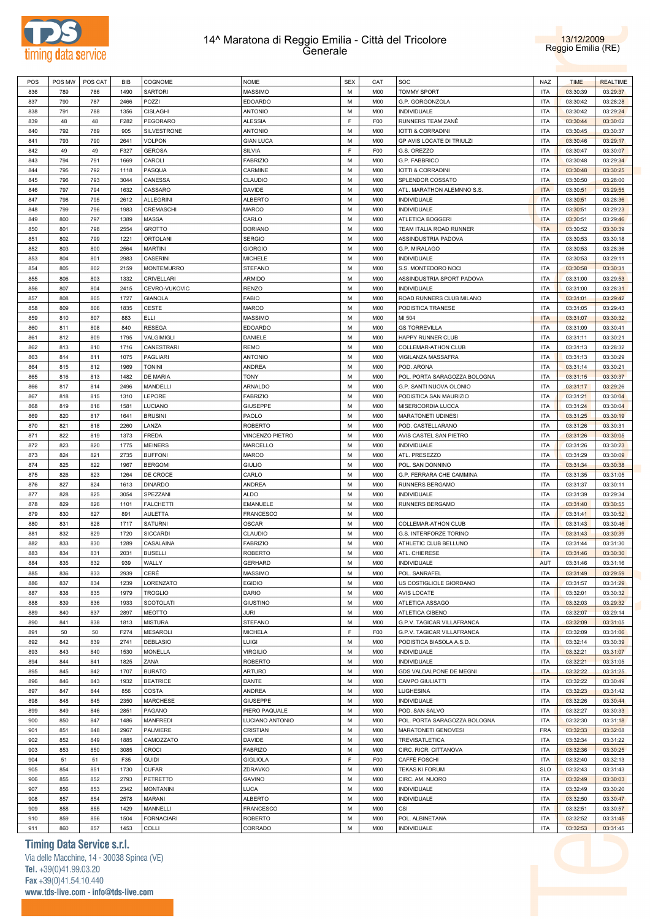



| POS | POS MW | POS CAT | BIB  | COGNOME           | <b>NOME</b>      | <b>SEX</b> | CAT             | SOC                          | <b>NAZ</b> | <b>TIME</b> | <b>REALTIME</b> |
|-----|--------|---------|------|-------------------|------------------|------------|-----------------|------------------------------|------------|-------------|-----------------|
| 836 | 789    | 786     | 1490 | <b>SARTORI</b>    | <b>MASSIMO</b>   | M          | M00             | <b>TOMMY SPORT</b>           | <b>ITA</b> | 03:30:39    | 03:29:37        |
| 837 | 790    | 787     | 2466 | POZZI             | <b>EDOARDO</b>   | M          | M00             | G.P. GORGONZOLA              | <b>ITA</b> | 03:30:42    | 03:28:28        |
| 838 |        |         |      | <b>CISLAGHI</b>   | <b>ANTONIO</b>   | M          |                 | <b>INDIVIDUALE</b>           |            | 03:30:42    | 03:29:24        |
|     | 791    | 788     | 1356 |                   |                  |            | M00             |                              | <b>ITA</b> |             |                 |
| 839 | 48     | 48      | F282 | PEGORARO          | <b>ALESSIA</b>   | F          | F <sub>00</sub> | RUNNERS TEAM ZANÈ            | <b>ITA</b> | 03:30:44    | 03:30:02        |
| 840 | 792    | 789     | 905  | SILVESTRONE       | <b>ANTONIO</b>   | M          | M00             | IOTTI & CORRADINI            | <b>ITA</b> | 03:30:45    | 03:30:37        |
| 841 | 793    | 790     | 2641 | <b>VOLPON</b>     | <b>GIAN LUCA</b> | M          | M00             | GP AVIS LOCATE DI TRIULZI    | <b>ITA</b> | 03:30:46    | 03:29:17        |
| 842 | 49     | 49      | F327 | <b>GEROSA</b>     | <b>SILVIA</b>    | F          | F <sub>00</sub> | G.S. OREZZO                  | <b>ITA</b> | 03:30:47    | 03:30:07        |
| 843 | 794    | 791     | 1669 | CAROLI            | <b>FABRIZIO</b>  | М          | M00             | G.P. FABBRICO                | <b>ITA</b> | 03:30:48    | 03:29:34        |
| 844 | 795    | 792     | 1118 | PASQUA            | CARMINE          | M          | M00             | IOTTI & CORRADINI            | <b>ITA</b> | 03:30:48    | 03:30:25        |
| 845 | 796    | 793     | 3044 | CANESSA           | CLAUDIO          | М          | M00             | SPLENDOR COSSATO             | <b>ITA</b> | 03:30:50    | 03:28:00        |
| 846 | 797    | 794     | 1632 | CASSARO           | DAVIDE           | M          | M00             | ATL. MARATHON ALEMNNO S.S.   | <b>ITA</b> | 03:30:51    | 03:29:55        |
| 847 | 798    | 795     | 2612 | <b>ALLEGRINI</b>  | <b>ALBERTO</b>   | М          | M00             | <b>INDIVIDUALE</b>           | <b>ITA</b> | 03:30:51    | 03:28:36        |
|     |        |         |      |                   |                  | M          |                 |                              |            |             |                 |
| 848 | 799    | 796     | 1983 | CREMASCHI         | <b>MARCO</b>     |            | M00             | <b>INDIVIDUALE</b>           | <b>ITA</b> | 03:30:51    | 03:29:23        |
| 849 | 800    | 797     | 1389 | MASSA             | CARLO            | М          | M00             | <b>ATLETICA BOGGERI</b>      | <b>ITA</b> | 03:30:51    | 03:29:46        |
| 850 | 801    | 798     | 2554 | GROTTO            | <b>DORIANO</b>   | M          | M00             | TEAM ITALIA ROAD RUNNER      | <b>ITA</b> | 03:30:52    | 03:30:39        |
| 851 | 802    | 799     | 1221 | ORTOLANI          | <b>SERGIO</b>    | M          | M00             | ASSINDUSTRIA PADOVA          | <b>ITA</b> | 03:30:53    | 03:30:18        |
| 852 | 803    | 800     | 2564 | <b>MARTINI</b>    | <b>GIORGIO</b>   | M          | M00             | G.P. MIRALAGO                | <b>ITA</b> | 03:30:53    | 03:28:36        |
| 853 | 804    | 801     | 2983 | CASERINI          | <b>MICHELE</b>   | M          | M00             | <b>INDIVIDUALE</b>           | <b>ITA</b> | 03:30:53    | 03:29:11        |
| 854 | 805    | 802     | 2159 | <b>MONTEMURRO</b> | <b>STEFANO</b>   | M          | M00             | S.S. MONTEDORO NOCI          | <b>ITA</b> | 03:30:58    | 03:30:31        |
| 855 | 806    | 803     | 1332 | CRIVELLARI        | ARMIDO           | M          | M00             | ASSINDUSTRIA SPORT PADOVA    | <b>ITA</b> | 03:31:00    | 03:29:53        |
| 856 | 807    | 804     | 2415 | CEVRO-VUKOVIC     | <b>RENZO</b>     | M          | M00             | <b>INDIVIDUALE</b>           | <b>ITA</b> | 03:31:00    | 03:28:31        |
|     |        |         |      |                   |                  |            |                 |                              |            |             |                 |
| 857 | 808    | 805     | 1727 | <b>GIANOLA</b>    | <b>FABIO</b>     | M          | M00             | ROAD RUNNERS CLUB MILANO     | <b>ITA</b> | 03:31:01    | 03:29:42        |
| 858 | 809    | 806     | 1835 | CESTE             | MARCO            | M          | M00             | PODISTICA TRANESE            | <b>ITA</b> | 03:31:05    | 03:29:43        |
| 859 | 810    | 807     | 883  | ELLI              | <b>MASSIMO</b>   | M          | M00             | MI 504                       | <b>ITA</b> | 03:31:07    | 03:30:32        |
| 860 | 811    | 808     | 840  | <b>RESEGA</b>     | <b>EDOARDO</b>   | M          | M00             | <b>GS TORREVILLA</b>         | <b>ITA</b> | 03:31:09    | 03:30:41        |
| 861 | 812    | 809     | 1795 | VALGIMIGLI        | DANIELE          | М          | M00             | HAPPY RUNNER CLUB            | <b>ITA</b> | 03:31:11    | 03:30:21        |
| 862 | 813    | 810     | 1716 | CANESTRARI        | REMO             | M          | M00             | COLLEMAR-ATHON CLUB          | <b>ITA</b> | 03:31:13    | 03:28:32        |
| 863 | 814    | 811     | 1075 | PAGLIARI          | <b>ANTONIO</b>   | М          | M00             | VIGILANZA MASSAFRA           | <b>ITA</b> | 03:31:13    | 03:30:29        |
| 864 | 815    | 812     | 1969 | <b>TONINI</b>     | <b>ANDREA</b>    | M          | M00             | POD. ARONA                   | <b>ITA</b> | 03:31:14    | 03:30:21        |
| 865 | 816    | 813     | 1482 | DE MARIA          | <b>TONY</b>      | М          | M00             | POL. PORTA SARAGOZZA BOLOGNA | <b>ITA</b> | 03:31:15    | 03:30:37        |
| 866 | 817    | 814     | 2496 | MANDELLI          | ARNALDO          | M          | M00             | G.P. SANTI NUOVA OLONIO      | <b>ITA</b> | 03:31:17    | 03:29:26        |
|     |        |         |      |                   |                  |            |                 |                              |            |             |                 |
| 867 | 818    | 815     | 1310 | LEPORE            | <b>FABRIZIO</b>  | М          | M00             | PODISTICA SAN MAURIZIO       | <b>ITA</b> | 03:31:21    | 03:30:04        |
| 868 | 819    | 816     | 1581 | LUCIANO           | <b>GIUSEPPE</b>  | M          | M00             | MISERICORDIA LUCCA           | <b>ITA</b> | 03:31:24    | 03:30:04        |
| 869 | 820    | 817     | 1641 | <b>BRUSINI</b>    | PAOLO            | M          | M00             | MARATONETI UDINESI           | <b>ITA</b> | 03:31:25    | 03:30:19        |
| 870 | 821    | 818     | 2260 | LANZA             | <b>ROBERTO</b>   | M          | M00             | POD. CASTELLARANO            | <b>ITA</b> | 03:31:26    | 03:30:31        |
| 871 | 822    | 819     | 1373 | FREDA             | VINCENZO PIETRO  | M          | M00             | AVIS CASTEL SAN PIETRO       | <b>ITA</b> | 03:31:26    | 03:30:05        |
| 872 | 823    | 820     | 1775 | <b>MEINERS</b>    | MARCELLO         | M          | M00             | <b>INDIVIDUALE</b>           | <b>ITA</b> | 03:31:26    | 03:30:23        |
| 873 | 824    | 821     | 2735 | <b>BUFFONI</b>    | <b>MARCO</b>     | M          | M00             | ATL. PRESEZZO                | <b>ITA</b> | 03:31:29    | 03:30:09        |
| 874 | 825    | 822     | 1967 | <b>BERGOMI</b>    | <b>GIULIO</b>    | M          | M00             | POL. SAN DONNINO             | <b>ITA</b> | 03:31:34    | 03:30:38        |
| 875 | 826    | 823     | 1264 | DE CROCE          | CARLO            | M          | M00             | G.P. FERRARA CHE CAMMINA     | <b>ITA</b> | 03:31:35    | 03:31:05        |
| 876 | 827    | 824     | 1613 | <b>DINARDO</b>    | <b>ANDREA</b>    | M          | M00             | RUNNERS BERGAMO              | <b>ITA</b> | 03:31:37    | 03:30:11        |
|     |        |         |      |                   |                  |            |                 |                              |            |             |                 |
| 877 | 828    | 825     | 3054 | SPEZZANI          | <b>ALDO</b>      | М          | M00             | <b>INDIVIDUALE</b>           | ITA        | 03:31:39    | 03:29:34        |
| 878 | 829    | 826     | 1101 | <b>FALCHETTI</b>  | <b>EMANUELE</b>  | M          | M00             | RUNNERS BERGAMO              | <b>ITA</b> | 03:31:40    | 03:30:55        |
| 879 | 830    | 827     | 891  | <b>AULETTA</b>    | <b>FRANCESCO</b> | М          | M00             |                              | ITA        | 03:31:41    | 03:30:52        |
| 880 | 831    | 828     | 1717 | SATURNI           | <b>OSCAR</b>     | M          | M00             | COLLEMAR-ATHON CLUB          | <b>ITA</b> | 03:31:43    | 03:30:46        |
| 881 | 832    | 829     | 1720 | <b>SICCARDI</b>   | CLAUDIO          | М          | M00             | G.S. INTERFORZE TORINO       | ITA        | 03:31:43    | 03:30:39        |
| 882 | 833    | 830     | 1289 | CASALAINA         | <b>FABRIZIO</b>  | M          | M00             | ATHLETIC CLUB BELLUNO        | <b>ITA</b> | 03:31:44    | 03:31:30        |
| 883 | 834    | 831     | 2031 | <b>BUSELLI</b>    | <b>ROBERTO</b>   | M          | M00             | ATL. CHIERESE                | <b>ITA</b> | 03:31:46    | 03:30:30        |
| 884 | 835    | 832     | 939  | WALLY             | <b>GERHARD</b>   | М          | M00             | INDIVIDUALE                  | AUT        | 03:31:46    | 03:31:16        |
| 885 | 836    | 833     | 2939 | CERÈ              | <b>MASSIMO</b>   | M          | M00             | POL. SANRAFEL                | <b>ITA</b> | 03:31:49    | 03:29:59        |
|     |        |         |      |                   |                  |            |                 |                              |            |             |                 |
| 886 | 837    | 834     | 1239 | LORENZATO         | <b>EGIDIO</b>    | M          | M00             | US COSTIGLIOLE GIORDANO      | <b>ITA</b> | 03:31:57    | 03:31:29        |
| 887 | 838    | 835     | 1979 | <b>TROGLIO</b>    | DARIO            | M          | M00             | AVIS LOCATE                  | <b>ITA</b> | 03:32:01    | 03:30:32        |
| 888 | 839    | 836     | 1933 | SCOTOLATI         | GIUSTINO         | M          | M00             | ATLETICA ASSAGO              | <b>ITA</b> | 03:32:03    | 03:29:32        |
| 889 | 840    | 837     | 2897 | MEOTTO            | <b>JURI</b>      | M          | M00             | ATLETICA CIBENO              | <b>ITA</b> | 03:32:07    | 03:29:14        |
| 890 | 841    | 838     | 1813 | <b>MISTURA</b>    | <b>STEFANO</b>   | M          | M00             | G.P.V. TAGICAR VILLAFRANCA   | <b>ITA</b> | 03:32:09    | 03:31:05        |
| 891 | 50     | 50      | F274 | MESAROLI          | <b>MICHELA</b>   | F          | F <sub>0</sub>  | G.P.V. TAGICAR VILLAFRANCA   | <b>ITA</b> | 03:32:09    | 03:31:06        |
| 892 | 842    | 839     | 2741 | <b>DEBLASIO</b>   | <b>LUIGI</b>     | M          | M00             | PODISTICA BIASOLA A.S.D.     | <b>ITA</b> | 03:32:14    | 03:30:39        |
| 893 | 843    | 840     | 1530 | MONELLA           | <b>VIRGILIO</b>  | M          | M00             | <b>INDIVIDUALE</b>           | <b>ITA</b> | 03:32:21    | 03:31:07        |
| 894 | 844    | 841     | 1825 | ZANA              | <b>ROBERTO</b>   | M          | M00             | <b>INDIVIDUALE</b>           | <b>ITA</b> | 03:32:21    | 03:31:05        |
|     |        |         |      |                   |                  |            |                 | GDS VALDALPONE DE MEGNI      |            |             |                 |
| 895 | 845    | 842     | 1707 | <b>BURATO</b>     | ARTURO           | М          | M00             |                              | <b>ITA</b> | 03:32:22    | 03:31:25        |
| 896 | 846    | 843     | 1932 | <b>BEATRICE</b>   | DANTE            | M          | M00             | CAMPO GIULIATTI              | <b>ITA</b> | 03:32:22    | 03:30:49        |
| 897 | 847    | 844     | 856  | COSTA             | ANDREA           | М          | M00             | LUGHESINA                    | <b>ITA</b> | 03:32:23    | 03:31:42        |
| 898 | 848    | 845     | 2350 | MARCHESE          | GIUSEPPE         | M          | M00             | <b>INDIVIDUALE</b>           | <b>ITA</b> | 03:32:26    | 03:30:44        |
| 899 | 849    | 846     | 2851 | PAGANO            | PIERO PAQUALE    | М          | M00             | POD. SAN SALVO               | <b>ITA</b> | 03:32:27    | 03:30:33        |
| 900 | 850    | 847     | 1486 | <b>MANFREDI</b>   | LUCIANO ANTONIO  | M          | M00             | POL. PORTA SARAGOZZA BOLOGNA | <b>ITA</b> | 03:32:30    | 03:31:18        |
| 901 | 851    | 848     | 2967 | PALMIERE          | CRISTIAN         | М          | M00             | MARATONETI GENOVESI          | <b>FRA</b> | 03:32:33    | 03:32:08        |
| 902 | 852    | 849     | 1885 | CAMOZZATO         | DAVIDE           | M          | M00             | <b>TREVISATLETICA</b>        | <b>ITA</b> | 03:32:34    | 03:31:22        |
| 903 | 853    | 850     | 3085 | CROCI             | <b>FABRIZO</b>   | M          | M00             | CIRC. RICR. CITTANOVA        | <b>ITA</b> | 03:32:36    | 03:30:25        |
|     |        |         |      |                   |                  | E          |                 |                              |            |             |                 |
| 904 | 51     | 51      | F35  | <b>GUIDI</b>      | <b>GIGLIOLA</b>  |            | F <sub>0</sub>  | CAFFÈ FOSCHI                 | <b>ITA</b> | 03:32:40    | 03:32:13        |
| 905 | 854    | 851     | 1730 | <b>CUFAR</b>      | ZDRAVKO          | M          | M00             | <b>TEKAS KI FORUM</b>        | <b>SLO</b> | 03:32:43    | 03:31:43        |
| 906 | 855    | 852     | 2793 | PETRETTO          | <b>GAVINO</b>    | M          | M00             | CIRC. AM. NUORO              | <b>ITA</b> | 03:32:49    | 03:30:03        |
| 907 | 856    | 853     | 2342 | <b>MONTANINI</b>  | <b>LUCA</b>      | M          | M00             | <b>INDIVIDUALE</b>           | <b>ITA</b> | 03:32:49    | 03:30:20        |
| 908 | 857    | 854     | 2578 | MARANI            | <b>ALBERTO</b>   | M          | M00             | <b>INDIVIDUALE</b>           | <b>ITA</b> | 03:32:50    | 03:30:47        |
| 909 | 858    | 855     | 1429 | MANNELLI          | <b>FRANCESCO</b> | M          | M00             | CSI                          | <b>ITA</b> | 03:32:51    | 03:30:57        |
| 910 | 859    | 856     | 1504 | <b>FORNACIARI</b> | <b>ROBERTO</b>   | M          | M00             | POL. ALBINETANA              | <b>ITA</b> | 03:32:52    | 03:31:45        |
|     |        |         |      |                   |                  | М          |                 |                              |            |             |                 |
| 911 | 860    | 857     | 1453 | COLLI             | CORRADO          |            | M00             | <b>INDIVIDUALE</b>           | <b>ITA</b> | 03:32:53    | 03:31:45        |

**Timing Data Service s.r.l.**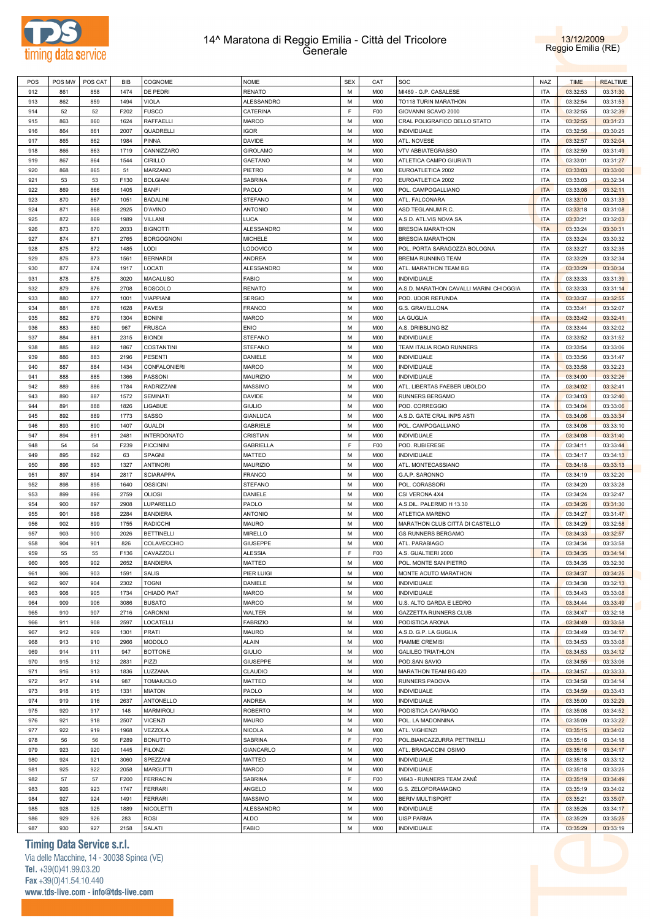



| POS | POS MW | POS CAT | BIB  | COGNOME             | <b>NOME</b>      | <b>SEX</b> | CAT            | SOC                                     | NAZ        | <b>TIME</b> | <b>REALTIME</b> |
|-----|--------|---------|------|---------------------|------------------|------------|----------------|-----------------------------------------|------------|-------------|-----------------|
| 912 | 861    | 858     | 1474 | DE PEDRI            | <b>RENATO</b>    | M          | <b>M00</b>     | MI469 - G.P. CASALESE                   | <b>ITA</b> | 03:32:53    | 03:31:30        |
| 913 | 862    | 859     | 1494 | VIOLA               | ALESSANDRO       | М          | <b>M00</b>     | TO118 TURIN MARATHON                    | <b>ITA</b> | 03:32:54    | 03:31:53        |
| 914 | 52     | 52      | F202 | <b>FUSCO</b>        | CATERINA         | F          | F <sub>0</sub> | GIOVANNI SCAVO 2000                     | <b>ITA</b> | 03:32:55    | 03:32:39        |
| 915 | 863    | 860     | 1624 | RAFFAELLI           | <b>MARCO</b>     | М          | <b>M00</b>     | CRAL POLIGRAFICO DELLO STATO            | <b>ITA</b> | 03:32:55    | 03:31:23        |
| 916 | 864    | 861     | 2007 | QUADRELLI           | <b>IGOR</b>      | М          | M <sub>0</sub> | <b>INDIVIDUALE</b>                      | <b>ITA</b> |             | 03:30:25        |
|     |        |         |      |                     |                  |            |                |                                         |            | 03:32:56    |                 |
| 917 | 865    | 862     | 1984 | PINNA               | DAVIDE           | М          | M <sub>0</sub> | ATL. NOVESE                             | <b>ITA</b> | 03:32:57    | 03:32:04        |
| 918 | 866    | 863     | 1719 | CANNIZZARO          | <b>GIROLAMO</b>  | М          | M <sub>0</sub> | <b>VTV ABBIATEGRASSO</b>                | <b>ITA</b> | 03:32:59    | 03:31:49        |
| 919 | 867    | 864     | 1544 | <b>CIRILLO</b>      | <b>GAETANO</b>   | М          | M <sub>0</sub> | ATLETICA CAMPO GIURIATI                 | <b>ITA</b> | 03:33:01    | 03:31:27        |
| 920 | 868    | 865     | 51   | MARZANO             | PIETRO           | М          | <b>M00</b>     | EUROATLETICA 2002                       | <b>ITA</b> | 03:33:03    | 03:33:00        |
| 921 | 53     | 53      | F130 | <b>BOLGIANI</b>     | SABRINA          | F          | F <sub>0</sub> | EUROATLETICA 2002                       | <b>ITA</b> | 03:33:03    | 03:32:34        |
| 922 | 869    | 866     | 1405 | <b>BANFI</b>        | PAOLO            | М          | M <sub>0</sub> | POL. CAMPOGALLIANO                      | <b>ITA</b> | 03:33:08    | 03:32:11        |
| 923 | 870    | 867     | 1051 | <b>BADALINI</b>     | <b>STEFANO</b>   | М          | M <sub>0</sub> | ATL. FALCONARA                          | <b>ITA</b> | 03:33:10    | 03:31:33        |
| 924 | 871    | 868     | 2925 | <b>D'AVINO</b>      | <b>ANTONIO</b>   | М          | <b>M00</b>     | ASD TEGLANUM R.C                        | <b>ITA</b> | 03:33:18    | 03:31:08        |
| 925 | 872    | 869     | 1989 | <b>VILLANI</b>      | LUCA             | М          | M <sub>0</sub> | A.S.D. ATL.VIS NOVA SA                  | <b>ITA</b> | 03:33:21    | 03:32:03        |
|     |        |         |      |                     |                  |            |                |                                         |            |             |                 |
| 926 | 873    | 870     | 2033 | <b>BIGNOTTI</b>     | ALESSANDRO       | М          | <b>M00</b>     | <b>BRESCIA MARATHON</b>                 | <b>ITA</b> | 03:33:24    | 03:30:31        |
| 927 | 874    | 871     | 2765 | <b>BORGOGNONI</b>   | <b>MICHELE</b>   | М          | M <sub>0</sub> | <b>BRESCIA MARATHON</b>                 | <b>ITA</b> | 03:33:24    | 03:30:32        |
| 928 | 875    | 872     | 1485 | LODI                | LODOVICO         | М          | <b>M00</b>     | POL. PORTA SARAGOZZA BOLOGNA            | <b>ITA</b> | 03:33:27    | 03:32:35        |
| 929 | 876    | 873     | 1561 | <b>BERNARDI</b>     | ANDREA           | М          | <b>M00</b>     | BREMA RUNNING TEAM                      | <b>ITA</b> | 03:33:29    | 03:32:34        |
| 930 | 877    | 874     | 1917 | LOCATI              | ALESSANDRO       | М          | M <sub>0</sub> | ATL. MARATHON TEAM BG                   | <b>ITA</b> | 03:33:29    | 03:30:34        |
| 931 | 878    | 875     | 3020 | MACALUSO            | <b>FABIO</b>     | М          | M <sub>0</sub> | <b>INDIVIDUALE</b>                      | <b>ITA</b> | 03:33:33    | 03:31:39        |
| 932 | 879    | 876     | 2708 | <b>BOSCOLO</b>      | <b>RENATO</b>    | М          | <b>M00</b>     | A.S.D. MARATHON CAVALLI MARINI CHIOGGIA | <b>ITA</b> | 03:33:33    | 03:31:14        |
| 933 | 880    | 877     | 1001 | <b>VIAPPIANI</b>    | <b>SERGIO</b>    | М          | M <sub>0</sub> | POD. UDOR REFUNDA                       | <b>ITA</b> | 03:33:37    | 03:32:55        |
| 934 | 881    | 878     | 1628 | PAVESI              | <b>FRANCO</b>    | М          | M <sub>0</sub> | G.S. GRAVELLONA                         | <b>ITA</b> | 03:33:41    | 03:32:07        |
|     |        |         |      |                     |                  |            |                |                                         |            |             |                 |
| 935 | 882    | 879     | 1304 | <b>BONINI</b>       | <b>MARCO</b>     | М          | M <sub>0</sub> | LA GUGLIA                               | <b>ITA</b> | 03:33:42    | 03:32:41        |
| 936 | 883    | 880     | 967  | <b>FRUSCA</b>       | <b>ENIO</b>      | М          | <b>M00</b>     | A.S. DRIBBLING BZ                       | <b>ITA</b> | 03:33:44    | 03:32:02        |
| 937 | 884    | 881     | 2315 | <b>BIONDI</b>       | <b>STEFANO</b>   | М          | M <sub>0</sub> | <b>INDIVIDUALE</b>                      | <b>ITA</b> | 03:33:52    | 03:31:52        |
| 938 | 885    | 882     | 1867 | COSTANTINI          | <b>STEFANO</b>   | М          | <b>M00</b>     | TEAM ITALIA ROAD RUNNERS                | <b>ITA</b> | 03:33:54    | 03:33:06        |
| 939 | 886    | 883     | 2196 | PESENTI             | DANIELE          | М          | M <sub>0</sub> | <b>INDIVIDUALE</b>                      | <b>ITA</b> | 03:33:56    | 03:31:47        |
| 940 | 887    | 884     | 1434 | <b>CONFALONIERI</b> | <b>MARCO</b>     | М          | M <sub>0</sub> | INDIVIDUALE                             | <b>ITA</b> | 03:33:58    | 03:32:23        |
| 941 | 888    | 885     | 1366 | PASSONI             | <b>MAURIZIO</b>  | М          | <b>M00</b>     | <b>INDIVIDUALE</b>                      | <b>ITA</b> | 03:34:00    | 03:32:26        |
| 942 | 889    | 886     | 1784 | <b>RADRIZZANI</b>   | MASSIMO          | М          | M <sub>0</sub> | ATL. LIBERTAS FAEBER UBOLDO             | <b>ITA</b> | 03:34:02    | 03:32:41        |
| 943 | 890    | 887     | 1572 | <b>SEMINATI</b>     | DAVIDE           | М          | M <sub>0</sub> | RUNNERS BERGAMO                         | <b>ITA</b> | 03:34:03    | 03:32:40        |
| 944 | 891    | 888     | 1826 | LIGABUE             |                  | М          | <b>M00</b>     |                                         | <b>ITA</b> |             |                 |
|     |        |         |      |                     | <b>GIULIO</b>    |            |                | POD. CORREGGIO                          |            | 03:34:04    | 03:33:06        |
| 945 | 892    | 889     | 1773 | SASSO               | <b>GIANLUCA</b>  | М          | M <sub>0</sub> | A.S.D. GATE CRAL INPS ASTI              | <b>ITA</b> | 03:34:06    | 03:33:34        |
| 946 | 893    | 890     | 1407 | <b>GUALDI</b>       | <b>GABRIELE</b>  | М          | M <sub>0</sub> | POL. CAMPOGALLIANO                      | <b>ITA</b> | 03:34:06    | 03:33:10        |
| 947 | 894    | 891     | 2481 | <b>INTERDONATO</b>  | CRISTIAN         | М          | M <sub>0</sub> | <b>INDIVIDUALE</b>                      | <b>ITA</b> | 03:34:08    | 03:31:40        |
| 948 | 54     | 54      | F239 | <b>PICCININI</b>    | <b>GABRIELLA</b> | F          | F <sub>0</sub> | POD. RUBIERESE                          | <b>ITA</b> | 03:34:11    | 03:33:44        |
| 949 | 895    | 892     | 63   | SPAGNI              | MATTEO           | M          | M <sub>0</sub> | INDIVIDUALE                             | <b>ITA</b> | 03:34:17    | 03:34:13        |
| 950 | 896    | 893     | 1327 | ANTINORI            | <b>MAURIZIO</b>  | М          | <b>M00</b>     | ATL. MONTECASSIANO                      | <b>ITA</b> | 03:34:18    | 03:33:13        |
| 951 | 897    | 894     | 2817 | <b>SCIARAPPA</b>    | <b>FRANCO</b>    | М          | M <sub>0</sub> | G.A.P. SARONNO                          | <b>ITA</b> | 03:34:19    | 03:32:20        |
| 952 | 898    | 895     | 1640 | OSSICINI            | <b>STEFANO</b>   | М          | M <sub>0</sub> | POL. CORASSORI                          | <b>ITA</b> | 03:34:20    | 03:33:28        |
| 953 | 899    | 896     | 2759 | <b>OLIOSI</b>       | DANIELE          | М          | M <sub>0</sub> | CSI VERONA 4X4                          | <b>ITA</b> | 03:34:24    | 03:32:47        |
|     |        |         |      |                     |                  |            |                |                                         |            |             |                 |
| 954 | 900    | 897     | 2908 | LUPARELLO           | PAOLO            | М          | M <sub>0</sub> | A.S.DIL. PALERMO H 13.30                | <b>ITA</b> | 03:34:26    | 03:31:30        |
| 955 | 901    | 898     | 2284 | <b>BANDIERA</b>     | <b>ANTONIO</b>   | М          | M <sub>0</sub> | ATLETICA MARENO                         | <b>ITA</b> | 03:34:27    | 03:31:47        |
| 956 | 902    | 899     | 1755 | RADICCHI            | <b>MAURO</b>     | М          | <b>M00</b>     | MARATHON CLUB CITTÀ DI CASTELLO         | <b>ITA</b> | 03:34:29    | 03:32:58        |
| 957 | 903    | 900     | 2026 | <b>BETTINELLI</b>   | <b>MIRELLO</b>   | М          | M <sub>0</sub> | <b>GS RUNNERS BERGAMO</b>               | <b>ITA</b> | 03:34:33    | 03:32:57        |
| 958 | 904    | 901     | 826  | COLAVECCHIO         | <b>GIUSEPPE</b>  | М          | <b>M00</b>     | ATL. PARABIAGO                          | <b>ITA</b> | 03:34:34    | 03:33:58        |
| 959 | 55     | 55      | F136 | CAVAZZOLI           | <b>ALESSIA</b>   | F          | F <sub>0</sub> | A.S. GUALTIERI 2000                     | <b>ITA</b> | 03:34:35    | 03:34:14        |
| 960 | 905    | 902     | 2652 | <b>BANDIERA</b>     | <b>MATTEO</b>    | M          | <b>M00</b>     | POL. MONTE SAN PIETRO                   | <b>ITA</b> | 03:34:35    | 03:32:30        |
| 961 | 906    | 903     | 1591 | <b>SALIS</b>        | PIER LUIGI       | М          | M <sub>0</sub> | MONTE ACUTO MARATHON                    | <b>ITA</b> | 03:34:37    | 03:34:25        |
| 962 | 907    | 904     | 2302 | <b>TOGNI</b>        | DANIELE          | М          | <b>M00</b>     | INDIVIDUALE                             | <b>ITA</b> | 03:34:38    | 03:32:13        |
|     |        | 905     |      |                     | <b>MARCO</b>     | М          |                | INDIVIDUALE                             | <b>ITA</b> |             |                 |
| 963 | 908    |         | 1734 | CHIADÒ PIAT         |                  |            | <b>M00</b>     |                                         |            | 03:34:43    | 03:33:08        |
| 964 | 909    | 906     | 3086 | <b>BUSATO</b>       | MARCO            | М          | <b>M00</b>     | U.S. ALTO GARDA E LEDRO                 | <b>ITA</b> | 03:34:44    | 03:33:49        |
| 965 | 910    | 907     | 2716 | CARONNI             | WALTER           | М          | <b>M00</b>     | <b>GAZZETTA RUNNERS CLUB</b>            | <b>ITA</b> | 03:34:47    | 03:32:18        |
| 966 | 911    | 908     | 2597 | LOCATELLI           | <b>FABRIZIO</b>  | М          | <b>M00</b>     | PODISTICA ARONA                         | <b>ITA</b> | 03:34:49    | 03:33:58        |
| 967 | 912    | 909     | 1301 | PRATI               | MAURO            | М          | <b>M00</b>     | A.S.D. G.P. LA GUGLIA                   | <b>ITA</b> | 03:34:49    | 03:34:17        |
| 968 | 913    | 910     | 2966 | <b>MODOLO</b>       | <b>ALAIN</b>     | М          | <b>M00</b>     | <b>FIAMME CREMISI</b>                   | <b>ITA</b> | 03:34:53    | 03:33:08        |
| 969 | 914    | 911     | 947  | <b>BOTTONE</b>      | GIULIO           | М          | <b>M00</b>     | <b>GALILEO TRIATHLON</b>                | <b>ITA</b> | 03:34:53    | 03:34:12        |
| 970 | 915    | 912     | 2831 | PIZZI               | <b>GIUSEPPE</b>  | М          | <b>M00</b>     | POD.SAN SAVIO                           | <b>ITA</b> | 03:34:55    | 03:33:06        |
| 971 | 916    | 913     | 1836 | LUZZANA             | CLAUDIO          | М          | <b>M00</b>     | MARATHON TEAM BG 420                    | <b>ITA</b> | 03:34:57    | 03:33:33        |
| 972 | 917    | 914     | 987  | <b>TOMAIUOLO</b>    | MATTEO           | М          | <b>M00</b>     | RUNNERS PADOVA                          | <b>ITA</b> | 03:34:58    | 03:34:14        |
|     | 918    |         |      | <b>MIATON</b>       | PAOLO            | М          | <b>M00</b>     | INDIVIDUALE                             | <b>ITA</b> |             | 03:33:43        |
| 973 |        | 915     | 1331 |                     |                  |            |                |                                         |            | 03:34:59    |                 |
| 974 | 919    | 916     | 2637 | ANTONELLO           | ANDREA           | М          | <b>M00</b>     | INDIVIDUALE                             | <b>ITA</b> | 03:35:00    | 03:32:29        |
| 975 | 920    | 917     | 148  | <b>MARMIROLI</b>    | <b>ROBERTO</b>   | М          | <b>M00</b>     | PODISTICA CAVRIAGO                      | <b>ITA</b> | 03:35:08    | 03:34:52        |
| 976 | 921    | 918     | 2507 | <b>VICENZI</b>      | MAURO            | М          | <b>M00</b>     | POL. LA MADONNINA                       | <b>ITA</b> | 03:35:09    | 03:33:22        |
| 977 | 922    | 919     | 1968 | VEZZOLA             | <b>NICOLA</b>    | М          | M <sub>0</sub> | ATL. VIGHENZI                           | <b>ITA</b> | 03:35:15    | 03:34:02        |
| 978 | 56     | 56      | F289 | <b>BONUTTO</b>      | SABRINA          | F          | F <sub>0</sub> | POL.BIANCAZZURRA PETTINELLI             | <b>ITA</b> | 03:35:16    | 03:34:18        |
| 979 | 923    | 920     | 1445 | <b>FILONZI</b>      | GIANCARLO        | М          | <b>M00</b>     | ATL. BRAGACCINI OSIMO                   | <b>ITA</b> | 03:35:16    | 03:34:17        |
| 980 | 924    | 921     | 3060 | SPEZZANI            | MATTEO           | М          | <b>M00</b>     | INDIVIDUALE                             | <b>ITA</b> | 03:35:18    | 03:33:12        |
| 981 | 925    | 922     | 2058 | <b>MARGUTTI</b>     | MARCO            | М          | <b>M00</b>     | INDIVIDUALE                             | <b>ITA</b> | 03:35:18    | 03:33:25        |
|     |        |         |      |                     |                  |            |                |                                         |            |             |                 |
| 982 | 57     | 57      | F200 | <b>FERRACIN</b>     | SABRINA          | F          | F <sub>0</sub> | VI643 - RUNNERS TEAM ZANÈ               | <b>ITA</b> | 03:35:19    | 03:34:49        |
| 983 | 926    | 923     | 1747 | <b>FERRARI</b>      | ANGELO           | М          | M <sub>0</sub> | G.S. ZELOFORAMAGNO                      | <b>ITA</b> | 03:35:19    | 03:34:02        |
| 984 | 927    | 924     | 1491 | FERRARI             | MASSIMO          | М          | <b>M00</b>     | <b>BERIV MULTISPORT</b>                 | <b>ITA</b> | 03:35:21    | 03:35:07        |
| 985 | 928    | 925     | 1889 | NICOLETTI           | ALESSANDRO       | М          | <b>M00</b>     | INDIVIDUALE                             | <b>ITA</b> | 03:35:26    | 03:34:17        |
| 986 | 929    | 926     | 283  | ROSI                | ALDO             | М          | <b>M00</b>     | <b>UISP PARMA</b>                       | <b>ITA</b> | 03:35:29    | 03:35:25        |
| 987 | 930    | 927     | 2158 | SALATI              | FABIO            | М          | M <sub>0</sub> | INDIVIDUALE                             | <b>ITA</b> | 03:35:29    | 03:33:19        |

# **Timing Data Service s.r.l.**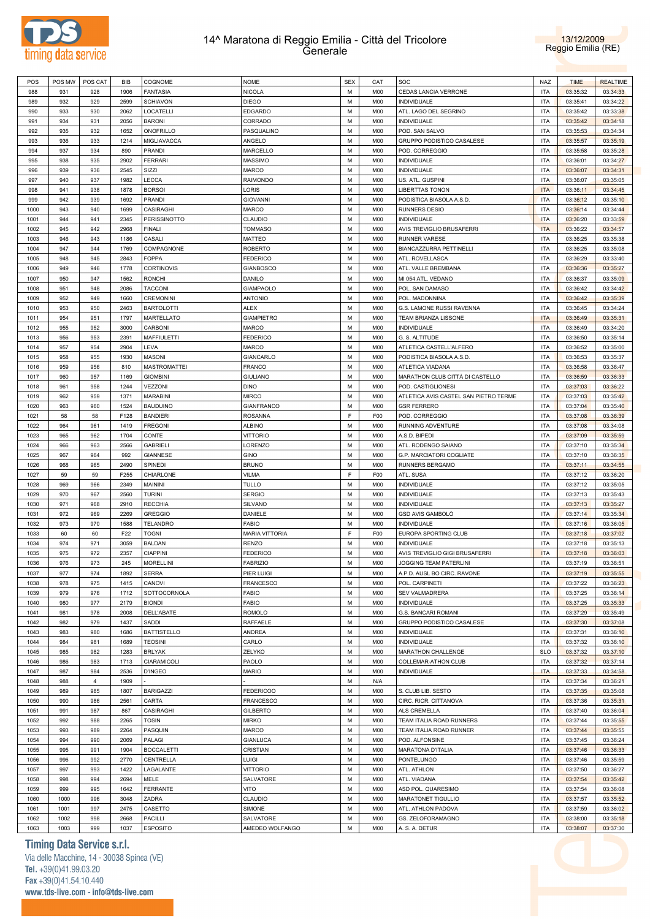



| POS  | POS MW | POS CAT        | <b>BIB</b> | COGNOME               | <b>NOME</b>           | <b>SEX</b> | CAT            | SOC                                   | NAZ        | <b>TIME</b> | <b>REALTIME</b> |
|------|--------|----------------|------------|-----------------------|-----------------------|------------|----------------|---------------------------------------|------------|-------------|-----------------|
| 988  | 931    | 928            | 1906       | <b>FANTASIA</b>       | <b>NICOLA</b>         | М          | <b>M00</b>     | CEDAS LANCIA VERRONE                  | <b>ITA</b> | 03:35:32    | 03:34:33        |
| 989  | 932    | 929            | 2599       | <b>SCHIAVON</b>       | <b>DIEGO</b>          | М          | <b>M00</b>     | <b>INDIVIDUALE</b>                    | <b>ITA</b> | 03:35:41    | 03:34:22        |
| 990  | 933    | 930            | 2062       | LOCATELLI             | <b>EDGARDO</b>        | М          | <b>M00</b>     | ATL. LAGO DEL SEGRINO                 | <b>ITA</b> | 03:35:42    | 03:33:38        |
| 991  | 934    | 931            | 2056       | <b>BARONI</b>         | CORRADO               | М          | <b>M00</b>     | INDIVIDUALE                           | <b>ITA</b> | 03:35:42    | 03:34:18        |
| 992  | 935    | 932            | 1652       | <b>ONOFRILLO</b>      | PASQUALINO            | М          | <b>M00</b>     | POD. SAN SALVO                        | <b>ITA</b> | 03:35:53    | 03:34:34        |
| 993  | 936    | 933            | 1214       | MIGLIAVACCA           | ANGELO                | М          | <b>M00</b>     | GRUPPO PODISTICO CASALESE             | <b>ITA</b> | 03:35:57    | 03:35:19        |
| 994  | 937    | 934            | 890        | <b>PRANDI</b>         | MARCELLO              | М          | <b>M00</b>     | POD. CORREGGIO                        | <b>ITA</b> | 03:35:58    | 03:35:28        |
| 995  | 938    | 935            | 2902       | <b>FERRARI</b>        | <b>MASSIMO</b>        | М          | <b>M00</b>     | INDIVIDUALE                           | <b>ITA</b> | 03:36:01    | 03:34:27        |
| 996  | 939    | 936            | 2545       | SIZZI                 | MARCO                 | М          | <b>M00</b>     | INDIVIDUALE                           | <b>ITA</b> | 03:36:07    | 03:34:31        |
| 997  | 940    | 937            | 1982       | LECCA                 | RAIMONDO              | М          | <b>M00</b>     | US. ATL. GUSPINI                      | <b>ITA</b> | 03:36:07    | 03:35:05        |
| 998  | 941    | 938            | 1878       | <b>BORSOI</b>         | LORIS                 | М          | <b>M00</b>     | <b>LIBERTTAS TONON</b>                | <b>ITA</b> | 03:36:11    | 03:34:45        |
| 999  | 942    | 939            | 1692       | PRANDI                | <b>GIOVANNI</b>       | М          | <b>M00</b>     | PODISTICA BIASOLA A.S.D.              | <b>ITA</b> | 03:36:12    | 03:35:10        |
| 1000 | 943    | 940            | 1699       | <b>CASIRAGHI</b>      | <b>MARCO</b>          | М          | <b>M00</b>     | <b>RUNNERS DESIO</b>                  | <b>ITA</b> | 03:36:14    | 03:34:44        |
| 1001 | 944    | 941            | 2345       | <b>PERISSINOTTO</b>   | CLAUDIO               | М          | <b>M00</b>     | <b>INDIVIDUALE</b>                    | <b>ITA</b> | 03:36:20    | 03:33:59        |
| 1002 | 945    | 942            | 2968       | FINALI                | <b>TOMMASO</b>        | М          | <b>M00</b>     | AVIS TREVIGLIO BRUSAFERRI             | <b>ITA</b> | 03:36:22    | 03:34:57        |
| 1003 | 946    | 943            | 1186       | CASALI                | <b>MATTEO</b>         | М          | <b>M00</b>     | <b>RUNNER VARESE</b>                  | <b>ITA</b> | 03:36:25    | 03:35:38        |
| 1004 | 947    | 944            | 1769       | COMPAGNONE            | <b>ROBERTO</b>        | М          | <b>M00</b>     | BIANCAZZURRA PETTINELLI               | <b>ITA</b> | 03:36:25    | 03:35:08        |
| 1005 | 948    | 945            | 2843       | <b>FOPPA</b>          | <b>FEDERICO</b>       | М          | <b>M00</b>     | ATL. ROVELLASCA                       | <b>ITA</b> | 03:36:29    | 03:33:40        |
| 1006 | 949    | 946            | 1778       | <b>CORTINOVIS</b>     | <b>GIANBOSCO</b>      | М          | <b>M00</b>     | ATL. VALLE BREMBANA                   | <b>ITA</b> | 03:36:36    | 03:35:27        |
| 1007 | 950    | 947            | 1562       | <b>RONCHI</b>         | DANILO                | М          | <b>M00</b>     | MI 054 ATL. VEDANO                    | <b>ITA</b> | 03:36:37    | 03:35:09        |
| 1008 | 951    | 948            | 2086       | <b>TACCONI</b>        | <b>GIAMPAOLO</b>      | М          | <b>M00</b>     | POL. SAN DAMASO                       | <b>ITA</b> | 03:36:42    | 03:34:42        |
| 1009 | 952    | 949            | 1660       | <b>CREMONINI</b>      | <b>ANTONIO</b>        | М          | <b>M00</b>     | POL. MADONNINA                        | <b>ITA</b> | 03:36:42    | 03:35:39        |
| 1010 | 953    | 950            | 2463       | <b>BARTOLOTTI</b>     | ALEX                  | М          | <b>M00</b>     | G.S. LAMONE RUSSI RAVENNA             | <b>ITA</b> | 03:36:45    | 03:34:24        |
|      | 954    |                | 1797       |                       |                       | М          | <b>M00</b>     | TEAM BRIANZA LISSONE                  | <b>ITA</b> |             |                 |
| 1011 |        | 951            |            | MARTELLATO<br>CARBONI | <b>GIAMPIETRO</b>     | М          |                |                                       | <b>ITA</b> | 03:36:49    | 03:35:31        |
| 1012 | 955    | 952            | 3000       |                       | <b>MARCO</b>          |            | <b>M00</b>     | <b>INDIVIDUALE</b>                    |            | 03:36:49    | 03:34:20        |
| 1013 | 956    | 953            | 2391       | <b>MAFFIULETTI</b>    | <b>FEDERICO</b>       | М          | <b>M00</b>     | G. S. ALTITUDE                        | <b>ITA</b> | 03:36:50    | 03:35:14        |
| 1014 | 957    | 954            | 2904       | LEVA                  | <b>MARCO</b>          | М          | <b>M00</b>     | ATLETICA CASTELL'ALFERO               | <b>ITA</b> | 03:36:52    | 03:35:00        |
| 1015 | 958    | 955            | 1930       | <b>MASONI</b>         | GIANCARLO             | М          | <b>M00</b>     | PODISTICA BIASOLA A.S.D.              | <b>ITA</b> | 03:36:53    | 03:35:37        |
| 1016 | 959    | 956            | 810        | <b>MASTROMATTEI</b>   | FRANCO                | М          | <b>M00</b>     | ATLETICA VIADANA                      | <b>ITA</b> | 03:36:58    | 03:36:47        |
| 1017 | 960    | 957            | 1169       | <b>GIOMBINI</b>       | <b>GIULIANO</b>       | М          | <b>M00</b>     | MARATHON CLUB CITTÀ DI CASTELLO       | <b>ITA</b> | 03:36:59    | 03:36:33        |
| 1018 | 961    | 958            | 1244       | VEZZONI               | <b>DINO</b>           | М          | <b>M00</b>     | POD. CASTIGLIONESI                    | <b>ITA</b> | 03:37:03    | 03:36:22        |
| 1019 | 962    | 959            | 1371       | <b>MARABINI</b>       | <b>MIRCO</b>          | М          | <b>M00</b>     | ATLETICA AVIS CASTEL SAN PIETRO TERME | <b>ITA</b> | 03:37:03    | 03:35:42        |
| 1020 | 963    | 960            | 1524       | <b>BAUDUINO</b>       | GIANFRANCO            | М          | <b>M00</b>     | <b>GSR FERRERO</b>                    | <b>ITA</b> | 03:37:04    | 03:35:40        |
| 1021 | 58     | 58             | F128       | <b>BANDIERI</b>       | <b>ROSANNA</b>        | F          | F <sub>0</sub> | POD. CORREGGIO                        | <b>ITA</b> | 03:37:08    | 03:36:39        |
| 1022 | 964    | 961            | 1419       | <b>FREGONI</b>        | <b>ALBINO</b>         | М          | <b>M00</b>     | RUNNING ADVENTURE                     | <b>ITA</b> | 03:37:08    | 03:34:08        |
| 1023 | 965    | 962            | 1704       | CONTE                 | <b>VITTORIO</b>       | М          | <b>M00</b>     | A.S.D. BIPEDI                         | <b>ITA</b> | 03:37:09    | 03:35:59        |
| 1024 | 966    | 963            | 2566       | <b>GABRIELI</b>       | LORENZO               | М          | <b>M00</b>     | ATL. RODENGO SAIANO                   | <b>ITA</b> | 03:37:10    | 03:35:34        |
| 1025 | 967    | 964            | 992        | <b>GIANNESE</b>       | GINO                  | М          | <b>M00</b>     | G.P. MARCIATORI COGLIATE              | <b>ITA</b> | 03:37:10    | 03:36:35        |
| 1026 | 968    | 965            | 2490       | <b>SPINEDI</b>        | <b>BRUNO</b>          | М          | <b>M00</b>     | RUNNERS BERGAMO                       | <b>ITA</b> | 03:37:11    | 03:34:55        |
| 1027 | 59     | 59             | F255       | CHIARLONE             | VILMA                 | F          | F <sub>0</sub> | ATL. SUSA                             | <b>ITA</b> | 03:37:12    | 03:36:20        |
| 1028 | 969    | 966            | 2349       | MAININI               | <b>TULLO</b>          | М          | <b>M00</b>     | INDIVIDUALE                           | <b>ITA</b> | 03:37:12    | 03:35:05        |
| 1029 | 970    | 967            | 2560       | <b>TURINI</b>         | <b>SERGIO</b>         | М          | <b>M00</b>     | INDIVIDUALE                           | <b>ITA</b> | 03:37:13    | 03:35:43        |
| 1030 | 971    | 968            | 2910       | <b>RECCHIA</b>        | SILVANO               | М          | <b>M00</b>     | <b>INDIVIDUALE</b>                    | <b>ITA</b> | 03:37:13    | 03:35:27        |
| 1031 | 972    | 969            | 2269       | <b>GREGGIO</b>        | DANIELE               | М          | <b>M00</b>     | GSD AVIS GAMBOLÒ                      | <b>ITA</b> | 03:37:14    | 03:35:34        |
| 1032 | 973    | 970            | 1588       | <b>TELANDRO</b>       | <b>FABIO</b>          | М          | <b>M00</b>     | <b>INDIVIDUALE</b>                    | <b>ITA</b> | 03:37:16    | 03:36:05        |
| 1033 | 60     | 60             | F22        | <b>TOGNI</b>          | <b>MARIA VITTORIA</b> | F          | F <sub>0</sub> | EUROPA SPORTING CLUB                  | <b>ITA</b> | 03:37:18    | 03:37:02        |
| 1034 | 974    | 971            | 3059       | <b>BALDAN</b>         | <b>RENZO</b>          | М          | <b>M00</b>     | INDIVIDUALE                           | <b>ITA</b> | 03:37:18    | 03:35:13        |
| 1035 | 975    | 972            | 2357       | <b>CIAPPINI</b>       | <b>FEDERICO</b>       | М          | <b>M00</b>     | AVIS TREVIGLIO GIGI BRUSAFERRI        | <b>ITA</b> | 03:37:18    | 03:36:03        |
| 1036 | 976    | 973            | 245        | <b>MORELLINI</b>      | <b>FABRIZIO</b>       | М          | <b>M00</b>     | JOGGING TEAM PATERLINI                | <b>ITA</b> | 03:37:19    | 03:36:51        |
| 1037 | 977    | 974            | 1892       | <b>SERRA</b>          | PIER LUIGI            | М          | M <sub>0</sub> | A.P.D. AUSL BO CIRC. RAVONE           | <b>ITA</b> | 03:37:19    | 03:35:55        |
| 1038 | 978    | 975            | 1415       | CANOVI                | FRANCESCO             | M          | <b>M00</b>     | POL. CARPINETI                        | <b>ITA</b> | 03:37:22    | 03:36:23        |
| 1039 | 979    | 976            | 1712       | SOTTOCORNOLA          | FABIO                 | М          | <b>M00</b>     | SEV VALMADRERA                        | <b>ITA</b> | 03:37:25    | 03:36:14        |
| 1040 | 980    | 977            | 2179       | <b>BIONDI</b>         | <b>FABIO</b>          | М          | <b>M00</b>     | INDIVIDUALE                           | <b>ITA</b> | 03:37:25    | 03:35:33        |
| 1041 | 981    | 978            | 2008       | DELL'ABATE            | ROMOLO                | М          | <b>M00</b>     | G.S. BANCARI ROMANI                   | <b>ITA</b> | 03:37:29    | 03:35:49        |
| 1042 | 982    | 979            | 1437       | SADDI                 | RAFFAELE              | М          | <b>M00</b>     | GRUPPO PODISTICO CASALESE             | <b>ITA</b> | 03:37:30    | 03:37:08        |
| 1043 | 983    | 980            | 1686       | <b>BATTISTELLO</b>    | ANDREA                | М          | <b>M00</b>     | INDIVIDUALE                           | <b>ITA</b> | 03:37:31    | 03:36:10        |
| 1044 | 984    | 981            | 1689       | <b>TEOSINI</b>        | CARLO                 | М          | <b>M00</b>     | INDIVIDUALE                           | <b>ITA</b> | 03:37:32    | 03:36:10        |
| 1045 | 985    | 982            | 1283       | <b>BRLYAK</b>         | ZELYKO                | М          | <b>M00</b>     | MARATHON CHALLENGE                    | <b>SLO</b> | 03:37:32    | 03:37:10        |
| 1046 | 986    | 983            | 1713       | CIARAMICOLI           | PAOLO                 | М          | <b>M00</b>     | COLLEMAR-ATHON CLUB                   | <b>ITA</b> | 03:37:32    | 03:37:14        |
| 1047 | 987    | 984            | 2536       | <b>D'INGEO</b>        | <b>MARIO</b>          | М          | <b>M00</b>     | INDIVIDUALE                           | <b>ITA</b> | 03:37:33    | 03:34:58        |
| 1048 | 988    | $\overline{4}$ | 1909       |                       |                       | М          | N/A            |                                       | <b>ITA</b> | 03:37:34    | 03:36:21        |
| 1049 | 989    | 985            | 1807       | <b>BARIGAZZI</b>      | <b>FEDERICOO</b>      | М          | <b>M00</b>     | S. CLUB LIB. SESTO                    | <b>ITA</b> | 03:37:35    | 03:35:08        |
| 1050 | 990    | 986            | 2561       | CARTA                 | FRANCESCO             | М          | <b>M00</b>     | CIRC. RICR. CITTANOVA                 | <b>ITA</b> | 03:37:36    | 03:35:31        |
| 1051 | 991    | 987            | 867        | CASIRAGHI             | GILBERTO              | М          | <b>M00</b>     | ALS CREMELLA                          | <b>ITA</b> | 03:37:40    | 03:36:04        |
| 1052 | 992    | 988            | 2265       | <b>TOSIN</b>          | <b>MIRKO</b>          | М          | <b>M00</b>     | TEAM ITALIA ROAD RUNNERS              | <b>ITA</b> | 03:37:44    | 03:35:55        |
| 1053 | 993    | 989            | 2264       | PASQUIN               | MARCO                 | М          | <b>M00</b>     | TEAM ITALIA ROAD RUNNER               | <b>ITA</b> | 03:37:44    | 03:35:55        |
| 1054 | 994    | 990            | 2069       | PALAGI                | <b>GIANLUCA</b>       | М          | <b>M00</b>     | POD. ALFONSINE                        | <b>ITA</b> |             | 03:36:24        |
|      |        |                |            |                       |                       | М          |                |                                       |            | 03:37:45    |                 |
| 1055 | 995    | 991            | 1904       | <b>BOCCALETTI</b>     | CRISTIAN              |            | <b>M00</b>     | MARATONA D'ITALIA                     | <b>ITA</b> | 03:37:46    | 03:36:33        |
| 1056 | 996    | 992            | 2770       | CENTRELLA             | LUIGI                 | М          | <b>M00</b>     | PONTELUNGO                            | <b>ITA</b> | 03:37:46    | 03:35:59        |
| 1057 | 997    | 993            | 1422       | LAGALANTE             | <b>VITTORIO</b>       | М          | <b>M00</b>     | ATL. ATHLON                           | <b>ITA</b> | 03:37:50    | 03:36:27        |
| 1058 | 998    | 994            | 2694       | MELE                  | SALVATORE             | М          | <b>M00</b>     | ATL. VIADANA                          | <b>ITA</b> | 03:37:54    | 03:35:42        |
| 1059 | 999    | 995            | 1642       | FERRANTE              | <b>VITO</b>           | М          | <b>M00</b>     | ASD POL. QUARESIMO                    | <b>ITA</b> | 03:37:54    | 03:36:08        |
| 1060 | 1000   | 996            | 3048       | ZADRA                 | CLAUDIO               | М          | <b>M00</b>     | MARATONET TIGULLIO                    | <b>ITA</b> | 03:37:57    | 03:35:52        |
| 1061 | 1001   | 997            | 2475       | CASETTO               | <b>SIMONE</b>         | М          | <b>M00</b>     | ATL. ATHLON PADOVA                    | <b>ITA</b> | 03:37:59    | 03:36:02        |
| 1062 | 1002   | 998            | 2668       | PACILLI               | SALVATORE             | М          | <b>M00</b>     | GS. ZELOFORAMAGNO                     | <b>ITA</b> | 03:38:00    | 03:35:18        |
| 1063 | 1003   | 999            | 1037       | <b>ESPOSITO</b>       | AMEDEO WOLFANGO       | М          | M00            | A. S. A. DETUR                        | <b>ITA</b> | 03:38:07    | 03:37:30        |

# **Timing Data Service s.r.l.**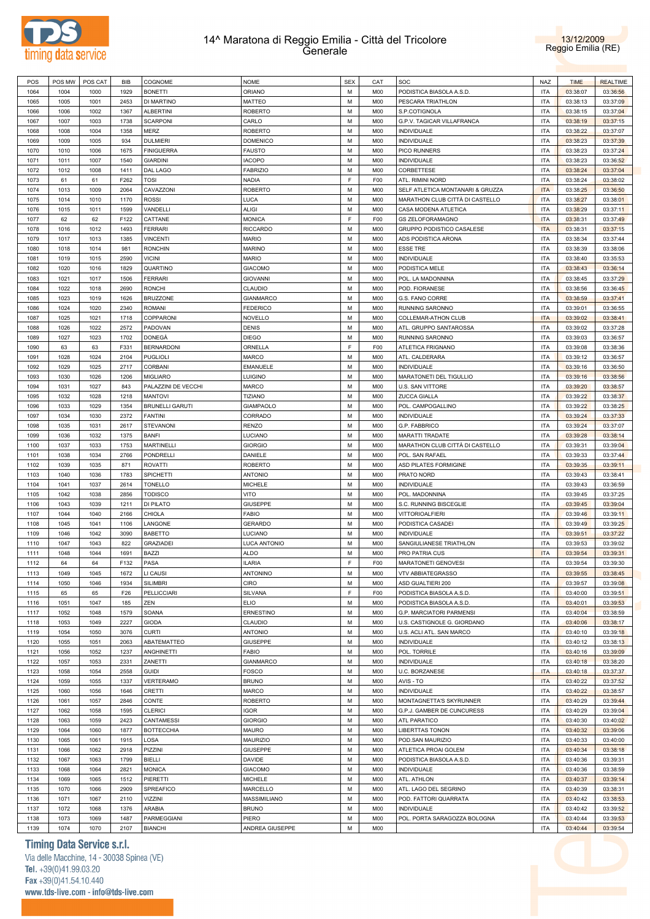



| POS  | POS MW | POS CAT | <b>BIB</b> | COGNOME                | <b>NOME</b>      | <b>SEX</b> | CAT             | SOC                              | <b>NAZ</b> | <b>TIME</b> | <b>REALTIME</b> |
|------|--------|---------|------------|------------------------|------------------|------------|-----------------|----------------------------------|------------|-------------|-----------------|
|      |        |         |            |                        |                  | M          |                 |                                  |            |             |                 |
| 1064 | 1004   | 1000    | 1929       | <b>BONETTI</b>         | ORIANO           |            | <b>M00</b>      | PODISTICA BIASOLA A.S.D.         | <b>ITA</b> | 03:38:07    | 03:36:56        |
| 1065 | 1005   | 1001    | 2453       | DI MARTINO             | <b>MATTEO</b>    | М          | <b>M00</b>      | PESCARA TRIATHLON                | ITA        | 03:38:13    | 03:37:09        |
| 1066 | 1006   | 1002    | 1367       | <b>ALBERTINI</b>       | <b>ROBERTO</b>   | М          | <b>M00</b>      | S.P.COTIGNOLA                    | <b>ITA</b> | 03:38:15    | 03:37:04        |
| 1067 | 1007   | 1003    | 1738       | <b>SCARPONI</b>        | CARLO            | М          | M <sub>0</sub>  | G.P.V. TAGICAR VILLAFRANCA       | ITA        | 03:38:19    | 03:37:15        |
| 1068 | 1008   | 1004    | 1358       | MERZ                   | <b>ROBERTO</b>   | M          | <b>M00</b>      | INDIVIDUALE                      | <b>ITA</b> | 03:38:22    | 03:37:07        |
|      | 1009   | 1005    | 934        |                        |                  | М          | M <sub>0</sub>  |                                  | ITA        |             | 03:37:39        |
| 1069 |        |         |            | <b>DULMIERI</b>        | <b>DOMENICO</b>  |            |                 | INDIVIDUALE                      |            | 03:38:23    |                 |
| 1070 | 1010   | 1006    | 1675       | <b>FINIGUERRA</b>      | <b>FAUSTO</b>    | M          | <b>M00</b>      | PICO RUNNERS                     | <b>ITA</b> | 03:38:23    | 03:37:24        |
| 1071 | 1011   | 1007    | 1540       | <b>GIARDINI</b>        | <b>IACOPO</b>    | М          | M <sub>0</sub>  | INDIVIDUALE                      | <b>ITA</b> | 03:38:23    | 03:36:52        |
| 1072 | 1012   | 1008    | 1411       | DAL LAGO               | <b>FABRIZIO</b>  | M          | <b>M00</b>      | CORBETTESE                       | <b>ITA</b> | 03:38:24    | 03:37:04        |
| 1073 | 61     | 61      | F262       | <b>TOSI</b>            | NADIA            | F          | F00             | ATL. RIMINI NORD                 | <b>ITA</b> | 03:38:24    | 03:38:02        |
| 1074 | 1013   | 1009    | 2064       | CAVAZZONI              | <b>ROBERTO</b>   | M          | <b>M00</b>      | SELF ATLETICA MONTANARI & GRUZZA | <b>ITA</b> | 03:38:25    | 03:36:50        |
|      |        |         |            |                        |                  |            |                 |                                  |            |             |                 |
| 1075 | 1014   | 1010    | 1170       | <b>ROSSI</b>           | LUCA             | M          | <b>M00</b>      | MARATHON CLUB CITTÀ DI CASTELLO  | <b>ITA</b> | 03:38:27    | 03:38:01        |
| 1076 | 1015   | 1011    | 1599       | VANDELLI               | <b>ALIGI</b>     | M          | <b>M00</b>      | CASA MODENA ATLETICA             | <b>ITA</b> | 03:38:29    | 03:37:11        |
| 1077 | 62     | 62      | F122       | CATTANE                | <b>MONICA</b>    | F          | F00             | <b>GS ZELOFORAMAGNO</b>          | <b>ITA</b> | 03:38:31    | 03:37:49        |
| 1078 | 1016   | 1012    | 1493       | <b>FERRARI</b>         | <b>RICCARDO</b>  | M          | <b>M00</b>      | <b>GRUPPO PODISTICO CASALESE</b> | <b>ITA</b> | 03:38:31    | 03:37:15        |
| 1079 | 1017   | 1013    | 1385       | <b>VINCENTI</b>        | <b>MARIO</b>     | М          | M <sub>0</sub>  | ADS PODISTICA ARONA              | ITA        | 03:38:34    | 03:37:44        |
| 1080 |        | 1014    | 981        | <b>RONCHIN</b>         | <b>MARINO</b>    | M          | <b>M00</b>      | <b>ESSE TRE</b>                  | <b>ITA</b> | 03:38:39    | 03:38:06        |
|      | 1018   |         |            |                        |                  |            |                 |                                  |            |             |                 |
| 1081 | 1019   | 1015    | 2590       | <b>VICINI</b>          | <b>MARIO</b>     | М          | M <sub>0</sub>  | INDIVIDUALE                      | ITA        | 03:38:40    | 03:35:53        |
| 1082 | 1020   | 1016    | 1829       | QUARTINO               | <b>GIACOMO</b>   | M          | <b>M00</b>      | PODISTICA MELE                   | <b>ITA</b> | 03:38:43    | 03:36:14        |
| 1083 | 1021   | 1017    | 1506       | <b>FERRARI</b>         | <b>GIOVANNI</b>  | М          | M <sub>0</sub>  | POL. LA MADONNINA                | <b>ITA</b> | 03:38:45    | 03:37:29        |
| 1084 | 1022   | 1018    | 2690       | <b>RONCHI</b>          | CLAUDIO          | M          | <b>M00</b>      | POD. FIORANESE                   | <b>ITA</b> | 03:38:56    | 03:36:45        |
|      | 1023   |         |            | <b>BRUZZONE</b>        | <b>GIANMARCO</b> | М          | <b>M00</b>      |                                  | <b>ITA</b> |             |                 |
| 1085 |        | 1019    | 1626       |                        |                  |            |                 | G.S. FANO CORRE                  |            | 03:38:59    | 03:37:41        |
| 1086 | 1024   | 1020    | 2340       | <b>ROMANI</b>          | <b>FEDERICO</b>  | M          | <b>M00</b>      | RUNNING SARONNO                  | <b>ITA</b> | 03:39:01    | 03:36:55        |
| 1087 | 1025   | 1021    | 1718       | COPPARONI              | <b>NOVELLO</b>   | М          | <b>M00</b>      | COLLEMAR-ATHON CLUB              | <b>ITA</b> | 03:39:02    | 03:38:41        |
| 1088 | 1026   | 1022    | 2572       | PADOVAN                | <b>DENIS</b>     | M          | <b>M00</b>      | ATL. GRUPPO SANTAROSSA           | <b>ITA</b> | 03:39:02    | 03:37:28        |
| 1089 | 1027   | 1023    | 1702       | DONEGA                 | <b>DIEGO</b>     | М          | <b>M00</b>      | RUNNING SARONNO                  | <b>ITA</b> | 03:39:03    | 03:36:57        |
| 1090 | 63     | 63      | F331       | <b>BERNARDONI</b>      | ORNELLA          | F          | F <sub>0</sub>  |                                  | <b>ITA</b> | 03:39:08    | 03:38:36        |
|      |        |         |            |                        |                  |            |                 | ATLETICA FRIGNANO                |            |             |                 |
| 1091 | 1028   | 1024    | 2104       | <b>PUGLIOLI</b>        | <b>MARCO</b>     | М          | M <sub>0</sub>  | ATL. CALDERARA                   | <b>ITA</b> | 03:39:12    | 03:36:57        |
| 1092 | 1029   | 1025    | 2717       | CORBANI                | <b>EMANUELE</b>  | M          | <b>M00</b>      | INDIVIDUALE                      | <b>ITA</b> | 03:39:16    | 03:36:50        |
| 1093 | 1030   | 1026    | 1206       | <b>MIGLIARO</b>        | <b>LUIGINO</b>   | М          | M <sub>0</sub>  | MARATONETI DEL TIGULLIO          | <b>ITA</b> | 03:39:16    | 03:38:56        |
| 1094 | 1031   | 1027    | 843        | PALAZZINI DE VECCHI    | <b>MARCO</b>     | M          | <b>M00</b>      | U.S. SAN VITTORE                 | <b>ITA</b> | 03:39:20    | 03:38:57        |
|      |        |         |            |                        |                  |            |                 |                                  |            |             |                 |
| 1095 | 1032   | 1028    | 1218       | <b>MANTOVI</b>         | <b>TIZIANO</b>   | М          | M <sub>0</sub>  | <b>ZUCCA GIALLA</b>              | <b>ITA</b> | 03:39:22    | 03:38:37        |
| 1096 | 1033   | 1029    | 1354       | <b>BRUNELLI GARUTI</b> | <b>GIAMPAOLO</b> | M          | <b>M00</b>      | POL. CAMPOGALLINO                | <b>ITA</b> | 03:39:22    | 03:38:25        |
| 1097 | 1034   | 1030    | 2372       | <b>FANTINI</b>         | CORRADO          | М          | <b>M00</b>      | INDIVIDUALE                      | <b>ITA</b> | 03:39:24    | 03:37:33        |
| 1098 | 1035   | 1031    | 2617       | <b>STEVANONI</b>       | <b>RENZO</b>     | M          | <b>M00</b>      | G.P. FABBRICO                    | <b>ITA</b> | 03:39:24    | 03:37:07        |
| 1099 | 1036   | 1032    | 1375       | <b>BANFI</b>           | <b>LUCIANO</b>   | M          | <b>M00</b>      | <b>MARATTI TRADATE</b>           | <b>ITA</b> | 03:39:28    | 03:38:14        |
|      |        |         |            |                        |                  | M          |                 |                                  |            |             |                 |
| 1100 | 1037   | 1033    | 1753       | <b>MARTINELLI</b>      | <b>GIORGIO</b>   |            | <b>M00</b>      | MARATHON CLUB CITTÀ DI CASTELLO  | <b>ITA</b> | 03:39:31    | 03:39:04        |
| 1101 | 1038   | 1034    | 2766       | <b>PONDRELLI</b>       | DANIELE          | М          | <b>M00</b>      | POL. SAN RAFAEL                  | <b>ITA</b> | 03:39:33    | 03:37:44        |
| 1102 | 1039   | 1035    | 871        | <b>ROVATTI</b>         | <b>ROBERTO</b>   | M          | <b>M00</b>      | ASD PILATES FORMIGINE            | <b>ITA</b> | 03:39:35    | 03:39:11        |
| 1103 | 1040   | 1036    | 1783       | SPICHETTI              | <b>ANTONIO</b>   | М          | M <sub>0</sub>  | PRATO NORD                       | <b>ITA</b> | 03:39:43    | 03:38:41        |
| 1104 | 1041   | 1037    | 2614       | <b>TONELLO</b>         | <b>MICHELE</b>   | M          | <b>M00</b>      | INDIVIDUALE                      | <b>ITA</b> | 03:39:43    | 03:36:59        |
| 1105 | 1042   | 1038    | 2856       | <b>TODISCO</b>         | <b>VITO</b>      | М          | M <sub>0</sub>  | POL. MADONNINA                   | <b>ITA</b> | 03:39:45    | 03:37:25        |
|      |        |         |            |                        |                  |            |                 |                                  |            |             |                 |
| 1106 | 1043   | 1039    | 1211       | DI PILATO              | <b>GIUSEPPE</b>  | M          | <b>M00</b>      | S.C. RUNNING BISCEGLIE           | <b>ITA</b> | 03:39:45    | 03:39:04        |
| 1107 | 1044   | 1040    | 2166       | <b>CHIOLA</b>          | <b>FABIO</b>     | М          | M <sub>0</sub>  | <b>VITTORIOALFIERI</b>           | <b>ITA</b> | 03:39:46    | 03:39:11        |
| 1108 | 1045   | 1041    | 1106       | LANGONE                | <b>GERARDO</b>   | M          | <b>M00</b>      | PODISTICA CASADEI                | <b>ITA</b> | 03:39:49    | 03:39:25        |
| 1109 | 1046   | 1042    | 3090       | <b>BABETTO</b>         | <b>LUCIANO</b>   | М          | M <sub>0</sub>  | INDIVIDUALE                      | ITA        | 03:39:51    | 03:37:22        |
| 1110 | 1047   | 1043    | 822        | <b>GRAZIADEI</b>       | LUCA ANTONIO     | M          | <b>M00</b>      | SANGIULIANESE TRIATHLON          | <b>ITA</b> | 03:39:53    | 03:39:02        |
|      |        |         |            |                        |                  |            |                 |                                  |            |             |                 |
| 1111 | 1048   | 1044    | 1691       | <b>BAZZI</b>           | <b>ALDO</b>      | M          | M00             | PRO PATRIA CUS                   | <b>ITA</b> | 03:39:54    | 03:39:31        |
| 1112 | 64     | 64      | F132       | PASA                   | <b>ILARIA</b>    | F          | F <sub>00</sub> | MARATONETI GENOVESI              | <b>ITA</b> | 03:39:54    | 03:39:30        |
| 1113 | 1049   | 1045    | 1672       | LI CAUSI               | <b>ANTONINO</b>  | M          | <b>M00</b>      | <b>VTV ABBIATEGRASSO</b>         | <b>ITA</b> | 03:39:55    | 03:38:45        |
| 1114 | 1050   | 1046    | 1934       | <b>SILIMBRI</b>        | <b>CIRO</b>      | М          | M00             | ASD GUALTIERI 200                | <b>ITA</b> | 03:39:57    | 03:39:08        |
| 1115 | 65     | 65      | F26        | <b>PELLICCIARI</b>     | SILVANA          | F          | F <sub>0</sub>  | PODISTICA BIASOLA A.S.D.         | <b>ITA</b> | 03:40:00    | 03:39:51        |
|      |        |         |            |                        |                  |            |                 |                                  |            |             |                 |
| 1116 | 1051   | 1047    | 185        | ZEN                    | <b>ELIO</b>      | М          | <b>M00</b>      | PODISTICA BIASOLA A.S.D.         | <b>ITA</b> | 03:40:01    | 03:39:53        |
| 1117 | 1052   | 1048    | 1579       | SOANA                  | <b>ERNESTINO</b> | М          | M <sub>0</sub>  | G.P. MARCIATORI PARMENSI         | <b>ITA</b> | 03:40:04    | 03:38:59        |
| 1118 | 1053   | 1049    | 2227       | <b>GIODA</b>           | CLAUDIO          | M          | <b>M00</b>      | U.S. CASTIGNOLE G. GIORDANO      | <b>ITA</b> | 03:40:06    | 03:38:17        |
| 1119 | 1054   | 1050    | 3076       | <b>CURTI</b>           | <b>ANTONIO</b>   | М          | <b>M00</b>      | U.S. ACLI ATL. SAN MARCO         | <b>ITA</b> | 03:40:10    | 03:39:18        |
| 1120 | 1055   | 1051    | 2063       | ABATEMATTEO            | <b>GIUSEPPE</b>  | M          | M00             | <b>INDIVIDUALE</b>               | <b>ITA</b> | 03:40:12    | 03:38:13        |
|      |        |         |            |                        |                  |            |                 |                                  |            |             |                 |
| 1121 | 1056   | 1052    | 1237       | <b>ANGHINETTI</b>      | <b>FABIO</b>     | М          | <b>M00</b>      | POL. TORRILE                     | <b>ITA</b> | 03:40:16    | 03:39:09        |
| 1122 | 1057   | 1053    | 2331       | ZANETTI                | <b>GIANMARCO</b> | M          | <b>M00</b>      | <b>INDIVIDUALE</b>               | <b>ITA</b> | 03:40:18    | 03:38:20        |
| 1123 | 1058   | 1054    | 2558       | <b>GUIDI</b>           | <b>FOSCO</b>     | M          | <b>M00</b>      | U.C. BORZANESE                   | <b>ITA</b> | 03:40:18    | 03:37:37        |
| 1124 | 1059   | 1055    | 1337       | VERTERAMO              | <b>BRUNO</b>     | M          | M00             | AVIS - TO                        | <b>ITA</b> | 03:40:22    | 03:37:52        |
| 1125 | 1060   | 1056    | 1646       | CRETTI                 | <b>MARCO</b>     | M          | <b>M00</b>      | INDIVIDUALE                      | <b>ITA</b> | 03:40:22    | 03:38:57        |
|      |        |         |            |                        |                  |            |                 |                                  |            |             |                 |
| 1126 | 1061   | 1057    | 2846       | CONTE                  | <b>ROBERTO</b>   | М          | <b>M00</b>      | MONTAGNETTA'S SKYRUNNER          | <b>ITA</b> | 03:40:29    | 03:39:44        |
| 1127 | 1062   | 1058    | 1595       | <b>CLERICI</b>         | IGOR             | M          | <b>M00</b>      | G.P.J. GAMBER DE CUNCURESS       | ITA        | 03:40:29    | 03:39:04        |
| 1128 | 1063   | 1059    | 2423       | CANTAMESSI             | <b>GIORGIO</b>   | М          | M00             | ATL PARATICO                     | <b>ITA</b> | 03:40:30    | 03:40:02        |
| 1129 | 1064   | 1060    | 1877       | <b>BOTTECCHIA</b>      | <b>MAURO</b>     | м          | <b>M00</b>      | <b>LIBERTTAS TONON</b>           | <b>ITA</b> | 03:40:32    | 03:39:06        |
| 1130 | 1065   | 1061    | 1915       | LOSA                   | <b>MAURIZIO</b>  | М          | M00             | POD.SAN MAURIZIO                 | <b>ITA</b> | 03:40:33    | 03:40:00        |
|      |        |         |            |                        |                  |            |                 |                                  |            |             |                 |
| 1131 | 1066   | 1062    | 2918       | PIZZINI                | <b>GIUSEPPE</b>  | M          | M <sub>0</sub>  | ATLETICA PROAI GOLEM             | <b>ITA</b> | 03:40:34    | 03:38:18        |
| 1132 | 1067   | 1063    | 1799       | BIELLI                 | DAVIDE           | M          | M00             | PODISTICA BIASOLA A.S.D.         | <b>ITA</b> | 03:40:36    | 03:39:31        |
| 1133 | 1068   | 1064    | 2821       | <b>MONICA</b>          | <b>GIACOMO</b>   | M          | <b>M00</b>      | <b>INDIVIDUALE</b>               | <b>ITA</b> | 03:40:36    | 03:38:59        |
| 1134 | 1069   | 1065    | 1512       | PIERETTI               | <b>MICHELE</b>   | M          | M00             | ATL. ATHLON                      | <b>ITA</b> | 03:40:37    | 03:39:14        |
| 1135 | 1070   |         | 2909       | SPREAFICO              | MARCELLO         | M          | <b>M00</b>      | ATL. LAGO DEL SEGRINO            | <b>ITA</b> |             | 03:38:31        |
|      |        | 1066    |            |                        |                  |            |                 |                                  |            | 03:40:39    |                 |
| 1136 | 1071   | 1067    | 2110       | <b>VIZZINI</b>         | MASSIMILIANO     | M          | M00             | POD. FATTORI QUARRATA            | <b>ITA</b> | 03:40:42    | 03:38:53        |
| 1137 | 1072   | 1068    | 1376       | <b>ARABIA</b>          | <b>BRUNO</b>     | M          | <b>M00</b>      | INDIVIDUALE                      | <b>ITA</b> | 03:40:42    | 03:39:52        |
| 1138 | 1073   | 1069    | 1487       | PARMEGGIANI            | PIERO            | М          | M00             | POL. PORTA SARAGOZZA BOLOGNA     | <b>ITA</b> | 03:40:44    | 03:39:53        |
| 1139 | 1074   | 1070    | 2107       | <b>BIANCHI</b>         | ANDREA GIUSEPPE  | М          | M00             |                                  | ITA        | 03:40:44    | 03:39:54        |
|      |        |         |            |                        |                  |            |                 |                                  |            |             |                 |

# **Timing Data Service s.r.l.**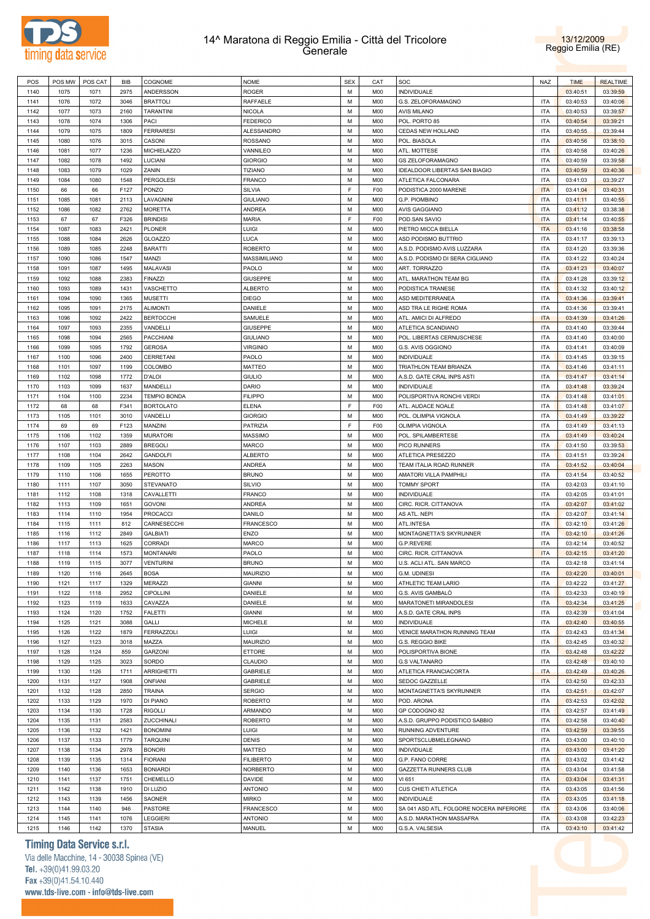



| POS  | POS MW | POS CAT | BIB  | COGNOME             | NOME             | <b>SEX</b> | CAT             | SOC                                      | NAZ        | <b>TIME</b> | <b>REALTIME</b> |
|------|--------|---------|------|---------------------|------------------|------------|-----------------|------------------------------------------|------------|-------------|-----------------|
| 1140 | 1075   | 1071    | 2975 | ANDERSSON           | ROGER            | М          | M <sub>0</sub>  | <b>INDIVIDUALE</b>                       |            | 03:40:51    | 03:39:59        |
| 1141 | 1076   | 1072    | 3046 | <b>BRATTOLI</b>     | RAFFAELE         | М          | M00             | G.S. ZELOFORAMAGNO                       | <b>ITA</b> | 03:40:53    | 03:40:06        |
|      |        |         |      | <b>TARANTINI</b>    |                  |            |                 |                                          |            |             |                 |
| 1142 | 1077   | 1073    | 2160 |                     | <b>NICOLA</b>    | М          | M00             | <b>AVIS MILANO</b>                       | <b>ITA</b> | 03:40:53    | 03:39:57        |
| 1143 | 1078   | 1074    | 1306 | PACI                | <b>FEDERICO</b>  | М          | M00             | POL. PORTO 85                            | ITA        | 03:40:54    | 03:39:21        |
| 1144 | 1079   | 1075    | 1809 | <b>FERRARESI</b>    | ALESSANDRO       | М          | M00             | CEDAS NEW HOLLAND                        | ITA        | 03:40:55    | 03:39:44        |
| 1145 | 1080   | 1076    | 3015 | CASONI              | ROSSANO          | М          | M00             | POL. BIASOLA                             | ITA        | 03:40:56    | 03:38:10        |
| 1146 | 1081   | 1077    | 1236 | MICHIELAZZO         | VANNILEO         | М          | M00             | ATL. MOTTESE                             | <b>ITA</b> | 03:40:58    | 03:40:26        |
| 1147 | 1082   | 1078    | 1492 | LUCIANI             | <b>GIORGIO</b>   | М          | M00             | GS ZELOFORAMAGNO                         | ITA        | 03:40:59    | 03:39:58        |
| 1148 | 1083   | 1079    | 1029 | ZANIN               | TIZIANO          | М          | M00             | IDEALDOOR LIBERTAS SAN BIAGIO            | <b>ITA</b> | 03:40:59    | 03:40:36        |
| 1149 | 1084   | 1080    | 1548 | PERGOLESI           | FRANCO           | М          | M00             | ATLETICA FALCONARA                       | ITA        | 03:41:03    | 03:39:27        |
|      |        |         |      |                     |                  | F.         |                 |                                          | <b>ITA</b> |             |                 |
| 1150 | 66     | 66      | F127 | PONZO               | SILVIA           |            | F <sub>0</sub>  | PODISTICA 2000 MARENE                    |            | 03:41:04    | 03:40:31        |
| 1151 | 1085   | 1081    | 2113 | LAVAGNINI           | <b>GIULIANO</b>  | M          | M00             | G.P. PIOMBINO                            | ITA        | 03:41:11    | 03:40:55        |
| 1152 | 1086   | 1082    | 2762 | <b>MORETTA</b>      | ANDREA           | М          | M00             | <b>AVIS GAGGIANO</b>                     | <b>ITA</b> | 03:41:12    | 03:38:38        |
| 1153 | 67     | 67      | F326 | <b>BRINDISI</b>     | MARIA            | F.         | F <sub>0</sub>  | POD.SAN SAVIO                            | <b>ITA</b> | 03:41:14    | 03:40:55        |
| 1154 | 1087   | 1083    | 2421 | <b>PLONER</b>       | LUIGI            | М          | M00             | PIETRO MICCA BIELLA                      | <b>ITA</b> | 03:41:16    | 03:38:58        |
| 1155 | 1088   | 1084    | 2626 | GLOAZZO             | LUCA             | М          | M00             | ASD PODISMO BUTTRIO                      | ITA        | 03:41:17    | 03:39:13        |
| 1156 | 1089   | 1085    | 2248 | <b>BARATTI</b>      | <b>ROBERTO</b>   | М          | M00             | A.S.D. PODISMO AVIS LUZZARA              | <b>ITA</b> | 03:41:20    | 03:39:36        |
|      |        |         |      |                     |                  |            |                 |                                          |            |             |                 |
| 1157 | 1090   | 1086    | 1547 | MANZI               | MASSIMILIANO     | М          | M00             | A.S.D. PODISMO DI SERA CIGLIANO          | ITA        | 03:41:22    | 03:40:24        |
| 1158 | 1091   | 1087    | 1495 | MALAVASI            | PAOLO            | М          | M00             | ART. TORRAZZO                            | ITA        | 03:41:23    | 03:40:07        |
| 1159 | 1092   | 1088    | 2383 | FINAZZI             | GIUSEPPE         | М          | M00             | ATL. MARATHON TEAM BG                    | ITA        | 03:41:28    | 03:39:12        |
| 1160 | 1093   | 1089    | 1431 | VASCHETTO           | ALBERTO          | М          | M00             | PODISTICA TRANESE                        | <b>ITA</b> | 03:41:32    | 03:40:12        |
| 1161 | 1094   | 1090    | 1365 | MUSETTI             | DIEGO            | М          | M00             | ASD MEDITERRANEA                         | ITA        | 03:41:36    | 03:39:41        |
| 1162 | 1095   | 1091    | 2175 | <b>ALIMONTI</b>     | DANIELE          | М          | M00             | ASD TRA LE RIGHE ROMA                    | <b>ITA</b> | 03:41:36    | 03:39:41        |
| 1163 | 1096   | 1092    | 2422 | <b>BERTOCCHI</b>    | SAMUELE          | M          | M00             | ATL. AMICI DI ALFREDO                    | <b>ITA</b> | 03:41:39    | 03:41:26        |
|      |        |         |      |                     |                  |            |                 |                                          |            |             |                 |
| 1164 | 1097   | 1093    | 2355 | VANDELLI            | GIUSEPPE         | М          | M00             | ATLETICA SCANDIANO                       | <b>ITA</b> | 03:41:40    | 03:39:44        |
| 1165 | 1098   | 1094    | 2565 | PACCHIANI           | <b>GIULIANO</b>  | M          | M00             | POL. LIBERTAS CERNUSCHESE                | ITA        | 03:41:40    | 03:40:00        |
| 1166 | 1099   | 1095    | 1792 | <b>GEROSA</b>       | <b>VIRGINIO</b>  | М          | M00             | G.S. AVIS OGGIONO                        | <b>ITA</b> | 03:41:41    | 03:40:09        |
| 1167 | 1100   | 1096    | 2400 | CERRETANI           | PAOLO            | M          | M00             | <b>INDIVIDUALE</b>                       | ITA        | 03:41:45    | 03:39:15        |
| 1168 | 1101   | 1097    | 1199 | COLOMBO             | MATTEO           | М          | M00             | TRIATHLON TEAM BRIANZA                   | ITA        | 03:41:46    | 03:41:11        |
| 1169 | 1102   | 1098    | 1772 | D'ALOI              | <b>GIULIO</b>    | М          | M00             | A.S.D. GATE CRAL INPS ASTI               | ITA        | 03:41:47    | 03:41:14        |
| 1170 |        |         |      | MANDELLI            | DARIO            | М          |                 | <b>INDIVIDUALE</b>                       |            | 03:41:48    | 03:39:24        |
|      | 1103   | 1099    | 1637 |                     |                  |            | M00             |                                          | ITA        |             |                 |
| 1171 | 1104   | 1100    | 2234 | <b>TEMPIO BONDA</b> | <b>FILIPPO</b>   | М          | M00             | POLISPORTIVA RONCHI VERDI                | ITA        | 03:41:48    | 03:41:01        |
| 1172 | 68     | 68      | F341 | <b>BORTOLATO</b>    | <b>ELENA</b>     | F          | F <sub>0</sub>  | ATL. AUDACE NOALE                        | ITA        | 03:41:48    | 03:41:07        |
| 1173 | 1105   | 1101    | 3010 | VANDELLI            | <b>GIORGIO</b>   | М          | M00             | POL. OLIMPIA VIGNOLA                     | ITA        | 03:41:49    | 03:39:22        |
| 1174 | 69     | 69      | F123 | MANZINI             | PATRIZIA         | F.         | F <sub>00</sub> | OLIMPIA VIGNOLA                          | ITA        | 03:41:49    | 03:41:13        |
| 1175 | 1106   | 1102    | 1359 | <b>MURATORI</b>     | MASSIMO          | М          | M00             | POL. SPILAMBERTESE                       | ITA        | 03:41:49    | 03:40:24        |
| 1176 | 1107   | 1103    | 2889 | <b>BREGOLI</b>      | MARCO            | М          | M00             | PICO RUNNERS                             | <b>ITA</b> | 03:41:50    | 03:39:53        |
| 1177 | 1108   | 1104    | 2642 | <b>GANDOLFI</b>     | <b>ALBERTO</b>   | M          | M00             | ATLETICA PRESEZZO                        | <b>ITA</b> | 03:41:51    | 03:39:24        |
|      |        |         |      |                     |                  |            |                 |                                          |            |             |                 |
| 1178 | 1109   | 1105    | 2263 | <b>MASON</b>        | ANDREA           | М          | M00             | TEAM ITALIA ROAD RUNNER                  | <b>ITA</b> | 03:41:52    | 03:40:04        |
| 1179 | 1110   | 1106    | 1655 | PEROTTO             | <b>BRUNO</b>     | M          | M00             | AMATORI VILLA PAMPHILI                   | ITA        | 03:41:54    | 03:40:52        |
| 1180 | 1111   | 1107    | 3050 | <b>STEVANATO</b>    | <b>SILVIO</b>    | М          | M00             | <b>TOMMY SPORT</b>                       | <b>ITA</b> | 03:42:03    | 03:41:10        |
| 1181 | 1112   | 1108    | 1318 | CAVALLETTI          | FRANCO           | М          | M00             | <b>INDIVIDUALE</b>                       | ITA        | 03:42:05    | 03:41:01        |
| 1182 | 1113   | 1109    | 1651 | <b>GOVONI</b>       | ANDREA           | М          | M00             | CIRC. RICR. CITTANOVA                    | ITA        | 03:42:07    | 03:41:02        |
| 1183 | 1114   | 1110    | 1954 | PROCACCI            | DANILO           | м          | M00             | AS ATL. NEPI                             | ITA        | 03:42:07    | 03:41:14        |
| 1184 | 1115   | 1111    | 812  | CARNESECCHI         | FRANCESCO        | М          | M00             | ATL.INTESA                               | ITA        | 03:42:10    | 03:41:26        |
|      |        |         |      |                     |                  |            |                 |                                          |            |             |                 |
| 1185 | 1116   | 1112    | 2849 | <b>GALBIATI</b>     | ENZO             | М          | M00             | MONTAGNETTA'S SKYRUNNER                  | ITA        | 03:42:10    | 03:41:26        |
| 1186 | 1117   | 1113    | 1625 | CORRADI             | MARCO            | М          | M00             | G.P.REVERE                               | ITA        | 03:42:14    | 03:40:52        |
| 1187 | 1118   | 1114    | 1573 | <b>MONTANARI</b>    | PAOLO            | M          | M00             | CIRC. RICR. CITTANOVA                    | <b>ITA</b> | 03:42:15    | 03:41:20        |
| 1188 | 1119   | 1115    | 3077 | <b>VENTURINI</b>    | <b>BRUNO</b>     | М          | M00             | U.S. ACLI ATL. SAN MARCO                 | <b>ITA</b> | 03:42:18    | 03:41:14        |
| 1189 | 1120   | 1116    | 2645 | <b>BOSA</b>         | <b>MAURIZIO</b>  | М          | M00             | G.M. UDINESI                             | <b>ITA</b> | 03:42:20    | 03:40:01        |
| 1190 | 1121   | 1117    | 1329 | MERAZZI             | <b>GIANNI</b>    | М          | M00             | ATHLETIC TEAM LARIO                      | <b>ITA</b> | 03:42:22    | 03:41:27        |
| 1191 | 1122   | 1118    | 2952 | CIPOLLINI           | DANIELE          | M          | M00             | G.S. AVIS GAMBALO                        | <b>ITA</b> | 03:42:33    | 03:40:19        |
| 1192 | 1123   | 1119    | 1633 | CAVAZZA             | DANIELE          | М          | M00             | MARATONETI MIRANDOLESI                   | <b>ITA</b> | 03:42:34    | 03:41:25        |
|      |        |         |      |                     |                  |            |                 |                                          |            |             |                 |
| 1193 | 1124   | 1120    | 1752 | <b>FALETTI</b>      | GIANNI           | M          | M00             | A.S.D. GATE CRAL INPS                    | <b>ITA</b> | 03:42:39    | 03:41:04        |
| 1194 | 1125   | 1121    | 3088 | GALLI               | MICHELE          | М          | M00             | <b>INDIVIDUALE</b>                       | <b>ITA</b> | 03:42:40    | 03:40:55        |
| 1195 | 1126   | 1122    | 1879 | FERRAZZOLI          | LUIGI            | М          | M00             | VENICE MARATHON RUNNING TEAM             | <b>ITA</b> | 03:42:43    | 03:41:34        |
| 1196 | 1127   | 1123    | 3018 | MAZZA               | <b>MAURIZIO</b>  | М          | M00             | G.S. REGGIO BIKE                         | <b>ITA</b> | 03:42:45    | 03:40:32        |
| 1197 | 1128   | 1124    | 859  | GARZONI             | <b>ETTORE</b>    | М          | M00             | POLISPORTIVA BIONE                       | <b>ITA</b> | 03:42:48    | 03:42:22        |
| 1198 | 1129   | 1125    | 3023 | SORDO               | CLAUDIO          | М          | M00             | <b>G.S VALTANARO</b>                     | <b>ITA</b> | 03:42:48    | 03:40:10        |
| 1199 | 1130   | 1126    | 1711 | ARRIGHETTI          | GABRIELE         | М          | M00             | ATLETICA FRANCIACORTA                    | <b>ITA</b> | 03:42:49    | 03:40:26        |
|      |        |         |      |                     |                  |            |                 |                                          |            |             |                 |
| 1200 | 1131   | 1127    | 1908 | <b>ONFIANI</b>      | GABRIELE         | М          | M00             | SEDOC GAZZELLE                           | <b>ITA</b> | 03:42:50    | 03:42:33        |
| 1201 | 1132   | 1128    | 2850 | TRAINA              | <b>SERGIO</b>    | M          | M00             | MONTAGNETTA'S SKYRUNNER                  | <b>ITA</b> | 03:42:51    | 03:42:07        |
| 1202 | 1133   | 1129    | 1970 | DI PIANO            | <b>ROBERTO</b>   | М          | M00             | POD. ARONA                               | <b>ITA</b> | 03:42:53    | 03:42:02        |
| 1203 | 1134   | 1130    | 1728 | <b>RIGOLLI</b>      | ARMANDO          | M          | M00             | GP CODOGNO 82                            | <b>ITA</b> | 03:42:57    | 03:41:49        |
| 1204 | 1135   | 1131    | 2583 | ZUCCHINALI          | ROBERTO          | М          | M00             | A.S.D. GRUPPO PODISTICO SABBIO           | <b>ITA</b> | 03:42:58    | 03:40:40        |
| 1205 | 1136   | 1132    | 1421 | <b>BONOMINI</b>     | Luigi            | М          | M00             | RUNNING ADVENTURE                        | <b>ITA</b> | 03:42:59    | 03:39:55        |
| 1206 | 1137   | 1133    | 1779 | <b>TARQUINI</b>     | DENIS            | М          | M00             | SPORTSCLUBMELEGNANO                      | <b>ITA</b> | 03:43:00    | 03:40:10        |
|      |        |         |      |                     |                  |            |                 |                                          |            |             |                 |
| 1207 | 1138   | 1134    | 2978 | <b>BONORI</b>       | MATTEO           | М          | M00             | <b>INDIVIDUALE</b>                       | <b>ITA</b> | 03:43:00    | 03:41:20        |
| 1208 | 1139   | 1135    | 1314 | <b>FIORANI</b>      | <b>FILIBERTO</b> | М          | M00             | G.P. FANO CORRE                          | <b>ITA</b> | 03:43:02    | 03:41:42        |
| 1209 | 1140   | 1136    | 1653 | <b>BONIARDI</b>     | NORBERTO         | М          | M00             | <b>GAZZETTA RUNNERS CLUB</b>             | <b>ITA</b> | 03:43:04    | 03:41:58        |
| 1210 | 1141   | 1137    | 1751 | CHEMELLO            | DAVIDE           | М          | M00             | VI 651                                   | <b>ITA</b> | 03:43:04    | 03:41:31        |
| 1211 | 1142   | 1138    | 1910 | DI LUZIO            | ANTONIO          | М          | M00             | <b>CUS CHIETI ATLETICA</b>               | <b>ITA</b> | 03:43:05    | 03:41:56        |
| 1212 | 1143   | 1139    | 1456 | SAONER              | MIRKO            | М          | M00             | <b>INDIVIDUALE</b>                       | <b>ITA</b> | 03:43:05    | 03:41:18        |
| 1213 | 1144   | 1140    | 946  | PASTORE             | <b>FRANCESCO</b> | М          | M00             | SA 041 ASD ATL. FOLGORE NOCERA INFERIORE | <b>ITA</b> | 03:43:06    | 03:40:06        |
|      |        |         |      |                     |                  |            |                 |                                          |            |             |                 |
| 1214 | 1145   | 1141    | 1076 | LEGGIERI            | <b>ANTONIO</b>   | М          | M00             | A.S.D. MARATHON MASSAFRA                 | <b>ITA</b> | 03:43:08    | 03:42:23        |
| 1215 | 1146   | 1142    | 1370 | <b>STASIA</b>       | MANUEL           | М          | M00             | G.S.A. VALSESIA                          | <b>ITA</b> | 03:43:10    | 03:41:42        |

# **Timing Data Service s.r.l.**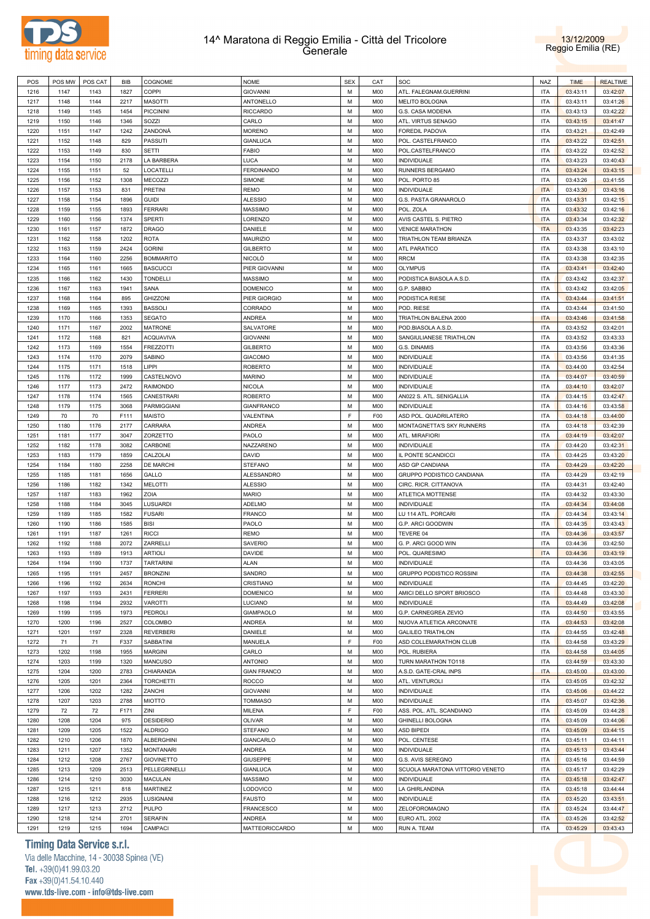



| <b>NOME</b><br><b>SEX</b><br>POS<br>POS MW<br>POS CAT<br><b>BIB</b><br>COGNOME<br>CAT<br>SOC<br>M<br>1216<br>1827<br>COPPI<br><b>GIOVANNI</b><br>M00<br>ATL. FALEGNAM.GUERRINI<br>1147<br>1143<br>M<br>1217<br>1148<br>1144<br>2217<br>MASOTTI<br>ANTONELLO<br>M00<br><b>MELITO BOLOGNA</b><br>M<br>1218<br>1149<br><b>PICCININI</b><br><b>RICCARDO</b><br>M00<br>1145<br>1454<br>G.S. CASA MODENA<br>SOZZI<br>М<br>1219<br>1150<br>1146<br>1346<br>CARLO<br>M00<br>ATL. VIRTUS SENAGO<br>M<br>1220<br>1151<br>ZANDONÀ<br><b>MORENO</b><br>M00<br>1147<br>1242<br><b>FOREDIL PADOVA</b><br>PASSUTI<br>М<br>1221<br>1152<br>1148<br>829<br><b>GIANLUCA</b><br>M00<br>POL. CASTELFRANCO<br>M<br>1222<br>1153<br><b>SETTI</b><br><b>FABIO</b><br>M00<br>1149<br>830<br>POL.CASTELFRANCO<br>1223<br>LA BARBERA<br><b>LUCA</b><br>М<br>1154<br>1150<br>2178<br>M00<br>INDIVIDUALE<br>M<br>1224<br>1155<br>52<br>LOCATELLI<br><b>FERDINANDO</b><br>M00<br>1151<br>RUNNERS BERGAMO<br>1225<br>MECOZZI<br>М<br>1156<br>1152<br>1308<br>SIMONE<br>M00<br>POL. PORTO 85<br><b>REMO</b><br>M<br>1226<br>1157<br>831<br>PRETINI<br>M00<br><b>INDIVIDUALE</b><br>1153<br>M<br>1227<br><b>ALESSIO</b><br>G.S. PASTA GRANAROLO<br>1158<br>1154<br>1896<br>guidi<br>M00<br><b>FERRARI</b><br>M<br>1228<br>1159<br>1155<br>1893<br><b>MASSIMO</b><br>M00<br>POL. ZOLA<br>M<br>1229<br>1160<br>1374<br><b>SPERTI</b><br>LORENZO<br>1156<br>M00<br>AVIS CASTEL S. PIETRO<br>M<br>1230<br>1161<br>1157<br>1872<br><b>DRAGO</b><br>DANIELE<br>M00<br><b>VENICE MARATHON</b><br>M<br>1231<br>1162<br>ROTA<br>MAURIZIO<br>1158<br>1202<br>M00<br>TRIATHLON TEAM BRIANZA<br>M<br>1232<br>1163<br>1159<br>2424<br><b>GORINI</b><br><b>GILBERTO</b><br>M00<br>ATL PARATICO<br>M<br>1233<br>2256<br><b>BOMMARITO</b><br><b>NICOLO</b><br>1164<br>1160<br>M00<br><b>RRCM</b><br>M<br>1234<br>1165<br>1665<br><b>BASCUCCI</b><br>PIER GIOVANNI<br>M00<br><b>OLYMPUS</b><br>1161<br>1235<br>М<br>1166<br>1162<br>1430<br><b>TONDELLI</b><br><b>MASSIMO</b><br>M00<br>PODISTICA BIASOLA A.S.D.<br>M<br>1236<br>1167<br><b>DOMENICO</b><br>M00<br>G.P. SABBIO<br>1163<br>1941<br>SANA<br>1237<br>М<br>1168<br>1164<br>895<br>GHIZZONI<br>PIER GIORGIO<br>M00<br>PODISTICA RIESE<br>M<br>1238<br>1169<br><b>BASSOLI</b><br>CORRADO<br>M00<br>1165<br>1393<br>POD. RIESE<br>М<br>1239<br>1170<br>1166<br>1353<br><b>SEGATO</b><br>ANDREA<br>M00<br>TRIATHLON BALENA 2000<br>M<br>1240<br>1171<br>2002<br>SALVATORE<br>M00<br>1167<br>MATRONE<br>POD.BIASOLA A.S.D.<br>М<br>1241<br>1172<br>1168<br>821<br>ACQUAVIVA<br><b>GIOVANNI</b><br>M00<br>SANGIULIANESE TRIATHLON<br>M<br>1242<br>1173<br><b>FREZZOTTI</b><br><b>GILBERTO</b><br>M00<br>1169<br>1554<br>G.S. DINAMIS | NAZ<br><b>ITA</b><br><b>ITA</b><br><b>ITA</b><br><b>ITA</b><br><b>ITA</b><br>ITA<br><b>ITA</b><br>ITA<br><b>ITA</b><br><b>ITA</b><br><b>ITA</b><br><b>ITA</b><br><b>ITA</b><br><b>ITA</b><br><b>ITA</b><br><b>ITA</b><br><b>ITA</b><br><b>ITA</b><br><b>ITA</b><br><b>ITA</b><br><b>ITA</b><br><b>ITA</b><br><b>ITA</b><br><b>ITA</b> |  | <b>TIME</b><br>03:43:11<br>03:43:11<br>03:43:13<br>03:43:15<br>03:43:21<br>03:43:22<br>03:43:22<br>03:43:23<br>03:43:24<br>03:43:26<br>03:43:30<br>03:43:31<br>03:43:32<br>03:43:34 | <b>REALTIME</b><br>03:42:07<br>03:41:26<br>03:42:22<br>03:41:47<br>03:42:49<br>03:42:51<br>03:42:52<br>03:40:43<br>03:43:15<br>03:41:55<br>03:43:16 |
|-------------------------------------------------------------------------------------------------------------------------------------------------------------------------------------------------------------------------------------------------------------------------------------------------------------------------------------------------------------------------------------------------------------------------------------------------------------------------------------------------------------------------------------------------------------------------------------------------------------------------------------------------------------------------------------------------------------------------------------------------------------------------------------------------------------------------------------------------------------------------------------------------------------------------------------------------------------------------------------------------------------------------------------------------------------------------------------------------------------------------------------------------------------------------------------------------------------------------------------------------------------------------------------------------------------------------------------------------------------------------------------------------------------------------------------------------------------------------------------------------------------------------------------------------------------------------------------------------------------------------------------------------------------------------------------------------------------------------------------------------------------------------------------------------------------------------------------------------------------------------------------------------------------------------------------------------------------------------------------------------------------------------------------------------------------------------------------------------------------------------------------------------------------------------------------------------------------------------------------------------------------------------------------------------------------------------------------------------------------------------------------------------------------------------------------------------------------------------------------------------------------------------------------------------------------------------------------------------------------------------------------------------------------------------------------------------------------------------------------------|---------------------------------------------------------------------------------------------------------------------------------------------------------------------------------------------------------------------------------------------------------------------------------------------------------------------------------------|--|-------------------------------------------------------------------------------------------------------------------------------------------------------------------------------------|-----------------------------------------------------------------------------------------------------------------------------------------------------|
|                                                                                                                                                                                                                                                                                                                                                                                                                                                                                                                                                                                                                                                                                                                                                                                                                                                                                                                                                                                                                                                                                                                                                                                                                                                                                                                                                                                                                                                                                                                                                                                                                                                                                                                                                                                                                                                                                                                                                                                                                                                                                                                                                                                                                                                                                                                                                                                                                                                                                                                                                                                                                                                                                                                                           |                                                                                                                                                                                                                                                                                                                                       |  |                                                                                                                                                                                     |                                                                                                                                                     |
|                                                                                                                                                                                                                                                                                                                                                                                                                                                                                                                                                                                                                                                                                                                                                                                                                                                                                                                                                                                                                                                                                                                                                                                                                                                                                                                                                                                                                                                                                                                                                                                                                                                                                                                                                                                                                                                                                                                                                                                                                                                                                                                                                                                                                                                                                                                                                                                                                                                                                                                                                                                                                                                                                                                                           |                                                                                                                                                                                                                                                                                                                                       |  |                                                                                                                                                                                     |                                                                                                                                                     |
|                                                                                                                                                                                                                                                                                                                                                                                                                                                                                                                                                                                                                                                                                                                                                                                                                                                                                                                                                                                                                                                                                                                                                                                                                                                                                                                                                                                                                                                                                                                                                                                                                                                                                                                                                                                                                                                                                                                                                                                                                                                                                                                                                                                                                                                                                                                                                                                                                                                                                                                                                                                                                                                                                                                                           |                                                                                                                                                                                                                                                                                                                                       |  |                                                                                                                                                                                     |                                                                                                                                                     |
|                                                                                                                                                                                                                                                                                                                                                                                                                                                                                                                                                                                                                                                                                                                                                                                                                                                                                                                                                                                                                                                                                                                                                                                                                                                                                                                                                                                                                                                                                                                                                                                                                                                                                                                                                                                                                                                                                                                                                                                                                                                                                                                                                                                                                                                                                                                                                                                                                                                                                                                                                                                                                                                                                                                                           |                                                                                                                                                                                                                                                                                                                                       |  |                                                                                                                                                                                     |                                                                                                                                                     |
|                                                                                                                                                                                                                                                                                                                                                                                                                                                                                                                                                                                                                                                                                                                                                                                                                                                                                                                                                                                                                                                                                                                                                                                                                                                                                                                                                                                                                                                                                                                                                                                                                                                                                                                                                                                                                                                                                                                                                                                                                                                                                                                                                                                                                                                                                                                                                                                                                                                                                                                                                                                                                                                                                                                                           |                                                                                                                                                                                                                                                                                                                                       |  |                                                                                                                                                                                     |                                                                                                                                                     |
|                                                                                                                                                                                                                                                                                                                                                                                                                                                                                                                                                                                                                                                                                                                                                                                                                                                                                                                                                                                                                                                                                                                                                                                                                                                                                                                                                                                                                                                                                                                                                                                                                                                                                                                                                                                                                                                                                                                                                                                                                                                                                                                                                                                                                                                                                                                                                                                                                                                                                                                                                                                                                                                                                                                                           |                                                                                                                                                                                                                                                                                                                                       |  |                                                                                                                                                                                     |                                                                                                                                                     |
|                                                                                                                                                                                                                                                                                                                                                                                                                                                                                                                                                                                                                                                                                                                                                                                                                                                                                                                                                                                                                                                                                                                                                                                                                                                                                                                                                                                                                                                                                                                                                                                                                                                                                                                                                                                                                                                                                                                                                                                                                                                                                                                                                                                                                                                                                                                                                                                                                                                                                                                                                                                                                                                                                                                                           |                                                                                                                                                                                                                                                                                                                                       |  |                                                                                                                                                                                     |                                                                                                                                                     |
|                                                                                                                                                                                                                                                                                                                                                                                                                                                                                                                                                                                                                                                                                                                                                                                                                                                                                                                                                                                                                                                                                                                                                                                                                                                                                                                                                                                                                                                                                                                                                                                                                                                                                                                                                                                                                                                                                                                                                                                                                                                                                                                                                                                                                                                                                                                                                                                                                                                                                                                                                                                                                                                                                                                                           |                                                                                                                                                                                                                                                                                                                                       |  |                                                                                                                                                                                     |                                                                                                                                                     |
|                                                                                                                                                                                                                                                                                                                                                                                                                                                                                                                                                                                                                                                                                                                                                                                                                                                                                                                                                                                                                                                                                                                                                                                                                                                                                                                                                                                                                                                                                                                                                                                                                                                                                                                                                                                                                                                                                                                                                                                                                                                                                                                                                                                                                                                                                                                                                                                                                                                                                                                                                                                                                                                                                                                                           |                                                                                                                                                                                                                                                                                                                                       |  |                                                                                                                                                                                     |                                                                                                                                                     |
|                                                                                                                                                                                                                                                                                                                                                                                                                                                                                                                                                                                                                                                                                                                                                                                                                                                                                                                                                                                                                                                                                                                                                                                                                                                                                                                                                                                                                                                                                                                                                                                                                                                                                                                                                                                                                                                                                                                                                                                                                                                                                                                                                                                                                                                                                                                                                                                                                                                                                                                                                                                                                                                                                                                                           |                                                                                                                                                                                                                                                                                                                                       |  |                                                                                                                                                                                     |                                                                                                                                                     |
|                                                                                                                                                                                                                                                                                                                                                                                                                                                                                                                                                                                                                                                                                                                                                                                                                                                                                                                                                                                                                                                                                                                                                                                                                                                                                                                                                                                                                                                                                                                                                                                                                                                                                                                                                                                                                                                                                                                                                                                                                                                                                                                                                                                                                                                                                                                                                                                                                                                                                                                                                                                                                                                                                                                                           |                                                                                                                                                                                                                                                                                                                                       |  |                                                                                                                                                                                     |                                                                                                                                                     |
|                                                                                                                                                                                                                                                                                                                                                                                                                                                                                                                                                                                                                                                                                                                                                                                                                                                                                                                                                                                                                                                                                                                                                                                                                                                                                                                                                                                                                                                                                                                                                                                                                                                                                                                                                                                                                                                                                                                                                                                                                                                                                                                                                                                                                                                                                                                                                                                                                                                                                                                                                                                                                                                                                                                                           |                                                                                                                                                                                                                                                                                                                                       |  |                                                                                                                                                                                     |                                                                                                                                                     |
|                                                                                                                                                                                                                                                                                                                                                                                                                                                                                                                                                                                                                                                                                                                                                                                                                                                                                                                                                                                                                                                                                                                                                                                                                                                                                                                                                                                                                                                                                                                                                                                                                                                                                                                                                                                                                                                                                                                                                                                                                                                                                                                                                                                                                                                                                                                                                                                                                                                                                                                                                                                                                                                                                                                                           |                                                                                                                                                                                                                                                                                                                                       |  |                                                                                                                                                                                     |                                                                                                                                                     |
|                                                                                                                                                                                                                                                                                                                                                                                                                                                                                                                                                                                                                                                                                                                                                                                                                                                                                                                                                                                                                                                                                                                                                                                                                                                                                                                                                                                                                                                                                                                                                                                                                                                                                                                                                                                                                                                                                                                                                                                                                                                                                                                                                                                                                                                                                                                                                                                                                                                                                                                                                                                                                                                                                                                                           |                                                                                                                                                                                                                                                                                                                                       |  |                                                                                                                                                                                     | 03:42:15                                                                                                                                            |
|                                                                                                                                                                                                                                                                                                                                                                                                                                                                                                                                                                                                                                                                                                                                                                                                                                                                                                                                                                                                                                                                                                                                                                                                                                                                                                                                                                                                                                                                                                                                                                                                                                                                                                                                                                                                                                                                                                                                                                                                                                                                                                                                                                                                                                                                                                                                                                                                                                                                                                                                                                                                                                                                                                                                           |                                                                                                                                                                                                                                                                                                                                       |  |                                                                                                                                                                                     | 03:42:16                                                                                                                                            |
|                                                                                                                                                                                                                                                                                                                                                                                                                                                                                                                                                                                                                                                                                                                                                                                                                                                                                                                                                                                                                                                                                                                                                                                                                                                                                                                                                                                                                                                                                                                                                                                                                                                                                                                                                                                                                                                                                                                                                                                                                                                                                                                                                                                                                                                                                                                                                                                                                                                                                                                                                                                                                                                                                                                                           |                                                                                                                                                                                                                                                                                                                                       |  |                                                                                                                                                                                     | 03:42:32                                                                                                                                            |
|                                                                                                                                                                                                                                                                                                                                                                                                                                                                                                                                                                                                                                                                                                                                                                                                                                                                                                                                                                                                                                                                                                                                                                                                                                                                                                                                                                                                                                                                                                                                                                                                                                                                                                                                                                                                                                                                                                                                                                                                                                                                                                                                                                                                                                                                                                                                                                                                                                                                                                                                                                                                                                                                                                                                           |                                                                                                                                                                                                                                                                                                                                       |  | 03:43:35                                                                                                                                                                            | 03:42:23                                                                                                                                            |
|                                                                                                                                                                                                                                                                                                                                                                                                                                                                                                                                                                                                                                                                                                                                                                                                                                                                                                                                                                                                                                                                                                                                                                                                                                                                                                                                                                                                                                                                                                                                                                                                                                                                                                                                                                                                                                                                                                                                                                                                                                                                                                                                                                                                                                                                                                                                                                                                                                                                                                                                                                                                                                                                                                                                           |                                                                                                                                                                                                                                                                                                                                       |  | 03:43:37                                                                                                                                                                            | 03:43:02                                                                                                                                            |
|                                                                                                                                                                                                                                                                                                                                                                                                                                                                                                                                                                                                                                                                                                                                                                                                                                                                                                                                                                                                                                                                                                                                                                                                                                                                                                                                                                                                                                                                                                                                                                                                                                                                                                                                                                                                                                                                                                                                                                                                                                                                                                                                                                                                                                                                                                                                                                                                                                                                                                                                                                                                                                                                                                                                           |                                                                                                                                                                                                                                                                                                                                       |  |                                                                                                                                                                                     |                                                                                                                                                     |
|                                                                                                                                                                                                                                                                                                                                                                                                                                                                                                                                                                                                                                                                                                                                                                                                                                                                                                                                                                                                                                                                                                                                                                                                                                                                                                                                                                                                                                                                                                                                                                                                                                                                                                                                                                                                                                                                                                                                                                                                                                                                                                                                                                                                                                                                                                                                                                                                                                                                                                                                                                                                                                                                                                                                           |                                                                                                                                                                                                                                                                                                                                       |  | 03:43:38                                                                                                                                                                            | 03:43:10                                                                                                                                            |
|                                                                                                                                                                                                                                                                                                                                                                                                                                                                                                                                                                                                                                                                                                                                                                                                                                                                                                                                                                                                                                                                                                                                                                                                                                                                                                                                                                                                                                                                                                                                                                                                                                                                                                                                                                                                                                                                                                                                                                                                                                                                                                                                                                                                                                                                                                                                                                                                                                                                                                                                                                                                                                                                                                                                           |                                                                                                                                                                                                                                                                                                                                       |  | 03:43:38                                                                                                                                                                            | 03:42:35                                                                                                                                            |
|                                                                                                                                                                                                                                                                                                                                                                                                                                                                                                                                                                                                                                                                                                                                                                                                                                                                                                                                                                                                                                                                                                                                                                                                                                                                                                                                                                                                                                                                                                                                                                                                                                                                                                                                                                                                                                                                                                                                                                                                                                                                                                                                                                                                                                                                                                                                                                                                                                                                                                                                                                                                                                                                                                                                           |                                                                                                                                                                                                                                                                                                                                       |  | 03:43:41                                                                                                                                                                            | 03:42:40                                                                                                                                            |
|                                                                                                                                                                                                                                                                                                                                                                                                                                                                                                                                                                                                                                                                                                                                                                                                                                                                                                                                                                                                                                                                                                                                                                                                                                                                                                                                                                                                                                                                                                                                                                                                                                                                                                                                                                                                                                                                                                                                                                                                                                                                                                                                                                                                                                                                                                                                                                                                                                                                                                                                                                                                                                                                                                                                           |                                                                                                                                                                                                                                                                                                                                       |  | 03:43:42                                                                                                                                                                            | 03:42:37                                                                                                                                            |
|                                                                                                                                                                                                                                                                                                                                                                                                                                                                                                                                                                                                                                                                                                                                                                                                                                                                                                                                                                                                                                                                                                                                                                                                                                                                                                                                                                                                                                                                                                                                                                                                                                                                                                                                                                                                                                                                                                                                                                                                                                                                                                                                                                                                                                                                                                                                                                                                                                                                                                                                                                                                                                                                                                                                           |                                                                                                                                                                                                                                                                                                                                       |  | 03:43:42                                                                                                                                                                            | 03:42:05                                                                                                                                            |
|                                                                                                                                                                                                                                                                                                                                                                                                                                                                                                                                                                                                                                                                                                                                                                                                                                                                                                                                                                                                                                                                                                                                                                                                                                                                                                                                                                                                                                                                                                                                                                                                                                                                                                                                                                                                                                                                                                                                                                                                                                                                                                                                                                                                                                                                                                                                                                                                                                                                                                                                                                                                                                                                                                                                           |                                                                                                                                                                                                                                                                                                                                       |  | 03:43:44                                                                                                                                                                            | 03:41:51                                                                                                                                            |
|                                                                                                                                                                                                                                                                                                                                                                                                                                                                                                                                                                                                                                                                                                                                                                                                                                                                                                                                                                                                                                                                                                                                                                                                                                                                                                                                                                                                                                                                                                                                                                                                                                                                                                                                                                                                                                                                                                                                                                                                                                                                                                                                                                                                                                                                                                                                                                                                                                                                                                                                                                                                                                                                                                                                           |                                                                                                                                                                                                                                                                                                                                       |  | 03:43:44                                                                                                                                                                            | 03:41:50                                                                                                                                            |
|                                                                                                                                                                                                                                                                                                                                                                                                                                                                                                                                                                                                                                                                                                                                                                                                                                                                                                                                                                                                                                                                                                                                                                                                                                                                                                                                                                                                                                                                                                                                                                                                                                                                                                                                                                                                                                                                                                                                                                                                                                                                                                                                                                                                                                                                                                                                                                                                                                                                                                                                                                                                                                                                                                                                           |                                                                                                                                                                                                                                                                                                                                       |  |                                                                                                                                                                                     |                                                                                                                                                     |
|                                                                                                                                                                                                                                                                                                                                                                                                                                                                                                                                                                                                                                                                                                                                                                                                                                                                                                                                                                                                                                                                                                                                                                                                                                                                                                                                                                                                                                                                                                                                                                                                                                                                                                                                                                                                                                                                                                                                                                                                                                                                                                                                                                                                                                                                                                                                                                                                                                                                                                                                                                                                                                                                                                                                           |                                                                                                                                                                                                                                                                                                                                       |  | 03:43:46                                                                                                                                                                            | 03:41:58                                                                                                                                            |
|                                                                                                                                                                                                                                                                                                                                                                                                                                                                                                                                                                                                                                                                                                                                                                                                                                                                                                                                                                                                                                                                                                                                                                                                                                                                                                                                                                                                                                                                                                                                                                                                                                                                                                                                                                                                                                                                                                                                                                                                                                                                                                                                                                                                                                                                                                                                                                                                                                                                                                                                                                                                                                                                                                                                           | <b>ITA</b>                                                                                                                                                                                                                                                                                                                            |  | 03:43:52                                                                                                                                                                            | 03:42:01                                                                                                                                            |
|                                                                                                                                                                                                                                                                                                                                                                                                                                                                                                                                                                                                                                                                                                                                                                                                                                                                                                                                                                                                                                                                                                                                                                                                                                                                                                                                                                                                                                                                                                                                                                                                                                                                                                                                                                                                                                                                                                                                                                                                                                                                                                                                                                                                                                                                                                                                                                                                                                                                                                                                                                                                                                                                                                                                           | <b>ITA</b>                                                                                                                                                                                                                                                                                                                            |  | 03:43:52                                                                                                                                                                            | 03:43:33                                                                                                                                            |
|                                                                                                                                                                                                                                                                                                                                                                                                                                                                                                                                                                                                                                                                                                                                                                                                                                                                                                                                                                                                                                                                                                                                                                                                                                                                                                                                                                                                                                                                                                                                                                                                                                                                                                                                                                                                                                                                                                                                                                                                                                                                                                                                                                                                                                                                                                                                                                                                                                                                                                                                                                                                                                                                                                                                           | <b>ITA</b>                                                                                                                                                                                                                                                                                                                            |  | 03:43:56                                                                                                                                                                            | 03:43:36                                                                                                                                            |
| M<br>1174<br>1243<br>1170<br>2079<br>SABINO<br><b>GIACOMO</b><br>M00<br>INDIVIDUALE                                                                                                                                                                                                                                                                                                                                                                                                                                                                                                                                                                                                                                                                                                                                                                                                                                                                                                                                                                                                                                                                                                                                                                                                                                                                                                                                                                                                                                                                                                                                                                                                                                                                                                                                                                                                                                                                                                                                                                                                                                                                                                                                                                                                                                                                                                                                                                                                                                                                                                                                                                                                                                                       | ITA                                                                                                                                                                                                                                                                                                                                   |  | 03:43:56                                                                                                                                                                            | 03:41:35                                                                                                                                            |
| LIPPI<br>M<br>1244<br>1175<br>1171<br>1518<br><b>ROBERTO</b><br>M00<br><b>INDIVIDUALE</b>                                                                                                                                                                                                                                                                                                                                                                                                                                                                                                                                                                                                                                                                                                                                                                                                                                                                                                                                                                                                                                                                                                                                                                                                                                                                                                                                                                                                                                                                                                                                                                                                                                                                                                                                                                                                                                                                                                                                                                                                                                                                                                                                                                                                                                                                                                                                                                                                                                                                                                                                                                                                                                                 | <b>ITA</b>                                                                                                                                                                                                                                                                                                                            |  | 03:44:00                                                                                                                                                                            | 03:42:54                                                                                                                                            |
| M<br>1176<br>CASTELNOVO<br>M00<br>INDIVIDUALE<br>1245<br>1172<br>1999<br><b>MARINO</b>                                                                                                                                                                                                                                                                                                                                                                                                                                                                                                                                                                                                                                                                                                                                                                                                                                                                                                                                                                                                                                                                                                                                                                                                                                                                                                                                                                                                                                                                                                                                                                                                                                                                                                                                                                                                                                                                                                                                                                                                                                                                                                                                                                                                                                                                                                                                                                                                                                                                                                                                                                                                                                                    | <b>ITA</b>                                                                                                                                                                                                                                                                                                                            |  | 03:44:07                                                                                                                                                                            | 03:40:59                                                                                                                                            |
| M<br>1246<br>1177<br>1173<br>2472<br>RAIMONDO<br><b>NICOLA</b><br>M00<br><b>INDIVIDUALE</b>                                                                                                                                                                                                                                                                                                                                                                                                                                                                                                                                                                                                                                                                                                                                                                                                                                                                                                                                                                                                                                                                                                                                                                                                                                                                                                                                                                                                                                                                                                                                                                                                                                                                                                                                                                                                                                                                                                                                                                                                                                                                                                                                                                                                                                                                                                                                                                                                                                                                                                                                                                                                                                               | <b>ITA</b>                                                                                                                                                                                                                                                                                                                            |  | 03:44:10                                                                                                                                                                            | 03:42:07                                                                                                                                            |
|                                                                                                                                                                                                                                                                                                                                                                                                                                                                                                                                                                                                                                                                                                                                                                                                                                                                                                                                                                                                                                                                                                                                                                                                                                                                                                                                                                                                                                                                                                                                                                                                                                                                                                                                                                                                                                                                                                                                                                                                                                                                                                                                                                                                                                                                                                                                                                                                                                                                                                                                                                                                                                                                                                                                           |                                                                                                                                                                                                                                                                                                                                       |  |                                                                                                                                                                                     |                                                                                                                                                     |
| M<br>1178<br>1174<br><b>ROBERTO</b><br>M00<br>AN022 S. ATL. SENIGALLIA<br>1247<br>1565<br>CANESTRARI                                                                                                                                                                                                                                                                                                                                                                                                                                                                                                                                                                                                                                                                                                                                                                                                                                                                                                                                                                                                                                                                                                                                                                                                                                                                                                                                                                                                                                                                                                                                                                                                                                                                                                                                                                                                                                                                                                                                                                                                                                                                                                                                                                                                                                                                                                                                                                                                                                                                                                                                                                                                                                      | <b>ITA</b>                                                                                                                                                                                                                                                                                                                            |  | 03:44:15                                                                                                                                                                            | 03:42:47                                                                                                                                            |
| M<br>1248<br>1179<br>1175<br>3068<br>PARMIGGIANI<br><b>GIANFRANCO</b><br>M00<br><b>INDIVIDUALE</b>                                                                                                                                                                                                                                                                                                                                                                                                                                                                                                                                                                                                                                                                                                                                                                                                                                                                                                                                                                                                                                                                                                                                                                                                                                                                                                                                                                                                                                                                                                                                                                                                                                                                                                                                                                                                                                                                                                                                                                                                                                                                                                                                                                                                                                                                                                                                                                                                                                                                                                                                                                                                                                        | <b>ITA</b>                                                                                                                                                                                                                                                                                                                            |  | 03:44:16                                                                                                                                                                            | 03:43:58                                                                                                                                            |
| E<br>70<br>70<br>F111<br>F <sub>0</sub><br>ASD POL. QUADRILATERO<br>1249<br>MAISTO<br>VALENTINA                                                                                                                                                                                                                                                                                                                                                                                                                                                                                                                                                                                                                                                                                                                                                                                                                                                                                                                                                                                                                                                                                                                                                                                                                                                                                                                                                                                                                                                                                                                                                                                                                                                                                                                                                                                                                                                                                                                                                                                                                                                                                                                                                                                                                                                                                                                                                                                                                                                                                                                                                                                                                                           | <b>ITA</b>                                                                                                                                                                                                                                                                                                                            |  | 03:44:18                                                                                                                                                                            | 03:44:00                                                                                                                                            |
| M<br>1250<br>1180<br>1176<br>2177<br>CARRARA<br>ANDREA<br>M00<br>MONTAGNETTA'S SKY RUNNERS                                                                                                                                                                                                                                                                                                                                                                                                                                                                                                                                                                                                                                                                                                                                                                                                                                                                                                                                                                                                                                                                                                                                                                                                                                                                                                                                                                                                                                                                                                                                                                                                                                                                                                                                                                                                                                                                                                                                                                                                                                                                                                                                                                                                                                                                                                                                                                                                                                                                                                                                                                                                                                                | <b>ITA</b>                                                                                                                                                                                                                                                                                                                            |  | 03:44:18                                                                                                                                                                            | 03:42:39                                                                                                                                            |
| M<br>1181<br>1177<br>3047<br>1251<br>ZORZETTO<br>PAOLO<br>M00<br>ATL. MIRAFIORI                                                                                                                                                                                                                                                                                                                                                                                                                                                                                                                                                                                                                                                                                                                                                                                                                                                                                                                                                                                                                                                                                                                                                                                                                                                                                                                                                                                                                                                                                                                                                                                                                                                                                                                                                                                                                                                                                                                                                                                                                                                                                                                                                                                                                                                                                                                                                                                                                                                                                                                                                                                                                                                           | <b>ITA</b>                                                                                                                                                                                                                                                                                                                            |  | 03:44:19                                                                                                                                                                            | 03:42:07                                                                                                                                            |
|                                                                                                                                                                                                                                                                                                                                                                                                                                                                                                                                                                                                                                                                                                                                                                                                                                                                                                                                                                                                                                                                                                                                                                                                                                                                                                                                                                                                                                                                                                                                                                                                                                                                                                                                                                                                                                                                                                                                                                                                                                                                                                                                                                                                                                                                                                                                                                                                                                                                                                                                                                                                                                                                                                                                           |                                                                                                                                                                                                                                                                                                                                       |  | 03:44:20                                                                                                                                                                            |                                                                                                                                                     |
|                                                                                                                                                                                                                                                                                                                                                                                                                                                                                                                                                                                                                                                                                                                                                                                                                                                                                                                                                                                                                                                                                                                                                                                                                                                                                                                                                                                                                                                                                                                                                                                                                                                                                                                                                                                                                                                                                                                                                                                                                                                                                                                                                                                                                                                                                                                                                                                                                                                                                                                                                                                                                                                                                                                                           |                                                                                                                                                                                                                                                                                                                                       |  |                                                                                                                                                                                     |                                                                                                                                                     |
| M<br>1252<br>1182<br>1178<br>3082<br>NAZZARENO<br>M00<br><b>INDIVIDUALE</b><br>CARBONE                                                                                                                                                                                                                                                                                                                                                                                                                                                                                                                                                                                                                                                                                                                                                                                                                                                                                                                                                                                                                                                                                                                                                                                                                                                                                                                                                                                                                                                                                                                                                                                                                                                                                                                                                                                                                                                                                                                                                                                                                                                                                                                                                                                                                                                                                                                                                                                                                                                                                                                                                                                                                                                    | <b>ITA</b>                                                                                                                                                                                                                                                                                                                            |  |                                                                                                                                                                                     | 03:42:31                                                                                                                                            |
| 1253<br>CALZOLAI<br>М<br>1183<br>1179<br>1859<br>DAVID<br>M00<br>IL PONTE SCANDICCI                                                                                                                                                                                                                                                                                                                                                                                                                                                                                                                                                                                                                                                                                                                                                                                                                                                                                                                                                                                                                                                                                                                                                                                                                                                                                                                                                                                                                                                                                                                                                                                                                                                                                                                                                                                                                                                                                                                                                                                                                                                                                                                                                                                                                                                                                                                                                                                                                                                                                                                                                                                                                                                       | <b>ITA</b>                                                                                                                                                                                                                                                                                                                            |  | 03:44:25                                                                                                                                                                            | 03:43:20                                                                                                                                            |
| M<br>1254<br>1184<br>1180<br>2258<br>DE MARCHI<br><b>STEFANO</b><br>M00<br>ASD GP CANDIANA                                                                                                                                                                                                                                                                                                                                                                                                                                                                                                                                                                                                                                                                                                                                                                                                                                                                                                                                                                                                                                                                                                                                                                                                                                                                                                                                                                                                                                                                                                                                                                                                                                                                                                                                                                                                                                                                                                                                                                                                                                                                                                                                                                                                                                                                                                                                                                                                                                                                                                                                                                                                                                                | <b>ITA</b>                                                                                                                                                                                                                                                                                                                            |  | 03:44:29                                                                                                                                                                            | 03:42:20                                                                                                                                            |
| 1255<br>ALESSANDRO<br>М<br>1185<br>1181<br>1656<br>GALLO<br>M00<br>GRUPPO PODISTICO CANDIANA                                                                                                                                                                                                                                                                                                                                                                                                                                                                                                                                                                                                                                                                                                                                                                                                                                                                                                                                                                                                                                                                                                                                                                                                                                                                                                                                                                                                                                                                                                                                                                                                                                                                                                                                                                                                                                                                                                                                                                                                                                                                                                                                                                                                                                                                                                                                                                                                                                                                                                                                                                                                                                              | <b>ITA</b>                                                                                                                                                                                                                                                                                                                            |  | 03:44:29                                                                                                                                                                            | 03:42:19                                                                                                                                            |
| M<br>1256<br>1186<br>MELOTTI<br><b>ALESSIO</b><br>M00<br>1182<br>1342<br>CIRC. RICR. CITTANOVA                                                                                                                                                                                                                                                                                                                                                                                                                                                                                                                                                                                                                                                                                                                                                                                                                                                                                                                                                                                                                                                                                                                                                                                                                                                                                                                                                                                                                                                                                                                                                                                                                                                                                                                                                                                                                                                                                                                                                                                                                                                                                                                                                                                                                                                                                                                                                                                                                                                                                                                                                                                                                                            | <b>ITA</b>                                                                                                                                                                                                                                                                                                                            |  | 03:44:31                                                                                                                                                                            | 03:42:40                                                                                                                                            |
| <b>MARIO</b><br>М<br>1257<br>1187<br>1183<br>1962<br>ZOIA<br>M00<br>ATLETICA MOTTENSE                                                                                                                                                                                                                                                                                                                                                                                                                                                                                                                                                                                                                                                                                                                                                                                                                                                                                                                                                                                                                                                                                                                                                                                                                                                                                                                                                                                                                                                                                                                                                                                                                                                                                                                                                                                                                                                                                                                                                                                                                                                                                                                                                                                                                                                                                                                                                                                                                                                                                                                                                                                                                                                     | <b>ITA</b>                                                                                                                                                                                                                                                                                                                            |  | 03:44:32                                                                                                                                                                            | 03:43:30                                                                                                                                            |
| M<br>1258<br>3045<br>LUSUARDI<br><b>ADELMO</b><br>M00<br><b>INDIVIDUALE</b><br>1188<br>1184                                                                                                                                                                                                                                                                                                                                                                                                                                                                                                                                                                                                                                                                                                                                                                                                                                                                                                                                                                                                                                                                                                                                                                                                                                                                                                                                                                                                                                                                                                                                                                                                                                                                                                                                                                                                                                                                                                                                                                                                                                                                                                                                                                                                                                                                                                                                                                                                                                                                                                                                                                                                                                               | <b>ITA</b>                                                                                                                                                                                                                                                                                                                            |  | 03:44:34                                                                                                                                                                            | 03:44:08                                                                                                                                            |
| <b>FUSARI</b><br><b>FRANCO</b><br>М<br>1259<br>1189<br>1185<br>1582<br>M00<br>LU 114 ATL. PORCARI                                                                                                                                                                                                                                                                                                                                                                                                                                                                                                                                                                                                                                                                                                                                                                                                                                                                                                                                                                                                                                                                                                                                                                                                                                                                                                                                                                                                                                                                                                                                                                                                                                                                                                                                                                                                                                                                                                                                                                                                                                                                                                                                                                                                                                                                                                                                                                                                                                                                                                                                                                                                                                         | <b>ITA</b>                                                                                                                                                                                                                                                                                                                            |  | 03:44:34                                                                                                                                                                            | 03:43:14                                                                                                                                            |
|                                                                                                                                                                                                                                                                                                                                                                                                                                                                                                                                                                                                                                                                                                                                                                                                                                                                                                                                                                                                                                                                                                                                                                                                                                                                                                                                                                                                                                                                                                                                                                                                                                                                                                                                                                                                                                                                                                                                                                                                                                                                                                                                                                                                                                                                                                                                                                                                                                                                                                                                                                                                                                                                                                                                           |                                                                                                                                                                                                                                                                                                                                       |  |                                                                                                                                                                                     |                                                                                                                                                     |
| M<br>1260<br>1585<br><b>BISI</b><br>PAOLO<br>M00<br>1190<br>1186<br>G.P. ARCI GOODWIN                                                                                                                                                                                                                                                                                                                                                                                                                                                                                                                                                                                                                                                                                                                                                                                                                                                                                                                                                                                                                                                                                                                                                                                                                                                                                                                                                                                                                                                                                                                                                                                                                                                                                                                                                                                                                                                                                                                                                                                                                                                                                                                                                                                                                                                                                                                                                                                                                                                                                                                                                                                                                                                     | <b>ITA</b>                                                                                                                                                                                                                                                                                                                            |  | 03:44:35                                                                                                                                                                            | 03:43:43                                                                                                                                            |
| <b>REMO</b><br>М<br>1261<br>1191<br>1187<br>1261<br><b>RICCI</b><br>M00<br>TEVERE 04                                                                                                                                                                                                                                                                                                                                                                                                                                                                                                                                                                                                                                                                                                                                                                                                                                                                                                                                                                                                                                                                                                                                                                                                                                                                                                                                                                                                                                                                                                                                                                                                                                                                                                                                                                                                                                                                                                                                                                                                                                                                                                                                                                                                                                                                                                                                                                                                                                                                                                                                                                                                                                                      | <b>ITA</b>                                                                                                                                                                                                                                                                                                                            |  | 03:44:36                                                                                                                                                                            | 03:43:57                                                                                                                                            |
| M<br>1262<br>2072<br>ZARRELLI<br>SAVERIO<br>M00<br>G. P. ARCI GOOD WIN<br>1192<br>1188                                                                                                                                                                                                                                                                                                                                                                                                                                                                                                                                                                                                                                                                                                                                                                                                                                                                                                                                                                                                                                                                                                                                                                                                                                                                                                                                                                                                                                                                                                                                                                                                                                                                                                                                                                                                                                                                                                                                                                                                                                                                                                                                                                                                                                                                                                                                                                                                                                                                                                                                                                                                                                                    | <b>ITA</b>                                                                                                                                                                                                                                                                                                                            |  | 03:44:36                                                                                                                                                                            | 03:42:50                                                                                                                                            |
| M<br>1263<br>1193<br><b>ARTIOLI</b><br><b>DAVIDE</b><br>M00<br>POL. QUARESIMO<br>1189<br>1913                                                                                                                                                                                                                                                                                                                                                                                                                                                                                                                                                                                                                                                                                                                                                                                                                                                                                                                                                                                                                                                                                                                                                                                                                                                                                                                                                                                                                                                                                                                                                                                                                                                                                                                                                                                                                                                                                                                                                                                                                                                                                                                                                                                                                                                                                                                                                                                                                                                                                                                                                                                                                                             | <b>ITA</b>                                                                                                                                                                                                                                                                                                                            |  | 03:44:36                                                                                                                                                                            | 03:43:19                                                                                                                                            |
| <b>TARTARINI</b><br>М<br>1264<br>1190<br>1737<br><b>ALAN</b><br><b>M00</b><br>INDIVIDUALE<br>1194                                                                                                                                                                                                                                                                                                                                                                                                                                                                                                                                                                                                                                                                                                                                                                                                                                                                                                                                                                                                                                                                                                                                                                                                                                                                                                                                                                                                                                                                                                                                                                                                                                                                                                                                                                                                                                                                                                                                                                                                                                                                                                                                                                                                                                                                                                                                                                                                                                                                                                                                                                                                                                         | <b>ITA</b>                                                                                                                                                                                                                                                                                                                            |  | 03:44:36                                                                                                                                                                            | 03:43:05                                                                                                                                            |
| M<br>1265<br><b>BRONZINI</b><br>SANDRO<br>GRUPPO PODISTICO ROSSINI<br>1195<br>1191<br>2457<br>M00                                                                                                                                                                                                                                                                                                                                                                                                                                                                                                                                                                                                                                                                                                                                                                                                                                                                                                                                                                                                                                                                                                                                                                                                                                                                                                                                                                                                                                                                                                                                                                                                                                                                                                                                                                                                                                                                                                                                                                                                                                                                                                                                                                                                                                                                                                                                                                                                                                                                                                                                                                                                                                         | <b>ITA</b>                                                                                                                                                                                                                                                                                                                            |  | 03:44:38                                                                                                                                                                            | 03:42:55                                                                                                                                            |
| M<br>1266<br>1196<br>1192<br>2634<br><b>RONCHI</b><br>CRISTIANO<br>M00<br><b>INDIVIDUALE</b>                                                                                                                                                                                                                                                                                                                                                                                                                                                                                                                                                                                                                                                                                                                                                                                                                                                                                                                                                                                                                                                                                                                                                                                                                                                                                                                                                                                                                                                                                                                                                                                                                                                                                                                                                                                                                                                                                                                                                                                                                                                                                                                                                                                                                                                                                                                                                                                                                                                                                                                                                                                                                                              | <b>ITA</b>                                                                                                                                                                                                                                                                                                                            |  | 03:44:45                                                                                                                                                                            | 03:42:20                                                                                                                                            |
| M<br>1197<br><b>FERRERI</b><br><b>DOMENICO</b><br>M00<br>AMICI DELLO SPORT BRIOSCO<br>1267<br>1193<br>2431                                                                                                                                                                                                                                                                                                                                                                                                                                                                                                                                                                                                                                                                                                                                                                                                                                                                                                                                                                                                                                                                                                                                                                                                                                                                                                                                                                                                                                                                                                                                                                                                                                                                                                                                                                                                                                                                                                                                                                                                                                                                                                                                                                                                                                                                                                                                                                                                                                                                                                                                                                                                                                | ITA                                                                                                                                                                                                                                                                                                                                   |  | 03:44:48                                                                                                                                                                            | 03:43:30                                                                                                                                            |
| M<br>1268<br>1198<br>1194<br>2932<br><b>VAROTTI</b><br>LUCIANO<br>M00<br><b>INDIVIDUALE</b>                                                                                                                                                                                                                                                                                                                                                                                                                                                                                                                                                                                                                                                                                                                                                                                                                                                                                                                                                                                                                                                                                                                                                                                                                                                                                                                                                                                                                                                                                                                                                                                                                                                                                                                                                                                                                                                                                                                                                                                                                                                                                                                                                                                                                                                                                                                                                                                                                                                                                                                                                                                                                                               | <b>ITA</b>                                                                                                                                                                                                                                                                                                                            |  | 03:44:49                                                                                                                                                                            | 03:42:08                                                                                                                                            |
| М<br>M00                                                                                                                                                                                                                                                                                                                                                                                                                                                                                                                                                                                                                                                                                                                                                                                                                                                                                                                                                                                                                                                                                                                                                                                                                                                                                                                                                                                                                                                                                                                                                                                                                                                                                                                                                                                                                                                                                                                                                                                                                                                                                                                                                                                                                                                                                                                                                                                                                                                                                                                                                                                                                                                                                                                                  |                                                                                                                                                                                                                                                                                                                                       |  |                                                                                                                                                                                     |                                                                                                                                                     |
| PEDROLI<br><b>GIAMPAOLO</b><br>G.P. CARNEGREA ZEVIO<br>1269<br>1199<br>1195<br>1973                                                                                                                                                                                                                                                                                                                                                                                                                                                                                                                                                                                                                                                                                                                                                                                                                                                                                                                                                                                                                                                                                                                                                                                                                                                                                                                                                                                                                                                                                                                                                                                                                                                                                                                                                                                                                                                                                                                                                                                                                                                                                                                                                                                                                                                                                                                                                                                                                                                                                                                                                                                                                                                       | ITA                                                                                                                                                                                                                                                                                                                                   |  | 03:44:50                                                                                                                                                                            | 03:43:55                                                                                                                                            |
| M<br>1270<br>1196<br>2527<br>COLOMBO<br><b>ANDREA</b><br>M00<br>1200<br>NUOVA ATLETICA ARCONATE                                                                                                                                                                                                                                                                                                                                                                                                                                                                                                                                                                                                                                                                                                                                                                                                                                                                                                                                                                                                                                                                                                                                                                                                                                                                                                                                                                                                                                                                                                                                                                                                                                                                                                                                                                                                                                                                                                                                                                                                                                                                                                                                                                                                                                                                                                                                                                                                                                                                                                                                                                                                                                           | <b>ITA</b>                                                                                                                                                                                                                                                                                                                            |  | 03:44:53                                                                                                                                                                            | 03:42:08                                                                                                                                            |
| M<br>1271<br>2328<br><b>REVERBERI</b><br>DANIELE<br>1201<br>1197<br>M00<br><b>GALILEO TRIATHLON</b>                                                                                                                                                                                                                                                                                                                                                                                                                                                                                                                                                                                                                                                                                                                                                                                                                                                                                                                                                                                                                                                                                                                                                                                                                                                                                                                                                                                                                                                                                                                                                                                                                                                                                                                                                                                                                                                                                                                                                                                                                                                                                                                                                                                                                                                                                                                                                                                                                                                                                                                                                                                                                                       | ITA                                                                                                                                                                                                                                                                                                                                   |  | 03:44:55                                                                                                                                                                            | 03:42:48                                                                                                                                            |
| F<br>1272<br>71<br>71<br>F337<br>SABBATINI<br>MANUELA<br>F <sub>0</sub><br>ASD COLLEMARATHON CLUB                                                                                                                                                                                                                                                                                                                                                                                                                                                                                                                                                                                                                                                                                                                                                                                                                                                                                                                                                                                                                                                                                                                                                                                                                                                                                                                                                                                                                                                                                                                                                                                                                                                                                                                                                                                                                                                                                                                                                                                                                                                                                                                                                                                                                                                                                                                                                                                                                                                                                                                                                                                                                                         | <b>ITA</b>                                                                                                                                                                                                                                                                                                                            |  | 03:44:58                                                                                                                                                                            | 03:43:29                                                                                                                                            |
| 1273<br>1202<br>MARGINI<br>CARLO<br>М<br>1198<br>1955<br>M00<br>POL. RUBIERA                                                                                                                                                                                                                                                                                                                                                                                                                                                                                                                                                                                                                                                                                                                                                                                                                                                                                                                                                                                                                                                                                                                                                                                                                                                                                                                                                                                                                                                                                                                                                                                                                                                                                                                                                                                                                                                                                                                                                                                                                                                                                                                                                                                                                                                                                                                                                                                                                                                                                                                                                                                                                                                              | ITA                                                                                                                                                                                                                                                                                                                                   |  | 03:44:58                                                                                                                                                                            | 03:44:05                                                                                                                                            |
| M<br>1274<br>1203<br>1199<br>1320<br>MANCUSO<br><b>ANTONIO</b><br>M00<br>TURN MARATHON TO118                                                                                                                                                                                                                                                                                                                                                                                                                                                                                                                                                                                                                                                                                                                                                                                                                                                                                                                                                                                                                                                                                                                                                                                                                                                                                                                                                                                                                                                                                                                                                                                                                                                                                                                                                                                                                                                                                                                                                                                                                                                                                                                                                                                                                                                                                                                                                                                                                                                                                                                                                                                                                                              | <b>ITA</b>                                                                                                                                                                                                                                                                                                                            |  | 03:44:59                                                                                                                                                                            | 03:43:30                                                                                                                                            |
| M<br>1275<br>2783<br>CHIARANDA<br><b>GIAN FRANCO</b><br>1204<br>1200<br>M00<br>A.S.D. GATE-CRAL INPS                                                                                                                                                                                                                                                                                                                                                                                                                                                                                                                                                                                                                                                                                                                                                                                                                                                                                                                                                                                                                                                                                                                                                                                                                                                                                                                                                                                                                                                                                                                                                                                                                                                                                                                                                                                                                                                                                                                                                                                                                                                                                                                                                                                                                                                                                                                                                                                                                                                                                                                                                                                                                                      | <b>ITA</b>                                                                                                                                                                                                                                                                                                                            |  | 03:45:00                                                                                                                                                                            | 03:43:00                                                                                                                                            |
| M<br>1276<br>1205<br>1201<br>2364<br><b>TORCHETTI</b><br><b>ROCCO</b><br>M00<br>ATL. VENTUROLI                                                                                                                                                                                                                                                                                                                                                                                                                                                                                                                                                                                                                                                                                                                                                                                                                                                                                                                                                                                                                                                                                                                                                                                                                                                                                                                                                                                                                                                                                                                                                                                                                                                                                                                                                                                                                                                                                                                                                                                                                                                                                                                                                                                                                                                                                                                                                                                                                                                                                                                                                                                                                                            | <b>ITA</b>                                                                                                                                                                                                                                                                                                                            |  | 03:45:05                                                                                                                                                                            | 03:42:32                                                                                                                                            |
|                                                                                                                                                                                                                                                                                                                                                                                                                                                                                                                                                                                                                                                                                                                                                                                                                                                                                                                                                                                                                                                                                                                                                                                                                                                                                                                                                                                                                                                                                                                                                                                                                                                                                                                                                                                                                                                                                                                                                                                                                                                                                                                                                                                                                                                                                                                                                                                                                                                                                                                                                                                                                                                                                                                                           |                                                                                                                                                                                                                                                                                                                                       |  |                                                                                                                                                                                     |                                                                                                                                                     |
| M<br>1277<br>ZANCHI<br>M00<br><b>INDIVIDUALE</b><br>1206<br>1202<br>1282<br><b>GIOVANNI</b>                                                                                                                                                                                                                                                                                                                                                                                                                                                                                                                                                                                                                                                                                                                                                                                                                                                                                                                                                                                                                                                                                                                                                                                                                                                                                                                                                                                                                                                                                                                                                                                                                                                                                                                                                                                                                                                                                                                                                                                                                                                                                                                                                                                                                                                                                                                                                                                                                                                                                                                                                                                                                                               | ITA                                                                                                                                                                                                                                                                                                                                   |  | 03:45:06                                                                                                                                                                            | 03:44:22                                                                                                                                            |
| M<br>1278<br>1207<br>1203<br>2788<br>MIOTTO<br><b>TOMMASO</b><br>M00<br><b>INDIVIDUALE</b>                                                                                                                                                                                                                                                                                                                                                                                                                                                                                                                                                                                                                                                                                                                                                                                                                                                                                                                                                                                                                                                                                                                                                                                                                                                                                                                                                                                                                                                                                                                                                                                                                                                                                                                                                                                                                                                                                                                                                                                                                                                                                                                                                                                                                                                                                                                                                                                                                                                                                                                                                                                                                                                | <b>ITA</b>                                                                                                                                                                                                                                                                                                                            |  | 03:45:07                                                                                                                                                                            | 03:42:36                                                                                                                                            |
| F<br>1279<br>72<br>72<br>F171<br><b>MILENA</b><br>F <sub>0</sub><br>ASS. POL. ATL. SCANDIANO<br>ZINI                                                                                                                                                                                                                                                                                                                                                                                                                                                                                                                                                                                                                                                                                                                                                                                                                                                                                                                                                                                                                                                                                                                                                                                                                                                                                                                                                                                                                                                                                                                                                                                                                                                                                                                                                                                                                                                                                                                                                                                                                                                                                                                                                                                                                                                                                                                                                                                                                                                                                                                                                                                                                                      | <b>ITA</b>                                                                                                                                                                                                                                                                                                                            |  | 03:45:09                                                                                                                                                                            | 03:44:28                                                                                                                                            |
| M<br>1280<br>1208<br>1204<br>975<br><b>DESIDERIO</b><br>OLIVAR<br>M00<br><b>GHINELLI BOLOGNA</b>                                                                                                                                                                                                                                                                                                                                                                                                                                                                                                                                                                                                                                                                                                                                                                                                                                                                                                                                                                                                                                                                                                                                                                                                                                                                                                                                                                                                                                                                                                                                                                                                                                                                                                                                                                                                                                                                                                                                                                                                                                                                                                                                                                                                                                                                                                                                                                                                                                                                                                                                                                                                                                          | <b>ITA</b>                                                                                                                                                                                                                                                                                                                            |  | 03:45:09                                                                                                                                                                            | 03:44:06                                                                                                                                            |
| M<br>1281<br>1209<br>1205<br>1522<br><b>ALDRIGO</b><br><b>STEFANO</b><br><b>ASD BIPEDI</b><br>M00                                                                                                                                                                                                                                                                                                                                                                                                                                                                                                                                                                                                                                                                                                                                                                                                                                                                                                                                                                                                                                                                                                                                                                                                                                                                                                                                                                                                                                                                                                                                                                                                                                                                                                                                                                                                                                                                                                                                                                                                                                                                                                                                                                                                                                                                                                                                                                                                                                                                                                                                                                                                                                         | ITA                                                                                                                                                                                                                                                                                                                                   |  | 03:45:09                                                                                                                                                                            | 03:44:15                                                                                                                                            |
| M<br>1282<br>1210<br>1206<br>1870<br>ALBERGHINI<br>GIANCARLO<br>M00<br>POL. CENTESE                                                                                                                                                                                                                                                                                                                                                                                                                                                                                                                                                                                                                                                                                                                                                                                                                                                                                                                                                                                                                                                                                                                                                                                                                                                                                                                                                                                                                                                                                                                                                                                                                                                                                                                                                                                                                                                                                                                                                                                                                                                                                                                                                                                                                                                                                                                                                                                                                                                                                                                                                                                                                                                       | <b>ITA</b>                                                                                                                                                                                                                                                                                                                            |  | 03:45:11                                                                                                                                                                            | 03:44:11                                                                                                                                            |
| M<br>1283<br><b>INDIVIDUALE</b><br>1211<br>1207<br>1352<br><b>MONTANARI</b><br>ANDREA<br>M00                                                                                                                                                                                                                                                                                                                                                                                                                                                                                                                                                                                                                                                                                                                                                                                                                                                                                                                                                                                                                                                                                                                                                                                                                                                                                                                                                                                                                                                                                                                                                                                                                                                                                                                                                                                                                                                                                                                                                                                                                                                                                                                                                                                                                                                                                                                                                                                                                                                                                                                                                                                                                                              | ITA                                                                                                                                                                                                                                                                                                                                   |  | 03:45:13                                                                                                                                                                            | 03:43:44                                                                                                                                            |
|                                                                                                                                                                                                                                                                                                                                                                                                                                                                                                                                                                                                                                                                                                                                                                                                                                                                                                                                                                                                                                                                                                                                                                                                                                                                                                                                                                                                                                                                                                                                                                                                                                                                                                                                                                                                                                                                                                                                                                                                                                                                                                                                                                                                                                                                                                                                                                                                                                                                                                                                                                                                                                                                                                                                           |                                                                                                                                                                                                                                                                                                                                       |  |                                                                                                                                                                                     |                                                                                                                                                     |
| M<br>1284<br>1212<br>1208<br>2767<br><b>GIOVINETTO</b><br><b>GIUSEPPE</b><br>M00<br>G.S. AVIS SEREGNO                                                                                                                                                                                                                                                                                                                                                                                                                                                                                                                                                                                                                                                                                                                                                                                                                                                                                                                                                                                                                                                                                                                                                                                                                                                                                                                                                                                                                                                                                                                                                                                                                                                                                                                                                                                                                                                                                                                                                                                                                                                                                                                                                                                                                                                                                                                                                                                                                                                                                                                                                                                                                                     | <b>ITA</b>                                                                                                                                                                                                                                                                                                                            |  | 03:45:16                                                                                                                                                                            | 03:44:59                                                                                                                                            |
| M<br>1285<br>1213<br>2513<br>PELLEGRINELLI<br>SCUOLA MARATONA VITTORIO VENETO<br>1209<br><b>GIANLUCA</b><br>M00                                                                                                                                                                                                                                                                                                                                                                                                                                                                                                                                                                                                                                                                                                                                                                                                                                                                                                                                                                                                                                                                                                                                                                                                                                                                                                                                                                                                                                                                                                                                                                                                                                                                                                                                                                                                                                                                                                                                                                                                                                                                                                                                                                                                                                                                                                                                                                                                                                                                                                                                                                                                                           | ITA                                                                                                                                                                                                                                                                                                                                   |  | 03:45:17                                                                                                                                                                            | 03:42:29                                                                                                                                            |
| M<br>1286<br>1214<br>1210<br>3030<br><b>MASSIMO</b><br>M00<br><b>INDIVIDUALE</b><br><b>MACULAN</b>                                                                                                                                                                                                                                                                                                                                                                                                                                                                                                                                                                                                                                                                                                                                                                                                                                                                                                                                                                                                                                                                                                                                                                                                                                                                                                                                                                                                                                                                                                                                                                                                                                                                                                                                                                                                                                                                                                                                                                                                                                                                                                                                                                                                                                                                                                                                                                                                                                                                                                                                                                                                                                        | <b>ITA</b>                                                                                                                                                                                                                                                                                                                            |  | 03:45:18                                                                                                                                                                            | 03:42:47                                                                                                                                            |
| M<br>1287<br>1215<br>1211<br>818<br>MARTINEZ<br><b>LODOVICO</b><br>M00<br>LA GHIRLANDINA                                                                                                                                                                                                                                                                                                                                                                                                                                                                                                                                                                                                                                                                                                                                                                                                                                                                                                                                                                                                                                                                                                                                                                                                                                                                                                                                                                                                                                                                                                                                                                                                                                                                                                                                                                                                                                                                                                                                                                                                                                                                                                                                                                                                                                                                                                                                                                                                                                                                                                                                                                                                                                                  | ITA                                                                                                                                                                                                                                                                                                                                   |  | 03:45:18                                                                                                                                                                            | 03:44:44                                                                                                                                            |
| M<br>1288<br>1216<br>1212<br>2935<br>LUSIGNANI<br><b>FAUSTO</b><br>M00<br><b>INDIVIDUALE</b>                                                                                                                                                                                                                                                                                                                                                                                                                                                                                                                                                                                                                                                                                                                                                                                                                                                                                                                                                                                                                                                                                                                                                                                                                                                                                                                                                                                                                                                                                                                                                                                                                                                                                                                                                                                                                                                                                                                                                                                                                                                                                                                                                                                                                                                                                                                                                                                                                                                                                                                                                                                                                                              | <b>ITA</b>                                                                                                                                                                                                                                                                                                                            |  | 03:45:20                                                                                                                                                                            | 03:43:51                                                                                                                                            |
| 1289<br><b>PULPO</b><br><b>FRANCESCO</b><br>М<br>1217<br>1213<br>2712<br>M00<br>ZELOFOROMAGNO                                                                                                                                                                                                                                                                                                                                                                                                                                                                                                                                                                                                                                                                                                                                                                                                                                                                                                                                                                                                                                                                                                                                                                                                                                                                                                                                                                                                                                                                                                                                                                                                                                                                                                                                                                                                                                                                                                                                                                                                                                                                                                                                                                                                                                                                                                                                                                                                                                                                                                                                                                                                                                             | ITA                                                                                                                                                                                                                                                                                                                                   |  | 03:45:24                                                                                                                                                                            | 03:44:47                                                                                                                                            |
| M<br>1290<br>1214<br>2701<br><b>SERAFIN</b><br>ANDREA<br>M00<br>1218<br><b>EURO ATL. 2002</b>                                                                                                                                                                                                                                                                                                                                                                                                                                                                                                                                                                                                                                                                                                                                                                                                                                                                                                                                                                                                                                                                                                                                                                                                                                                                                                                                                                                                                                                                                                                                                                                                                                                                                                                                                                                                                                                                                                                                                                                                                                                                                                                                                                                                                                                                                                                                                                                                                                                                                                                                                                                                                                             | <b>ITA</b>                                                                                                                                                                                                                                                                                                                            |  | 03:45:26                                                                                                                                                                            | 03:42:52                                                                                                                                            |

# **Timing Data Service s.r.l.**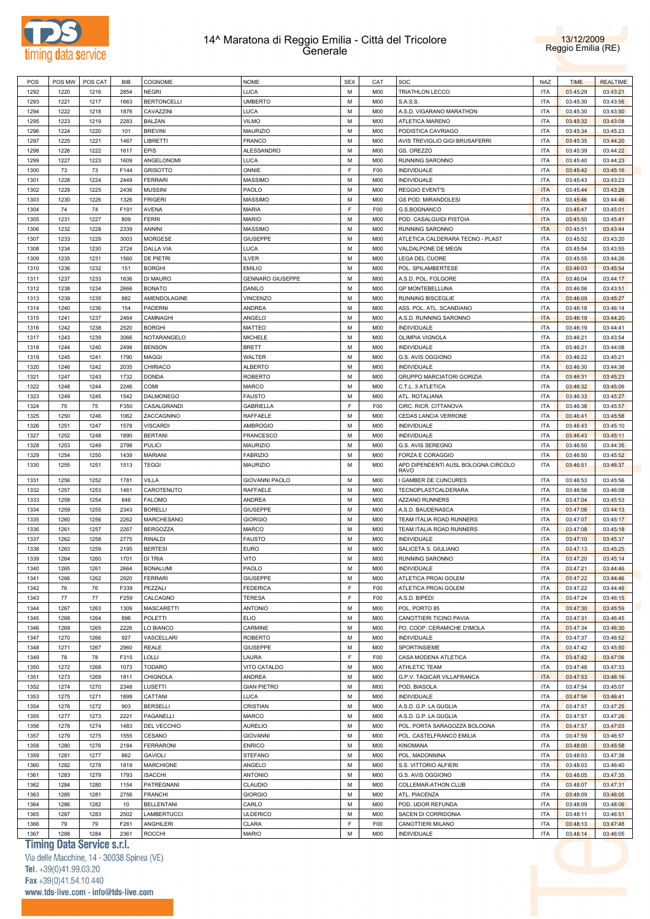



| POS  | POS MW | POS CAT | <b>BIB</b> | COGNOME            | <b>NOME</b>             | <b>SEX</b> | CAT             | SOC                                 | <b>NAZ</b> | <b>TIME</b> | <b>REALTIME</b> |
|------|--------|---------|------------|--------------------|-------------------------|------------|-----------------|-------------------------------------|------------|-------------|-----------------|
| 1292 | 1220   | 1216    | 2854       | <b>NEGRI</b>       | LUCA                    | M          | M00             | <b>TRIATHLON LECCO</b>              | <b>ITA</b> | 03:45:29    | 03:43:21        |
|      |        |         |            |                    |                         |            |                 |                                     |            |             |                 |
| 1293 | 1221   | 1217    | 1663       | <b>BERTONCELLI</b> | <b>UMBERTO</b>          | М          | M <sub>0</sub>  | S.A.S.S.                            | ITA        | 03:45:30    | 03:43:56        |
| 1294 | 1222   | 1218    | 1876       | CAVAZZINI          | LUCA                    | М          | M00             | A.S.D. VIGARANO MARATHON            | <b>ITA</b> | 03:45:30    | 03:43:50        |
| 1295 | 1223   | 1219    | 2283       | <b>BALZAN</b>      | <b>VILMO</b>            | M          | M <sub>0</sub>  | ATLETICA MARENO                     | ITA        | 03:45:32    | 03:43:08        |
| 1296 | 1224   | 1220    | 101        | <b>BREVINI</b>     | <b>MAURIZIO</b>         | М          | M <sub>0</sub>  | PODISTICA CAVRIAGO                  | <b>ITA</b> | 03:45:34    | 03:45:23        |
| 1297 | 1225   | 1221    | 1467       | LIBRETTI           | <b>FRANCO</b>           | М          | M <sub>0</sub>  | AVIS TREVIGLIO GIGI BRUSAFERRI      | ITA        | 03:45:35    | 03:44:20        |
|      |        | 1222    |            | <b>EPIS</b>        | <b>ALESSANDRO</b>       | М          |                 | GS. OREZZO                          | <b>ITA</b> |             |                 |
| 1298 | 1226   |         | 1617       |                    |                         |            | M <sub>0</sub>  |                                     |            | 03:45:39    | 03:44:22        |
| 1299 | 1227   | 1223    | 1609       | ANGELONOMI         | LUCA                    | М          | M <sub>0</sub>  | RUNNING SARONNO                     | ITA        | 03:45:40    | 03:44:23        |
| 1300 | 73     | 73      | F144       | <b>GRISOTTO</b>    | ONNIE                   | F          | F <sub>00</sub> | INDIVIDUALE                         | <b>ITA</b> | 03:45:42    | 03:45:16        |
| 1301 | 1228   | 1224    | 2449       | <b>FERRARI</b>     | <b>MASSIMO</b>          | М          | M <sub>0</sub>  | INDIVIDUALE                         | <b>ITA</b> | 03:45:43    | 03:43:23        |
| 1302 | 1229   | 1225    | 2436       | <b>MUSSINI</b>     | PAOLO                   | М          | M00             | <b>REGGIO EVENT'S</b>               | <b>ITA</b> | 03:45:44    | 03:43:28        |
| 1303 | 1230   | 1226    | 1326       | <b>FRIGERI</b>     | <b>MASSIMO</b>          | М          | M <sub>0</sub>  | <b>GS POD. MIRANDOLESI</b>          | <b>ITA</b> | 03:45:46    | 03:44:46        |
|      | 74     | 74      | F191       | <b>AVENA</b>       | <b>MARIA</b>            | F          | F <sub>00</sub> |                                     | <b>ITA</b> |             |                 |
| 1304 |        |         |            |                    |                         |            |                 | G.S.BOGNANCO                        |            | 03:45:47    | 03:45:01        |
| 1305 | 1231   | 1227    | 809        | <b>FERRI</b>       | <b>MARIO</b>            | М          | M <sub>0</sub>  | POD. CASALGUIDI PISTOIA             | <b>ITA</b> | 03:45:50    | 03:45:41        |
| 1306 | 1232   | 1228    | 2339       | <b>ANNINI</b>      | <b>MASSIMO</b>          | М          | M00             | RUNNING SARONNO                     | <b>ITA</b> | 03:45:51    | 03:43:44        |
| 1307 | 1233   | 1229    | 3003       | <b>MORGESE</b>     | <b>GIUSEPPE</b>         | М          | M <sub>0</sub>  | ATLETICA CALDERARA TECNO - PLAST    | ITA        | 03:45:52    | 03:43:20        |
| 1308 | 1234   | 1230    | 2724       | DALLA VIA          | LUCA                    | М          | M <sub>0</sub>  | VALDALPONE DE MEGN                  | <b>ITA</b> | 03:45:54    | 03:43:55        |
| 1309 | 1235   | 1231    | 1560       | DE PIETRI          | ILVER                   | М          | M <sub>0</sub>  | LEGA DEL CUORE                      | ITA        | 03:45:55    | 03:44:26        |
|      |        |         |            |                    |                         |            |                 |                                     |            |             |                 |
| 1310 | 1236   | 1232    | 151        | <b>BORGHI</b>      | <b>EMILIO</b>           | М          | M <sub>0</sub>  | POL. SPILAMBERTESE                  | <b>ITA</b> | 03:46:03    | 03:45:54        |
| 1311 | 1237   | 1233    | 1636       | DI MAURO           | <b>GENNARO GIUSEPPE</b> | М          | M <sub>0</sub>  | A.S.D. POL. FOLGORE                 | ITA        | 03:46:04    | 03:44:17        |
| 1312 | 1238   | 1234    | 2666       | <b>BONATO</b>      | DANILO                  | М          | M <sub>0</sub>  | <b>GP MONTEBELLUNA</b>              | <b>ITA</b> | 03:46:06    | 03:43:51        |
| 1313 | 1239   | 1235    | 882        | AMENDOLAGINE       | <b>VINCENZO</b>         | M          | M <sub>0</sub>  | <b>RUNNING BISCEGLIE</b>            | ITA        | 03:46:09    | 03:45:27        |
| 1314 | 1240   | 1236    | 154        | <b>PADERNI</b>     | <b>ANDREA</b>           | M          | M <sub>0</sub>  | ASS. POL. ATL. SCANDIANO            | <b>ITA</b> | 03:46:18    | 03:46:14        |
|      |        |         |            |                    |                         |            |                 |                                     |            |             |                 |
| 1315 | 1241   | 1237    | 2464       | CAMNAGHI           | ANGELO                  | М          | M <sub>0</sub>  | A.S.D. RUNNING SARONNO              | <b>ITA</b> | 03:46:19    | 03:44:20        |
| 1316 | 1242   | 1238    | 2520       | <b>BORGHI</b>      | <b>MATTEO</b>           | M          | M <sub>0</sub>  | <b>INDIVIDUALE</b>                  | <b>ITA</b> | 03:46:19    | 03:44:41        |
| 1317 | 1243   | 1239    | 3066       | NOTARANGELO        | <b>MICHELE</b>          | М          | M <sub>0</sub>  | OLIMPIA VIGNOLA                     | ITA        | 03:46:21    | 03:43:54        |
| 1318 | 1244   | 1240    | 2498       | <b>BENSON</b>      | <b>BRETT</b>            | М          | M <sub>0</sub>  | <b>INDIVIDUALE</b>                  | <b>ITA</b> | 03:46:21    | 03:44:08        |
| 1319 | 1245   | 1241    | 1790       | <b>MAGGI</b>       | WALTER                  | М          | M <sub>0</sub>  | G.S. AVIS OGGIONO                   | ITA        | 03:46:22    | 03:45:21        |
| 1320 | 1246   | 1242    | 2035       | CHIRIACO           | <b>ALBERTO</b>          | M          | M <sub>0</sub>  | INDIVIDUALE                         | <b>ITA</b> | 03:46:30    | 03:44:38        |
|      |        |         |            |                    |                         |            |                 |                                     |            |             |                 |
| 1321 | 1247   | 1243    | 1732       | <b>DONDA</b>       | <b>ROBERTO</b>          | М          | M <sub>0</sub>  | <b>GRUPPO MARCIATORI GORIZIA</b>    | ITA        | 03:46:31    | 03:45:23        |
| 1322 | 1248   | 1244    | 2246       | COMI               | MARCO                   | М          | M <sub>0</sub>  | C.T.L. 3 ATLETICA                   | <b>ITA</b> | 03:46:32    | 03:45:06        |
| 1323 | 1249   | 1245    | 1542       | <b>DALMONEGO</b>   | <b>FAUSTO</b>           | М          | M <sub>0</sub>  | ATL. ROTALIANA                      | ITA        | 03:46:33    | 03:45:27        |
| 1324 | 75     | 75      | F350       | CASALGRANDI        | GABRIELLA               | F          | F <sub>0</sub>  | CIRC. RICR. CITTANOVA               | <b>ITA</b> | 03:46:36    | 03:45:57        |
| 1325 | 1250   | 1246    | 1062       | ZACCAGNINO         | RAFFAELE                | М          | M <sub>0</sub>  | CEDAS LANCIA VERRONE                | ITA        | 03:46:41    | 03:45:58        |
|      |        |         |            |                    |                         |            |                 |                                     |            |             |                 |
| 1326 | 1251   | 1247    | 1578       | <b>VISCARDI</b>    | <b>AMBROGIO</b>         | М          | M <sub>0</sub>  | INDIVIDUALE                         | <b>ITA</b> | 03:46:43    | 03:45:10        |
| 1327 | 1252   | 1248    | 1890       | <b>BERTANI</b>     | <b>FRANCESCO</b>        | М          | M <sub>0</sub>  | INDIVIDUALE                         | <b>ITA</b> | 03:46:43    | 03:45:11        |
| 1328 | 1253   | 1249    | 2798       | <b>PULICI</b>      | MAURIZIO                | M          | M <sub>0</sub>  | G.S. AVIS SEREGNO                   | <b>ITA</b> | 03:46:50    | 03:44:35        |
| 1329 | 1254   | 1250    | 1439       | <b>MARIANI</b>     | <b>FABRIZIO</b>         | M          | M <sub>0</sub>  | FORZA E CORAGGIO                    | ITA        | 03:46:50    | 03:45:52        |
| 1330 | 1255   | 1251    | 1513       | <b>TEGGI</b>       | MAURIZIO                | М          | M <sub>0</sub>  | APD DIPENDENTI AUSL BOLOGNA CIRCOLO | <b>ITA</b> | 03:46:51    | 03:46:37        |
|      |        |         |            |                    |                         |            |                 | <b>RAVO</b>                         |            |             |                 |
| 1331 | 1256   | 1252    | 1781       | VILLA              | <b>GIOVANNI PAOLO</b>   | M          | M <sub>0</sub>  | <b>GAMBER DE CUNCURES</b>           | <b>ITA</b> | 03:46:53    | 03:45:56        |
| 1332 | 1257   | 1253    | 1461       | CAROTENUTO         | <b>RAFFAELE</b>         | М          | M <sub>0</sub>  | TECNOPLASTCALDERARA                 | <b>ITA</b> | 03:46:56    | 03:46:08        |
|      |        |         |            |                    |                         |            |                 |                                     |            |             |                 |
| 1333 | 1258   | 1254    | 846        | <b>FALOMO</b>      | <b>ANDREA</b>           | М          | M <sub>0</sub>  | <b>AZZANO RUNNERS</b>               | <b>ITA</b> | 03:47:04    | 03:45:53        |
| 1334 | 1259   | 1255    | 2343       | <b>BORELLI</b>     | <b>GIUSEPPE</b>         | М          | M <sub>0</sub>  | A.S.D. BAUDENASCA                   | <b>ITA</b> | 03:47:06    | 03:44:13        |
| 1335 | 1260   | 1256    | 2262       | MARCHESANO         | <b>GIORGIO</b>          | М          | M <sub>0</sub>  | TEAM ITALIA ROAD RUNNERS            | <b>ITA</b> | 03:47:07    | 03:45:17        |
| 1336 | 1261   | 1257    | 2267       | <b>BERGOZZA</b>    | MARCO                   | М          | M <sub>0</sub>  | TEAM ITALIA ROAD RUNNERS            | <b>ITA</b> | 03:47:08    | 03:45:18        |
| 1337 | 1262   | 1258    | 2775       | <b>RINALDI</b>     | FAUSTO                  | М          | M <sub>0</sub>  | <b>INDIVIDUALE</b>                  | <b>ITA</b> | 03:47:10    | 03:45:37        |
|      |        |         |            |                    |                         | М          |                 | SALICETA S. GIULIANO                |            |             |                 |
| 1338 | 1263   | 1259    | 2195       | <b>BERTESI</b>     | EURO                    |            | M <sub>0</sub>  |                                     | <b>ITA</b> | 03:47:13    | 03:45:25        |
| 1339 | 1264   | 1260    | 1701       | <b>DI TRIA</b>     | <b>VITO</b>             | M          | M <sub>0</sub>  | RUNNING SARONNO                     | <b>ITA</b> | 03:47:20    | 03:45:14        |
| 1340 | 1265   | 1261    | 2664       | <b>BONALUMI</b>    | PAOLO                   | М          | M00             | <b>INDIVIDUALE</b>                  | ITA        | 03:47:21    | 03:44:46        |
| 1341 | 1266   | 1262    | 2920       | <b>FERRARI</b>     | <b>GIUSEPPE</b>         | М          | M <sub>0</sub>  | ATLETICA PROAI GOLEM                | <b>ITA</b> | 03:47:22    | 03:44:46        |
| 1342 | 76     | 76      | F339       | PEZZALI            | <b>FEDERICA</b>         | F          | F <sub>00</sub> | ATLETICA PROAI GOLEM                | ITA        | 03:47:22    | 03:44:46        |
| 1343 | 77     | 77      | F259       | CALCAGNO           | <b>TERESA</b>           | F          | F <sub>00</sub> | A.S.D. BIPEDI                       | <b>ITA</b> | 03:47:24    |                 |
|      |        |         |            |                    |                         |            |                 |                                     |            |             | 03:46:15        |
| 1344 | 1267   | 1263    | 1309       | <b>MASCARETTI</b>  | <b>ANTONIO</b>          | M          | M <sub>0</sub>  | POL. PORTO 85                       | <b>ITA</b> | 03:47:30    | 03:45:59        |
| 1345 | 1268   | 1264    | 896        | <b>POLETTI</b>     | ELIO                    | M          | M <sub>0</sub>  | CANOTTIERI TICINO PAVIA             | <b>ITA</b> | 03:47:31    | 03:46:45        |
| 1346 | 1269   | 1265    | 2226       | LO BIANCO          | CARMINE                 | M          | M <sub>0</sub>  | PO. COOP. CERAMICHE D'IMOLA         | <b>ITA</b> | 03:47:34    | 03:46:30        |
| 1347 | 1270   | 1266    | 927        | VASCELLARI         | <b>ROBERTO</b>          | М          | M <sub>0</sub>  | <b>INDIVIDUALE</b>                  | <b>ITA</b> | 03:47:37    | 03:46:52        |
| 1348 | 1271   | 1267    | 2960       | REALE              | <b>GIUSEPPE</b>         | M          | M <sub>0</sub>  | SPORTINSIEME                        | ITA        | 03:47:42    | 03:45:50        |
|      |        |         |            |                    |                         | F          |                 |                                     |            |             |                 |
| 1349 | 78     | 78      | F315       | LOLLI              | LAURA                   |            | F <sub>00</sub> | CASA MODENA ATLETICA                | <b>ITA</b> | 03:47:42    | 03:47:06        |
| 1350 | 1272   | 1268    | 1073       | <b>TODARO</b>      | VITO CATALDO            | M          | M <sub>0</sub>  | <b>ATHLETIC TEAM</b>                | <b>ITA</b> | 03:47:48    | 03:47:33        |
| 1351 | 1273   | 1269    | 1811       | CHIGNOLA           | ANDREA                  | М          | M <sub>0</sub>  | G.P.V. TAGICAR VILLAFRANCA          | <b>ITA</b> | 03:47:53    | 03:46:16        |
| 1352 | 1274   | 1270    | 2348       | LUSETTI            | <b>GIAN PIETRO</b>      | M          | M <sub>0</sub>  | POD. BIASOLA                        | <b>ITA</b> | 03:47:54    | 03:45:07        |
| 1353 | 1275   | 1271    | 1899       | CATTANI            | <b>LUCA</b>             | М          | M <sub>0</sub>  | <b>INDIVIDUALE</b>                  | <b>ITA</b> | 03:47:56    | 03:46:41        |
|      |        |         |            |                    |                         | M          |                 |                                     |            |             |                 |
| 1354 | 1276   | 1272    | 903        | <b>BERSELLI</b>    | CRISTIAN                |            | M <sub>0</sub>  | A.S.D. G.P. LA GUGLIA               | ITA        | 03:47:57    | 03:47:25        |
| 1355 | 1277   | 1273    | 2221       | PAGANELLI          | <b>MARCO</b>            | М          | M <sub>0</sub>  | A.S.D. G.P. LA GUGLIA               | <b>ITA</b> | 03:47:57    | 03:47:26        |
| 1356 | 1278   | 1274    | 1483       | DEL VECCHIO        | <b>AURELIO</b>          | M          | M <sub>0</sub>  | POL. PORTA SARAGOZZA BOLOGNA        | <b>ITA</b> | 03:47:57    | 03:47:03        |
| 1357 | 1279   | 1275    | 1555       | CESANO             | <b>GIOVANNI</b>         | М          | M <sub>0</sub>  | POL. CASTELFRANCO EMILIA            | <b>ITA</b> | 03:47:59    | 03:46:57        |
| 1358 | 1280   | 1276    | 2184       | <b>FERRARONI</b>   | <b>ENRICO</b>           | М          | M <sub>0</sub>  | <b>KINOMANA</b>                     | <b>ITA</b> | 03:48:00    | 03:45:58        |
|      |        |         |            |                    |                         | М          |                 |                                     |            |             |                 |
| 1359 | 1281   | 1277    | 862        | <b>GAVIOLI</b>     | STEFANO                 |            | M <sub>0</sub>  | POL. MADONNINA                      | <b>ITA</b> | 03:48:03    | 03:47:38        |
| 1360 | 1282   | 1278    | 1819       | <b>MARCHIONE</b>   | ANGELO                  | M          | M <sub>0</sub>  | S.S. VITTORIO ALFIERI               | ITA        | 03:48:03    | 03:46:40        |
| 1361 | 1283   | 1279    | 1793       | <b>ISACCHI</b>     | <b>ANTONIO</b>          | М          | M <sub>0</sub>  | G.S. AVIS OGGIONO                   | <b>ITA</b> | 03:48:05    | 03:47:35        |
| 1362 | 1284   | 1280    | 1154       | PATREGNANI         | CLAUDIO                 | М          | M <sub>0</sub>  | COLLEMAR-ATHON CLUB                 | <b>ITA</b> | 03:48:07    | 03:47:31        |
| 1363 | 1285   | 1281    | 2756       | <b>FRANCHI</b>     | <b>GIORGIO</b>          | M          | M <sub>0</sub>  | ATL. PIACENZA                       | <b>ITA</b> | 03:48:09    | 03:46:05        |
|      |        |         |            |                    |                         |            |                 |                                     |            |             |                 |
| 1364 | 1286   | 1282    | 10         | <b>BELLENTANI</b>  | CARLO                   | M          | M00             | POD. UDOR REFUNDA                   | <b>ITA</b> | 03:48:09    | 03:48:06        |
| 1365 | 1287   | 1283    | 2502       | <b>LAMBERTUCCI</b> | <b>ULDERICO</b>         | M          | M <sub>0</sub>  | SACEN DI CORRIDONIA                 | <b>ITA</b> | 03:48:11    | 03:46:51        |
| 1366 | 79     | 79      | F261       | ANGHILERI          | CLARA                   | F.         | F <sub>00</sub> | CANOTTIERI MILANO                   | ITA        | 03:48:13    | 03:47:48        |
|      | 1288   | 1284    | 2361       | <b>ROCCHI</b>      | <b>MARIO</b>            | М          | M <sub>0</sub>  | <b>INDIVIDUALE</b>                  | ITA        | 03:48:14    | 03:46:05        |
| 1367 |        |         |            |                    |                         |            |                 |                                     |            |             |                 |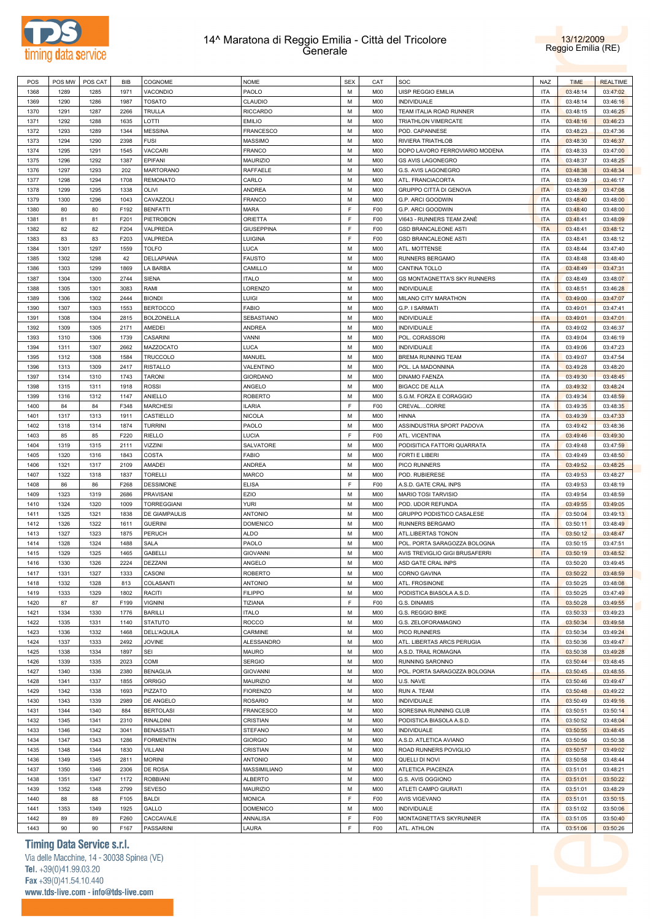



| POS  | POS MW | POS CAT | BIB  | COGNOME            | <b>NOME</b>       | <b>SEX</b> | CAT            | SOC                            | NAZ        | <b>TIME</b> | <b>REALTIME</b> |
|------|--------|---------|------|--------------------|-------------------|------------|----------------|--------------------------------|------------|-------------|-----------------|
| 1368 | 1289   | 1285    | 1971 | VACONDIO           | PAOLO             | М          | M00            | UISP REGGIO EMILIA             | <b>ITA</b> | 03:48:14    | 03:47:02        |
| 1369 | 1290   | 1286    | 1987 | <b>TOSATO</b>      | CLAUDIO           | М          | M00            | <b>INDIVIDUALE</b>             | <b>ITA</b> | 03:48:14    | 03:46:16        |
| 1370 |        |         |      | TRULLA             | <b>RICCARDO</b>   | M          |                | TEAM ITALIA ROAD RUNNER        |            |             |                 |
|      | 1291   | 1287    | 2266 |                    |                   |            | M00            |                                | <b>ITA</b> | 03:48:15    | 03:46:25        |
| 1371 | 1292   | 1288    | 1635 | LOTTI              | <b>EMILIO</b>     | М          | M00            | TRIATHLON VIMERCATE            | <b>ITA</b> | 03:48:16    | 03:46:23        |
| 1372 | 1293   | 1289    | 1344 | <b>MESSINA</b>     | FRANCESCO         | M          | M00            | POD. CAPANNESE                 | <b>ITA</b> | 03:48:23    | 03:47:36        |
| 1373 | 1294   | 1290    | 2398 | <b>FUSI</b>        | <b>MASSIMO</b>    | М          | M00            | RIVIERA TRIATHLOB              | <b>ITA</b> | 03:48:30    | 03:46:37        |
| 1374 | 1295   | 1291    | 1545 | <b>VACCARI</b>     | FRANCO            | М          | M00            | DOPO LAVORO FERROVIARIO MODENA | <b>ITA</b> | 03:48:33    | 03:47:00        |
| 1375 | 1296   | 1292    | 1387 | EPIFANI            | <b>MAURIZIO</b>   | М          | M00            | <b>GS AVIS LAGONEGRO</b>       | <b>ITA</b> | 03:48:37    | 03:48:25        |
| 1376 | 1297   | 1293    | 202  | <b>MARTORANO</b>   | RAFFAELE          | М          | M00            | G.S. AVIS LAGONEGRO            | <b>ITA</b> | 03:48:38    | 03:48:34        |
| 1377 | 1298   | 1294    | 1708 | <b>REMONATO</b>    | CARLO             | М          | M00            | ATL. FRANCIACORTA              | <b>ITA</b> | 03:48:39    | 03:46:17        |
| 1378 | 1299   | 1295    | 1338 | OLIVI              | <b>ANDREA</b>     | М          | M00            | GRUPPO CITTÀ DI GENOVA         | <b>ITA</b> | 03:48:39    | 03:47:08        |
| 1379 | 1300   | 1296    | 1043 | CAVAZZOLI          | FRANCO            | М          | M00            | G.P. ARCI GOODWIN              | <b>ITA</b> | 03:48:40    | 03:48:00        |
|      |        |         |      |                    |                   | E          |                |                                |            |             |                 |
| 1380 | 80     | 80      | F192 | <b>BENFATTI</b>    | MARA              |            | F <sub>0</sub> | G.P. ARCI GOODWIN              | <b>ITA</b> | 03:48:40    | 03:48:00        |
| 1381 | 81     | 81      | F201 | PIETROBON          | <b>ORIETTA</b>    | F          | F <sub>0</sub> | VI643 - RUNNERS TEAM ZANÈ      | <b>ITA</b> | 03:48:41    | 03:48:09        |
| 1382 | 82     | 82      | F204 | VALPREDA           | <b>GIUSEPPINA</b> | E          | F00            | <b>GSD BRANCALEONE ASTI</b>    | <b>ITA</b> | 03:48:41    | 03:48:12        |
| 1383 | 83     | 83      | F203 | VALPREDA           | LUIGINA           | E          | F00            | <b>GSD BRANCALEONE ASTI</b>    | <b>ITA</b> | 03:48:41    | 03:48:12        |
| 1384 | 1301   | 1297    | 1559 | <b>TOLFO</b>       | LUCA              | M          | M00            | ATL. MOTTENSE                  | <b>ITA</b> | 03:48:44    | 03:47:40        |
| 1385 | 1302   | 1298    | 42   | DELLAPIANA         | <b>FAUSTO</b>     | М          | M00            | RUNNERS BERGAMO                | <b>ITA</b> | 03:48:48    | 03:48:40        |
| 1386 | 1303   | 1299    | 1869 | LA BARBA           | CAMILLO           | M          | M00            | CANTINA TOLLO                  | <b>ITA</b> | 03:48:49    | 03:47:31        |
| 1387 | 1304   | 1300    | 2744 | <b>SIENA</b>       | <b>ITALO</b>      | М          | M00            | GS MONTAGNETTA'S SKY RUNNERS   | <b>ITA</b> | 03:48:49    | 03:48:07        |
| 1388 | 1305   | 1301    | 3083 | RAMI               | LORENZO           | M          | M00            | <b>INDIVIDUALE</b>             | <b>ITA</b> | 03:48:51    | 03:46:28        |
|      |        |         |      |                    |                   |            |                |                                |            |             |                 |
| 1389 | 1306   | 1302    | 2444 | <b>BIONDI</b>      | Luigi             | М          | M00            | MILANO CITY MARATHON           | <b>ITA</b> | 03:49:00    | 03:47:07        |
| 1390 | 1307   | 1303    | 1553 | <b>BERTOCCO</b>    | <b>FABIO</b>      | М          | M00            | G.P. I SARMATI                 | <b>ITA</b> | 03:49:01    | 03:47:41        |
| 1391 | 1308   | 1304    | 2815 | <b>BOLZONELLA</b>  | SEBASTIANO        | М          | M00            | INDIVIDUALE                    | <b>ITA</b> | 03:49:01    | 03:47:01        |
| 1392 | 1309   | 1305    | 2171 | AMEDEI             | ANDREA            | М          | M00            | <b>INDIVIDUALE</b>             | <b>ITA</b> | 03:49:02    | 03:46:37        |
| 1393 | 1310   | 1306    | 1739 | CASARINI           | VANNI             | М          | M00            | POL. CORASSORI                 | ITA        | 03:49:04    | 03:46:19        |
| 1394 | 1311   | 1307    | 2662 | MAZZOCATO          | LUCA              | М          | M00            | <b>INDIVIDUALE</b>             | <b>ITA</b> | 03:49:06    | 03:47:23        |
| 1395 | 1312   | 1308    | 1584 | <b>TRUCCOLO</b>    | MANUEL            | М          | M00            | <b>BREMA RUNNING TEAM</b>      | <b>ITA</b> | 03:49:07    | 03:47:54        |
| 1396 | 1313   | 1309    | 2417 | <b>RISTALLO</b>    | VALENTINO         | М          | M00            | POL. LA MADONNINA              | <b>ITA</b> | 03:49:28    | 03:48:20        |
| 1397 | 1314   | 1310    | 1743 | <b>TARONI</b>      | <b>GIORDANO</b>   | м          | M00            | <b>DINAMO FAENZA</b>           | <b>ITA</b> | 03:49:30    | 03:48:45        |
|      |        |         |      |                    |                   | М          |                |                                |            |             |                 |
| 1398 | 1315   | 1311    | 1918 | <b>ROSSI</b>       | ANGELO            |            | M00            | <b>BIGACC DE ALLA</b>          | <b>ITA</b> | 03:49:32    | 03:48:24        |
| 1399 | 1316   | 1312    | 1147 | ANIELLO            | <b>ROBERTO</b>    | М          | M00            | S.G.M. FORZA E CORAGGIO        | <b>ITA</b> | 03:49:34    | 03:48:59        |
| 1400 | 84     | 84      | F348 | <b>MARCHESI</b>    | ILARIA            | E          | F00            | CREVALCORRE                    | <b>ITA</b> | 03:49:35    | 03:48:35        |
| 1401 | 1317   | 1313    | 1911 | CASTIELLO          | <b>NICOLA</b>     | М          | M00            | HINNA                          | <b>ITA</b> | 03:49:39    | 03:47:33        |
| 1402 | 1318   | 1314    | 1874 | <b>TURRINI</b>     | PAOLO             | M          | M00            | ASSINDUSTRIA SPORT PADOVA      | <b>ITA</b> | 03:49:42    | 03:48:36        |
| 1403 | 85     | 85      | F220 | <b>RIELLO</b>      | LUCIA             | F          | F00            | ATL. VICENTINA                 | <b>ITA</b> | 03:49:46    | 03:49:30        |
| 1404 | 1319   | 1315    | 2111 | <b>VIZZINI</b>     | SALVATORE         | M          | M00            | PODISITICA FATTORI QUARRATA    | <b>ITA</b> | 03:49:48    | 03:47:59        |
| 1405 | 1320   | 1316    | 1843 | COSTA              | <b>FABIO</b>      | М          | M00            | <b>FORTI E LIBERI</b>          | <b>ITA</b> | 03:49:49    | 03:48:50        |
| 1406 | 1321   | 1317    | 2109 | AMADEI             | ANDREA            | М          | M00            | PICO RUNNERS                   | <b>ITA</b> | 03:49:52    | 03:48:25        |
| 1407 | 1322   | 1318    | 1837 | <b>TORELLI</b>     | MARCO             | М          | M00            | POD. RUBIERESE                 | <b>ITA</b> | 03:49:53    | 03:48:27        |
|      |        |         |      |                    |                   | F.         |                |                                |            |             |                 |
| 1408 | 86     | 86      | F268 | <b>DESSIMONE</b>   | <b>ELISA</b>      |            | F <sub>0</sub> | A.S.D. GATE CRAL INPS          | <b>ITA</b> | 03:49:53    | 03:48:19        |
| 1409 | 1323   | 1319    | 2686 | PRAVISANI          | EZIO              | М          | M00            | <b>MARIO TOSI TARVISIO</b>     | ITA        | 03:49:54    | 03:48:59        |
| 1410 | 1324   | 1320    | 1009 | <b>TORREGGIANI</b> | <b>YURI</b>       | М          | M00            | POD. UDOR REFUNDA              | <b>ITA</b> | 03:49:55    | 03:49:05        |
| 1411 | 1325   | 1321    | 1838 | DE GIAMPAULIS      | <b>ANTONIO</b>    | М          | M00            | GRUPPO PODISTICO CASALESE      | ITA        | 03:50:04    | 03:49:13        |
| 1412 | 1326   | 1322    | 1611 | <b>GUERINI</b>     | <b>DOMENICO</b>   | М          | M00            | RUNNERS BERGAMO                | <b>ITA</b> | 03:50:11    | 03:48:49        |
| 1413 | 1327   | 1323    | 1875 | PERUCH             | <b>ALDO</b>       | м          | M00            | ATL.LIBERTAS TONON             | ITA        | 03:50:12    | 03:48:47        |
| 1414 | 1328   | 1324    | 1488 | SALA               | PAOLO             | М          | M <sub>0</sub> | POL. PORTA SARAGOZZA BOLOGNA   | <b>ITA</b> | 03:50:15    | 03:47:51        |
| 1415 | 1329   | 1325    | 1465 | <b>GABELLI</b>     | <b>GIOVANNI</b>   | М          | M00            | AVIS TREVIGLIO GIGI BRUSAFERRI | <b>ITA</b> | 03:50:19    | 03:48:52        |
| 1416 | 1330   | 1326    | 2224 | DEZZANI            | ANGELO            | М          | M00            | ASD GATE CRAL INPS             | <b>ITA</b> | 03:50:20    | 03:49:45        |
|      |        |         |      |                    |                   |            |                |                                |            |             |                 |
| 1417 | 1331   | 1327    | 1333 | CASONI             | <b>ROBERTO</b>    | М          | M00            | CORNO GAVINA                   | <b>ITA</b> | 03:50:22    | 03:48:59        |
| 1418 | 1332   | 1328    | 813  | COLASANTI          | <b>ANTONIO</b>    | M          | M <sub>0</sub> | ATL. FROSINONE                 | <b>ITA</b> | 03:50:25    | 03:48:08        |
| 1419 | 1333   | 1329    | 1802 | <b>RACITI</b>      | <b>FILIPPO</b>    | М          | M00            | PODISTICA BIASOLA A.S.D.       | <b>ITA</b> | 03:50:25    | 03:47:49        |
| 1420 | 87     | 87      | F199 | <b>VIGNINI</b>     | TIZIANA           | E          | F <sub>0</sub> | G.S. DINAMIS                   | <b>ITA</b> | 03:50:28    | 03:49:55        |
| 1421 | 1334   | 1330    | 1776 | <b>BARILLI</b>     | <b>ITALO</b>      | М          | M00            | G.S. REGGIO BIKE               | <b>ITA</b> | 03:50:33    | 03:49:23        |
| 1422 | 1335   | 1331    | 1140 | <b>STATUTO</b>     | <b>ROCCO</b>      | M          | M00            | G.S. ZELOFORAMAGNO             | <b>ITA</b> | 03:50:34    | 03:49:58        |
| 1423 | 1336   | 1332    | 1468 | <b>DELL'AQUILA</b> | CARMINE           | М          | M00            | PICO RUNNERS                   | <b>ITA</b> | 03:50:34    | 03:49:24        |
| 1424 | 1337   | 1333    | 2492 | <b>JOVINE</b>      | ALESSANDRO        | M          | M00            | ATL. LIBERTAS ARCS PERUGIA     | <b>ITA</b> | 03:50:36    | 03:49:47        |
| 1425 | 1338   | 1334    | 1897 | SEI                | <b>MAURO</b>      | М          | M00            | A.S.D. TRAIL ROMAGNA           | <b>ITA</b> | 03:50:38    | 03:49:28        |
| 1426 |        |         |      | COMI               | <b>SERGIO</b>     | M          | M00            | RUNNING SARONNO                | <b>ITA</b> | 03:50:44    | 03:48:45        |
|      |        |         |      |                    |                   |            |                |                                |            |             |                 |
|      | 1339   | 1335    | 2023 |                    |                   |            |                |                                |            |             |                 |
| 1427 | 1340   | 1336    | 2380 | <b>BENAGLIA</b>    | <b>GIOVANNI</b>   | М          | M00            | POL. PORTA SARAGOZZA BOLOGNA   | <b>ITA</b> | 03:50:45    | 03:48:55        |
| 1428 | 1341   | 1337    | 1855 | <b>ORRIGO</b>      | <b>MAURIZIO</b>   | M          | M00            | U.S. NAVE                      | <b>ITA</b> | 03:50:46    | 03:49:47        |
| 1429 | 1342   | 1338    | 1693 | PIZZATO            | <b>FIORENZO</b>   | М          | M00            | RUN A. TEAM                    | <b>ITA</b> | 03:50:48    | 03:49:22        |
| 1430 | 1343   | 1339    | 2989 | DE ANGELO          | <b>ROSARIO</b>    | M          | M00            | <b>INDIVIDUALE</b>             | <b>ITA</b> | 03:50:49    | 03:49:16        |
| 1431 | 1344   | 1340    | 884  | <b>BERTOLASI</b>   | <b>FRANCESCO</b>  | М          | M00            | SORESINA RUNNING CLUB          | <b>ITA</b> | 03:50:51    | 03:50:14        |
| 1432 | 1345   | 1341    | 2310 | RINALDINI          | CRISTIAN          | M          | M00            | PODISTICA BIASOLA A.S.D.       | <b>ITA</b> | 03:50:52    | 03:48:04        |
| 1433 | 1346   | 1342    | 3041 | <b>BENASSATI</b>   | <b>STEFANO</b>    | М          | M00            | <b>INDIVIDUALE</b>             | <b>ITA</b> | 03:50:55    | 03:48:45        |
|      |        |         |      |                    |                   |            |                |                                |            |             |                 |
| 1434 | 1347   | 1343    | 1286 | <b>FORMENTIN</b>   | <b>GIORGIO</b>    | M          | M00            | A.S.D. ATLETICA AVIANO         | <b>ITA</b> | 03:50:56    | 03:50:38        |
| 1435 | 1348   | 1344    | 1830 | VILLANI            | CRISTIAN          | М          | M00            | ROAD RUNNERS POVIGLIO          | <b>ITA</b> | 03:50:57    | 03:49:02        |
| 1436 | 1349   | 1345    | 2811 | <b>MORINI</b>      | <b>ANTONIO</b>    | M          | M00            | QUELLI DI NOVI                 | <b>ITA</b> | 03:50:58    | 03:48:44        |
| 1437 | 1350   | 1346    | 2306 | DE ROSA            | MASSIMILIANO      | М          | M00            | ATLETICA PIACENZA              | <b>ITA</b> | 03:51:01    | 03:48:21        |
| 1438 | 1351   | 1347    | 1172 | <b>ROBBIANI</b>    | <b>ALBERTO</b>    | M          | M00            | G.S. AVIS OGGIONO              | <b>ITA</b> | 03:51:01    | 03:50:22        |
| 1439 | 1352   | 1348    | 2799 | <b>SEVESO</b>      | <b>MAURIZIO</b>   | М          | M00            | ATLETI CAMPO GIURATI           | <b>ITA</b> | 03:51:01    | 03:48:29        |
| 1440 | 88     | 88      | F105 | <b>BALDI</b>       | <b>MONICA</b>     | F          | F <sub>0</sub> | AVIS VIGEVANO                  | <b>ITA</b> | 03:51:01    | 03:50:15        |
| 1441 | 1353   | 1349    | 1925 | GALLO              | <b>DOMENICO</b>   | М          | M00            | <b>INDIVIDUALE</b>             | <b>ITA</b> | 03:51:02    | 03:50:06        |
| 1442 | 89     | 89      | F260 | CACCAVALE          | ANNALISA          | F          | F <sub>0</sub> | MONTAGNETTA'S SKYRUNNER        | <b>ITA</b> | 03:51:05    | 03:50:40        |

# **Timing Data Service s.r.l.**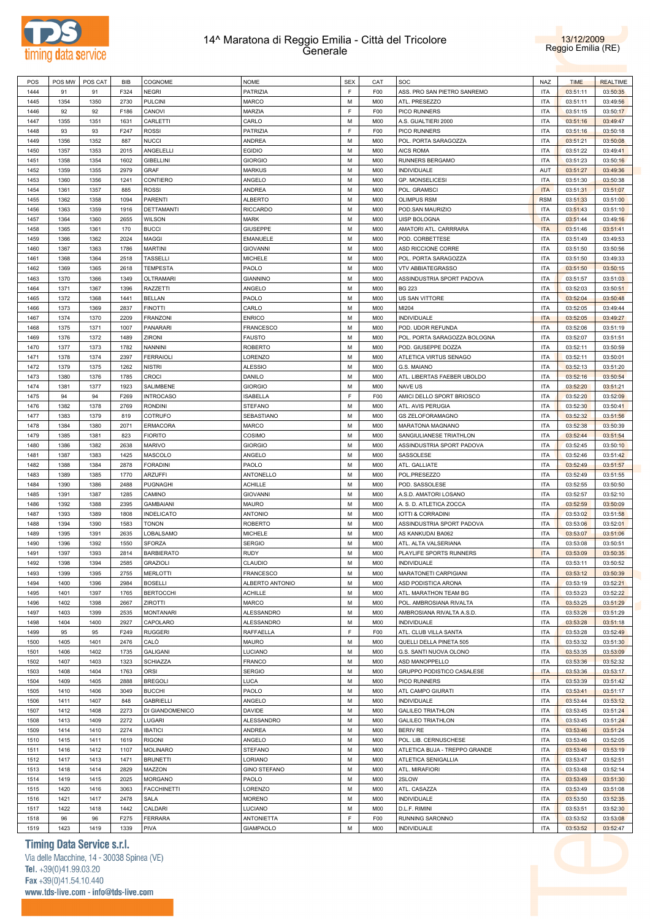



| POS  | POS MW | POS CAT | BIB  | COGNOME            | <b>NOME</b>         | <b>SEX</b> | CAT             | SOC                           | <b>NAZ</b> | <b>TIME</b> | <b>REALTIME</b> |
|------|--------|---------|------|--------------------|---------------------|------------|-----------------|-------------------------------|------------|-------------|-----------------|
| 1444 | 91     | 91      | F324 | NEGRI              | PATRIZIA            | F          | F <sub>00</sub> | ASS. PRO SAN PIETRO SANREMO   | <b>ITA</b> | 03:51:11    | 03:50:35        |
| 1445 | 1354   | 1350    | 2730 | <b>PULCINI</b>     | <b>MARCO</b>        | M          | M <sub>0</sub>  | ATL. PRESEZZO                 | <b>ITA</b> | 03:51:11    | 03:49:56        |
| 1446 | 92     | 92      | F186 | CANOVI             | <b>MARZIA</b>       | F          | F <sub>00</sub> | PICO RUNNERS                  | <b>ITA</b> | 03:51:15    | 03:50:17        |
|      |        |         |      |                    |                     |            |                 |                               |            |             |                 |
| 1447 | 1355   | 1351    | 1631 | CARLETTI           | CARLO               | М          | M <sub>0</sub>  | A.S. GUALTIERI 2000           | <b>ITA</b> | 03:51:16    | 03:49:47        |
| 1448 | 93     | 93      | F247 | ROSSI              | PATRIZIA            | E          | F <sub>00</sub> | PICO RUNNERS                  | <b>ITA</b> | 03:51:16    | 03:50:18        |
| 1449 | 1356   | 1352    | 887  | <b>NUCCI</b>       | ANDREA              | М          | M <sub>0</sub>  | POL. PORTA SARAGOZZA          | <b>ITA</b> | 03:51:21    | 03:50:08        |
| 1450 | 1357   | 1353    | 2015 | ANGELELLI          | <b>EGIDIO</b>       | М          | M <sub>0</sub>  | AICS ROMA                     | <b>ITA</b> | 03:51:22    | 03:49:41        |
| 1451 | 1358   | 1354    | 1602 | <b>GIBELLINI</b>   | <b>GIORGIO</b>      | М          | M <sub>0</sub>  | RUNNERS BERGAMO               | <b>ITA</b> | 03:51:23    | 03:50:16        |
| 1452 | 1359   | 1355    | 2979 | GRAF               | <b>MARKUS</b>       | М          | M <sub>0</sub>  | INDIVIDUALE                   | AUT        | 03:51:27    | 03:49:36        |
|      |        |         |      |                    |                     | М          |                 |                               |            |             |                 |
| 1453 | 1360   | 1356    | 1241 | CONTIERO           | ANGELO              |            | M <sub>0</sub>  | <b>GP. MONSELICESI</b>        | <b>ITA</b> | 03:51:30    | 03:50:38        |
| 1454 | 1361   | 1357    | 885  | ROSSI              | ANDREA              | M          | M <sub>0</sub>  | POL. GRAMSCI                  | <b>ITA</b> | 03:51:31    | 03:51:07        |
| 1455 | 1362   | 1358    | 1094 | PARENTI            | <b>ALBERTO</b>      | М          | M <sub>0</sub>  | <b>OLIMPUS RSM</b>            | <b>RSM</b> | 03:51:33    | 03:51:00        |
| 1456 | 1363   | 1359    | 1916 | DETTAMANTI         | <b>RICCARDO</b>     | М          | M <sub>0</sub>  | POD.SAN MAURIZIO              | <b>ITA</b> | 03:51:43    | 03:51:10        |
| 1457 | 1364   | 1360    | 2655 | <b>WILSON</b>      | MARK                | M          | M <sub>0</sub>  | UISP BOLOGNA                  | <b>ITA</b> | 03:51:44    | 03:49:16        |
| 1458 | 1365   | 1361    | 170  | <b>BUCCI</b>       | <b>GIUSEPPE</b>     | М          | M <sub>0</sub>  | AMATORI ATL. CARRRARA         | <b>ITA</b> | 03:51:46    | 03:51:41        |
| 1459 | 1366   | 1362    | 2024 | MAGGI              | EMANUELE            | М          | M <sub>0</sub>  | POD. CORBETTESE               | <b>ITA</b> | 03:51:49    | 03:49:53        |
| 1460 | 1367   | 1363    | 1786 | <b>MARTINI</b>     | <b>GIOVANNI</b>     | M          | M <sub>0</sub>  | ASD RICCIONE CORRE            | <b>ITA</b> | 03:51:50    | 03:50:56        |
|      |        |         |      |                    |                     |            |                 |                               |            |             |                 |
| 1461 | 1368   | 1364    | 2518 | <b>TASSELLI</b>    | <b>MICHELE</b>      | М          | M <sub>0</sub>  | POL. PORTA SARAGOZZA          | <b>ITA</b> | 03:51:50    | 03:49:33        |
| 1462 | 1369   | 1365    | 2618 | <b>TEMPESTA</b>    | PAOLO               | М          | M <sub>0</sub>  | <b>VTV ABBIATEGRASSO</b>      | <b>ITA</b> | 03:51:50    | 03:50:15        |
| 1463 | 1370   | 1366    | 1349 | <b>OLTRAMARI</b>   | <b>GIANNINO</b>     | М          | M <sub>0</sub>  | ASSINDUSTRIA SPORT PADOVA     | <b>ITA</b> | 03:51:57    | 03:51:03        |
| 1464 | 1371   | 1367    | 1396 | RAZZETTI           | ANGELO              | М          | M <sub>0</sub>  | <b>BG 223</b>                 | <b>ITA</b> | 03:52:03    | 03:50:51        |
| 1465 | 1372   | 1368    | 1441 | <b>BELLAN</b>      | PAOLO               | М          | M <sub>0</sub>  | US SAN VITTORE                | <b>ITA</b> | 03:52:04    | 03:50:48        |
| 1466 | 1373   | 1369    | 2837 | <b>FINOTTI</b>     | CARLO               | M          | M <sub>0</sub>  | MI204                         | <b>ITA</b> | 03:52:05    | 03:49:44        |
|      | 1374   |         |      |                    |                     | М          |                 | <b>INDIVIDUALE</b>            | <b>ITA</b> |             |                 |
| 1467 |        | 1370    | 2209 | <b>FRANZONI</b>    | <b>ENRICO</b>       |            | M <sub>0</sub>  |                               |            | 03:52:05    | 03:49:27        |
| 1468 | 1375   | 1371    | 1007 | PANARARI           | FRANCESCO           | М          | M <sub>0</sub>  | POD. UDOR REFUNDA             | <b>ITA</b> | 03:52:06    | 03:51:19        |
| 1469 | 1376   | 1372    | 1489 | ZIRONI             | <b>FAUSTO</b>       | M          | M <sub>0</sub>  | POL. PORTA SARAGOZZA BOLOGNA  | <b>ITA</b> | 03:52:07    | 03:51:51        |
| 1470 | 1377   | 1373    | 1782 | NANNINI            | <b>ROBERTO</b>      | М          | M <sub>0</sub>  | POD. GIUSEPPE DOZZA           | <b>ITA</b> | 03:52:11    | 03:50:59        |
| 1471 | 1378   | 1374    | 2397 | <b>FERRAIOLI</b>   | LORENZO             | М          | M <sub>0</sub>  | ATLETICA VIRTUS SENAGO        | <b>ITA</b> | 03:52:11    | 03:50:01        |
| 1472 | 1379   | 1375    | 1262 | <b>NISTRI</b>      | <b>ALESSIO</b>      | М          | M <sub>0</sub>  | G.S. MAIANO                   | <b>ITA</b> | 03:52:13    | 03:51:20        |
| 1473 | 1380   | 1376    | 1785 | CROCI              | DANILO              | М          | M <sub>0</sub>  | ATL. LIBERTAS FAEBER UBOLDO   | <b>ITA</b> | 03:52:16    | 03:50:54        |
|      |        |         |      |                    |                     |            |                 |                               |            |             |                 |
| 1474 | 1381   | 1377    | 1923 | SALIMBENE          | <b>GIORGIO</b>      | М          | M <sub>0</sub>  | NAVE US                       | <b>ITA</b> | 03:52:20    | 03:51:21        |
| 1475 | 94     | 94      | F269 | <b>INTROCASO</b>   | <b>ISABELLA</b>     | E          | F <sub>00</sub> | AMICI DELLO SPORT BRIOSCO     | <b>ITA</b> | 03:52:20    | 03:52:09        |
| 1476 | 1382   | 1378    | 2769 | <b>RONDINI</b>     | <b>STEFANO</b>      | М          | M <sub>0</sub>  | ATL. AVIS PERUGIA             | <b>ITA</b> | 03:52:30    | 03:50:41        |
| 1477 | 1383   | 1379    | 819  | COTRUFO            | SEBASTIANO          | М          | M <sub>0</sub>  | <b>GS ZELOFORAMAGNO</b>       | <b>ITA</b> | 03:52:32    | 03:51:56        |
| 1478 | 1384   | 1380    | 2071 | ERMACORA           | <b>MARCO</b>        | M          | M <sub>0</sub>  | MARATONA MAGNANO              | <b>ITA</b> | 03:52:38    | 03:50:39        |
| 1479 | 1385   | 1381    | 823  | <b>FIORITO</b>     | COSIMO              | М          | M <sub>0</sub>  | SANGIULIANESE TRIATHLON       | <b>ITA</b> | 03:52:44    | 03:51:54        |
| 1480 | 1386   | 1382    | 2638 | <b>MARIVO</b>      | <b>GIORGIO</b>      | М          | M <sub>0</sub>  | ASSINDUSTRIA SPORT PADOVA     | <b>ITA</b> | 03:52:45    | 03:50:10        |
|      |        |         |      |                    |                     |            |                 |                               |            |             |                 |
| 1481 | 1387   | 1383    | 1425 | MASCOLO            | ANGELO              | М          | M <sub>0</sub>  | SASSOLESE                     | <b>ITA</b> | 03:52:46    | 03:51:42        |
| 1482 | 1388   | 1384    | 2878 | FORADINI           | PAOLO               | М          | M <sub>0</sub>  | ATL. GALLIATE                 | <b>ITA</b> | 03:52:49    | 03:51:57        |
| 1483 | 1389   | 1385    | 1770 | ARZUFFI            | ANTONELLO           | М          | M <sub>0</sub>  | POL.PRESEZZO                  | <b>ITA</b> | 03:52:49    | 03:51:55        |
| 1484 | 1390   | 1386    | 2488 | PUGNAGHI           | <b>ACHILLE</b>      | М          | M <sub>0</sub>  | POD. SASSOLESE                | <b>ITA</b> | 03:52:55    | 03:50:50        |
| 1485 | 1391   | 1387    | 1285 | CAMINO             | <b>GIOVANNI</b>     | М          | M <sub>0</sub>  | A.S.D. AMATORI LOSANO         | <b>ITA</b> | 03:52:57    | 03:52:10        |
| 1486 | 1392   | 1388    | 2395 | GAMBAIANI          | <b>MAURO</b>        | М          | M <sub>0</sub>  | A. S. D. ATLETICA ZOCCA       | <b>ITA</b> | 03:52:59    | 03:50:09        |
| 1487 | 1393   | 1389    | 1808 | <b>INDELICATO</b>  | <b>ANTONIO</b>      | М          | M <sub>0</sub>  | IOTTI & CORRADINI             | <b>ITA</b> | 03:53:02    | 03:51:58        |
|      |        |         |      |                    |                     |            |                 |                               |            |             |                 |
| 1488 | 1394   | 1390    | 1583 | TONON              | <b>ROBERTO</b>      | М          | M <sub>0</sub>  | ASSINDUSTRIA SPORT PADOVA     | <b>ITA</b> | 03:53:06    | 03:52:01        |
| 1489 | 1395   | 1391    | 2635 | LOBALSAMO          | <b>MICHELE</b>      | М          | M <sub>0</sub>  | AS KANKUDAI BA062             | <b>ITA</b> | 03:53:07    | 03:51:06        |
| 1490 | 1396   | 1392    | 1550 | <b>SFORZA</b>      | <b>SERGIO</b>       | М          | M <sub>0</sub>  | ATL. ALTA VALSERIANA          | <b>ITA</b> | 03:53:08    | 03:50:51        |
| 1491 | 1397   | 1393    | 2814 | <b>BARBIERATO</b>  | <b>RUDY</b>         | М          | M <sub>0</sub>  | PLAYLIFE SPORTS RUNNERS       | <b>ITA</b> | 03:53:09    | 03:50:35        |
| 1492 | 1398   | 1394    | 2585 | <b>GRAZIOL</b>     | CLAUDIO             | M          | <b>M00</b>      | INDIVIDUALE                   | <b>ITA</b> | 03:53:11    | 03:50:52        |
| 1493 | 1399   | 1395    | 2755 | <b>MERLOTTI</b>    | <b>FRANCESCO</b>    | M          | M <sub>0</sub>  | MARATONETI CARPIGIANI         | <b>ITA</b> | 03:53:12    | 03:50:39        |
|      |        |         |      |                    |                     |            |                 | ASD PODISTICA ARONA           |            |             |                 |
| 1494 | 1400   | 1396    | 2984 | <b>BOSELLI</b>     | ALBERTO ANTONIO     | М          | M <sub>0</sub>  |                               | <b>ITA</b> | 03:53:19    | 03:52:21        |
| 1495 | 1401   | 1397    | 1765 | <b>BERTOCCHI</b>   | <b>ACHILLE</b>      | M          | M <sub>0</sub>  | ATL. MARATHON TEAM BG         | <b>ITA</b> | 03:53:23    | 03:52:22        |
| 1496 | 1402   | 1398    | 2667 | ZIROTTI            | MARCO               | М          | M <sub>0</sub>  | POL. AMBROSIANA RIVALTA       | <b>ITA</b> | 03:53:25    | 03:51:29        |
| 1497 | 1403   | 1399    | 2535 | MONTANARI          | ALESSANDRO          | М          | M <sub>0</sub>  | AMBROSIANA RIVALTA A.S.D.     | <b>ITA</b> | 03:53:26    | 03:51:29        |
| 1498 | 1404   | 1400    | 2927 | CAPOLARO           | ALESSANDRO          | М          | M <sub>0</sub>  | <b>INDIVIDUALE</b>            | <b>ITA</b> | 03:53:28    | 03:51:18        |
| 1499 | 95     | 95      | F249 | <b>RUGGERI</b>     | RAFFAELLA           | F          | F <sub>00</sub> | ATL. CLUB VILLA SANTA         | <b>ITA</b> | 03:53:28    | 03:52:49        |
| 1500 | 1405   | 1401    | 2476 | CALÒ               | <b>MAURO</b>        | М          | M <sub>0</sub>  | QUELLI DELLA PINETA 505       | <b>ITA</b> | 03:53:32    | 03:51:30        |
|      |        |         |      |                    |                     |            |                 |                               |            |             |                 |
| 1501 | 1406   | 1402    | 1735 | <b>GALIGANI</b>    | LUCIANO             | М          | M <sub>0</sub>  | G.S. SANTI NUOVA OLONO        | <b>ITA</b> | 03:53:35    | 03:53:09        |
| 1502 | 1407   | 1403    | 1323 | <b>SCHIAZZA</b>    | FRANCO              | М          | M <sub>0</sub>  | ASD MANOPPELLO                | <b>ITA</b> | 03:53:36    | 03:52:32        |
| 1503 | 1408   | 1404    | 1763 | ORSI               | <b>SERGIO</b>       | М          | M <sub>0</sub>  | GRUPPO PODISTICO CASALESE     | <b>ITA</b> | 03:53:36    | 03:53:17        |
| 1504 | 1409   | 1405    | 2888 | <b>BREGOLI</b>     | LUCA                | М          | M <sub>0</sub>  | PICO RUNNERS                  | <b>ITA</b> | 03:53:39    | 03:51:42        |
| 1505 | 1410   | 1406    | 3049 | <b>BUCCHI</b>      | PAOLO               | М          | M <sub>0</sub>  | ATL CAMPO GIURATI             | <b>ITA</b> | 03:53:41    | 03:51:17        |
| 1506 | 1411   | 1407    | 848  | <b>GABRIELLI</b>   | ANGELO              | М          | M <sub>0</sub>  | INDIVIDUALE                   | <b>ITA</b> | 03:53:44    | 03:53:12        |
| 1507 | 1412   | 1408    | 2273 | DI GIANDOMENICO    | DAVIDE              | М          | M <sub>0</sub>  | <b>GALILEO TRIATHLON</b>      | <b>ITA</b> | 03:53:45    | 03:51:24        |
|      |        |         |      |                    |                     |            |                 |                               |            |             |                 |
| 1508 | 1413   | 1409    | 2272 | LUGARI             | ALESSANDRO          | М          | M <sub>0</sub>  | <b>GALILEO TRIATHLON</b>      | <b>ITA</b> | 03:53:45    | 03:51:24        |
| 1509 | 1414   | 1410    | 2274 | <b>IBATICI</b>     | ANDREA              | М          | M <sub>0</sub>  | <b>BERIV RE</b>               | <b>ITA</b> | 03:53:46    | 03:51:24        |
| 1510 | 1415   | 1411    | 1619 | RIGONI             | ANGELO              | М          | M <sub>0</sub>  | POL. LIB. CERNUSCHESE         | <b>ITA</b> | 03:53:46    | 03:52:05        |
| 1511 | 1416   | 1412    | 1107 | <b>MOLINARO</b>    | <b>STEFANO</b>      | М          | M <sub>0</sub>  | ATLETICA BUJA - TREPPO GRANDE | <b>ITA</b> | 03:53:46    | 03:53:19        |
| 1512 | 1417   | 1413    | 1471 | <b>BRUNETTI</b>    | LORIANO             | М          | M <sub>0</sub>  | ATLETICA SENIGALLIA           | <b>ITA</b> | 03:53:47    | 03:52:51        |
| 1513 | 1418   | 1414    | 2829 | MAZZON             | <b>GINO STEFANO</b> | М          | M <sub>0</sub>  | ATL. MIRAFIORI                | <b>ITA</b> | 03:53:48    | 03:52:14        |
| 1514 | 1419   | 1415    | 2025 | MORGANO            | PAOLO               | М          | M <sub>0</sub>  | 2SLOW                         | <b>ITA</b> | 03:53:49    | 03:51:30        |
|      |        |         |      |                    |                     |            |                 |                               |            |             |                 |
| 1515 | 1420   | 1416    | 3063 | <b>FACCHINETTI</b> | LORENZO             | М          | M <sub>0</sub>  | ATL. CASAZZA                  | <b>ITA</b> | 03:53:49    | 03:51:08        |
| 1516 | 1421   | 1417    | 2478 | SALA               | <b>MORENO</b>       | М          | M <sub>0</sub>  | INDIVIDUALE                   | <b>ITA</b> | 03:53:50    | 03:52:35        |
| 1517 | 1422   | 1418    | 1442 | CALDARI            | LUCIANO             | М          | M <sub>0</sub>  | D.L.F. RIMINI                 | <b>ITA</b> | 03:53:51    | 03:52:30        |
| 1518 | 96     | 96      | F275 | <b>FERRARA</b>     | <b>ANTONIETTA</b>   | F          | F <sub>00</sub> | RUNNING SARONNO               | <b>ITA</b> | 03:53:52    | 03:53:08        |
| 1519 | 1423   | 1419    | 1339 | PIVA               | <b>GIAMPAOLO</b>    | М          | M00             | <b>INDIVIDUALE</b>            | <b>ITA</b> | 03:53:52    | 03:52:47        |

# **Timing Data Service s.r.l.**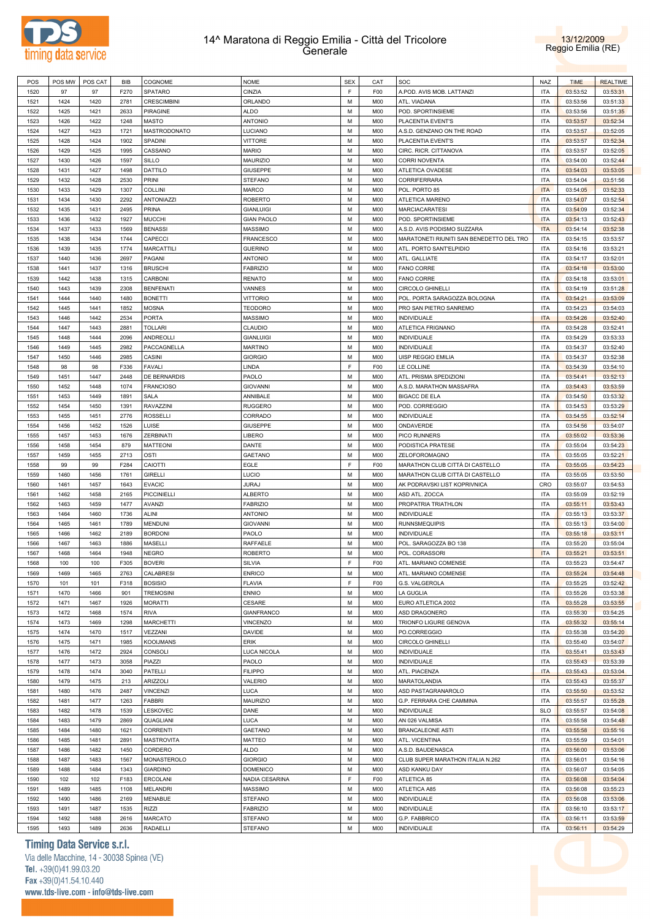



| POS  | POS MW | POS CAT | BIB  | COGNOME            | <b>NOME</b>       | <b>SEX</b> | CAT             | SOC                                      | <b>NAZ</b> | <b>TIME</b> | <b>REALTIME</b> |
|------|--------|---------|------|--------------------|-------------------|------------|-----------------|------------------------------------------|------------|-------------|-----------------|
| 1520 | 97     | 97      | F270 | SPATARO            | CINZIA            | F          | F <sub>0</sub>  | A.POD. AVIS MOB. LATTANZI                | <b>ITA</b> | 03:53:52    | 03:53:31        |
| 1521 | 1424   | 1420    | 2781 | <b>CRESCIMBINI</b> | ORLANDO           | M          | M <sub>0</sub>  | ATL. VIADANA                             | ITA        | 03:53:56    | 03:51:33        |
| 1522 | 1425   | 1421    | 2633 | PIRAGINE           | <b>ALDO</b>       | М          | M00             | POD. SPORTINSIEME                        | ITA        | 03:53:56    | 03:51:35        |
| 1523 | 1426   | 1422    | 1248 | <b>MASTO</b>       | <b>ANTONIO</b>    | М          | M00             | PLACENTIA EVENT'S                        | <b>ITA</b> | 03:53:57    | 03:52:34        |
| 1524 | 1427   | 1423    | 1721 | MASTRODONATO       | LUCIANO           | М          | M00             | A.S.D. GENZANO ON THE ROAD               | <b>ITA</b> | 03:53:57    | 03:52:05        |
| 1525 | 1428   | 1424    | 1902 | SPADINI            | <b>VITTORE</b>    | M          | M00             | PLACENTIA EVENT'S                        | <b>ITA</b> | 03:53:57    | 03:52:34        |
| 1526 | 1429   | 1425    | 1995 | CASSANO            | <b>MARIO</b>      | М          | M00             | CIRC. RICR. CITTANOVA                    | <b>ITA</b> | 03:53:57    | 03:52:05        |
| 1527 | 1430   | 1426    | 1597 | <b>SILLO</b>       | <b>MAURIZIO</b>   | M          | M00             | <b>CORRI NOVENTA</b>                     | <b>ITA</b> | 03:54:00    | 03:52:44        |
| 1528 | 1431   | 1427    | 1498 | DATTILO            | <b>GIUSEPPE</b>   | М          | M00             | ATLETICA OVADESE                         | <b>ITA</b> | 03:54:03    | 03:53:05        |
| 1529 | 1432   | 1428    | 2530 | PRINI              | <b>STEFANO</b>    | M          | M00             | CORRIFERRARA                             | <b>ITA</b> | 03:54:04    | 03:51:56        |
| 1530 | 1433   | 1429    | 1307 | <b>COLLINI</b>     | MARCO             | М          | M00             | POL. PORTO 85                            | <b>ITA</b> | 03:54:05    | 03:52:33        |
| 1531 | 1434   | 1430    | 2292 | ANTONIAZZI         | <b>ROBERTO</b>    | M          | M <sub>0</sub>  | ATLETICA MARENO                          | <b>ITA</b> | 03:54:07    | 03:52:54        |
| 1532 | 1435   | 1431    | 2495 | PRINA              | <b>GIANLUIGI</b>  | M          | M <sub>0</sub>  | <b>MARCIACARATESI</b>                    | <b>ITA</b> | 03:54:09    | 03:52:34        |
|      |        |         |      |                    | <b>GIAN PAOLO</b> | M          | M <sub>0</sub>  |                                          | <b>ITA</b> |             | 03:52:43        |
| 1533 | 1436   | 1432    | 1927 | <b>MUCCHI</b>      |                   |            |                 | POD. SPORTINSIEME                        |            | 03:54:13    |                 |
| 1534 | 1437   | 1433    | 1569 | <b>BENASSI</b>     | MASSIMO           | М          | M <sub>0</sub>  | A.S.D. AVIS PODISMO SUZZARA              | <b>ITA</b> | 03:54:14    | 03:52:38        |
| 1535 | 1438   | 1434    | 1744 | CAPECCI            | FRANCESCO         | М          | M00             | MARATONETI RIUNITI SAN BENEDETTO DEL TRO | <b>ITA</b> | 03:54:15    | 03:53:57        |
| 1536 | 1439   | 1435    | 1774 | <b>MARCATTILI</b>  | <b>GUERINO</b>    | М          | M00             | ATL. PORTO SANT'ELPIDIO                  | ITA        | 03:54:16    | 03:53:21        |
| 1537 | 1440   | 1436    | 2697 | PAGANI             | <b>ANTONIO</b>    | М          | M00             | ATL. GALLIATE                            | <b>ITA</b> | 03:54:17    | 03:52:01        |
| 1538 | 1441   | 1437    | 1316 | <b>BRUSCHI</b>     | <b>FABRIZIO</b>   | М          | M00             | <b>FANO CORRE</b>                        | <b>ITA</b> | 03:54:18    | 03:53:00        |
| 1539 | 1442   | 1438    | 1315 | CARBONI            | <b>RENATO</b>     | M          | M00             | <b>FANO CORRE</b>                        | <b>ITA</b> | 03:54:18    | 03:53:01        |
| 1540 | 1443   | 1439    | 2308 | <b>BENFENATI</b>   | VANNES            | М          | M00             | <b>CIRCOLO GHINELLI</b>                  | <b>ITA</b> | 03:54:19    | 03:51:28        |
| 1541 | 1444   | 1440    | 1480 | <b>BONETTI</b>     | <b>VITTORIO</b>   | M          | M00             | POL. PORTA SARAGOZZA BOLOGNA             | <b>ITA</b> | 03:54:21    | 03:53:09        |
| 1542 | 1445   | 1441    | 1852 | <b>MOSNA</b>       | <b>TEODORO</b>    | М          | M <sub>0</sub>  | PRO SAN PIETRO SANREMO                   | <b>ITA</b> | 03:54:23    | 03:54:03        |
| 1543 | 1446   | 1442    | 2534 | <b>PORTA</b>       | MASSIMO           | M          | M00             | <b>INDIVIDUALE</b>                       | <b>ITA</b> | 03:54:26    | 03:52:40        |
| 1544 | 1447   | 1443    | 2881 | <b>TOLLARI</b>     | CLAUDIO           | М          | M <sub>0</sub>  | ATLETICA FRIGNANO                        | <b>ITA</b> | 03:54:28    | 03:52:41        |
| 1545 | 1448   | 1444    | 2096 | ANDREOLLI          | <b>GIANLUIGI</b>  | M          | M <sub>0</sub>  | INDIVIDUALE                              | <b>ITA</b> | 03:54:29    | 03:53:33        |
| 1546 | 1449   | 1445    | 2982 | PACCAGNELLA        | <b>MARTINO</b>    | М          | M <sub>0</sub>  | <b>INDIVIDUALE</b>                       | <b>ITA</b> | 03:54:37    | 03:52:40        |
| 1547 | 1450   | 1446    | 2985 | CASINI             | <b>GIORGIO</b>    | М          | M00             | <b>UISP REGGIO EMILIA</b>                | <b>ITA</b> | 03:54:37    | 03:52:38        |
| 1548 | 98     | 98      | F336 | <b>FAVALI</b>      | LINDA             | F          | F <sub>00</sub> | LE COLLINE                               | <b>ITA</b> | 03:54:39    | 03:54:10        |
| 1549 | 1451   | 1447    | 2448 | DE BERNARDIS       | PAOLO             | М          | M00             | ATL. PRISMA SPEDIZIONI                   | <b>ITA</b> | 03:54:41    | 03:52:13        |
| 1550 | 1452   | 1448    | 1074 | <b>FRANCIOSO</b>   | <b>GIOVANNI</b>   | М          | M00             | A.S.D. MARATHON MASSAFRA                 | <b>ITA</b> | 03:54:43    | 03:53:59        |
| 1551 | 1453   | 1449    | 1891 | SALA               | ANNIBALE          | М          | M00             | <b>BIGACC DE ELA</b>                     | <b>ITA</b> | 03:54:50    | 03:53:32        |
| 1552 | 1454   | 1450    | 1391 | RAVAZZINI          | <b>RUGGERO</b>    | М          | M00             | POD. CORREGGIO                           | <b>ITA</b> | 03:54:53    | 03:53:29        |
| 1553 | 1455   | 1451    | 2776 | <b>ROSSELLI</b>    | CORRADO           | M          | M00             | INDIVIDUALE                              | <b>ITA</b> | 03:54:55    | 03:52:14        |
| 1554 | 1456   | 1452    | 1526 | LUISE              | <b>GIUSEPPE</b>   | М          | M00             | ONDAVERDE                                | <b>ITA</b> | 03:54:56    | 03:54:07        |
| 1555 | 1457   | 1453    | 1676 | ZERBINATI          | LIBERO            | M          | M <sub>0</sub>  | PICO RUNNERS                             | <b>ITA</b> | 03:55:02    | 03:53:36        |
| 1556 | 1458   | 1454    | 879  | <b>MATTEONI</b>    | DANTE             | М          | M <sub>0</sub>  | PODISTICA PRATESE                        | <b>ITA</b> | 03:55:04    | 03:54:23        |
| 1557 | 1459   | 1455    | 2713 | OSTI               | <b>GAETANO</b>    | M          | M <sub>0</sub>  | ZELOFOROMAGNO                            | <b>ITA</b> | 03:55:05    | 03:52:21        |
| 1558 | 99     | 99      | F284 | CAIOTTI            | EGLE              | E          | F <sub>00</sub> | MARATHON CLUB CITTÀ DI CASTELLO          | <b>ITA</b> | 03:55:05    | 03:54:23        |
| 1559 | 1460   | 1456    | 1761 | <b>GIRELLI</b>     | LUCIO             | M          | M <sub>0</sub>  | MARATHON CLUB CITTÀ DI CASTELLO          | <b>ITA</b> | 03:55:05    | 03:53:50        |
| 1560 | 1461   | 1457    | 1643 | <b>EVACIC</b>      | <b>JURAJ</b>      | М          | M00             | AK PODRAVSKI LIST KOPRIVNICA             | CRO        | 03:55:07    | 03:54:53        |
| 1561 | 1462   | 1458    | 2165 | <b>PICCINIELLI</b> | <b>ALBERTO</b>    | М          | M00             | ASD ATL. ZOCCA                           | <b>ITA</b> | 03:55:09    | 03:52:19        |
| 1562 | 1463   | 1459    | 1477 | AVANZI             | <b>FABRIZIO</b>   | М          | M00             | PROPATRIA TRIATHLON                      | <b>ITA</b> | 03:55:11    | 03:53:43        |
| 1563 | 1464   | 1460    | 1736 | ALINI              | <b>ANTONIO</b>    | М          | M00             | INDIVIDUALE                              | ITA        | 03:55:13    | 03:53:37        |
| 1564 | 1465   | 1461    | 1789 | <b>MENDUNI</b>     | <b>GIOVANNI</b>   | М          | M00             | <b>RUNNSMEQUIPIS</b>                     | ITA        | 03:55:13    | 03:54:00        |
| 1565 | 1466   | 1462    | 2189 | <b>BORDONI</b>     | PAOLO             | м          | M00             | INDIVIDUALE                              | <b>ITA</b> | 03:55:18    | 03:53:11        |
| 1566 | 1467   | 1463    | 1886 | <b>MASELLI</b>     | RAFFAELE          | М          | M <sub>0</sub>  | POL. SARAGOZZA BO 138                    | <b>ITA</b> | 03:55:20    | 03:55:04        |
| 1567 | 1468   | 1464    | 1948 | <b>NEGRO</b>       | <b>ROBERTO</b>    | М          | M00             | POL. CORASSORI                           | <b>ITA</b> | 03:55:21    | 03:53:51        |
| 1568 | 100    | 100     | F305 | <b>BOVERI</b>      | <b>SILVIA</b>     | E          | F <sub>00</sub> | ATL. MARIANO COMENSE                     | <b>ITA</b> | 03:55:23    | 03:54:47        |
| 1569 | 1469   | 1465    | 2763 | CALABRESI          | <b>ENRICO</b>     | M          | M <sub>0</sub>  | ATL. MARIANO COMENSE                     | <b>ITA</b> | 03:55:24    | 03:54:48        |
| 1570 | 101    | 101     | F318 | <b>BOSISIO</b>     | <b>FLAVIA</b>     | E          | F <sub>00</sub> | G.S. VALGEROLA                           | <b>ITA</b> | 03:55:25    | 03:52:42        |
| 1571 | 1470   | 1466    | 901  | <b>TREMOSINI</b>   | <b>ENNIO</b>      | М          | M <sub>0</sub>  | LA GUGLIA                                | ITA        | 03:55:26    | 03:53:38        |
| 1572 | 1471   | 1467    | 1926 | <b>MORATTI</b>     | CESARE            | М          | M00             | EURO ATLETICA 2002                       | ITA        | 03:55:28    | 03:53:55        |
| 1573 | 1472   | 1468    | 1574 | <b>RIVA</b>        | GIANFRANCO        | М          | M00             | ASD DRAGONERO                            | ITA        | 03:55:30    | 03:54:25        |
| 1574 | 1473   | 1469    | 1298 | <b>MARCHETTI</b>   | <b>VINCENZO</b>   | М          | M00             | TRIONFO LIGURE GENOVA                    | ITA        | 03:55:32    | 03:55:14        |
| 1575 | 1474   | 1470    | 1517 | VEZZANI            | DAVIDE            | М          | M00             | PO.CORREGGIO                             | ITA        | 03:55:38    | 03:54:20        |
| 1576 | 1475   | 1471    | 1985 | <b>KOOIJMANS</b>   | <b>ERIK</b>       | М          | M00             | CIRCOLO GHINELLI                         | ITA        | 03:55:40    | 03:54:07        |
| 1577 | 1476   | 1472    | 2924 | CONSOLI            | LUCA NICOLA       | М          | M00             | <b>INDIVIDUALE</b>                       | <b>ITA</b> | 03:55:41    | 03:53:43        |
| 1578 | 1477   | 1473    | 3058 | PIAZZI             | PAOLO             | М          | M00             | <b>INDIVIDUALE</b>                       | <b>ITA</b> | 03:55:43    | 03:53:39        |
| 1579 | 1478   | 1474    | 3040 | PATELLI            | <b>FILIPPO</b>    | М          | M <sub>0</sub>  | ATL. PIACENZA                            | <b>ITA</b> | 03:55:43    | 03:53:04        |
| 1580 | 1479   | 1475    | 213  | ARIZZOLI           | VALERIO           | М          | M <sub>0</sub>  | MARATOLANDIA                             | <b>ITA</b> | 03:55:43    | 03:55:37        |
| 1581 | 1480   | 1476    | 2487 | <b>VINCENZI</b>    | LUCA              | М          | M <sub>0</sub>  | ASD PASTAGRANAROLO                       | ITA        | 03:55:50    | 03:53:52        |
| 1582 | 1481   | 1477    | 1263 | <b>FABBRI</b>      | MAURIZIO          | М          | M <sub>0</sub>  | G.P. FERRARA CHE CAMMINA                 | <b>ITA</b> | 03:55:57    | 03:55:28        |
| 1583 | 1482   | 1478    | 1539 | LESKOVEC           | DANE              | М          | M <sub>0</sub>  | <b>INDIVIDUALE</b>                       | <b>SLO</b> | 03:55:57    | 03:54:08        |
| 1584 | 1483   | 1479    | 2869 | QUAGLIANI          | LUCA              | М          | M <sub>0</sub>  | AN 026 VALMISA                           | ITA        | 03:55:58    | 03:54:48        |
| 1585 | 1484   | 1480    | 1621 | <b>CORRENTI</b>    | <b>GAETANO</b>    | М          | M00             | <b>BRANCALEONE ASTI</b>                  | ITA        | 03:55:58    | 03:55:16        |
| 1586 | 1485   | 1481    | 2891 | <b>MASTROVITA</b>  | <b>MATTEO</b>     | М          | M00             | ATL. VICENTINA                           | ITA        | 03:55:59    | 03:54:01        |
| 1587 | 1486   | 1482    | 1450 | CORDERO            | ALDO              | М          | M00             | A.S.D. BAUDENASCA                        | ITA        | 03:56:00    | 03:53:06        |
| 1588 | 1487   | 1483    | 1567 | MONASTEROLO        | <b>GIORGIO</b>    | М          | M00             | CLUB SUPER MARATHON ITALIA N.262         | ITA        | 03:56:01    | 03:54:16        |
| 1589 | 1488   | 1484    | 1343 | <b>GIARDINO</b>    | <b>DOMENICO</b>   | М          | M00             | ASD KANKU DAY                            | ITA        | 03:56:07    | 03:54:05        |
| 1590 | 102    | 102     | F183 | ERCOLANI           | NADIA CESARINA    | F          | F <sub>00</sub> | ATLETICA 85                              | ITA        | 03:56:08    | 03:54:04        |
| 1591 | 1489   | 1485    | 1108 | MELANDRI           | <b>MASSIMO</b>    | М          | M <sub>0</sub>  | ATLETICA A85                             | ITA        | 03:56:08    | 03:55:23        |
| 1592 | 1490   | 1486    | 2169 | MENABUE            | <b>STEFANO</b>    | М          | M <sub>0</sub>  | <b>INDIVIDUALE</b>                       | ITA        | 03:56:08    | 03:53:06        |
| 1593 | 1491   | 1487    | 1535 | <b>RIZZI</b>       | <b>FABRIZIO</b>   | М          | M <sub>0</sub>  | <b>INDIVIDUALE</b>                       | ITA        | 03:56:10    | 03:53:17        |
| 1594 | 1492   | 1488    | 2616 | <b>MARCATO</b>     | <b>STEFANO</b>    | М          | M <sub>0</sub>  | G.P. FABBRICO                            | <b>ITA</b> | 03:56:11    | 03:53:59        |
| 1595 | 1493   | 1489    | 2636 | RADAELLI           | STEFANO           | М          | M00             | <b>INDIVIDUALE</b>                       | ITA        | 03:56:11    | 03:54:29        |

# **Timing Data Service s.r.l.**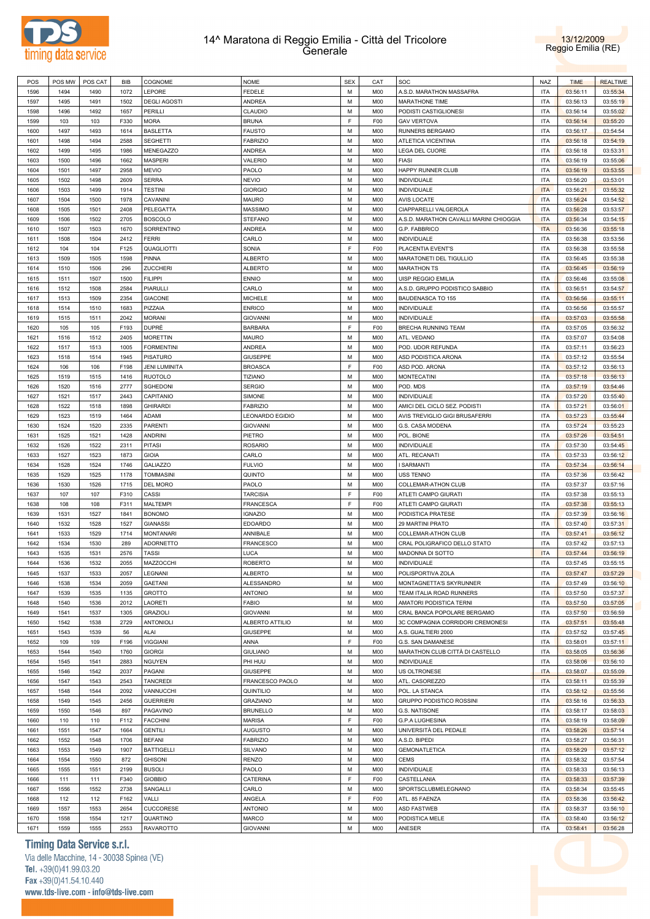



| POS  | POS MW | POS CAT | <b>BIB</b> | COGNOME             | <b>NOME</b>            | <b>SEX</b> | CAT             | SOC                                     | <b>NAZ</b> | <b>TIME</b> | <b>REALTIME</b> |
|------|--------|---------|------------|---------------------|------------------------|------------|-----------------|-----------------------------------------|------------|-------------|-----------------|
| 1596 | 1494   | 1490    | 1072       | LEPORE              | <b>FEDELE</b>          | M          | M <sub>0</sub>  | A.S.D. MARATHON MASSAFRA                | <b>ITA</b> | 03:56:11    | 03:55:34        |
|      |        |         |            |                     |                        |            |                 |                                         |            |             |                 |
| 1597 | 1495   | 1491    | 1502       | <b>DEGLI AGOSTI</b> | <b>ANDREA</b>          | М          | M <sub>0</sub>  | MARATHONE TIME                          | <b>ITA</b> | 03:56:13    | 03:55:19        |
| 1598 | 1496   | 1492    | 1657       | PERILLI             | CLAUDIO                | M          | M <sub>0</sub>  | PODISTI CASTIGLIONESI                   | <b>ITA</b> | 03:56:14    | 03:55:02        |
| 1599 | 103    | 103     | F330       | <b>MORA</b>         | <b>BRUNA</b>           | F          | F <sub>0</sub>  | <b>GAV VERTOVA</b>                      | <b>ITA</b> | 03:56:14    | 03:55:20        |
| 1600 | 1497   | 1493    | 1614       | <b>BASLETTA</b>     | <b>FAUSTO</b>          | M          | M <sub>0</sub>  | RUNNERS BERGAMO                         | <b>ITA</b> | 03:56:17    | 03:54:54        |
| 1601 | 1498   | 1494    | 2588       | <b>SEGHETTI</b>     | <b>FABRIZIO</b>        | M          | M <sub>0</sub>  | ATLETICA VICENTINA                      | <b>ITA</b> | 03:56:18    | 03:54:19        |
| 1602 | 1499   | 1495    | 1986       | MENEGAZZO           | <b>ANDREA</b>          | M          | M <sub>0</sub>  | LEGA DEL CUORE                          | <b>ITA</b> | 03:56:18    | 03:53:31        |
| 1603 | 1500   | 1496    | 1662       | <b>MASPERI</b>      | VALERIO                | M          | M <sub>0</sub>  | <b>FIASI</b>                            | <b>ITA</b> | 03:56:19    | 03:55:06        |
| 1604 | 1501   | 1497    | 2958       | <b>MEVIO</b>        | PAOLO                  | M          | M <sub>0</sub>  | HAPPY RUNNER CLUB                       | <b>ITA</b> | 03:56:19    | 03:53:55        |
|      | 1502   | 1498    | 2609       | <b>SERRA</b>        | <b>NEVIO</b>           | M          | M <sub>0</sub>  | INDIVIDUALE                             | <b>ITA</b> | 03:56:20    | 03:53:01        |
| 1605 |        |         |            |                     |                        |            |                 |                                         |            |             |                 |
| 1606 | 1503   | 1499    | 1914       | <b>TESTINI</b>      | <b>GIORGIO</b>         | M          | M <sub>0</sub>  | <b>INDIVIDUALE</b>                      | <b>ITA</b> | 03:56:21    | 03:55:32        |
| 1607 | 1504   | 1500    | 1978       | CAVANINI            | <b>MAURO</b>           | M          | M <sub>0</sub>  | <b>AVIS LOCATE</b>                      | <b>ITA</b> | 03:56:24    | 03:54:52        |
| 1608 | 1505   | 1501    | 2408       | PELEGATTA           | <b>MASSIMO</b>         | M          | M <sub>0</sub>  | CIAPPARELLI VALGEROLA                   | <b>ITA</b> | 03:56:28    | 03:53:57        |
| 1609 | 1506   | 1502    | 2705       | <b>BOSCOLO</b>      | <b>STEFANO</b>         | M          | M <sub>0</sub>  | A.S.D. MARATHON CAVALLI MARINI CHIOGGIA | <b>ITA</b> | 03:56:34    | 03:54:15        |
| 1610 | 1507   | 1503    | 1670       | SORRENTINO          | <b>ANDREA</b>          | M          | M <sub>0</sub>  | G.P. FABBRICO                           | <b>ITA</b> | 03:56:36    | 03:55:18        |
| 1611 | 1508   | 1504    | 2412       | <b>FERRI</b>        | CARLO                  | М          | M <sub>0</sub>  | INDIVIDUALE                             | <b>ITA</b> | 03:56:38    | 03:53:56        |
| 1612 | 104    | 104     | F125       | QUAGLIOTTI          | SONIA                  | F          | F <sub>00</sub> | PLACENTIA EVENT'S                       | <b>ITA</b> | 03:56:38    | 03:55:58        |
| 1613 | 1509   | 1505    | 1598       | <b>PINNA</b>        | <b>ALBERTO</b>         | M          | M <sub>0</sub>  | MARATONETI DEL TIGULLIO                 | <b>ITA</b> | 03:56:45    | 03:55:38        |
| 1614 | 1510   | 1506    | 296        | ZUCCHERI            | <b>ALBERTO</b>         | M          | M <sub>0</sub>  | <b>MARATHON TS</b>                      | <b>ITA</b> | 03:56:45    | 03:56:19        |
| 1615 | 1511   | 1507    | 1500       | <b>FILIPPI</b>      | <b>ENNIO</b>           | M          | M <sub>0</sub>  | <b>UISP REGGIO EMILIA</b>               | <b>ITA</b> | 03:56:46    | 03:55:08        |
| 1616 | 1512   | 1508    | 2584       | <b>PIARULLI</b>     | CARLO                  | M          | M <sub>0</sub>  | A.S.D. GRUPPO PODISTICO SABBIO          | <b>ITA</b> | 03:56:51    | 03:54:57        |
| 1617 | 1513   | 1509    | 2354       | <b>GIACONE</b>      | <b>MICHELE</b>         | M          | M <sub>0</sub>  | <b>BAUDENASCA TO 155</b>                | <b>ITA</b> | 03:56:56    | 03:55:11        |
|      |        |         |            |                     |                        |            |                 |                                         |            |             |                 |
| 1618 | 1514   | 1510    | 1683       | PIZZAIA             | <b>ENRICO</b>          | M          | M <sub>0</sub>  | INDIVIDUALE                             | <b>ITA</b> | 03:56:56    | 03:55:57        |
| 1619 | 1515   | 1511    | 2042       | <b>MORANI</b>       | <b>GIOVANNI</b>        | M          | M <sub>0</sub>  | <b>INDIVIDUALE</b>                      | <b>ITA</b> | 03:57:03    | 03:55:58        |
| 1620 | 105    | 105     | F193       | <b>DUPRÈ</b>        | <b>BARBARA</b>         | F          | F <sub>00</sub> | BRECHA RUNNING TEAM                     | <b>ITA</b> | 03:57:05    | 03:56:32        |
| 1621 | 1516   | 1512    | 2405       | <b>MORETTIN</b>     | <b>MAURO</b>           | M          | M <sub>0</sub>  | ATL. VEDANO                             | <b>ITA</b> | 03:57:07    | 03:54:08        |
| 1622 | 1517   | 1513    | 1005       | <b>FORMENTINI</b>   | <b>ANDREA</b>          | M          | M <sub>0</sub>  | POD. UDOR REFUNDA                       | <b>ITA</b> | 03:57:11    | 03:56:23        |
| 1623 | 1518   | 1514    | 1945       | <b>PISATURO</b>     | <b>GIUSEPPE</b>        | М          | M <sub>0</sub>  | ASD PODISTICA ARONA                     | <b>ITA</b> | 03:57:12    | 03:55:54        |
| 1624 | 106    | 106     | F198       | JENI LUMINITA       | <b>BROASCA</b>         | F          | F <sub>00</sub> | ASD POD. ARONA                          | <b>ITA</b> | 03:57:12    | 03:56:13        |
| 1625 | 1519   | 1515    | 1416       | <b>RUOTOLO</b>      | <b>TIZIANO</b>         | M          | M <sub>0</sub>  | <b>MONTECATINI</b>                      | ITA        | 03:57:18    | 03:56:13        |
| 1626 | 1520   | 1516    | 2777       | SGHEDONI            | <b>SERGIO</b>          | M          | M <sub>0</sub>  | POD. MDS                                | <b>ITA</b> | 03:57:19    | 03:54:46        |
| 1627 | 1521   | 1517    | 2443       | CAPITANIO           | SIMONE                 | M          | M <sub>0</sub>  | INDIVIDUALE                             | <b>ITA</b> | 03:57:20    | 03:55:40        |
| 1628 | 1522   | 1518    | 1898       | <b>GHIRARDI</b>     | <b>FABRIZIO</b>        | M          | M <sub>0</sub>  | AMICI DEL CICLO SEZ. PODISTI            | <b>ITA</b> | 03:57:21    | 03:56:01        |
|      |        |         |            |                     |                        |            |                 |                                         |            |             |                 |
| 1629 | 1523   | 1519    | 1464       | ADAMI               | <b>LEONARDO EGIDIO</b> | M          | M <sub>0</sub>  | AVIS TREVIGLIO GIGI BRUSAFERRI          | <b>ITA</b> | 03:57:23    | 03:55:44        |
| 1630 | 1524   | 1520    | 2335       | <b>PARENTI</b>      | <b>GIOVANNI</b>        | M          | M <sub>0</sub>  | G.S. CASA MODENA                        | <b>ITA</b> | 03:57:24    | 03:55:23        |
| 1631 | 1525   | 1521    | 1428       | <b>ANDRINI</b>      | PIETRO                 | M          | M <sub>0</sub>  | POL. BIONE                              | <b>ITA</b> | 03:57:26    | 03:54:51        |
| 1632 | 1526   | 1522    | 2311       | <b>PITASI</b>       | <b>ROSARIO</b>         | M          | M <sub>0</sub>  | <b>INDIVIDUALE</b>                      | <b>ITA</b> | 03:57:30    | 03:54:45        |
| 1633 | 1527   | 1523    | 1873       | <b>GIOIA</b>        | CARLO                  | M          | M <sub>0</sub>  | ATL. RECANATI                           | <b>ITA</b> | 03:57:33    | 03:56:12        |
| 1634 | 1528   | 1524    | 1746       | <b>GALIAZZO</b>     | <b>FULVIO</b>          | M          | M <sub>0</sub>  | I SARMANTI                              | <b>ITA</b> | 03:57:34    | 03:56:14        |
| 1635 | 1529   | 1525    | 1178       | <b>TOMMASINI</b>    | QUINTO                 | М          | M <sub>0</sub>  | <b>USS TENNO</b>                        | <b>ITA</b> | 03:57:36    | 03:56:42        |
| 1636 | 1530   | 1526    | 1715       | DEL MORO            | PAOLO                  | M          | M <sub>0</sub>  | COLLEMAR-ATHON CLUB                     | <b>ITA</b> | 03:57:37    | 03:57:16        |
| 1637 | 107    | 107     | F310       | CASSI               | <b>TARCISIA</b>        | F          | F <sub>0</sub>  | ATLETI CAMPO GIURATI                    | <b>ITA</b> | 03:57:38    | 03:55:13        |
| 1638 | 108    | 108     | F311       | <b>MALTEMPI</b>     | FRANCESCA              | F          | F <sub>00</sub> | ATLETI CAMPO GIURATI                    | <b>ITA</b> | 03:57:38    | 03:55:13        |
| 1639 | 1531   | 1527    | 1841       | <b>BONOMO</b>       | <b>IGNAZIO</b>         | M          | M <sub>0</sub>  | PODISTICA PRATESE                       | ITA        | 03:57:39    | 03:56:16        |
| 1640 | 1532   | 1528    | 1527       | GIANASSI            | <b>EDOARDO</b>         | M          | M <sub>0</sub>  | 29 MARTINI PRATO                        | <b>ITA</b> | 03:57:40    | 03:57:31        |
| 1641 | 1533   | 1529    | 1714       | <b>MONTANARI</b>    | ANNIBALE               | M          | M <sub>0</sub>  | COLLEMAR-ATHON CLUB                     | ITA        | 03:57:41    | 03:56:12        |
|      |        |         |            |                     |                        |            |                 |                                         |            |             |                 |
| 1642 | 1534   | 1530    | 289        | <b>ADORNETTO</b>    | <b>FRANCESCO</b>       | М          | M <sub>0</sub>  | CRAL POLIGRAFICO DELLO STATO            | <b>ITA</b> | 03:57:42    | 03:57:13        |
| 1643 | 1535   | 1531    | 2576       | <b>TASSI</b>        | LUCA                   | М          | M <sub>0</sub>  | MADONNA DI SOTTO                        | <b>ITA</b> | 03:57:44    | 03:56:19        |
| 1644 | 1536   | 1532    | 2055       | MAZZOCCHI           | <b>ROBERTO</b>         | М          | M00             | INDIVIDUALE                             | <b>ITA</b> | 03:57:45    | 03:55:15        |
| 1645 | 1537   | 1533    | 2057       | LEGNANI             | <b>ALBERTO</b>         | M          | M <sub>0</sub>  | POLISPORTIVA ZOLA                       | <b>ITA</b> | 03:57:47    | 03:57:29        |
| 1646 | 1538   | 1534    | 2059       | <b>GAETANI</b>      | ALESSANDRO             | M          | M00             | MONTAGNETTA'S SKYRUNNER                 | <b>ITA</b> | 03:57:49    | 03:56:10        |
| 1647 | 1539   | 1535    | 1135       | <b>GROTTO</b>       | <b>ANTONIO</b>         | M          | M <sub>0</sub>  | TEAM ITALIA ROAD RUNNERS                | <b>ITA</b> | 03:57:50    | 03:57:37        |
| 1648 | 1540   | 1536    | 2012       | LAORETI             | <b>FABIO</b>           | M          | M <sub>0</sub>  | AMATORI PODISTICA TERNI                 | <b>ITA</b> | 03:57:50    | 03:57:05        |
| 1649 | 1541   | 1537    | 1305       | <b>GRAZIOLI</b>     | <b>GIOVANNI</b>        | М          | M <sub>0</sub>  | CRAL BANCA POPOLARE BERGAMO             | <b>ITA</b> | 03:57:50    | 03:56:59        |
| 1650 | 1542   | 1538    | 2729       | <b>ANTONIOLI</b>    | ALBERTO ATTILIO        | М          | M <sub>0</sub>  | 3C COMPAGNIA CORRIDORI CREMONESI        | <b>ITA</b> | 03:57:51    | 03:55:48        |
| 1651 | 1543   | 1539    | 56         | ALAI                | <b>GIUSEPPE</b>        | М          | M <sub>0</sub>  | A.S. GUALTIERI 2000                     | <b>ITA</b> | 03:57:52    | 03:57:45        |
| 1652 | 109    | 109     | F196       | <b>VIGGIANI</b>     | ANNA                   | F          | F <sub>00</sub> | G.S. SAN DAMANESE                       | <b>ITA</b> | 03:58:01    | 03:57:11        |
| 1653 | 1544   | 1540    | 1760       | <b>GIORGI</b>       | <b>GIULIANO</b>        | M          | M <sub>0</sub>  | MARATHON CLUB CITTÀ DI CASTELLO         | <b>ITA</b> | 03:58:05    | 03:56:36        |
| 1654 | 1545   | 1541    | 2883       | <b>NGUYEN</b>       | PHI HUU                | М          | M <sub>0</sub>  | <b>INDIVIDUALE</b>                      | <b>ITA</b> | 03:58:06    | 03:56:10        |
|      |        |         |            |                     |                        |            |                 |                                         |            |             |                 |
| 1655 | 1546   | 1542    | 2037       | PAGANI              | <b>GIUSEPPE</b>        | M          | M <sub>0</sub>  | US OLTRONESE                            | <b>ITA</b> | 03:58:07    | 03:55:09        |
| 1656 | 1547   | 1543    | 2543       | <b>TANCREDI</b>     | FRANCESCO PAOLO        | М          | M <sub>0</sub>  | ATL. CASOREZZO                          | <b>ITA</b> | 03:58:11    | 03:55:39        |
| 1657 | 1548   | 1544    | 2092       | VANNUCCHI           | QUINTILIO              | M          | M <sub>0</sub>  | POL. LA STANCA                          | <b>ITA</b> | 03:58:12    | 03:55:56        |
| 1658 | 1549   | 1545    | 2456       | <b>GUERRIERI</b>    | <b>GRAZIANO</b>        | М          | M <sub>0</sub>  | GRUPPO PODISTICO ROSSINI                | <b>ITA</b> | 03:58:16    | 03:56:33        |
| 1659 | 1550   | 1546    | 897        | PAGAVINO            | <b>BRUNELLO</b>        | M          | M <sub>0</sub>  | G.S. NATISONE                           | ITA        | 03:58:17    | 03:58:03        |
| 1660 | 110    | 110     | F112       | <b>FACCHINI</b>     | <b>MARISA</b>          | F          | F <sub>00</sub> | <b>G.P.A LUGHESINA</b>                  | <b>ITA</b> | 03:58:19    | 03:58:09        |
| 1661 | 1551   | 1547    | 1664       | <b>GENTILI</b>      | <b>AUGUSTO</b>         | M          | M <sub>0</sub>  | UNIVERSITÀ DEL PEDALE                   | <b>ITA</b> | 03:58:26    | 03:57:14        |
| 1662 | 1552   | 1548    | 1706       | <b>BEFANI</b>       | <b>FABRIZIO</b>        | M          | M00             | A.S.D. BIPEDI                           | <b>ITA</b> | 03:58:27    | 03:56:31        |
| 1663 | 1553   | 1549    | 1907       | <b>BATTIGELLI</b>   | SILVANO                | M          | M <sub>0</sub>  | <b>GEMONATLETICA</b>                    | <b>ITA</b> | 03:58:29    | 03:57:12        |
| 1664 | 1554   | 1550    | 872        | <b>GHISONI</b>      | RENZO                  | M          | M <sub>0</sub>  | CEMS                                    | <b>ITA</b> | 03:58:32    | 03:57:54        |
| 1665 | 1555   | 1551    | 2199       | <b>BUSOLI</b>       | PAOLO                  | M          | M <sub>0</sub>  | INDIVIDUALE                             | <b>ITA</b> | 03:58:33    | 03:56:13        |
|      | 111    |         | F340       |                     |                        | F          | F <sub>00</sub> | CASTELLANIA                             | <b>ITA</b> |             |                 |
| 1666 |        | 111     |            | <b>GIOBBIO</b>      | CATERINA               |            |                 |                                         |            | 03:58:33    | 03:57:39        |
| 1667 | 1556   | 1552    | 2738       | SANGALLI            | CARLO                  | M          | M <sub>0</sub>  | SPORTSCLUBMELEGNANO                     | <b>ITA</b> | 03:58:34    | 03:55:45        |
| 1668 | 112    | 112     | F162       | VALLI               | ANGELA                 | F          | F <sub>00</sub> | ATL. 85 FAENZA                          | <b>ITA</b> | 03:58:36    | 03:56:42        |
| 1669 | 1557   | 1553    | 2654       | <b>CUCCORESE</b>    | <b>ANTONIO</b>         | M          | M <sub>0</sub>  | <b>ASD FASTWEB</b>                      | <b>ITA</b> | 03:58:37    | 03:56:10        |
| 1670 | 1558   | 1554    | 1217       | QUARTINO            | MARCO                  | М          | M00             | PODISTICA MELE                          | <b>ITA</b> | 03:58:40    | 03:56:12        |
| 1671 | 1559   | 1555    | 2553       | RAVAROTTO           | <b>GIOVANNI</b>        | М          | M00             | ANESER                                  | ITA        | 03:58:41    | 03:56:28        |

# **Timing Data Service s.r.l.**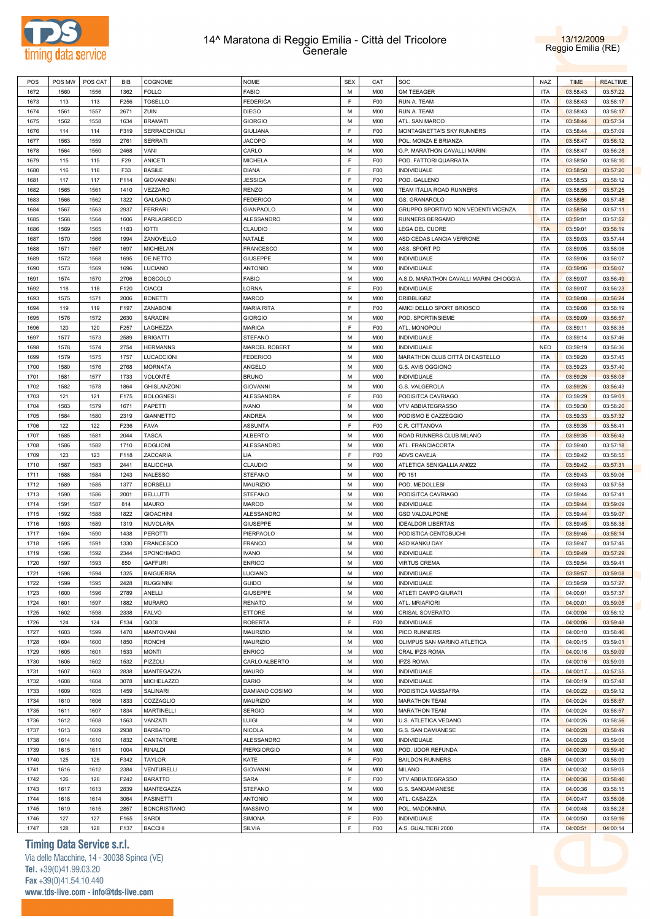



| POS  | POS MW | POS CAT | <b>BIB</b> | COGNOME             | <b>NOME</b>          | <b>SEX</b> | CAT             | SOC                                     | <b>NAZ</b> | <b>TIME</b> | <b>REALTIME</b> |
|------|--------|---------|------------|---------------------|----------------------|------------|-----------------|-----------------------------------------|------------|-------------|-----------------|
| 1672 | 1560   | 1556    | 1362       | <b>FOLLO</b>        | FABIO                | M          | M00             | <b>GM TEEAGER</b>                       | <b>ITA</b> | 03:58:43    | 03:57:22        |
| 1673 | 113    | 113     | F256       | <b>TOSELLO</b>      | FEDERICA             | E          | F00             | RUN A. TEAM                             | <b>ITA</b> | 03:58:43    | 03:58:17        |
| 1674 | 1561   | 1557    | 2671       | ZUIN                | <b>DIEGO</b>         | М          | M00             | RUN A. TEAM                             | <b>ITA</b> | 03:58:43    | 03:58:17        |
| 1675 | 1562   | 1558    | 1634       | <b>BRAMATI</b>      | <b>GIORGIO</b>       | М          | M <sub>0</sub>  | ATL. SAN MARCO                          | <b>ITA</b> | 03:58:44    | 03:57:34        |
|      | 114    | 114     | F319       | <b>SERRACCHIOLI</b> | <b>GIULIANA</b>      | E          | F <sub>00</sub> |                                         | <b>ITA</b> |             |                 |
| 1676 |        |         |            |                     |                      |            |                 | MONTAGNETTA'S SKY RUNNERS               |            | 03:58:44    | 03:57:09        |
| 1677 | 1563   | 1559    | 2761       | <b>SERRATI</b>      | <b>JACOPO</b>        | М          | M <sub>0</sub>  | POL. MONZA E BRIANZA                    | <b>ITA</b> | 03:58:47    | 03:56:12        |
| 1678 | 1564   | 1560    | 2468       | VANI                | CARLO                | M          | M00             | G.P. MARATHON CAVALLI MARINI            | <b>ITA</b> | 03:58:47    | 03:56:28        |
| 1679 | 115    | 115     | F29        | <b>ANICETI</b>      | <b>MICHELA</b>       | E          | F00             | POD. FATTORI QUARRATA                   | <b>ITA</b> | 03:58:50    | 03:58:10        |
| 1680 | 116    | 116     | F33        | <b>BASILE</b>       | <b>DIANA</b>         | F          | F <sub>0</sub>  | <b>INDIVIDUALE</b>                      | <b>ITA</b> | 03:58:50    | 03:57:20        |
| 1681 | 117    | 117     | F114       | <b>GIOVANNINI</b>   | <b>JESSICA</b>       | E          | F <sub>0</sub>  | POD. GALLENO                            | <b>ITA</b> | 03:58:53    | 03:58:12        |
| 1682 | 1565   | 1561    | 1410       | VEZZARO             | <b>RENZO</b>         | М          | M00             | TEAM ITALIA ROAD RUNNERS                | <b>ITA</b> | 03:58:55    | 03:57:25        |
| 1683 | 1566   | 1562    | 1322       | <b>GALGANO</b>      | <b>FEDERICO</b>      | М          | M <sub>0</sub>  | GS. GRANAROLO                           | <b>ITA</b> | 03:58:56    | 03:57:48        |
| 1684 | 1567   | 1563    | 2937       | <b>FERRARI</b>      | <b>GIANPAOLO</b>     | M          | M00             | GRUPPO SPORTIVO NON VEDENTI VICENZA     | <b>ITA</b> | 03:58:58    | 03:57:11        |
| 1685 | 1568   | 1564    | 1606       | PARLAGRECO          | ALESSANDRO           | М          | M <sub>0</sub>  | RUNNERS BERGAMO                         | <b>ITA</b> |             | 03:57:52        |
|      |        |         |            |                     |                      |            |                 |                                         |            | 03:59:01    |                 |
| 1686 | 1569   | 1565    | 1183       | <b>IOTTI</b>        | CLAUDIO              | M          | M00             | <b>LEGA DEL CUORE</b>                   | <b>ITA</b> | 03:59:01    | 03:58:19        |
| 1687 | 1570   | 1566    | 1994       | ZANOVELLO           | NATALE               | М          | M <sub>0</sub>  | ASD CEDAS LANCIA VERRONE                | <b>ITA</b> | 03:59:03    | 03:57:44        |
| 1688 | 1571   | 1567    | 1697       | <b>MICHIELAN</b>    | FRANCESCO            | M          | M <sub>0</sub>  | ASS. SPORT PD                           | <b>ITA</b> | 03:59:05    | 03:58:06        |
| 1689 | 1572   | 1568    | 1695       | DE NETTO            | <b>GIUSEPPE</b>      | М          | M <sub>0</sub>  | <b>INDIVIDUALE</b>                      | <b>ITA</b> | 03:59:06    | 03:58:07        |
| 1690 | 1573   | 1569    | 1696       | <b>LUCIANO</b>      | <b>ANTONIO</b>       | M          | M <sub>0</sub>  | <b>INDIVIDUALE</b>                      | <b>ITA</b> | 03:59:06    | 03:58:07        |
| 1691 | 1574   | 1570    | 2706       | <b>BOSCOLO</b>      | <b>FABIO</b>         | М          | M <sub>0</sub>  | A.S.D. MARATHON CAVALLI MARINI CHIOGGIA | <b>ITA</b> | 03:59:07    | 03:56:49        |
| 1692 | 118    | 118     | F120       | <b>CIACCI</b>       | LORNA                | F          | F <sub>00</sub> | <b>INDIVIDUALE</b>                      | <b>ITA</b> | 03:59:07    | 03:56:23        |
| 1693 | 1575   | 1571    | 2006       | <b>BONETTI</b>      | MARCO                | М          | M <sub>0</sub>  | DRIBBLIGBZ                              | <b>ITA</b> | 03:59:08    | 03:56:24        |
| 1694 | 119    | 119     | F197       | ZANABONI            | <b>MARIA RITA</b>    | F          | F <sub>0</sub>  | AMICI DELLO SPORT BRIOSCO               | <b>ITA</b> | 03:59:08    | 03:58:19        |
|      |        |         |            |                     |                      |            |                 |                                         |            |             |                 |
| 1695 | 1576   | 1572    | 2630       | SARACINI            | <b>GIORGIO</b>       | М          | M <sub>0</sub>  | POD. SPORTINSIEME                       | <b>ITA</b> | 03:59:09    | 03:56:57        |
| 1696 | 120    | 120     | F257       | LAGHEZZA            | <b>MARICA</b>        | F          | F <sub>0</sub>  | ATL. MONOPOLI                           | <b>ITA</b> | 03:59:11    | 03:58:35        |
| 1697 | 1577   | 1573    | 2589       | <b>BRIGATTI</b>     | <b>STEFANO</b>       | М          | M <sub>0</sub>  | <b>INDIVIDUALE</b>                      | <b>ITA</b> | 03:59:14    | 03:57:46        |
| 1698 | 1578   | 1574    | 2754       | <b>HERMANNS</b>     | <b>MARCEL ROBERT</b> | М          | M00             | <b>INDIVIDUALE</b>                      | <b>NED</b> | 03:59:19    | 03:56:36        |
| 1699 | 1579   | 1575    | 1757       | LUCACCIONI          | <b>FEDERICO</b>      | М          | M <sub>0</sub>  | MARATHON CLUB CITTÀ DI CASTELLO         | <b>ITA</b> | 03:59:20    | 03:57:45        |
| 1700 | 1580   | 1576    | 2768       | <b>MORNATA</b>      | ANGELO               | M          | M <sub>0</sub>  | G.S. AVIS OGGIONO                       | <b>ITA</b> | 03:59:23    | 03:57:40        |
| 1701 | 1581   | 1577    | 1733       | VOLONTÈ             | <b>BRUNO</b>         | М          | M <sub>0</sub>  | <b>INDIVIDUALE</b>                      | <b>ITA</b> | 03:59:26    | 03:58:08        |
| 1702 | 1582   | 1578    | 1864       | GHISLANZONI         | <b>GIOVANNI</b>      | M          | M <sub>0</sub>  | G.S. VALGEROLA                          | <b>ITA</b> | 03:59:26    | 03:56:43        |
| 1703 | 121    | 121     | F175       | <b>BOLOGNESI</b>    | ALESSANDRA           | E          | F <sub>00</sub> | PODISITCA CAVRIAGO                      | <b>ITA</b> | 03:59:29    | 03:59:01        |
|      |        |         |            |                     |                      | M          |                 |                                         | <b>ITA</b> |             |                 |
| 1704 | 1583   | 1579    | 1671       | PAPETTI             | <b>IVANO</b>         |            | M <sub>0</sub>  | <b>VTV ABBIATEGRASSO</b>                |            | 03:59:30    | 03:58:20        |
| 1705 | 1584   | 1580    | 2319       | GIANNETTO           | <b>ANDREA</b>        | М          | M <sub>0</sub>  | PODISMO E CAZZEGGIO                     | <b>ITA</b> | 03:59:33    | 03:57:32        |
| 1706 | 122    | 122     | F236       | <b>FAVA</b>         | <b>ASSUNTA</b>       | F          | F <sub>0</sub>  | C.R. CITTANOVA                          | <b>ITA</b> | 03:59:35    | 03:58:41        |
| 1707 | 1585   | 1581    | 2044       | <b>TASCA</b>        | <b>ALBERTO</b>       | М          | M <sub>0</sub>  | ROAD RUNNERS CLUB MILANO                | <b>ITA</b> | 03:59:35    | 03:56:43        |
| 1708 | 1586   | 1582    | 1710       | <b>BOGLIONI</b>     | ALESSANDRO           | M          | M00             | ATL. FRANCIACORTA                       | <b>ITA</b> | 03:59:40    | 03:57:18        |
| 1709 | 123    | 123     | F118       | ZACCARIA            | LIA                  | E          | F <sub>00</sub> | ADVS CAVEJA                             | <b>ITA</b> | 03:59:42    | 03:58:55        |
| 1710 | 1587   | 1583    | 2441       | <b>BALICCHIA</b>    | CLAUDIO              | М          | M <sub>0</sub>  | ATLETICA SENIGALLIA AN022               | <b>ITA</b> | 03:59:42    | 03:57:31        |
| 1711 | 1588   | 1584    | 1243       | <b>NALESSO</b>      | <b>STEFANO</b>       | М          | M <sub>0</sub>  | PD 151                                  | <b>ITA</b> | 03:59:43    | 03:59:06        |
| 1712 | 1589   | 1585    | 1377       | <b>BORSELLI</b>     | <b>MAURIZIO</b>      | M          | M <sub>0</sub>  | POD. MEDOLLESI                          | <b>ITA</b> | 03:59:43    | 03:57:58        |
| 1713 | 1590   | 1586    | 2001       | <b>BELLUTTI</b>     | <b>STEFANO</b>       | М          | M <sub>0</sub>  | PODISITCA CAVRIAGO                      | <b>ITA</b> | 03:59:44    | 03:57:41        |
|      |        |         |            |                     |                      |            |                 |                                         |            |             |                 |
| 1714 | 1591   | 1587    | 814        | <b>MAURO</b>        | <b>MARCO</b>         | M          | M <sub>0</sub>  | <b>INDIVIDUALE</b>                      | <b>ITA</b> | 03:59:44    | 03:59:09        |
| 1715 | 1592   | 1588    | 1822       | <b>GIOACHINI</b>    | ALESSANDRO           | М          | M <sub>0</sub>  | <b>GSD VALDALPONE</b>                   | <b>ITA</b> | 03:59:44    | 03:59:07        |
| 1716 | 1593   | 1589    | 1319       | <b>NUVOLARA</b>     | <b>GIUSEPPE</b>      | M          | M <sub>0</sub>  | <b>IDEALDOR LIBERTAS</b>                | <b>ITA</b> | 03:59:45    | 03:58:38        |
| 1717 | 1594   | 1590    | 1438       | <b>PEROTTI</b>      | PIERPAOLO            | М          | M <sub>0</sub>  | PODISTICA CENTOBUCHI                    | <b>ITA</b> | 03:59:46    | 03:58:14        |
| 1718 | 1595   | 1591    | 1330       | <b>FRANCESCO</b>    | FRANCO               | М          | M <sub>0</sub>  | ASD KANKU DAY                           | <b>ITA</b> | 03:59:47    | 03:57:45        |
| 1719 | 1596   | 1592    | 2344       | SPONCHIADO          | <b>IVANO</b>         | М          | M <sub>0</sub>  | <b>INDIVIDUALE</b>                      | <b>ITA</b> | 03:59:49    | 03:57:29        |
| 1720 | 1597   | 1593    | 850        | <b>GAFFURI</b>      | <b>ENRICO</b>        | M          | M00             | <b>VIRTUS CREMA</b>                     | <b>ITA</b> | 03:59:54    | 03:59:41        |
| 1721 | 1598   | 1594    | 1325       | <b>BAIGUERRA</b>    | LUCIANO              | M          | M00             | INDIVIDUALE                             | <b>ITA</b> | 03:59:57    | 03:59:08        |
| 1722 | 1599   | 1595    | 2428       | <b>RUGGININI</b>    | GUIDO                | M          | M <sub>0</sub>  | <b>INDIVIDUALE</b>                      | <b>ITA</b> | 03:59:59    | 03:57:27        |
|      |        |         |            |                     |                      |            |                 |                                         |            |             |                 |
| 1723 | 1600   | 1596    | 2789       | ANELLI              | <b>GIUSEPPE</b>      | М          | M <sub>0</sub>  | ATLETI CAMPO GIURATI                    | <b>ITA</b> | 04:00:01    | 03:57:37        |
| 1724 | 1601   | 1597    | 1882       | <b>MURARO</b>       | <b>RENATO</b>        | М          | M <sub>0</sub>  | ATL. MRIAFIORI                          | <b>ITA</b> | 04:00:01    | 03:59:05        |
| 1725 | 1602   | 1598    | 2338       | <b>FALVO</b>        | ETTORE               | М          | M <sub>0</sub>  | CRISAL SOVERATO                         | <b>ITA</b> | 04:00:04    | 03:58:12        |
| 1726 | 124    | 124     | F134       | <b>GODI</b>         | <b>ROBERTA</b>       | E          | F <sub>00</sub> | <b>INDIVIDUALE</b>                      | <b>ITA</b> | 04:00:06    | 03:59:48        |
| 1727 | 1603   | 1599    | 1470       | <b>MANTOVANI</b>    | <b>MAURIZIO</b>      | М          | M <sub>0</sub>  | PICO RUNNERS                            | <b>ITA</b> | 04:00:10    | 03:58:46        |
| 1728 | 1604   | 1600    | 1850       | <b>RONCHI</b>       | <b>MAURIZIO</b>      | M          | M <sub>0</sub>  | OLIMPUS SAN MARINO ATLETICA             | <b>ITA</b> | 04:00:15    | 03:59:01        |
| 1729 | 1605   | 1601    | 1533       | <b>MONTI</b>        | <b>ENRICO</b>        | М          | M <sub>0</sub>  | CRAL IPZS ROMA                          | <b>ITA</b> | 04:00:16    | 03:59:09        |
| 1730 | 1606   | 1602    | 1532       | PIZZOLI             | CARLO ALBERTO        | М          | M <sub>0</sub>  | <b>IPZS ROMA</b>                        | <b>ITA</b> | 04:00:16    | 03:59:09        |
| 1731 | 1607   | 1603    | 2838       | MANTEGAZZA          | <b>MAURO</b>         | М          | M <sub>0</sub>  | <b>INDIVIDUALE</b>                      | <b>ITA</b> | 04:00:17    | 03:57:55        |
|      |        |         |            |                     |                      |            |                 |                                         |            |             |                 |
| 1732 | 1608   | 1604    | 3078       | MICHELAZZO          | DARIO                | М          | M <sub>0</sub>  | <b>INDIVIDUALE</b>                      | <b>ITA</b> | 04:00:19    | 03:57:48        |
| 1733 | 1609   | 1605    | 1459       | SALINARI            | DAMIANO COSIMO       | М          | M <sub>0</sub>  | PODISTICA MASSAFRA                      | <b>ITA</b> | 04:00:22    | 03:59:12        |
| 1734 | 1610   | 1606    | 1833       | COZZAGLIO           | <b>MAURIZIO</b>      | M          | M <sub>0</sub>  | <b>MARATHON TEAM</b>                    | <b>ITA</b> | 04:00:24    | 03:58:57        |
| 1735 | 1611   | 1607    | 1834       | <b>MARTINELLI</b>   | <b>SERGIO</b>        | М          | M <sub>0</sub>  | <b>MARATHON TEAM</b>                    | <b>ITA</b> | 04:00:24    | 03:58:57        |
| 1736 | 1612   | 1608    | 1563       | VANZATI             | LUIGI                | М          | M <sub>0</sub>  | U.S. ATLETICA VEDANO                    | <b>ITA</b> | 04:00:26    | 03:58:56        |
| 1737 | 1613   | 1609    | 2938       | <b>BARBATO</b>      | <b>NICOLA</b>        | М          | M <sub>0</sub>  | G.S. SAN DAMIANESE                      | <b>ITA</b> | 04:00:28    | 03:58:49        |
| 1738 | 1614   | 1610    | 1832       | CANTATORE           | ALESSANDRO           | M          | M <sub>0</sub>  | <b>INDIVIDUALE</b>                      | <b>ITA</b> | 04:00:28    | 03:59:06        |
| 1739 | 1615   | 1611    | 1004       | <b>RINALDI</b>      | <b>PIERGIORGIO</b>   | М          | M <sub>0</sub>  | POD. UDOR REFUNDA                       | <b>ITA</b> | 04:00:30    | 03:59:40        |
|      |        |         | F342       |                     | KATE                 | F.         |                 | <b>BAILDON RUNNERS</b>                  |            |             |                 |
| 1740 | 125    | 125     |            | <b>TAYLOR</b>       |                      |            | F <sub>00</sub> |                                         | <b>GBR</b> | 04:00:31    | 03:58:09        |
| 1741 | 1616   | 1612    | 2384       | <b>VENTURELLI</b>   | <b>GIOVANNI</b>      | М          | M <sub>0</sub>  | <b>MILANO</b>                           | <b>ITA</b> | 04:00:32    | 03:59:05        |
| 1742 | 126    | 126     | F242       | <b>BARATTO</b>      | SARA                 | F          | F <sub>00</sub> | <b>VTV ABBIATEGRASSO</b>                | ITA        | 04:00:36    | 03:58:40        |
| 1743 | 1617   | 1613    | 2839       | MANTEGAZZA          | <b>STEFANO</b>       | М          | M <sub>0</sub>  | G.S. SANDAMIANESE                       | <b>ITA</b> | 04:00:36    | 03:58:15        |
| 1744 | 1618   | 1614    | 3064       | <b>PASINETTI</b>    | <b>ANTONIO</b>       | M          | M <sub>0</sub>  | ATL. CASAZZA                            | <b>ITA</b> | 04:00:47    | 03:58:06        |
| 1745 | 1619   | 1615    | 2857       | <b>BONCRISTIANO</b> | MASSIMO              | М          | M <sub>0</sub>  | POL. MADONNINA                          | <b>ITA</b> | 04:00:48    | 03:58:28        |
| 1746 | 127    | 127     | F165       | <b>SARDI</b>        | SIMONA               | F          | F <sub>00</sub> | <b>INDIVIDUALE</b>                      | <b>ITA</b> | 04:00:50    | 03:59:16        |
| 1747 | 128    | 128     | F137       | <b>BACCHI</b>       | SILVIA               | F          | F <sub>00</sub> | A.S. GUALTIERI 2000                     | <b>ITA</b> | 04:00:51    | 04:00:14        |
|      |        |         |            |                     |                      |            |                 |                                         |            |             |                 |

# **Timing Data Service s.r.l.**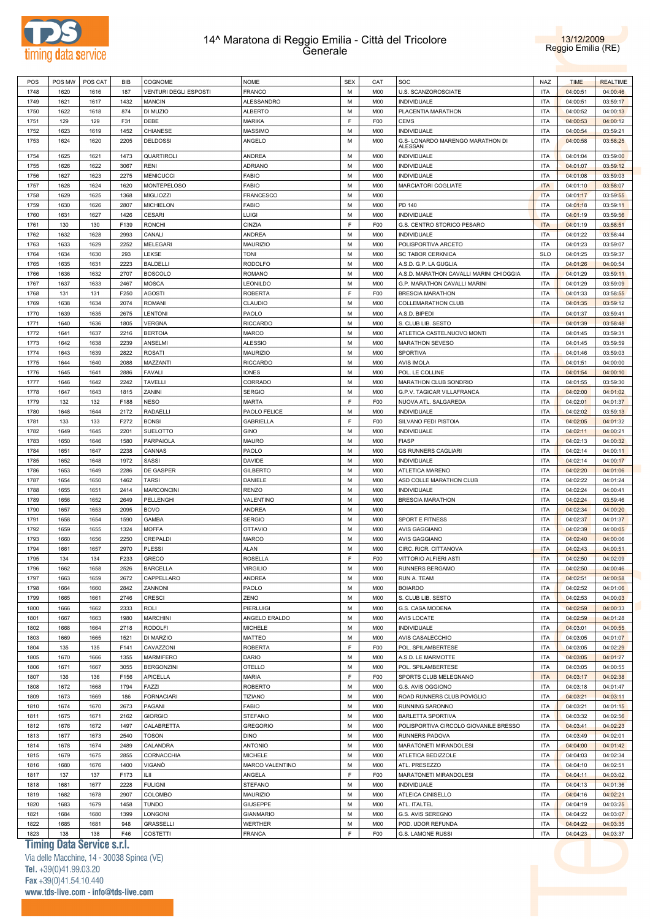



| POS  | POS MW | POS CAT | BIB  | COGNOME                      | <b>NOME</b>      | <b>SEX</b> | CAT            | SOC                                     | NAZ        | <b>TIME</b> | <b>REALTIME</b> |
|------|--------|---------|------|------------------------------|------------------|------------|----------------|-----------------------------------------|------------|-------------|-----------------|
| 1748 | 1620   | 1616    | 187  | <b>VENTURI DEGLI ESPOSTI</b> | FRANCO           | М          | M <sub>0</sub> | U.S. SCANZOROSCIATE                     | <b>ITA</b> | 04:00:51    | 04:00:46        |
|      |        |         |      |                              |                  |            |                |                                         |            |             |                 |
| 1749 | 1621   | 1617    | 1432 | MANCIN                       | ALESSANDRO       | М          | M <sub>0</sub> | INDIVIDUALE                             | ITA        | 04:00:51    | 03:59:17        |
| 1750 | 1622   | 1618    | 874  | DI MUZIO                     | ALBERTO          | М          | M00            | PLACENTIA MARATHON                      | <b>ITA</b> | 04:00:52    | 04:00:13        |
| 1751 | 129    | 129     | F31  | DEBE                         | MARIKA           | F          | F <sub>0</sub> | CEMS                                    | <b>ITA</b> | 04:00:53    | 04:00:12        |
| 1752 | 1623   | 1619    | 1452 | CHIANESE                     | MASSIMO          | М          | M00            | INDIVIDUALE                             | <b>ITA</b> | 04:00:54    | 03:59:21        |
| 1753 | 1624   | 1620    | 2205 | DELDOSSI                     | ANGELO           | М          | M00            | G.S- LONARDO MARENGO MARATHON DI        | <b>ITA</b> | 04:00:58    | 03:58:25        |
|      |        |         |      |                              |                  |            |                | ALESSAN                                 |            |             |                 |
| 1754 | 1625   | 1621    | 1473 | QUARTIROLI                   | ANDREA           | М          | M00            | INDIVIDUALE                             | <b>ITA</b> | 04:01:04    | 03:59:00        |
| 1755 | 1626   | 1622    | 3067 | RENI                         | <b>ADRIANO</b>   | M          | M <sub>0</sub> | INDIVIDUALE                             | <b>ITA</b> | 04:01:07    | 03:59:12        |
| 1756 | 1627   | 1623    | 2275 | MENICUCCI                    | FABIO            | M          | M <sub>0</sub> |                                         | <b>ITA</b> |             | 03:59:03        |
|      |        |         |      |                              |                  |            |                | INDIVIDUALE                             |            | 04:01:08    |                 |
| 1757 | 1628   | 1624    | 1620 | MONTEPELOSO                  | <b>FABIO</b>     | M          | M <sub>0</sub> | <b>MARCIATORI COGLIATE</b>              | <b>ITA</b> | 04:01:10    | 03:58:07        |
| 1758 | 1629   | 1625    | 1368 | MIGLIOZZI                    | <b>FRANCESCO</b> | M          | M00            |                                         | <b>ITA</b> | 04:01:17    | 03:59:55        |
| 1759 | 1630   | 1626    | 2807 | MICHIELON                    | <b>FABIO</b>     | M          | M00            | PD 140                                  | <b>ITA</b> | 04:01:18    | 03:59:11        |
| 1760 | 1631   | 1627    | 1426 | CESARI                       | LUIGI            | M          | M <sub>0</sub> | <b>INDIVIDUALE</b>                      | <b>ITA</b> | 04:01:19    | 03:59:56        |
| 1761 | 130    | 130     | F139 | RONCHI                       | CINZIA           | F          | F00            | G.S. CENTRO STORICO PESARO              | <b>ITA</b> | 04:01:19    | 03:58:51        |
| 1762 | 1632   | 1628    | 2993 | CANALI                       | ANDREA           | M          | M <sub>0</sub> | INDIVIDUALE                             | <b>ITA</b> | 04:01:22    | 03:58:44        |
|      |        |         |      |                              |                  |            |                |                                         |            |             |                 |
| 1763 | 1633   | 1629    | 2252 | MELEGARI                     | MAURIZIO         | M          | M <sub>0</sub> | POLISPORTIVA ARCETO                     | <b>ITA</b> | 04:01:23    | 03:59:07        |
| 1764 | 1634   | 1630    | 293  | LEKSE                        | <b>TONI</b>      | M          | M <sub>0</sub> | <b>SC TABOR CERKNICA</b>                | <b>SLO</b> | 04:01:25    | 03:59:37        |
| 1765 | 1635   | 1631    | 2223 | BALDELLI                     | <b>RODOLFO</b>   | M          | M00            | A.S.D. G.P. LA GUGLIA                   | <b>ITA</b> | 04:01:26    | 04:00:54        |
| 1766 | 1636   | 1632    | 2707 | <b>BOSCOLO</b>               | <b>ROMANO</b>    | M          | M <sub>0</sub> | A.S.D. MARATHON CAVALLI MARINI CHIOGGIA | <b>ITA</b> | 04:01:29    | 03:59:11        |
| 1767 | 1637   | 1633    | 2467 | MOSCA                        | LEONILDO         | M          | M <sub>0</sub> | G.P. MARATHON CAVALLI MARINI            | <b>ITA</b> | 04:01:29    | 03:59:09        |
| 1768 | 131    | 131     | F250 | AGOSTI                       | <b>ROBERTA</b>   | F          | F00            | <b>BRESCIA MARATHON</b>                 | <b>ITA</b> | 04:01:33    | 03:58:55        |
|      |        |         |      |                              |                  |            |                |                                         |            |             |                 |
| 1769 | 1638   | 1634    | 2074 | ROMANI                       | CLAUDIO          | M          | M <sub>0</sub> | COLLEMARATHON CLUB                      | <b>ITA</b> | 04:01:35    | 03:59:12        |
| 1770 | 1639   | 1635    | 2675 | LENTONI                      | PAOLO            | M          | M <sub>0</sub> | A.S.D. BIPEDI                           | <b>ITA</b> | 04:01:37    | 03:59:41        |
| 1771 | 1640   | 1636    | 1805 | VERGNA                       | <b>RICCARDO</b>  | M          | M <sub>0</sub> | S. CLUB LIB. SESTO                      | <b>ITA</b> | 04:01:39    | 03:58:48        |
| 1772 | 1641   | 1637    | 2216 | <b>BERTOIA</b>               | <b>MARCO</b>     | M          | M <sub>0</sub> | ATLETICA CASTELNUOVO MONTI              | <b>ITA</b> | 04:01:45    | 03:59:31        |
| 1773 | 1642   | 1638    | 2239 | ANSELMI                      | ALESSIO          | M          | M <sub>0</sub> | <b>MARATHON SEVESO</b>                  | <b>ITA</b> | 04:01:45    | 03:59:59        |
| 1774 | 1643   | 1639    | 2822 | ROSATI                       | <b>MAURIZIO</b>  | M          | M00            | SPORTIVA                                | <b>ITA</b> | 04:01:46    | 03:59:03        |
|      |        |         |      |                              |                  |            |                |                                         |            |             |                 |
| 1775 | 1644   | 1640    | 2088 | MAZZANTI                     | <b>RICCARDO</b>  | M          | M <sub>0</sub> | AVIS IMOLA                              | <b>ITA</b> | 04:01:51    | 04:00:00        |
| 1776 | 1645   | 1641    | 2886 | FAVALI                       | <b>IONES</b>     | M          | M <sub>0</sub> | POL. LE COLLINE                         | <b>ITA</b> | 04:01:54    | 04:00:10        |
| 1777 | 1646   | 1642    | 2242 | <b>TAVELLI</b>               | CORRADO          | M          | M <sub>0</sub> | <b>MARATHON CLUB SONDRIO</b>            | <b>ITA</b> | 04:01:55    | 03:59:30        |
| 1778 | 1647   | 1643    | 1815 | ZANINI                       | SERGIO           | M          | M <sub>0</sub> | G.P.V. TAGICAR VILLAFRANCA              | <b>ITA</b> | 04:02:00    | 04:01:02        |
| 1779 | 132    | 132     | F188 | NESO                         | MARTA            | F          | F <sub>0</sub> | NUOVA ATL. SALGAREDA                    | <b>ITA</b> | 04:02:01    | 04:01:37        |
|      |        |         |      |                              |                  | M          |                |                                         |            |             |                 |
| 1780 | 1648   | 1644    | 2172 | RADAELLI                     | PAOLO FELICE     |            | M <sub>0</sub> | <b>INDIVIDUALE</b>                      | <b>ITA</b> | 04:02:02    | 03:59:13        |
| 1781 | 133    | 133     | F272 | BONSI                        | GABRIELLA        | F          | F <sub>0</sub> | SILVANO FEDI PISTOIA                    | <b>ITA</b> | 04:02:05    | 04:01:32        |
| 1782 | 1649   | 1645    | 2201 | SUELOTTO                     | <b>GINO</b>      | M          | M00            | INDIVIDUALE                             | <b>ITA</b> | 04:02:11    | 04:00:21        |
| 1783 | 1650   | 1646    | 1580 | PARPAIOLA                    | MAURO            | M          | M <sub>0</sub> | <b>FIASP</b>                            | <b>ITA</b> | 04:02:13    | 04:00:32        |
| 1784 | 1651   | 1647    | 2238 | CANNAS                       | PAOLO            | M          | M <sub>0</sub> | <b>GS RUNNERS CAGLIARI</b>              | <b>ITA</b> | 04:02:14    | 04:00:11        |
| 1785 | 1652   | 1648    | 1972 | SASSI                        | DAVIDE           | M          | M <sub>0</sub> | INDIVIDUALE                             | <b>ITA</b> | 04:02:14    | 04:00:17        |
| 1786 | 1653   | 1649    | 2286 | DE GASPER                    | <b>GILBERTO</b>  | M          | M <sub>0</sub> | ATLETICA MARENO                         | <b>ITA</b> | 04:02:20    | 04:01:06        |
|      |        |         |      |                              |                  |            |                |                                         |            |             |                 |
| 1787 | 1654   | 1650    | 1462 | TARSI                        | DANIELE          | M          | M <sub>0</sub> | ASD COLLE MARATHON CLUB                 | <b>ITA</b> | 04:02:22    | 04:01:24        |
| 1788 | 1655   | 1651    | 2414 | MARCONCINI                   | <b>RENZO</b>     | M          | M <sub>0</sub> | INDIVIDUALE                             | <b>ITA</b> | 04:02:24    | 04:00:41        |
| 1789 | 1656   | 1652    | 2649 | PELLENGHI                    | VALENTINO        | M          | M <sub>0</sub> | <b>BRESCIA MARATHON</b>                 | <b>ITA</b> | 04:02:24    | 03:59:46        |
| 1790 | 1657   | 1653    | 2095 | BOVO                         | ANDREA           | M          | M00            |                                         | <b>ITA</b> | 04:02:34    | 04:00:20        |
| 1791 | 1658   | 1654    | 1590 | GAMBA                        | <b>SERGIO</b>    | M          | M00            | <b>SPORT E FITNESS</b>                  | <b>ITA</b> | 04:02:37    | 04:01:37        |
| 1792 | 1659   | 1655    | 1324 | MOFFA                        | <b>OTTAVIO</b>   | M          | M <sub>0</sub> | <b>AVIS GAGGIANO</b>                    | <b>ITA</b> | 04:02:39    | 04:00:05        |
| 1793 | 1660   |         | 2250 |                              | MARCO            | М          | M <sub>0</sub> |                                         | <b>ITA</b> |             |                 |
|      |        | 1656    |      | CREPALDI                     |                  |            |                | AVIS GAGGIANO                           |            | 04:02:40    | 04:00:06        |
| 1794 | 1661   | 1657    | 2970 | <b>PLESSI</b>                | ALAN             | М          | <b>M00</b>     | CIRC. RICR. CITTANOVA                   | <b>ITA</b> | 04:02:43    | 04:00:51        |
| 1795 | 134    | 134     | F233 | GRECO                        | <b>ROSELLA</b>   | F          | F <sub>0</sub> | VITTORIO ALFIERI ASTI                   | <b>ITA</b> | 04:02:50    | 04:02:09        |
| 1796 | 1662   | 1658    | 2526 | <b>BARCELLA</b>              | <b>VIRGILIO</b>  | М          | M00            | RUNNERS BERGAMO                         | ITA        | 04:02:50    | 04:00:46        |
| 1797 | 1663   | 1659    | 2672 | CAPPELLARO                   | <b>ANDREA</b>    | M          | M00            | RUN A. TEAM                             | <b>ITA</b> | 04:02:51    | 04:00:58        |
| 1798 | 1664   | 1660    | 2842 | ZANNONI                      | PAOLO            | M          | M00            | <b>BOIARDO</b>                          | <b>ITA</b> | 04:02:52    | 04:01:06        |
| 1799 | 1665   | 1661    | 2746 | CRESCI                       | ZENO             | M          | M00            | S. CLUB LIB. SESTO                      | <b>ITA</b> | 04:02:53    | 04:00:03        |
|      |        |         |      |                              | PIERLUIGI        |            |                |                                         |            |             |                 |
| 1800 | 1666   | 1662    | 2333 | ROLI                         |                  | M          | M00            | G.S. CASA MODENA                        | <b>ITA</b> | 04:02:59    | 04:00:33        |
| 1801 | 1667   | 1663    | 1980 | MARCHINI                     | ANGELO ERALDO    | M          | M00            | <b>AVIS LOCATE</b>                      | <b>ITA</b> | 04:02:59    | 04:01:28        |
| 1802 | 1668   | 1664    | 2718 | <b>RODOLFI</b>               | <b>MICHELE</b>   | M          | M00            | <b>INDIVIDUALE</b>                      | <b>ITA</b> | 04:03:01    | 04:00:55        |
| 1803 | 1669   | 1665    | 1521 | DI MARZIO                    | MATTEO           | M          | M <sub>0</sub> | AVIS CASALECCHIO                        | <b>ITA</b> | 04:03:05    | 04:01:07        |
| 1804 | 135    | 135     | F141 | CAVAZZONI                    | <b>ROBERTA</b>   | F          | F <sub>0</sub> | POL. SPILAMBERTESE                      | <b>ITA</b> | 04:03:05    | 04:02:29        |
| 1805 | 1670   | 1666    | 1355 | <b>MARMIFERO</b>             | <b>DARIO</b>     | M          | M00            | A.S.D. LE MARMOTTE                      | <b>ITA</b> | 04:03:05    | 04:01:27        |
|      |        |         |      |                              |                  |            |                |                                         |            |             |                 |
| 1806 | 1671   | 1667    | 3055 | <b>BERGONZINI</b>            | OTELLO           | M          | M <sub>0</sub> | POL. SPILAMBERTESE                      | <b>ITA</b> | 04:03:05    | 04:00:55        |
| 1807 | 136    | 136     | F156 | APICELLA                     | <b>MARIA</b>     | F          | F <sub>0</sub> | SPORTS CLUB MELEGNANO                   | <b>ITA</b> | 04:03:17    | 04:02:38        |
| 1808 | 1672   | 1668    | 1794 | FAZZI                        | <b>ROBERTO</b>   | M          | M <sub>0</sub> | G.S. AVIS OGGIONO                       | <b>ITA</b> | 04:03:18    | 04:01:47        |
| 1809 | 1673   | 1669    | 186  | <b>FORNACIARI</b>            | TIZIANO          | M          | M <sub>0</sub> | ROAD RUNNERS CLUB POVIGLIO              | <b>ITA</b> | 04:03:21    | 04:03:11        |
| 1810 | 1674   | 1670    | 2673 | PAGANI                       | <b>FABIO</b>     | M          | M00            | RUNNING SARONNO                         | <b>ITA</b> | 04:03:21    | 04:01:15        |
| 1811 | 1675   | 1671    | 2162 | <b>GIORGIO</b>               | <b>STEFANO</b>   | M          | M00            | <b>BARLETTA SPORTIVA</b>                | <b>ITA</b> | 04:03:32    | 04:02:56        |
|      |        |         |      |                              |                  |            |                |                                         |            |             |                 |
| 1812 | 1676   | 1672    | 1497 | CALABRETTA                   | <b>GREGORIO</b>  | М          | M <sub>0</sub> | POLISPORTIVA CIRCOLO GIOVANILE BRESSO   | <b>ITA</b> | 04:03:41    | 04:02:23        |
| 1813 | 1677   | 1673    | 2540 | <b>TOSON</b>                 | <b>DINO</b>      | M          | M00            | RUNNERS PADOVA                          | <b>ITA</b> | 04:03:49    | 04:02:01        |
| 1814 | 1678   | 1674    | 2489 | CALANDRA                     | <b>ANTONIO</b>   | M          | M <sub>0</sub> | MARATONETI MIRANDOLESI                  | <b>ITA</b> | 04:04:00    | 04:01:42        |
| 1815 | 1679   | 1675    | 2855 | CORNACCHIA                   | MICHELE          | M          | M <sub>0</sub> | ATLETICA BEDIZZOLE                      | <b>ITA</b> | 04:04:03    | 04:02:34        |
| 1816 | 1680   | 1676    | 1400 | VIGANÒ                       | MARCO VALENTINO  | M          | M <sub>0</sub> | ATL. PRESEZZO                           | <b>ITA</b> | 04:04:10    | 04:02:51        |
| 1817 | 137    | 137     | F173 | LШ                           | ANGELA           | F          | F <sub>0</sub> | MARATONETI MIRANDOLESI                  | <b>ITA</b> | 04:04:11    | 04:03:02        |
|      |        |         |      |                              |                  |            |                |                                         |            |             |                 |
| 1818 | 1681   | 1677    | 2228 | <b>FULIGNI</b>               | <b>STEFANO</b>   | М          | M <sub>0</sub> | <b>INDIVIDUALE</b>                      | <b>ITA</b> | 04:04:13    | 04:01:36        |
| 1819 | 1682   | 1678    | 2907 | COLOMBO                      | <b>MAURIZIO</b>  | M          | M <sub>0</sub> | ATLEICA CINISELLO                       | <b>ITA</b> | 04:04:16    | 04:02:21        |
| 1820 | 1683   | 1679    | 1458 | TUNDO                        | GIUSEPPE         | М          | M <sub>0</sub> | ATL. ITALTEL                            | <b>ITA</b> | 04:04:19    | 04:03:25        |
| 1821 | 1684   | 1680    | 1399 | LONGONI                      | <b>GIANMARIO</b> | M          | M <sub>0</sub> | G.S. AVIS SEREGNO                       | <b>ITA</b> | 04:04:22    | 04:03:07        |
| 1822 | 1685   | 1681    | 948  | GRASSELLI                    | WERTHER          | M          | M00            | POD. UDOR REFUNDA                       | <b>ITA</b> | 04:04:22    | 04:03:35        |
|      |        |         |      |                              |                  | E          |                |                                         |            |             |                 |
| 1823 | 138    | 138     | F46  | COSTETTI                     | <b>FRANCA</b>    |            | F <sub>0</sub> | G.S. LAMONE RUSSI                       | <b>ITA</b> | 04:04:23    | 04:03:37        |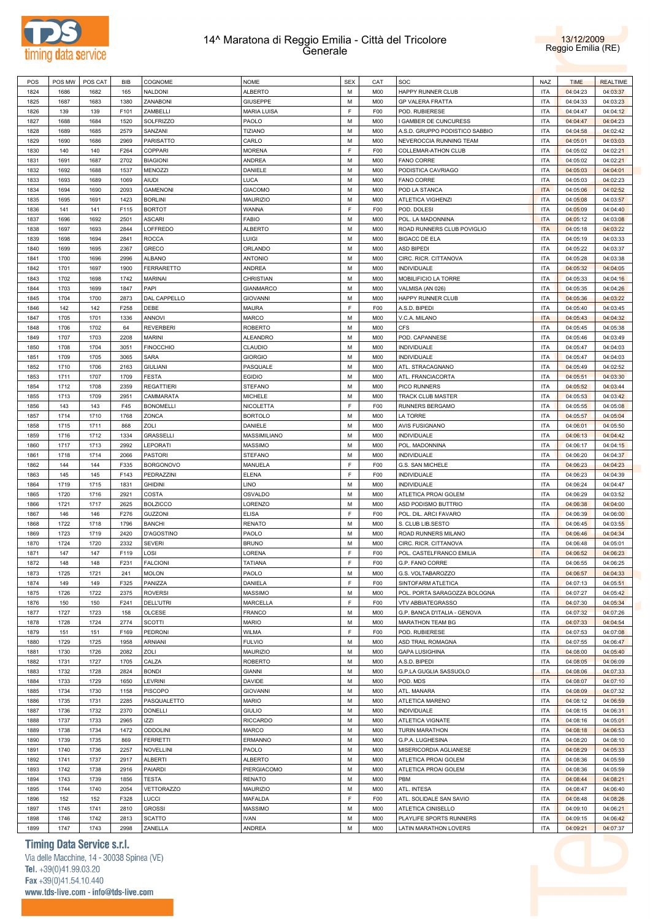



| POS  | POS MW | POS CAT | <b>BIB</b> | COGNOME                       | <b>NOME</b>        | <b>SEX</b> | CAT             | SOC                            | NAZ        | <b>TIME</b> | <b>REALTIME</b> |
|------|--------|---------|------------|-------------------------------|--------------------|------------|-----------------|--------------------------------|------------|-------------|-----------------|
| 1824 | 1686   | 1682    | 165        | NALDONI                       | ALBERTO            | M          | M <sub>0</sub>  | HAPPY RUNNER CLUB              | <b>ITA</b> | 04:04:23    | 04:03:37        |
| 1825 | 1687   | 1683    | 1380       | ZANABONI                      | GIUSEPPE           | M          | M <sub>0</sub>  | <b>GP VALERA FRATTA</b>        | <b>ITA</b> | 04:04:33    | 04:03:23        |
| 1826 | 139    | 139     | F101       | ZAMBELLI                      | <b>MARIA LUISA</b> | F          | F <sub>00</sub> | POD. RUBIERESE                 | <b>ITA</b> | 04:04:47    | 04:04:12        |
| 1827 | 1688   | 1684    | 1520       | <b>SOLFRIZZO</b>              | PAOLO              | M          | M00             | I GAMBER DE CUNCURESS          | <b>ITA</b> | 04:04:47    | 04:04:23        |
| 1828 | 1689   | 1685    | 2579       | SANZANI                       | <b>TIZIANO</b>     | M          | M <sub>0</sub>  | A.S.D. GRUPPO PODISTICO SABBIO | <b>ITA</b> | 04:04:58    | 04:02:42        |
| 1829 | 1690   | 1686    | 2969       | <b>PARISATTO</b>              | CARLO              | M          | M <sub>0</sub>  | NEVEROCCIA RUNNING TEAM        | <b>ITA</b> | 04:05:01    | 04:03:03        |
| 1830 | 140    | 140     | F264       | COPPARI                       | <b>MORENA</b>      | F          | F00             | COLLEMAR-ATHON CLUB            | <b>ITA</b> | 04:05:02    | 04:02:21        |
| 1831 | 1691   | 1687    | 2702       | <b>BIAGIONI</b>               | ANDREA             | M          | M <sub>0</sub>  | <b>FANO CORRE</b>              | <b>ITA</b> | 04:05:02    | 04:02:21        |
| 1832 | 1692   | 1688    | 1537       | <b>MENOZZI</b>                | DANIELE            | M          | M00             | PODISTICA CAVRIAGO             | <b>ITA</b> | 04:05:03    | 04:04:01        |
| 1833 | 1693   | 1689    | 1069       | <b>AIUDI</b>                  | LUCA               | M          | M00             | <b>FANO CORRE</b>              | <b>ITA</b> | 04:05:03    | 04:02:23        |
| 1834 | 1694   | 1690    | 2093       | <b>GAMENONI</b>               | <b>GIACOMO</b>     | M          | M00             | POD LA STANCA                  | <b>ITA</b> | 04:05:06    | 04:02:52        |
| 1835 | 1695   | 1691    | 1423       | <b>BORLINI</b>                | <b>MAURIZIO</b>    | M          | M <sub>0</sub>  | ATLETICA VIGHENZI              | <b>ITA</b> | 04:05:08    | 04:03:57        |
| 1836 | 141    | 141     | F115       | <b>BORTOT</b>                 | WANNA              | F          | F00             | POD. DOLESI                    | <b>ITA</b> | 04:05:09    | 04:04:40        |
| 1837 | 1696   | 1692    | 2501       | ASCARI                        | FABIO              | M          | M <sub>0</sub>  | POL. LA MADONNINA              | <b>ITA</b> | 04:05:12    | 04:03:08        |
| 1838 | 1697   | 1693    | 2844       | LOFFREDO                      | ALBERTO            | M          | M00             | ROAD RUNNERS CLUB POVIGLIO     | <b>ITA</b> | 04:05:18    | 04:03:22        |
| 1839 | 1698   | 1694    | 2841       | <b>ROCCA</b>                  | LUIGI              | M          | M <sub>0</sub>  | <b>BIGACC DE ELA</b>           | <b>ITA</b> | 04:05:19    | 04:03:33        |
| 1840 | 1699   | 1695    | 2367       | GRECO                         | ORLANDO            | M          | M00             | <b>ASD BIPEDI</b>              | <b>ITA</b> | 04:05:22    | 04:03:37        |
| 1841 | 1700   | 1696    | 2996       | <b>ALBANO</b>                 | <b>ANTONIO</b>     | M          | M <sub>0</sub>  | CIRC. RICR. CITTANOVA          | <b>ITA</b> | 04:05:28    | 04:03:38        |
| 1842 | 1701   | 1697    | 1900       | FERRARETTO                    | ANDREA             | M          | M00             | <b>INDIVIDUALE</b>             | <b>ITA</b> | 04:05:32    | 04:04:05        |
| 1843 | 1702   | 1698    | 1742       | <b>MARINAI</b>                | CHRISTIAN          | M          | M <sub>0</sub>  | MOBILIFICIO LA TORRE           | <b>ITA</b> | 04:05:33    | 04:04:16        |
|      |        |         |            | PAPI                          | <b>GIANMARCO</b>   | M          | M00             | VALMISA (AN 026)               | <b>ITA</b> |             |                 |
| 1844 | 1703   | 1699    | 1847       |                               |                    |            |                 |                                |            | 04:05:35    | 04:04:26        |
| 1845 | 1704   | 1700    | 2873       | DAL CAPPELLO                  | <b>GIOVANNI</b>    | M<br>F     | M <sub>0</sub>  | HAPPY RUNNER CLUB              | <b>ITA</b> | 04:05:36    | 04:03:22        |
| 1846 | 142    | 142     | F258       | DEBE                          | MAURA              |            | F00             | A.S.D. BIPEDI                  | <b>ITA</b> | 04:05:40    | 04:03:45        |
| 1847 | 1705   | 1701    | 1336       | <b>ANNOVI</b>                 | MARCO              | M          | M00             | V.C.A. MILANO                  | <b>ITA</b> | 04:05:43    | 04:04:32        |
| 1848 | 1706   | 1702    | 64         | <b>REVERBERI</b>              | ROBERTO            | M          | M00             | <b>CFS</b>                     | <b>ITA</b> | 04:05:45    | 04:05:38        |
| 1849 | 1707   | 1703    | 2208       | MARINI                        | ALEANDRO           | M          | M00             | POD. CAPANNESE                 | <b>ITA</b> | 04:05:46    | 04:03:49        |
| 1850 | 1708   | 1704    | 3051       | <b>FINOCCHIO</b>              | CLAUDIO            | M          | M00             | <b>INDIVIDUALE</b>             | <b>ITA</b> | 04:05:47    | 04:04:03        |
| 1851 | 1709   | 1705    | 3065       | SARA                          | <b>GIORGIO</b>     | M          | M <sub>0</sub>  | <b>INDIVIDUALE</b>             | <b>ITA</b> | 04:05:47    | 04:04:03        |
| 1852 | 1710   | 1706    | 2163       | <b>GIULIANI</b>               | PASQUALE           | M          | M00             | ATL. STRACAGNANO               | <b>ITA</b> | 04:05:49    | 04:02:52        |
| 1853 | 1711   | 1707    | 1709       | <b>FESTA</b>                  | EGIDIO             | M          | M <sub>0</sub>  | ATL. FRANCIACORTA              | <b>ITA</b> | 04:05:51    | 04:03:30        |
| 1854 | 1712   | 1708    | 2359       | <b>REGATTIERI</b>             | STEFANO            | M          | M00             | PICO RUNNERS                   | <b>ITA</b> | 04:05:52    | 04:03:44        |
| 1855 | 1713   | 1709    | 2951       | CAMMARATA                     | MICHELE            | M          | M <sub>0</sub>  | TRACK CLUB MASTER              | <b>ITA</b> | 04:05:53    | 04:03:42        |
| 1856 | 143    | 143     | F45        | <b>BONOMELLI</b>              | NICOLETTA          | F          | F00             | RUNNERS BERGAMO                | <b>ITA</b> | 04:05:55    | 04:05:08        |
| 1857 | 1714   | 1710    | 1768       | ZONCA                         | <b>BORTOLO</b>     | M          | M00             | LA TORRE                       | <b>ITA</b> | 04:05:57    | 04:05:04        |
| 1858 | 1715   | 1711    | 868        | ZOLI                          | DANIELE            | M          | M00             | AVIS FUSIGNANO                 | <b>ITA</b> | 04:06:01    | 04:05:50        |
| 1859 | 1716   | 1712    | 1334       | GRASSELLI                     | MASSIMILIANO       | M          | M00             | INDIVIDUALE                    | <b>ITA</b> | 04:06:13    | 04:04:42        |
| 1860 | 1717   | 1713    | 2992       | LEPORATI                      | MASSIMO            | M          | M00             | POL. MADONNINA                 | <b>ITA</b> | 04:06:17    | 04:04:15        |
| 1861 | 1718   | 1714    | 2066       | <b>PASTORI</b>                | <b>STEFANO</b>     | M          | M <sub>0</sub>  | INDIVIDUALE                    | <b>ITA</b> | 04:06:20    | 04:04:37        |
| 1862 | 144    | 144     | F335       | <b>BORGONOVO</b>              | MANUELA            | F          | F00             | G.S. SAN MICHELE               | <b>ITA</b> | 04:06:23    | 04:04:23        |
| 1863 | 145    | 145     | F143       | PEDRAZZINI                    | <b>ELENA</b>       | F          | F00             | INDIVIDUALE                    | <b>ITA</b> | 04:06:23    | 04:04:39        |
| 1864 | 1719   | 1715    | 1831       | <b>GHIDINI</b>                | LINO               | M          | M00             | INDIVIDUALE                    | <b>ITA</b> | 04:06:24    | 04:04:47        |
| 1865 | 1720   | 1716    | 2921       | COSTA                         | OSVALDO            | M          | M <sub>0</sub>  | ATLETICA PROAI GOLEM           | <b>ITA</b> | 04:06:29    | 04:03:52        |
| 1866 | 1721   | 1717    | 2625       | <b>BOLZICCO</b>               | LORENZO            | M          | M00             | ASD PODISMO BUTTRIO            | <b>ITA</b> | 04:06:38    | 04:04:00        |
| 1867 | 146    | 146     | F276       | GUZZONI                       | ELISA              | F          | F00             | POL. DIL. ARCI FAVARO          | <b>ITA</b> | 04:06:39    | 04:06:00        |
| 1868 | 1722   | 1718    | 1796       | <b>BANCHI</b>                 | RENATO             | M          | M00             | S. CLUB LIB.SESTO              | <b>ITA</b> | 04:06:45    | 04:03:55        |
| 1869 | 1723   | 1719    | 2420       | D'AGOSTINO                    | PAOLO              | M          | M <sub>0</sub>  | ROAD RUNNERS MILANO            | <b>ITA</b> | 04:06:46    | 04:04:34        |
| 1870 | 1724   | 1720    | 2332       | <b>SEVERI</b>                 | <b>BRUNO</b>       | M          | M <sub>0</sub>  | CIRC. RICR. CITTANOVA          | <b>ITA</b> | 04:06:48    | 04:05:01        |
| 1871 | 147    | 147     | F119       | LOSI                          | LORENA             | F          | F00             | POL. CASTELFRANCO EMILIA       | <b>ITA</b> | 04:06:52    | 04:06:23        |
| 1872 | 148    | 148     | F231       | <b>FALCIONI</b>               | <b>TATIANA</b>     | F          | F00             | G.P. FANO CORRE                | <b>ITA</b> | 04:06:55    | 04:06:25        |
| 1873 | 1725   | 1721    | 241        | <b>MOLON</b>                  | PAOLO              | М          | M00             | G.S. VOLTABAROZZO              | <b>ITA</b> | 04:06:57    | 04:04:33        |
| 1874 | 149    | 149     | F325       | PANIZZA                       | DANIELA            | F          | F00             | SINTOFARM ATLETICA             | <b>ITA</b> | 04:07:13    | 04:05:51        |
| 1875 | 1726   | 1722    | 2375       | <b>ROVERSI</b>                | MASSIMO            | M          | M <sub>0</sub>  | POL. PORTA SARAGOZZA BOLOGNA   | <b>ITA</b> | 04:07:27    | 04:05:42        |
| 1876 | 150    | 150     | F241       | <b>DELL'UTRI</b>              | MARCELLA           | F          | F00             | <b>VTV ABBIATEGRASSO</b>       | <b>ITA</b> | 04:07:30    | 04:05:34        |
| 1877 | 1727   | 1723    | 158        | OLCESE                        | FRANCO             | M          | M <sub>0</sub>  | G.P. BANCA D'ITALIA - GENOVA   | <b>ITA</b> | 04:07:32    | 04:07:26        |
| 1878 | 1728   | 1724    | 2774       | <b>SCOTTI</b>                 | <b>MARIO</b>       | M          | M <sub>0</sub>  | MARATHON TEAM BG               | <b>ITA</b> | 04:07:33    | 04:04:54        |
| 1879 | 151    | 151     | F169       | PEDRONI                       | WILMA              | F          | F00             | POD. RUBIERESE                 | <b>ITA</b> | 04:07:53    | 04:07:08        |
| 1880 | 1729   | 1725    | 1958       | ARNIANI                       | <b>FULVIO</b>      | M          | M00             | ASD TRAIL ROMAGNA              | <b>ITA</b> | 04:07:55    | 04:06:47        |
| 1881 | 1730   | 1726    | 2082       | ZOLI                          | MAURIZIO           | M          | M <sub>0</sub>  | <b>GAPA LUSIGHINA</b>          | <b>ITA</b> | 04:08:00    | 04:05:40        |
| 1882 | 1731   | 1727    | 1705       | CALZA                         | <b>ROBERTO</b>     | M          | M00             | A.S.D. BIPEDI                  | <b>ITA</b> | 04:08:05    | 04:06:09        |
| 1883 | 1732   | 1728    | 2824       | <b>BONDI</b>                  | GIANNI             | M          | M <sub>0</sub>  | G.P.LA GUGLIA SASSUOLO         | <b>ITA</b> | 04:08:06    | 04:07:33        |
| 1884 | 1733   | 1729    | 1650       | LEVRINI                       | DAVIDE             | M          | M00             | POD. MDS                       | <b>ITA</b> | 04:08:07    | 04:07:10        |
| 1885 | 1734   | 1730    | 1158       | PISCOPO                       | <b>GIOVANNI</b>    | M          | M00             | ATL. MANARA                    | <b>ITA</b> | 04:08:09    | 04:07:32        |
| 1886 | 1735   | 1731    | 2285       | PASQUALETTO                   | <b>MARIO</b>       | M          | M00             | ATLETICA MARENO                | <b>ITA</b> | 04:08:12    | 04:06:59        |
|      |        | 1732    | 2370       |                               | GIULIO             | M          | M00             | <b>INDIVIDUALE</b>             | <b>ITA</b> |             | 04:06:31        |
| 1887 | 1736   |         |            | <b>DONELLI</b><br><b>IZZI</b> |                    | M          |                 |                                |            | 04:08:15    |                 |
| 1888 | 1737   | 1733    | 2965       |                               | <b>RICCARDO</b>    |            | M00             | ATLETICA VIGNATE               | <b>ITA</b> | 04:08:16    | 04:05:01        |
| 1889 | 1738   | 1734    | 1472       | <b>ODDOLINI</b>               | MARCO              | M          | M00             | <b>TURIN MARATHON</b>          | <b>ITA</b> | 04:08:18    | 04:06:53        |
| 1890 | 1739   | 1735    | 869        | <b>FERRETTI</b>               | ERMANNO            | M          | M00             | G.P.A. LUGHESINA               | <b>ITA</b> | 04:08:20    | 04:08:10        |
| 1891 | 1740   | 1736    | 2257       | <b>NOVELLINI</b>              | PAOLO              | M          | M00             | MISERICORDIA AGLIANESE         | <b>ITA</b> | 04:08:29    | 04:05:33        |
| 1892 | 1741   | 1737    | 2917       | <b>ALBERTI</b>                | <b>ALBERTO</b>     | M          | M00             | ATLETICA PROAI GOLEM           | <b>ITA</b> | 04:08:36    | 04:05:59        |
| 1893 | 1742   | 1738    | 2916       | PAIARDI                       | PIERGIACOMO        | M          | M00             | ATLETICA PROAI GOLEM           | <b>ITA</b> | 04:08:36    | 04:05:59        |
| 1894 | 1743   | 1739    | 1856       | TESTA                         | RENATO             | M          | M00             | PBM                            | <b>ITA</b> | 04:08:44    | 04:08:21        |
| 1895 | 1744   | 1740    | 2054       | <b>VETTORAZZO</b>             | <b>MAURIZIO</b>    | M          | M00             | ATL. INTESA                    | <b>ITA</b> | 04:08:47    | 04:06:40        |
| 1896 | 152    | 152     | F328       | LUCCI                         | MAFALDA            | F          | F00             | ATL. SOLIDALE SAN SAVIO        | <b>ITA</b> | 04:08:48    | 04:08:26        |
| 1897 | 1745   | 1741    | 2810       | <b>GROSSI</b>                 | MASSIMO            | M          | M00             | ATLETICA CINISELLO             | <b>ITA</b> | 04:09:10    | 04:06:21        |
| 1898 | 1746   | 1742    | 2813       | SCATTO                        | <b>IVAN</b>        | M          | M00             | PLAYLIFE SPORTS RUNNERS        | <b>ITA</b> | 04:09:15    | 04:06:42        |
| 1899 | 1747   | 1743    | 2998       | ZANELLA                       | ANDREA             | M          | M00             | LATIN MARATHON LOVERS          | <b>ITA</b> | 04:09:21    | 04:07:37        |

# **Timing Data Service s.r.l.**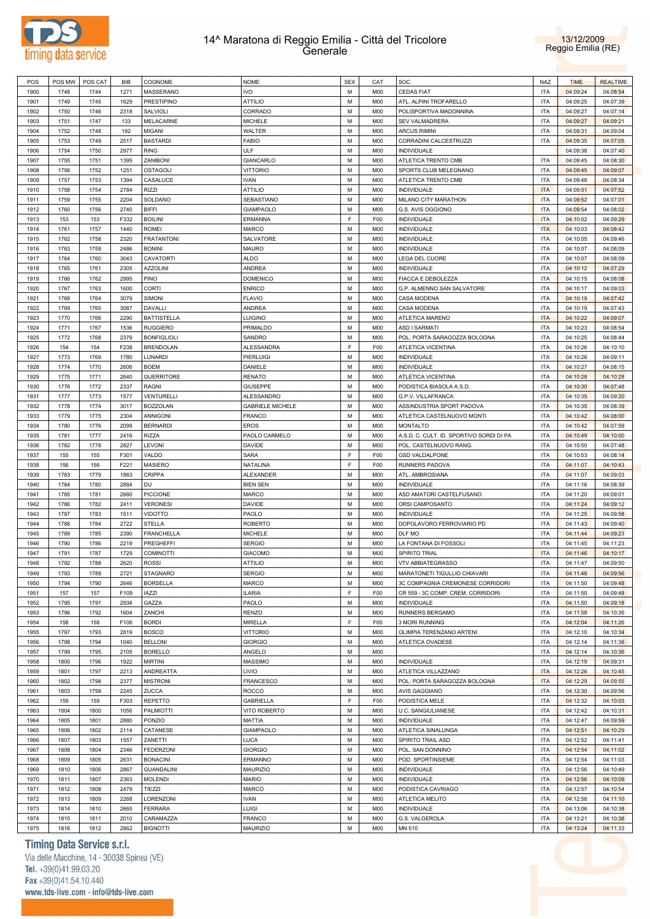



| POS  | POS MW | POS CAT | <b>BIB</b> | COGNOME            | <b>NOME</b>             | <b>SEX</b> | CAT        | SOC                                      | <b>NAZ</b> | <b>TIME</b> | <b>REALTIME</b> |
|------|--------|---------|------------|--------------------|-------------------------|------------|------------|------------------------------------------|------------|-------------|-----------------|
| 1900 | 1748   | 1744    | 1271       | MASSERANO          | IVO                     | M          | M00        | <b>CEDAS FIAT</b>                        | <b>ITA</b> | 04:09:24    | 04:08:54        |
|      |        |         |            |                    |                         |            |            |                                          |            |             |                 |
| 1901 | 1749   | 1745    | 1629       | <b>PRESTIPINO</b>  | <b>ATTILIO</b>          | M          | M00        | ATL. ALPINI TROFARELLO                   | <b>ITA</b> | 04:09:25    | 04:07:39        |
| 1902 | 1750   | 1746    | 2318       | SALVIOLI           | CORRADO                 | M          | M00        | POLISPORTIVA MADONNINA                   | <b>ITA</b> | 04:09:27    | 04:07:14        |
| 1903 | 1751   | 1747    | 133        | MELACARNE          | <b>MICHELE</b>          | M          | M00        | SEV VALMADRERA                           | <b>ITA</b> | 04:09:27    | 04:09:21        |
| 1904 | 1752   | 1748    | 192        | MIGANI             | <b>WALTER</b>           | M          | M00        | <b>ARCUS RIMINI</b>                      | <b>ITA</b> | 04:09:31    | 04:09:04        |
| 1905 | 1753   | 1749    | 2517       | <b>BASTARDI</b>    | FABIO                   | M          | M00        | CORRADINI CALCESTRUZZI                   | <b>ITA</b> | 04:09:35    | 04:07:05        |
|      |        |         |            |                    |                         |            |            |                                          |            |             |                 |
| 1906 | 1754   | 1750    | 2977       | <b>RING</b>        | ULF                     | M          | M00        | <b>INDIVIDUALE</b>                       |            | 04:09:38    | 04:07:40        |
| 1907 | 1755   | 1751    | 1395       | ZANIBONI           | <b>GIANCARLO</b>        | M          | M00        | ATLETICA TRENTO CMB                      | <b>ITA</b> | 04:09:45    | 04:08:30        |
| 1908 | 1756   | 1752    | 1251       | <b>OSTAGOLI</b>    | <b>VITTORIO</b>         | M          | M00        | SPORTS CLUB MELEGNANO                    | <b>ITA</b> | 04:09:45    | 04:09:07        |
| 1909 | 1757   | 1753    | 1394       | CASALUCE           | IVAN                    | M          | M00        | ATLETICA TRENTO CMB                      | <b>ITA</b> | 04:09:48    | 04:08:34        |
| 1910 |        |         | 2784       | <b>RIZZI</b>       | <b>ATTILIO</b>          | M          | M00        | <b>INDIVIDUALE</b>                       | <b>ITA</b> |             |                 |
|      | 1758   | 1754    |            |                    |                         |            |            |                                          |            | 04:09:51    | 04:07:52        |
| 1911 | 1759   | 1755    | 2204       | SOLDANO            | SEBASTIANO              | M          | M00        | MILANO CITY MARATHON                     | <b>ITA</b> | 04:09:52    | 04:07:01        |
| 1912 | 1760   | 1756    | 2740       | <b>BIFFI</b>       | <b>GIAMPAOLO</b>        | M          | M00        | G.S. AVIS OGGIONO                        | <b>ITA</b> | 04:09:54    | 04:08:02        |
| 1913 | 153    | 153     | F332       | <b>BOILINI</b>     | ERMANNA                 | E          | F00        | <b>INDIVIDUALE</b>                       | <b>ITA</b> | 04:10:02    | 04:09:29        |
| 1914 | 1761   | 1757    | 1440       | <b>ROMEI</b>       | <b>MARCO</b>            | M          | M00        | INDIVIDUALE                              | <b>ITA</b> | 04:10:03    | 04:08:42        |
| 1915 | 1762   | 1758    | 2320       | <b>FRATANTONI</b>  | SALVATORE               | M          | M00        | <b>INDIVIDUALE</b>                       | <b>ITA</b> | 04:10:05    | 04:09:46        |
|      |        |         |            |                    |                         |            |            |                                          |            |             |                 |
| 1916 | 1763   | 1759    | 2486       | <b>BONINI</b>      | MAURO                   | M          | M00        | <b>INDIVIDUALE</b>                       | <b>ITA</b> | 04:10:07    | 04:08:09        |
| 1917 | 1764   | 1760    | 3043       | CAVATORTI          | ALDO                    | M          | M00        | LEGA DEL CUORE                           | <b>ITA</b> | 04:10:07    | 04:08:09        |
| 1918 | 1765   | 1761    | 2305       | <b>AZZOLINI</b>    | <b>ANDREA</b>           | M          | M00        | <b>INDIVIDUALE</b>                       | <b>ITA</b> | 04:10:12    | 04:07:29        |
| 1919 | 1766   | 1762    | 2995       | PINO               | <b>DOMENICO</b>         | M          | M00        | FIACCA E DEBOLEZZA                       | <b>ITA</b> | 04:10:15    | 04:08:08        |
|      |        |         |            | <b>CORTI</b>       | <b>ENRICO</b>           | M          | M00        | G.P. ALMENNO SAN SALVATORE               | <b>ITA</b> |             |                 |
| 1920 | 1767   | 1763    | 1600       |                    |                         |            |            |                                          |            | 04:10:17    | 04:09:03        |
| 1921 | 1768   | 1764    | 3079       | SIMONI             | <b>FLAVIO</b>           | M          | M00        | <b>CASA MODENA</b>                       | <b>ITA</b> | 04:10:19    | 04:07:42        |
| 1922 | 1769   | 1765    | 3087       | <b>DAVALLI</b>     | ANDREA                  | M          | M00        | <b>CASA MODENA</b>                       | <b>ITA</b> | 04:10:19    | 04:07:43        |
| 1923 | 1770   | 1766    | 2290       | <b>BATTISTELLA</b> | <b>LUIGINO</b>          | M          | M00        | ATLETICA MARENO                          | <b>ITA</b> | 04:10:22    | 04:09:07        |
| 1924 | 1771   | 1767    | 1536       | <b>RUGGIERO</b>    | PRIMALDO                | M          | M00        | <b>ASD I SARMATI</b>                     | <b>ITA</b> | 04:10:23    | 04:08:54        |
|      |        |         |            | <b>BONFIGLIOLI</b> |                         | M          |            | POL. PORTA SARAGOZZA BOLOGNA             | <b>ITA</b> |             |                 |
| 1925 | 1772   | 1768    | 2379       |                    | SANDRO                  |            | M00        |                                          |            | 04:10:25    | 04:08:44        |
| 1926 | 154    | 154     | F238       | <b>BRENDOLAN</b>   | ALESSANDRA              | E          | F00        | <b>ATLETICA VICENTINA</b>                | <b>ITA</b> | 04:10:26    | 04:10:10        |
| 1927 | 1773   | 1769    | 1780       | LUNARDI            | <b>PIERLUIGI</b>        | M          | M00        | <b>INDIVIDUALE</b>                       | <b>ITA</b> | 04:10:26    | 04:09:11        |
| 1928 | 1774   | 1770    | 2606       | <b>BOEM</b>        | DANIELE                 | M          | M00        | <b>INDIVIDUALE</b>                       | <b>ITA</b> | 04:10:27    | 04:08:15        |
| 1929 | 1775   | 1771    | 2640       | <b>GUERRITORE</b>  | <b>RENATO</b>           | M          | M00        | <b>ATLETICA VICENTINA</b>                | <b>ITA</b> | 04:10:28    | 04:10:28        |
|      |        |         |            |                    |                         |            |            | PODISTICA BIASOLA A.S.D.                 |            |             |                 |
| 1930 | 1776   | 1772    | 2337       | RAGNI              | <b>GIUSEPPE</b>         | M          | M00        |                                          | <b>ITA</b> | 04:10:30    | 04:07:48        |
| 1931 | 1777   | 1773    | 1577       | VENTURELLI         | <b>ALESSANDRO</b>       | M          | M00        | G.P.V. VILLAFRANCA                       | <b>ITA</b> | 04:10:35    | 04:09:20        |
| 1932 | 1778   | 1774    | 3017       | <b>BOZZOLAN</b>    | <b>GABRIELE MICHELE</b> | M          | M00        | ASSINDUSTRIA SPORT PADOVA                | <b>ITA</b> | 04:10:35    | 04:08:39        |
| 1933 | 1779   | 1775    | 2304       | <b>ANNIGONI</b>    | FRANCO                  | M          | M00        | ATLETICA CASTELNUOVO MONTI               | <b>ITA</b> | 04:10:42    | 04:08:00        |
| 1934 | 1780   | 1776    | 2099       | <b>BERNARDI</b>    | <b>EROS</b>             | M          | M00        | <b>MONTALTO</b>                          | <b>ITA</b> | 04:10:42    | 04:07:59        |
|      |        |         |            |                    |                         | M          |            |                                          |            |             |                 |
| 1935 | 1781   | 1777    | 2416       | <b>RIZZA</b>       | PAOLO CARMELO           |            | M00        | A.S.D. C. CULT. ID. SPORTIVO SORDI DI PA | <b>ITA</b> | 04:10:49    | 04:10:00        |
| 1936 | 1782   | 1778    | 2827       | LEVONI             | <b>DAVIDE</b>           | M          | M00        | POL. CASTELNUOVO RANG.                   | <b>ITA</b> | 04:10:50    | 04:07:48        |
| 1937 | 155    | 155     | F301       | VALDO              | SARA                    | E          | F00        | <b>GSD VALDALPONE</b>                    | <b>ITA</b> | 04:10:53    | 04:08:14        |
| 1938 | 156    | 156     | F221       | <b>MASIERO</b>     | NATALINA                | E          | F00        | RUNNERS PADOVA                           | <b>ITA</b> | 04:11:07    | 04:10:43        |
| 1939 | 1783   | 1779    | 1863       | CRIPPA             | <b>ALEXANDER</b>        | M          | M00        | ATL. AMBROSIANA                          | <b>ITA</b> | 04:11:07    | 04:09:03        |
| 1940 | 1784   | 1780    | 2884       | DU                 | <b>BIEN SEN</b>         | M          | M00        | <b>INDIVIDUALE</b>                       | <b>ITA</b> | 04:11:16    | 04:08:39        |
|      |        |         |            |                    |                         |            |            |                                          |            |             |                 |
| 1941 | 1785   | 1781    | 2660       | <b>PICCIONE</b>    | <b>MARCO</b>            | M          | M00        | ASD AMATORI CASTELFUSANO                 | <b>ITA</b> | 04:11:20    | 04:09:01        |
| 1942 | 1786   | 1782    | 2411       | <b>VERONESI</b>    | DAVIDE                  | M          | M00        | ORSI CAMPOSANTO                          | <b>ITA</b> | 04:11:24    | 04:09:12        |
| 1943 | 1787   | 1783    | 1511       | <b>VIDOTTO</b>     | PAOLO                   | M          | M00        | <b>INDIVIDUALE</b>                       | <b>ITA</b> | 04:11:25    | 04:09:58        |
| 1944 | 1788   | 1784    | 2722       | <b>STELLA</b>      | <b>ROBERTO</b>          | M          | M00        | DOPOLAVORO FERROVIARIO PD                | <b>ITA</b> | 04:11:43    | 04:09:40        |
| 1945 | 1789   | 1785    | 2390       | FRANCHELLA         | <b>MICHELE</b>          | м          | M00        | DLF MO                                   | <b>ITA</b> | 04:11:44    | 04:09:23        |
|      |        |         |            |                    |                         |            |            |                                          |            |             |                 |
| 1946 | 1790   | 1786    | 2219       | <b>PREGHEFFI</b>   | <b>SERGIO</b>           | M          | M00        | LA FONTANA DI FOSSOLI                    | <b>ITA</b> | 04:11:45    | 04:11:23        |
| 1947 | 1791   | 1787    | 1729       | <b>COMINOTTI</b>   | <b>GIACOMO</b>          | M          | M00        | SPIRITO TRIAL                            | <b>ITA</b> | 04:11:46    | 04:10:17        |
| 1948 | 1792   | 1788    | 2620       | ROSSI              | <b>ATTILIO</b>          | M          | <b>M00</b> | VTV ABBIATEGRASSO                        | <b>ITA</b> | 04:11:47    | 04:09:50        |
| 1949 | 1793   | 1789    | 2721       | <b>STAGNARO</b>    | <b>SERGIO</b>           | M          | M00        | MARATONETI TIGULLIO CHIAVARI             | <b>ITA</b> | 04:11:48    | 04:09:56        |
| 1950 |        |         | 2646       | <b>BORSELLA</b>    | <b>MARCO</b>            | M          | M00        | 3C COMPAGNIA CREMONESE CORRIDORI         | <b>ITA</b> |             | 04:09:48        |
|      | 1794   | 1790    |            |                    |                         |            |            |                                          |            | 04:11:50    |                 |
| 1951 | 157    | 157     | F109       | <b>IAZZI</b>       | <b>ILARIA</b>           | F.         | F00        | CR 559 - 3C COMP. CREM. CORRIDORI        | <b>ITA</b> | 04:11:50    | 04:09:48        |
| 1952 | 1795   | 1791    | 2934       | GAZZA              | PAOLO                   | M          | M00        | <b>INDIVIDUALE</b>                       | <b>ITA</b> | 04:11:50    | 04:09:18        |
| 1953 | 1796   | 1792    | 1604       | ZANCHI             | <b>RENZO</b>            | M          | M00        | RUNNERS BERGAMO                          | <b>ITA</b> | 04:11:58    | 04:10:35        |
| 1954 | 158    | 158     | F106       | <b>BORDI</b>       | MIRELLA                 | F.         | F00        | 3 MORI RUNNING                           | <b>ITA</b> | 04:12:04    | 04:11:26        |
|      | 1797   | 1793    |            | <b>BOSCO</b>       | <b>VITTORIO</b>         | M          | M00        |                                          | <b>ITA</b> |             | 04:10:34        |
| 1955 |        |         | 2819       |                    |                         |            |            | OLIMPIA TERENZANO ARTENI                 |            | 04:12:10    |                 |
| 1956 | 1798   | 1794    | 1040       | <b>BELLONI</b>     | <b>GIORGIO</b>          | M          | M00        | ATLETICA OVADESE                         | <b>ITA</b> | 04:12:14    | 04:11:36        |
| 1957 | 1799   | 1795    | 2105       | <b>BORELLO</b>     | ANGELO                  | м          | M00        |                                          | <b>ITA</b> | 04:12:14    | 04:10:36        |
| 1958 | 1800   | 1796    | 1922       | <b>MIRTINI</b>     | MASSIMO                 | M          | M00        | <b>INDIVIDUALE</b>                       | <b>ITA</b> | 04:12:19    | 04:09:31        |
| 1959 | 1801   | 1797    | 2213       | ANDREATTA          | LIVIO                   | M          | M00        | ATLETICA VILLAZZANO                      | <b>ITA</b> | 04:12:26    | 04:10:45        |
|      |        |         |            |                    |                         | M          |            |                                          |            |             |                 |
| 1960 | 1802   | 1798    | 2377       | <b>MISTRONI</b>    | <b>FRANCESCO</b>        |            | M00        | POL. PORTA SARAGOZZA BOLOGNA             | <b>ITA</b> | 04:12:29    | 04:09:55        |
| 1961 | 1803   | 1799    | 2245       | ZUCCA              | ROCCO                   | M          | M00        | <b>AVIS GAGGIANO</b>                     | <b>ITA</b> | 04:12:30    | 04:09:56        |
| 1962 | 159    | 159     | F303       | <b>REPETTO</b>     | <b>GABRIELLA</b>        | F.         | F00        | PODISTICA MELE                           | <b>ITA</b> | 04:12:32    | 04:10:03        |
| 1963 | 1804   | 1800    | 1056       | PALMIOTTI          | VITO ROBERTO            | M          | M00        | U.C. SANGIULIANESE                       | <b>ITA</b> | 04:12:42    | 04:10:31        |
| 1964 | 1805   | 1801    | 2880       | PONZIO             | MATTIA                  | M          | M00        | <b>INDIVIDUALE</b>                       | <b>ITA</b> | 04:12:47    | 04:09:59        |
|      |        |         |            |                    |                         |            |            |                                          |            |             |                 |
| 1965 | 1806   | 1802    | 2114       | CATANESE           | <b>GIAMPAOLO</b>        | M          | M00        | ATLETICA SINALUNGA                       | <b>ITA</b> | 04:12:51    | 04:10:29        |
| 1966 | 1807   | 1803    | 1557       | ZANETTI            | LUCA                    | M          | M00        | SPIRITO TRAIL ASD                        | <b>ITA</b> | 04:12:52    | 04:11:41        |
| 1967 | 1808   | 1804    | 2346       | <b>FEDERZONI</b>   | <b>GIORGIO</b>          | M          | M00        | POL. SAN DONNINO                         | <b>ITA</b> | 04:12:54    | 04:11:02        |
| 1968 | 1809   | 1805    | 2631       | <b>BONACINI</b>    | <b>ERMANNO</b>          | M          | M00        | POD. SPORTINSIEME                        | <b>ITA</b> | 04:12:54    | 04:11:03        |
| 1969 | 1810   | 1806    | 2867       | <b>GUANDALINI</b>  | <b>MAURIZIO</b>         | M          | M00        | <b>INDIVIDUALE</b>                       | <b>ITA</b> | 04:12:56    | 04:10:49        |
|      |        |         |            |                    |                         |            |            |                                          |            |             |                 |
| 1970 | 1811   | 1807    | 2363       | <b>MOLENDI</b>     | MARIO                   | M          | M00        | <b>INDIVIDUALE</b>                       | <b>ITA</b> | 04:12:56    | 04:10:09        |
| 1971 | 1812   | 1808    | 2479       | TIEZZI             | MARCO                   | м          | M00        | PODISTICA CAVRIAGO                       | <b>ITA</b> | 04:12:57    | 04:10:54        |
| 1972 | 1813   | 1809    | 2268       | LORENZONI          | <b>IVAN</b>             | M          | M00        | ATLETICA MELITO                          | <b>ITA</b> | 04:12:58    | 04:11:10        |
| 1973 | 1814   | 1810    | 2665       | FERRARA            | LUIGI                   | M          | M00        | <b>INDIVIDUALE</b>                       | <b>ITA</b> | 04:13:06    | 04:10:38        |
|      |        |         |            |                    |                         |            |            |                                          |            |             |                 |
| 1974 | 1815   | 1811    | 2010       | CARAMAZZA          | <b>FRANCO</b>           | M          | M00        | G.S. VALGEROLA                           | <b>ITA</b> | 04:13:21    | 04:10:38        |
| 1975 | 1816   | 1812    | 2862       | <b>BIGNOTTI</b>    | <b>MAURIZIO</b>         | M          | M00        | MN 510                                   | <b>ITA</b> | 04:13:24    | 04:11:33        |

# **Timing Data Service s.r.l.**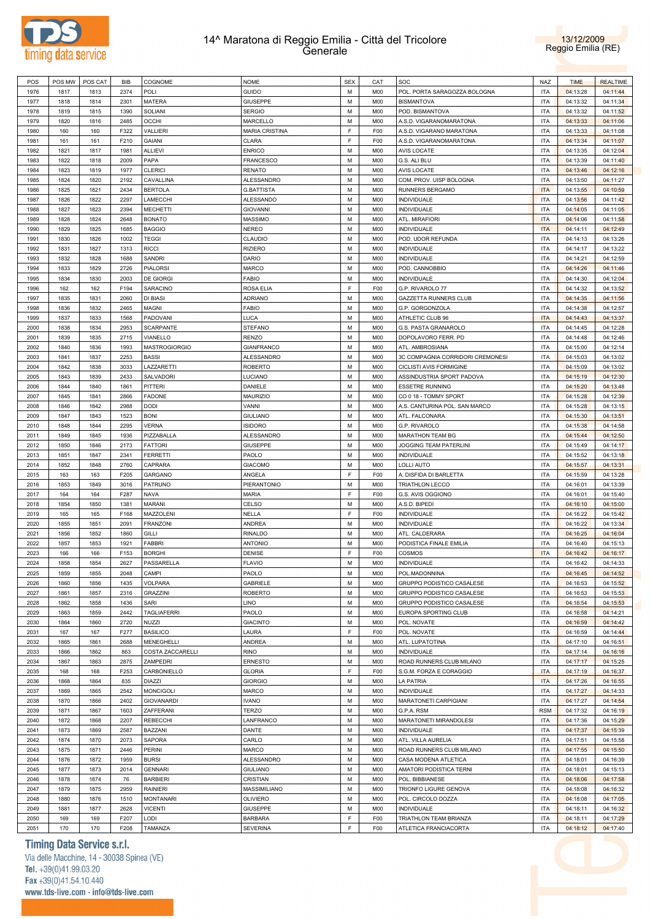



| POS  | POS MW | POS CAT | <b>BIB</b> | COGNOME              | <b>NOME</b>           | <b>SEX</b> | CAT             | SOC                              | <b>NAZ</b> | <b>TIME</b> | <b>REALTIME</b> |
|------|--------|---------|------------|----------------------|-----------------------|------------|-----------------|----------------------------------|------------|-------------|-----------------|
|      |        |         |            |                      |                       | M          |                 |                                  |            |             |                 |
| 1976 | 1817   | 1813    | 2374       | POLI                 | <b>GUIDO</b>          |            | M00             | POL. PORTA SARAGOZZA BOLOGNA     | <b>ITA</b> | 04:13:28    | 04:11:44        |
| 1977 | 1818   | 1814    | 2301       | <b>MATERA</b>        | <b>GIUSEPPE</b>       | М          | M <sub>0</sub>  | <b>BISMANTOVA</b>                | <b>ITA</b> | 04:13:32    | 04:11:34        |
| 1978 | 1819   | 1815    | 1390       | SOLIANI              | <b>SERGIO</b>         | M          | M00             | POD. BISMANTOVA                  | <b>ITA</b> | 04:13:32    | 04:11:52        |
| 1979 | 1820   | 1816    | 2485       | <b>OCCHI</b>         | MARCELLO              | М          | M <sub>0</sub>  | A.S.D. VIGARANOMARATONA          | <b>ITA</b> | 04:13:33    | 04:11:06        |
| 1980 | 160    | 160     | F322       | <b>VALLIERI</b>      | <b>MARIA CRISTINA</b> | F          | F <sub>00</sub> | A.S.D. VIGARANO MARATONA         | <b>ITA</b> | 04:13:33    | 04:11:08        |
|      |        |         |            |                      |                       |            |                 |                                  |            |             |                 |
| 1981 | 161    | 161     | F210       | <b>GAIANI</b>        | <b>CLARA</b>          | F          | F <sub>0</sub>  | A.S.D. VIGARANOMARATONA          | <b>ITA</b> | 04:13:34    | 04:11:07        |
| 1982 | 1821   | 1817    | 1981       | <b>ALLIEVI</b>       | <b>ENRICO</b>         | M          | M00             | <b>AVIS LOCATE</b>               | <b>ITA</b> | 04:13:35    | 04:12:04        |
| 1983 | 1822   | 1818    | 2009       | PAPA                 | FRANCESCO             | М          | M <sub>0</sub>  | G.S. ALI BLU                     | <b>ITA</b> | 04:13:39    | 04:11:40        |
| 1984 | 1823   | 1819    | 1977       | <b>CLERICI</b>       | <b>RENATO</b>         | M          | M00             | <b>AVIS LOCATE</b>               | <b>ITA</b> | 04:13:46    | 04:12:16        |
| 1985 | 1824   | 1820    | 2192       | CAVALLINA            | ALESSANDRO            | M          | M <sub>0</sub>  | COM. PROV. UISP BOLOGNA          | <b>ITA</b> | 04:13:50    | 04:11:27        |
|      |        |         |            |                      |                       |            |                 |                                  |            |             |                 |
| 1986 | 1825   | 1821    | 2434       | <b>BERTOLA</b>       | <b>G.BATTISTA</b>     | M          | M00             | RUNNERS BERGAMO                  | <b>ITA</b> | 04:13:55    | 04:10:59        |
| 1987 | 1826   | 1822    | 2297       | LAMECCHI             | <b>ALESSANDO</b>      | M          | M00             | INDIVIDUALE                      | <b>ITA</b> | 04:13:56    | 04:11:42        |
| 1988 | 1827   | 1823    | 2394       | <b>MECHETTI</b>      | <b>GIOVANNI</b>       | M          | M <sub>0</sub>  | <b>INDIVIDUALE</b>               | <b>ITA</b> | 04:14:05    | 04:11:05        |
| 1989 | 1828   | 1824    | 2648       | <b>BONATO</b>        | <b>MASSIMO</b>        | М          | M <sub>0</sub>  | ATL. MIRAFIORI                   | <b>ITA</b> | 04:14:06    | 04:11:58        |
| 1990 | 1829   | 1825    | 1685       | <b>BAGGIO</b>        | <b>NEREO</b>          | M          | M <sub>0</sub>  | <b>INDIVIDUALE</b>               | <b>ITA</b> | 04:14:11    | 04:12:49        |
|      |        |         |            |                      |                       |            |                 |                                  |            |             |                 |
| 1991 | 1830   | 1826    | 1002       | <b>TEGGI</b>         | CLAUDIO               | М          | M <sub>0</sub>  | POD. UDOR REFUNDA                | <b>ITA</b> | 04:14:13    | 04:13:26        |
| 1992 | 1831   | 1827    | 1313       | <b>RICCI</b>         | <b>RIZIERO</b>        | M          | M <sub>0</sub>  | INDIVIDUALE                      | <b>ITA</b> | 04:14:17    | 04:13:22        |
| 1993 | 1832   | 1828    | 1688       | SANDRI               | <b>DARIO</b>          | M          | M <sub>0</sub>  | INDIVIDUALE                      | <b>ITA</b> | 04:14:21    | 04:12:59        |
| 1994 | 1833   | 1829    | 2726       | <b>PIALORSI</b>      | <b>MARCO</b>          | M          | M <sub>0</sub>  | POD. CANNOBBIO                   | <b>ITA</b> | 04:14:26    | 04:11:46        |
|      |        |         |            |                      | <b>FABIO</b>          | М          |                 |                                  | <b>ITA</b> |             |                 |
| 1995 | 1834   | 1830    | 2003       | <b>DE GIORGI</b>     |                       |            | M <sub>0</sub>  | INDIVIDUALE                      |            | 04:14:30    | 04:12:04        |
| 1996 | 162    | 162     | F194       | SARACINO             | ROSA ELIA             | F          | F <sub>00</sub> | G.P. RIVAROLO 77                 | <b>ITA</b> | 04:14:32    | 04:13:52        |
| 1997 | 1835   | 1831    | 2060       | DI BIASI             | <b>ADRIANO</b>        | M          | M <sub>0</sub>  | GAZZETTA RUNNERS CLUB            | <b>ITA</b> | 04:14:35    | 04:11:56        |
| 1998 | 1836   | 1832    | 2465       | <b>MAGNI</b>         | <b>FABIO</b>          | M          | M <sub>0</sub>  | G.P. GORGONZOLA                  | <b>ITA</b> | 04:14:38    | 04:12:57        |
| 1999 | 1837   | 1833    | 1568       | PADOVANI             | LUCA                  | M          | M <sub>0</sub>  | ATHLETIC CLUB 96                 | <b>ITA</b> | 04:14:43    | 04:13:37        |
|      |        |         |            |                      |                       | M          |                 |                                  | <b>ITA</b> |             |                 |
| 2000 | 1838   | 1834    | 2953       | <b>SCARPANTE</b>     | <b>STEFANO</b>        |            | M <sub>0</sub>  | G.S. PASTA GRANAROLO             |            | 04:14:45    | 04:12:28        |
| 2001 | 1839   | 1835    | 2715       | VIANELLO             | <b>RENZO</b>          | M          | M <sub>0</sub>  | DOPOLAVORO FERR. PD              | <b>ITA</b> | 04:14:48    | 04:12:46        |
| 2002 | 1840   | 1836    | 1993       | <b>MASTROGIORGIO</b> | <b>GIANFRANCO</b>     | M          | M <sub>0</sub>  | ATL. AMBROSIANA                  | <b>ITA</b> | 04:15:00    | 04:12:14        |
| 2003 | 1841   | 1837    | 2253       | <b>BASSI</b>         | ALESSANDRO            | М          | M <sub>0</sub>  | 3C COMPAGNIA CORRIDORI CREMONESI | <b>ITA</b> | 04:15:03    | 04:13:02        |
| 2004 | 1842   | 1838    | 3033       | LAZZARETTI           | <b>ROBERTO</b>        | M          | M <sub>0</sub>  | CICLISTI AVIS FORMIGINE          | <b>ITA</b> | 04:15:09    | 04:13:02        |
|      |        |         |            |                      |                       |            |                 |                                  |            |             |                 |
| 2005 | 1843   | 1839    | 2433       | SALVADORI            | LUCIANO               | М          | M <sub>0</sub>  | ASSINDUSTRIA SPORT PADOVA        | <b>ITA</b> | 04:15:19    | 04:12:30        |
| 2006 | 1844   | 1840    | 1861       | PITTERI              | DANIELE               | M          | M <sub>0</sub>  | <b>ESSETRE RUNNING</b>           | <b>ITA</b> | 04:15:20    | 04:13:48        |
| 2007 | 1845   | 1841    | 2866       | <b>FADONE</b>        | MAURIZIO              | М          | M <sub>0</sub>  | CO 0 18 - TOMMY SPORT            | <b>ITA</b> | 04:15:28    | 04:12:39        |
| 2008 | 1846   | 1842    | 2988       | <b>DODI</b>          | VANNI                 | M          | M <sub>0</sub>  | A.S. CANTURINA POL. SAN MARCO    | <b>ITA</b> | 04:15:28    | 04:13:15        |
| 2009 | 1847   | 1843    | 1523       | <b>BONI</b>          | <b>GIULIANO</b>       | M          | M <sub>0</sub>  | ATL. FALCONARA                   | <b>ITA</b> | 04:15:30    | 04:13:51        |
|      |        |         |            |                      |                       |            |                 |                                  |            |             |                 |
| 2010 | 1848   | 1844    | 2295       | <b>VERNA</b>         | <b>ISIDORO</b>        | M          | M <sub>0</sub>  | G.P. RIVAROLO                    | <b>ITA</b> | 04:15:38    | 04:14:58        |
| 2011 | 1849   | 1845    | 1936       | PIZZABALLA           | ALESSANDRO            | M          | M <sub>0</sub>  | <b>MARATHON TEAM BG</b>          | <b>ITA</b> | 04:15:44    | 04:12:50        |
| 2012 | 1850   | 1846    | 2173       | <b>FATTORI</b>       | <b>GIUSEPPE</b>       | M          | M <sub>0</sub>  | JOGGING TEAM PATERLINI           | <b>ITA</b> | 04:15:49    | 04:14:17        |
| 2013 | 1851   | 1847    | 2341       | <b>FERRETTI</b>      | PAOLO                 | M          | M <sub>0</sub>  | INDIVIDUALE                      | <b>ITA</b> | 04:15:52    | 04:13:18        |
| 2014 | 1852   | 1848    | 2760       | CAPRARA              | <b>GIACOMO</b>        | M          | M00             | <b>LOLLI AUTO</b>                | <b>ITA</b> | 04:15:57    | 04:13:31        |
|      |        |         |            |                      |                       |            |                 |                                  |            |             |                 |
| 2015 | 163    | 163     | F205       | GARGANO              | ANGELA                | F          | F <sub>0</sub>  | A. DISFIDA DI BARLETTA           | <b>ITA</b> | 04:15:59    | 04:13:28        |
| 2016 | 1853   | 1849    | 3016       | PATRUNO              | PIERANTONIO           | M          | M <sub>0</sub>  | TRIATHLON LECCO                  | <b>ITA</b> | 04:16:01    | 04:13:39        |
| 2017 | 164    | 164     | F287       | <b>NAVA</b>          | MARIA                 | F          | F <sub>0</sub>  | G.S. AVIS OGGIONO                | <b>ITA</b> | 04:16:01    | 04:15:40        |
| 2018 | 1854   | 1850    | 1381       | MARANI               | CELSO                 | M          | M <sub>0</sub>  | A.S.D. BIPEDI                    | <b>ITA</b> | 04:16:10    | 04:15:00        |
| 2019 | 165    | 165     | F168       | <b>MAZZOLENI</b>     | NELLA                 | F          | F <sub>00</sub> | INDIVIDUALE                      | <b>ITA</b> | 04:16:22    | 04:15:42        |
|      |        |         |            |                      |                       |            |                 |                                  |            |             |                 |
| 2020 | 1855   | 1851    | 2091       | <b>FRANZONI</b>      | <b>ANDREA</b>         | M          | M <sub>0</sub>  | <b>INDIVIDUALE</b>               | <b>ITA</b> | 04:16:22    | 04:13:34        |
| 2021 | 1856   | 1852    | 1860       | GILLI                | <b>RINALDO</b>        | М          | M <sub>0</sub>  | ATL. CALDERARA                   | <b>ITA</b> | 04:16:25    | 04:16:04        |
| 2022 | 1857   | 1853    | 1921       | <b>FABBRI</b>        | <b>ANTONIO</b>        | М          | M <sub>0</sub>  | PODISTICA FINALE EMILIA          | <b>ITA</b> | 04:16:40    | 04:15:13        |
| 2023 | 166    | 166     | F153       | <b>BORGHI</b>        | DENISE                | F          | F <sub>00</sub> | <b>COSMOS</b>                    | <b>ITA</b> | 04:16:42    | 04:16:17        |
| 2024 | 1858   | 1854    | 2627       | PASSARELLA           | <b>FLAVIO</b>         | М          | M00             | INDIVIDUALE                      | <b>ITA</b> | 04:16:42    | 04:14:33        |
|      |        |         |            |                      |                       |            |                 |                                  |            |             |                 |
| 2025 | 1859   | 1855    | 2048       | CAMPI                | PAOLO                 | M          | M <sub>0</sub>  | POL.MADONNINA                    | <b>ITA</b> | 04:16:45    | 04:14:52        |
| 2026 | 1860   | 1856    | 1435       | VOLPARA              | <b>GABRIELE</b>       | M          | M00             | GRUPPO PODISTICO CASALESE        | <b>ITA</b> | 04:16:53    | 04:15:52        |
| 2027 | 1861   | 1857    | 2316       | GRAZZINI             | <b>ROBERTO</b>        | M          | M <sub>0</sub>  | GRUPPO PODISTICO CASALESE        | <b>ITA</b> | 04:16:53    | 04:15:53        |
| 2028 | 1862   | 1858    | 1436       | SARI                 | LINO                  | M          | M <sub>0</sub>  | <b>GRUPPO PODISTICO CASALESE</b> | <b>ITA</b> | 04:16:54    | 04:15:53        |
| 2029 | 1863   | 1859    | 2442       | <b>TAGLIAFERRI</b>   | PAOLO                 | М          | M <sub>0</sub>  | EUROPA SPORTING CLUB             | <b>ITA</b> | 04:16:58    | 04:14:21        |
|      |        |         |            |                      |                       |            |                 |                                  |            |             |                 |
| 2030 | 1864   | 1860    | 2720       | <b>NUZZI</b>         | <b>GIACINTO</b>       | М          | M <sub>0</sub>  | POL. NOVATE                      | <b>ITA</b> | 04:16:59    | 04:14:42        |
| 2031 | 167    | 167     | F277       | <b>BASILICO</b>      | LAURA                 | F          | F <sub>0</sub>  | POL. NOVATE                      | <b>ITA</b> | 04:16:59    | 04:14:44        |
| 2032 | 1865   | 1861    | 2688       | MENEGHELLI           | <b>ANDREA</b>         | М          | M <sub>0</sub>  | ATL. LUPATOTINA                  | <b>ITA</b> | 04:17:10    | 04:16:51        |
| 2033 | 1866   | 1862    | 863        | COSTA ZACCARELLI     | <b>RINO</b>           | M          | M <sub>0</sub>  | <b>INDIVIDUALE</b>               | <b>ITA</b> | 04:17:14    | 04:16:16        |
| 2034 | 1867   | 1863    | 2875       | ZAMPEDRI             | <b>ERNESTO</b>        | М          | M <sub>0</sub>  | ROAD RUNNERS CLUB MILANO         | <b>ITA</b> | 04:17:17    | 04:15:25        |
|      |        |         |            |                      |                       |            |                 |                                  |            |             |                 |
| 2035 | 168    | 168     | F253       | CARBONIELLO          | <b>GLORIA</b>         | F          | F <sub>00</sub> | S.G.M. FORZA E CORAGGIO          | <b>ITA</b> | 04:17:19    | 04:16:37        |
| 2036 | 1868   | 1864    | 835        | <b>DIAZZI</b>        | <b>GIORGIO</b>        | M          | M <sub>0</sub>  | LA PATRIA                        | <b>ITA</b> | 04:17:26    | 04:16:55        |
| 2037 | 1869   | 1865    | 2542       | <b>MONCIGOLI</b>     | <b>MARCO</b>          | M          | M <sub>0</sub>  | <b>INDIVIDUALE</b>               | <b>ITA</b> | 04:17:27    | 04:14:33        |
| 2038 | 1870   | 1866    | 2402       | <b>GIOVANARDI</b>    | <b>IVANO</b>          | M          | M <sub>0</sub>  | MARATONETI CARPIGIANI            | <b>ITA</b> | 04:17:27    | 04:14:54        |
|      |        |         |            |                      |                       |            |                 |                                  |            |             |                 |
| 2039 | 1871   | 1867    | 1603       | ZAFFERANI            | <b>TERZO</b>          | M          | M <sub>0</sub>  | G.P.A. RSM                       | <b>RSM</b> | 04:17:32    | 04:16:19        |
| 2040 | 1872   | 1868    | 2207       | <b>REBECCHI</b>      | LANFRANCO             | M          | M <sub>0</sub>  | MARATONETI MIRANDOLESI           | <b>ITA</b> | 04:17:36    | 04:15:29        |
| 2041 | 1873   | 1869    | 2587       | BAZZANI              | DANTE                 | M          | M <sub>0</sub>  | INDIVIDUALE                      | <b>ITA</b> | 04:17:37    | 04:15:39        |
| 2042 | 1874   | 1870    | 2073       | SAPORA               | CARLO                 | М          | M <sub>0</sub>  | ATL. VILLA AURELIA               | <b>ITA</b> | 04:17:51    | 04:15:58        |
| 2043 | 1875   | 1871    | 2446       | PERINI               | <b>MARCO</b>          | M          | M <sub>0</sub>  | ROAD RUNNERS CLUB MILANO         | <b>ITA</b> | 04:17:55    | 04:15:50        |
|      |        |         |            |                      |                       |            |                 |                                  |            |             |                 |
| 2044 | 1876   | 1872    | 1959       | <b>BURSI</b>         | ALESSANDRO            | M          | M <sub>0</sub>  | CASA MODENA ATLETICA             | <b>ITA</b> | 04:18:01    | 04:16:39        |
| 2045 | 1877   | 1873    | 2014       | <b>GENNARI</b>       | <b>GIULIANO</b>       | M          | M <sub>0</sub>  | AMATORI PODISTICA TERNI          | <b>ITA</b> | 04:18:01    | 04:15:13        |
| 2046 | 1878   | 1874    | 76         | <b>BARBIERI</b>      | CRISTIAN              | M          | M00             | POL. BIBBIANESE                  | <b>ITA</b> | 04:18:06    | 04:17:58        |
| 2047 | 1879   | 1875    | 2959       | RAINIERI             | MASSIMILIANO          | M          | M <sub>0</sub>  | TRIONFO LIGURE GENOVA            | <b>ITA</b> | 04:18:08    | 04:16:32        |
|      |        |         |            |                      |                       |            |                 |                                  |            |             |                 |
| 2048 | 1880   | 1876    | 1510       | <b>MONTANARI</b>     | <b>OLIVIERO</b>       | M          | M <sub>0</sub>  | POL. CIRCOLO DOZZA               | <b>ITA</b> | 04:18:08    | 04:17:05        |
| 2049 | 1881   | 1877    | 2628       | <b>VICENTI</b>       | <b>GIUSEPPE</b>       | М          | M <sub>0</sub>  | <b>INDIVIDUALE</b>               | ITA        | 04:18:11    | 04:16:32        |
| 2050 | 169    | 169     | F207       | LODI                 | <b>BARBARA</b>        | F          | F <sub>00</sub> | TRIATHLON TEAM BRIANZA           | <b>ITA</b> | 04:18:11    | 04:17:29        |
| 2051 | 170    | 170     | F208       | TAMANZA              | <b>SEVERINA</b>       | F          | F <sub>00</sub> | ATLETICA FRANCIACORTA            | <b>ITA</b> | 04:18:12    | 04:17:40        |

# **Timing Data Service s.r.l.**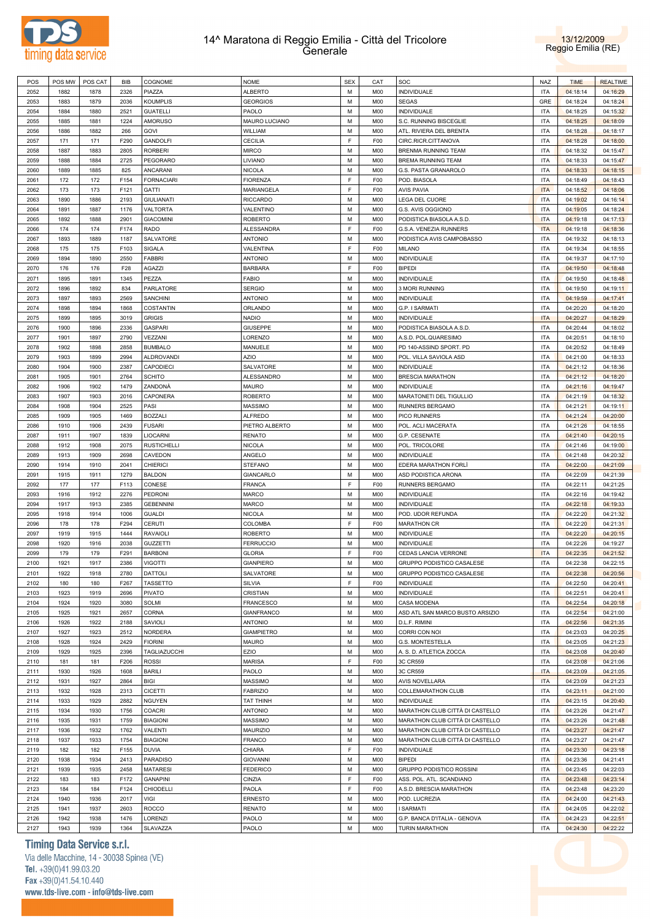



| POS  | POS MW | POS CAT | <b>BIB</b> | COGNOME            | <b>NOME</b>       | <b>SEX</b> | CAT            | SOC                             | <b>NAZ</b> | <b>TIME</b> | <b>REALTIME</b> |
|------|--------|---------|------------|--------------------|-------------------|------------|----------------|---------------------------------|------------|-------------|-----------------|
| 2052 | 1882   | 1878    | 2326       | PIAZZA             | <b>ALBERTO</b>    | M          | M <sub>0</sub> | <b>INDIVIDUALE</b>              | <b>ITA</b> | 04:18:14    | 04:16:29        |
| 2053 | 1883   | 1879    | 2036       | KOUMPLIS           | <b>GEORGIOS</b>   | М          | M <sub>0</sub> | <b>SEGAS</b>                    | GRE        | 04:18:24    | 04:18:24        |
| 2054 | 1884   | 1880    | 2521       | <b>GUATELLI</b>    | PAOLO             | М          | M <sub>0</sub> | INDIVIDUALE                     | <b>ITA</b> | 04:18:25    | 04:15:32        |
|      |        |         |            |                    |                   |            |                |                                 |            |             |                 |
| 2055 | 1885   | 1881    | 1224       | AMORUSO            | MAURO LUCIANO     | М          | M <sub>0</sub> | S.C. RUNNING BISCEGLIE          | <b>ITA</b> | 04:18:25    | 04:18:09        |
| 2056 | 1886   | 1882    | 266        | GOVI               | WILLIAM           | М          | M <sub>0</sub> | ATL. RIVIERA DEL BRENTA         | <b>ITA</b> | 04:18:28    | 04:18:17        |
| 2057 | 171    | 171     | F290       | GANDOLFI           | CECILIA           | F.         | F <sub>0</sub> | CIRC.RICR.CITTANOVA             | <b>ITA</b> | 04:18:28    | 04:18:00        |
| 2058 | 1887   | 1883    | 2805       | <b>RORBERI</b>     | <b>MIRCO</b>      | M          | M <sub>0</sub> | BRENMA RUNNING TEAM             | <b>ITA</b> | 04:18:32    | 04:15:47        |
| 2059 | 1888   | 1884    | 2725       | PEGORARO           | LIVIANO           | М          | M <sub>0</sub> | BREMA RUNNING TEAM              | <b>ITA</b> | 04:18:33    | 04:15:47        |
| 2060 | 1889   | 1885    | 825        | ANCARANI           | <b>NICOLA</b>     | M          | M <sub>0</sub> | G.S. PASTA GRANAROLO            | <b>ITA</b> | 04:18:33    | 04:18:15        |
| 2061 | 172    | 172     | F154       | <b>FORNACIARI</b>  | <b>FIORENZA</b>   | F          | F <sub>0</sub> | POD. BIASOLA                    | <b>ITA</b> | 04:18:49    | 04:18:43        |
| 2062 | 173    | 173     | F121       | GATTI              | MARIANGELA        | F          | F <sub>0</sub> | <b>AVIS PAVIA</b>               | <b>ITA</b> | 04:18:52    | 04:18:06        |
| 2063 | 1890   | 1886    | 2193       | <b>GIULIANATI</b>  | <b>RICCARDO</b>   | M          | M <sub>0</sub> | <b>LEGA DEL CUORE</b>           | <b>ITA</b> | 04:19:02    | 04:16:14        |
|      |        |         |            |                    |                   |            |                |                                 |            |             |                 |
| 2064 | 1891   | 1887    | 1176       | VALTORTA           | VALENTINO         | М          | M <sub>0</sub> | G.S. AVIS OGGIONO               | <b>ITA</b> | 04:19:05    | 04:18:24        |
| 2065 | 1892   | 1888    | 2901       | <b>GIACOMINI</b>   | <b>ROBERTO</b>    | М          | M <sub>0</sub> | PODISTICA BIASOLA A.S.D.        | <b>ITA</b> | 04:19:18    | 04:17:13        |
| 2066 | 174    | 174     | F174       | RADO               | ALESSANDRA        | E          | F <sub>0</sub> | G.S.A. VENEZIA RUNNERS          | <b>ITA</b> | 04:19:18    | 04:18:36        |
| 2067 | 1893   | 1889    | 1187       | SALVATORE          | <b>ANTONIO</b>    | М          | M <sub>0</sub> | PODISTICA AVIS CAMPOBASSO       | <b>ITA</b> | 04:19:32    | 04:18:13        |
| 2068 | 175    | 175     | F103       | SIGALA             | VALENTINA         | F          | F <sub>0</sub> | <b>MILANO</b>                   | <b>ITA</b> | 04:19:34    | 04:18:55        |
| 2069 | 1894   | 1890    | 2550       | FABBRI             | <b>ANTONIO</b>    | M          | M <sub>0</sub> | INDIVIDUALE                     | <b>ITA</b> | 04:19:37    | 04:17:10        |
| 2070 | 176    | 176     | F28        | AGAZZI             | <b>BARBARA</b>    | F          | F <sub>0</sub> | <b>BIPEDI</b>                   | <b>ITA</b> | 04:19:50    | 04:18:48        |
| 2071 | 1895   | 1891    | 1345       | PEZZA              | FABIO             | М          | M <sub>0</sub> | INDIVIDUALE                     | <b>ITA</b> | 04:19:50    | 04:18:48        |
| 2072 | 1896   | 1892    | 834        | PARLATORE          | <b>SERGIO</b>     | M          | M <sub>0</sub> | 3 MORI RUNNING                  | <b>ITA</b> |             | 04:19:11        |
|      |        |         |            |                    |                   |            |                |                                 |            | 04:19:50    |                 |
| 2073 | 1897   | 1893    | 2569       | SANCHINI           | <b>ANTONIO</b>    | М          | M <sub>0</sub> | INDIVIDUALE                     | <b>ITA</b> | 04:19:59    | 04:17:41        |
| 2074 | 1898   | 1894    | 1868       | <b>COSTANTIN</b>   | ORLANDO           | М          | M <sub>0</sub> | G.P. I SARMATI                  | <b>ITA</b> | 04:20:20    | 04:18:20        |
| 2075 | 1899   | 1895    | 3019       | <b>GRIGIS</b>      | <b>NADIO</b>      | M          | M <sub>0</sub> | <b>INDIVIDUALE</b>              | <b>ITA</b> | 04:20:27    | 04:18:29        |
| 2076 | 1900   | 1896    | 2336       | <b>GASPARI</b>     | <b>GIUSEPPE</b>   | М          | M <sub>0</sub> | PODISTICA BIASOLA A.S.D.        | <b>ITA</b> | 04:20:44    | 04:18:02        |
| 2077 | 1901   | 1897    | 2790       | VEZZANI            | LORENZO           | М          | M <sub>0</sub> | A.S.D. POL.QUARESIMO            | <b>ITA</b> | 04:20:51    | 04:18:10        |
| 2078 | 1902   | 1898    | 2858       | <b>BUMBALO</b>     | MANUELE           | M          | M <sub>0</sub> | PD 140-ASSIND SPORT. PD         | <b>ITA</b> | 04:20:52    | 04:18:49        |
| 2079 | 1903   | 1899    | 2994       | <b>ALDROVANDI</b>  | <b>AZIO</b>       | М          | M <sub>0</sub> | POL. VILLA SAVIOLA ASD          | <b>ITA</b> | 04:21:00    | 04:18:33        |
| 2080 | 1904   | 1900    | 2387       | <b>CAPODIECI</b>   | SALVATORE         | М          | M <sub>0</sub> | <b>INDIVIDUALE</b>              | <b>ITA</b> | 04:21:12    | 04:18:36        |
| 2081 | 1905   | 1901    | 2764       | <b>SCHITO</b>      | ALESSANDRO        | M          | M <sub>0</sub> | <b>BRESCIA MARATHON</b>         | <b>ITA</b> | 04:21:12    | 04:18:20        |
|      |        |         |            |                    |                   |            |                |                                 |            |             |                 |
| 2082 | 1906   | 1902    | 1479       | ZANDONÀ            | <b>MAURO</b>      | М          | M <sub>0</sub> | INDIVIDUALE                     | <b>ITA</b> | 04:21:16    | 04:19:47        |
| 2083 | 1907   | 1903    | 2016       | CAPONERA           | <b>ROBERTO</b>    | М          | M <sub>0</sub> | MARATONETI DEL TIGULLIO         | <b>ITA</b> | 04:21:19    | 04:18:32        |
| 2084 | 1908   | 1904    | 2525       | PASI               | <b>MASSIMO</b>    | M          | M <sub>0</sub> | RUNNERS BERGAMO                 | <b>ITA</b> | 04:21:21    | 04:19:11        |
| 2085 | 1909   | 1905    | 1469       | <b>BOZZALI</b>     | <b>ALFREDO</b>    | М          | M <sub>0</sub> | PICO RUNNERS                    | <b>ITA</b> | 04:21:24    | 04:20:00        |
| 2086 | 1910   | 1906    | 2439       | <b>FUSARI</b>      | PIETRO ALBERTO    | М          | M <sub>0</sub> | POL. ACLI MACERATA              | <b>ITA</b> | 04:21:26    | 04:18:55        |
| 2087 | 1911   | 1907    | 1839       | LIOCARNI           | <b>RENATO</b>     | M          | M <sub>0</sub> | G.P. CESENATE                   | <b>ITA</b> | 04:21:40    | 04:20:15        |
| 2088 | 1912   | 1908    | 2075       | <b>RUSTICHELLI</b> | <b>NICOLA</b>     | М          | M <sub>0</sub> | POL. TRICOLORE                  | <b>ITA</b> | 04:21:46    | 04:19:00        |
| 2089 | 1913   | 1909    | 2698       | CAVEDON            | ANGELO            | М          | M <sub>0</sub> | INDIVIDUALE                     | <b>ITA</b> | 04:21:48    | 04:20:32        |
| 2090 | 1914   | 1910    | 2041       | CHIERICI           | <b>STEFANO</b>    | M          | M <sub>0</sub> | EDERA MARATHON FORLÌ            | <b>ITA</b> | 04:22:00    | 04:21:09        |
|      | 1915   |         |            |                    |                   | М          | M <sub>0</sub> |                                 | <b>ITA</b> | 04:22:09    |                 |
| 2091 |        | 1911    | 1279       | <b>BALDON</b>      | GIANCARLO         |            |                | ASD PODISTICA ARONA             |            |             | 04:21:39        |
| 2092 | 177    | 177     | F113       | CONESE             | <b>FRANCA</b>     | F          | F <sub>0</sub> | RUNNERS BERGAMO                 | <b>ITA</b> | 04:22:11    | 04:21:25        |
| 2093 | 1916   | 1912    | 2276       | PEDRONI            | MARCO             | M          | M <sub>0</sub> | INDIVIDUALE                     | <b>ITA</b> | 04:22:16    | 04:19:42        |
| 2094 | 1917   | 1913    | 2385       | <b>GEBENNINI</b>   | <b>MARCO</b>      | М          | M <sub>0</sub> | <b>INDIVIDUALE</b>              | <b>ITA</b> | 04:22:18    | 04:19:33        |
| 2095 | 1918   | 1914    | 1006       | <b>GUALDI</b>      | <b>NICOLA</b>     | М          | M <sub>0</sub> | POD. UDOR REFUNDA               | <b>ITA</b> | 04:22:20    | 04:21:32        |
| 2096 | 178    | 178     | F294       | CERUTI             | COLOMBA           | F          | F <sub>0</sub> | <b>MARATHON CR</b>              | <b>ITA</b> | 04:22:20    | 04:21:31        |
| 2097 | 1919   | 1915    | 1444       | <b>RAVAIOLI</b>    | <b>ROBERTO</b>    | М          | M <sub>0</sub> | INDIVIDUALE                     | <b>ITA</b> | 04:22:20    | 04:20:15        |
| 2098 | 1920   | 1916    | 2038       | <b>GUZZETTI</b>    | <b>FERRUCCIO</b>  | М          | M <sub>0</sub> | <b>INDIVIDUALE</b>              | <b>ITA</b> | 04:22:26    | 04:19:27        |
| 2099 | 179    | 179     | F291       | <b>BARBONI</b>     | <b>GLORIA</b>     | F.         | F <sub>0</sub> | CEDAS LANCIA VERRONE            | <b>ITA</b> | 04:22:35    | 04:21:52        |
| 2100 | 1921   | 1917    | 2386       | <b>VIGOTTI</b>     | <b>GIANPIERO</b>  | М          | M <sub>0</sub> |                                 | <b>ITA</b> | 04:22:38    |                 |
|      |        |         |            |                    |                   |            |                | GRUPPO PODISTICO CASALESE       |            |             | 04:22:15        |
| 2101 | 1922   | 1918    | 2780       | DATTOLI            | SALVATORE         | М          | M <sub>0</sub> | GRUPPO PODISTICO CASALESE       | <b>ITA</b> | 04:22:38    | 04:20:56        |
| 2102 | 180    | 180     | F267       | TASSETTO           | SILVIA            | F          | F <sub>0</sub> | <b>INDIVIDUALE</b>              | <b>ITA</b> | 04:22:50    | 04:20:41        |
| 2103 | 1923   | 1919    | 2696       | <b>PIVATO</b>      | CRISTIAN          | М          | M <sub>0</sub> | INDIVIDUALE                     | <b>ITA</b> | 04:22:51    | 04:20:41        |
| 2104 | 1924   | 1920    | 3080       | SOLMI              | <b>FRANCESCO</b>  | М          | M <sub>0</sub> | CASA MODENA                     | <b>ITA</b> | 04:22:54    | 04:20:18        |
| 2105 | 1925   | 1921    | 2657       | CORNA              | <b>GIANFRANCO</b> | М          | M <sub>0</sub> | ASD ATL SAN MARCO BUSTO ARSIZIO | <b>ITA</b> | 04:22:54    | 04:21:00        |
| 2106 | 1926   | 1922    | 2188       | SAVIOLI            | <b>ANTONIO</b>    | М          | M <sub>0</sub> | D.L.F. RIMINI                   | <b>ITA</b> | 04:22:56    | 04:21:35        |
| 2107 | 1927   | 1923    | 2512       | <b>NORDERA</b>     | <b>GIAMPIETRO</b> | М          | M <sub>0</sub> | CORRI CON NOI                   | <b>ITA</b> | 04:23:03    | 04:20:25        |
| 2108 | 1928   | 1924    | 2429       | <b>FIORINI</b>     | <b>MAURO</b>      | М          | M <sub>0</sub> | G.S. MONTESTELLA                | <b>ITA</b> | 04:23:05    | 04:21:23        |
|      |        |         |            |                    |                   |            |                |                                 |            |             |                 |
| 2109 | 1929   | 1925    | 2396       | TAGLIAZUCCHI       | EZIO              | М          | M <sub>0</sub> | A. S. D. ATLETICA ZOCCA         | <b>ITA</b> | 04:23:08    | 04:20:40        |
| 2110 | 181    | 181     | F206       | ROSSI              | <b>MARISA</b>     | F          | F <sub>0</sub> | 3C CR559                        | <b>ITA</b> | 04:23:08    | 04:21:06        |
| 2111 | 1930   | 1926    | 1608       | BARILI             | PAOLO             | М          | M <sub>0</sub> | 3C CR559                        | <b>ITA</b> | 04:23:09    | 04:21:05        |
| 2112 | 1931   | 1927    | 2864       | <b>BIGI</b>        | MASSIMO           | М          | M <sub>0</sub> | AVIS NOVELLARA                  | <b>ITA</b> | 04:23:09    | 04:21:23        |
| 2113 | 1932   | 1928    | 2313       | <b>CICETTI</b>     | <b>FABRIZIO</b>   | М          | M <sub>0</sub> | COLLEMARATHON CLUB              | <b>ITA</b> | 04:23:11    | 04:21:00        |
| 2114 | 1933   | 1929    | 2882       | NGUYEN             | <b>TAT THINH</b>  | М          | M <sub>0</sub> | INDIVIDUALE                     | <b>ITA</b> | 04:23:15    | 04:20:40        |
| 2115 | 1934   | 1930    | 1756       | <b>COACRI</b>      | <b>ANTONIO</b>    | М          | M <sub>0</sub> | MARATHON CLUB CITTÀ DI CASTELLO | <b>ITA</b> | 04:23:26    | 04:21:47        |
| 2116 | 1935   | 1931    | 1759       | <b>BIAGIONI</b>    | MASSIMO           | М          | M <sub>0</sub> | MARATHON CLUB CITTÀ DI CASTELLO | <b>ITA</b> | 04:23:26    | 04:21:48        |
|      | 1936   |         |            | VALENTI            |                   | М          | M <sub>0</sub> |                                 | <b>ITA</b> |             |                 |
| 2117 |        | 1932    | 1762       |                    | MAURIZIO          |            |                | MARATHON CLUB CITTÀ DI CASTELLO |            | 04:23:27    | 04:21:47        |
| 2118 | 1937   | 1933    | 1754       | <b>BIAGIONI</b>    | <b>FRANCO</b>     | М          | M <sub>0</sub> | MARATHON CLUB CITTÀ DI CASTELLO | <b>ITA</b> | 04:23:27    | 04:21:47        |
| 2119 | 182    | 182     | F155       | DUVIA              | CHIARA            | F          | F <sub>0</sub> | INDIVIDUALE                     | <b>ITA</b> | 04:23:30    | 04:23:18        |
| 2120 | 1938   | 1934    | 2413       | PARADISO           | <b>GIOVANNI</b>   | М          | M <sub>0</sub> | <b>BIPEDI</b>                   | <b>ITA</b> | 04:23:36    | 04:21:41        |
| 2121 | 1939   | 1935    | 2458       | <b>MATARESI</b>    | <b>FEDERICO</b>   | М          | M <sub>0</sub> | GRUPPO PODISTICO ROSSINI        | <b>ITA</b> | 04:23:45    | 04:22:03        |
| 2122 | 183    | 183     | F172       | <b>GANAPINI</b>    | CINZIA            | F          | F <sub>0</sub> | ASS. POL. ATL. SCANDIANO        | <b>ITA</b> | 04:23:48    | 04:23:14        |
| 2123 | 184    | 184     | F124       | CHIODELLI          | PAOLA             | F          | F <sub>0</sub> | A.S.D. BRESCIA MARATHON         | <b>ITA</b> | 04:23:48    | 04:23:20        |
| 2124 | 1940   | 1936    | 2017       | VIGI               | <b>ERNESTO</b>    | М          | M <sub>0</sub> | POD. LUCREZIA                   | <b>ITA</b> | 04:24:00    | 04:21:43        |
| 2125 | 1941   | 1937    | 2603       | ROCCO              | <b>RENATO</b>     | М          | M <sub>0</sub> | <b>I SARMATI</b>                | <b>ITA</b> | 04:24:05    | 04:22:02        |
|      |        |         |            |                    |                   |            |                |                                 |            |             |                 |
| 2126 | 1942   | 1938    | 1476       | LORENZI            | PAOLO             | М          | M <sub>0</sub> | G.P. BANCA D'ITALIA - GENOVA    | <b>ITA</b> | 04:24:23    | 04:22:51        |
| 2127 | 1943   | 1939    | 1364       | SLAVAZZA           | PAOLO             | M          | M <sub>0</sub> | <b>TURIN MARATHON</b>           | <b>ITA</b> | 04:24:30    | 04:22:22        |

# **Timing Data Service s.r.l.**

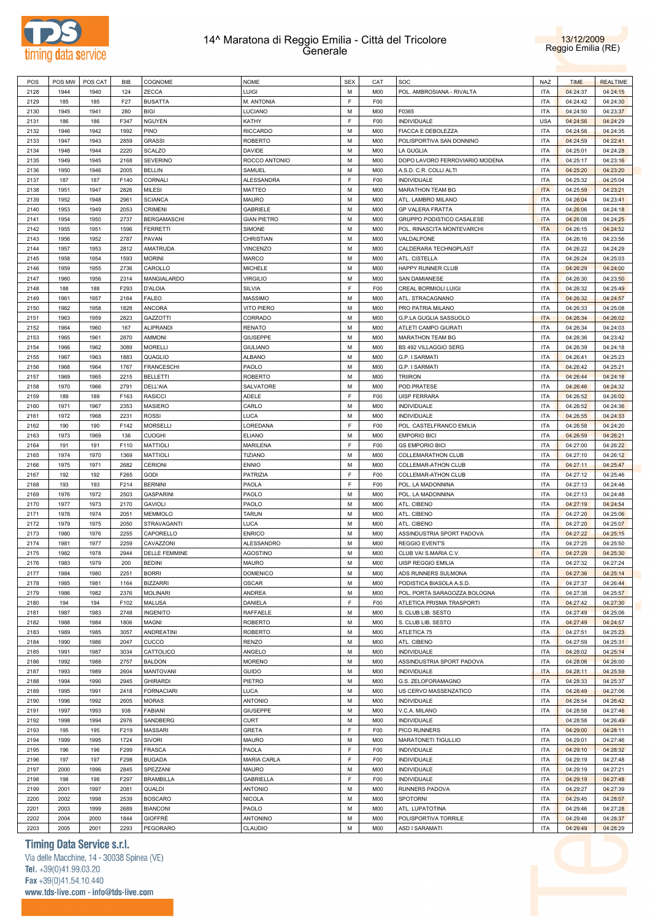



| POS  | POS MW | POS CAT | BIB  | COGNOME              | <b>NOME</b>        | <b>SEX</b> | CAT             | SOC                            | NAZ        | <b>TIME</b> | <b>REALTIME</b> |
|------|--------|---------|------|----------------------|--------------------|------------|-----------------|--------------------------------|------------|-------------|-----------------|
|      |        |         |      |                      |                    | M          |                 | POL. AMBROSIANA - RIVALTA      |            |             |                 |
| 2128 | 1944   | 1940    | 124  | ZECCA                | LUIGI              |            | M <sub>0</sub>  |                                | <b>ITA</b> | 04:24:37    | 04:24:15        |
| 2129 | 185    | 185     | F27  | <b>BUSATTA</b>       | M. ANTONIA         | F          | F <sub>0</sub>  |                                | <b>ITA</b> | 04:24:42    | 04:24:30        |
| 2130 | 1945   | 1941    | 280  | <b>BIGI</b>          | LUCIANO            | M          | M <sub>0</sub>  | F0365                          | <b>ITA</b> | 04:24:50    | 04:23:37        |
| 2131 | 186    | 186     | F347 | <b>NGUYEN</b>        | KATHY              | F          | F <sub>00</sub> | INDIVIDUALE                    | <b>USA</b> | 04:24:56    | 04:24:29        |
| 2132 | 1946   | 1942    | 1992 | PINO                 | <b>RICCARDO</b>    | M          | M <sub>0</sub>  | FIACCA E DEBOLEZZA             | <b>ITA</b> | 04:24:56    | 04:24:35        |
|      |        |         |      |                      |                    |            |                 |                                |            |             |                 |
| 2133 | 1947   | 1943    | 2859 | <b>GRASSI</b>        | <b>ROBERTO</b>     | М          | M <sub>0</sub>  | POLISPORTIVA SAN DONNINO       | <b>ITA</b> | 04:24:59    | 04:22:41        |
| 2134 | 1948   | 1944    | 2220 | <b>SCALZO</b>        | DAVIDE             | M          | M <sub>0</sub>  | LA GUGLIA                      | <b>ITA</b> | 04:25:01    | 04:24:28        |
| 2135 | 1949   | 1945    | 2168 | <b>SEVERINO</b>      | ROCCO ANTONIO      | М          | M <sub>0</sub>  | DOPO LAVORO FERROVIARIO MODENA | ITA        | 04:25:17    | 04:23:16        |
| 2136 | 1950   | 1946    | 2005 | <b>BELLIN</b>        | SAMUEL             | M          | M <sub>0</sub>  | A.S.D. C.R. COLLI ALTI         | <b>ITA</b> | 04:25:20    | 04:23:20        |
| 2137 | 187    | 187     | F140 | <b>CORNALI</b>       | ALESSANDRA         | F          | F <sub>00</sub> | INDIVIDUALE                    | <b>ITA</b> | 04:25:32    | 04:25:04        |
|      |        |         |      |                      |                    |            |                 |                                |            |             |                 |
| 2138 | 1951   | 1947    | 2826 | <b>MILESI</b>        | <b>MATTEO</b>      | M          | M00             | MARATHON TEAM BG               | <b>ITA</b> | 04:25:59    | 04:23:21        |
| 2139 | 1952   | 1948    | 2961 | <b>SCIANCA</b>       | MAURO              | М          | M <sub>0</sub>  | ATL. LAMBRO MILANO             | <b>ITA</b> | 04:26:04    | 04:23:41        |
| 2140 | 1953   | 1949    | 2053 | <b>CRIMENI</b>       | <b>GABRIELE</b>    | M          | M00             | <b>GP VALERA FRATTA</b>        | <b>ITA</b> | 04:26:06    | 04:24:18        |
| 2141 | 1954   | 1950    | 2737 | <b>BERGAMASCHI</b>   | <b>GIAN PIETRO</b> | М          | M <sub>0</sub>  | GRUPPO PODISTICO CASALESE      | <b>ITA</b> | 04:26:08    | 04:24:25        |
| 2142 | 1955   | 1951    | 1596 | <b>FERRETTI</b>      | SIMONE             | M          | M00             | POL. RINASCITA MONTEVARCHI     | <b>ITA</b> | 04:26:15    | 04:24:52        |
|      |        |         |      |                      |                    |            |                 |                                |            |             |                 |
| 2143 | 1956   | 1952    | 2787 | PAVAN                | CHRISTIAN          | М          | M <sub>0</sub>  | VALDALPONE                     | <b>ITA</b> | 04:26:16    | 04:23:56        |
| 2144 | 1957   | 1953    | 2812 | AMATRUDA             | <b>VINCENZO</b>    | M          | M00             | CALDERARA TECHNOPLAST          | <b>ITA</b> | 04:26:22    | 04:24:29        |
| 2145 | 1958   | 1954    | 1593 | <b>MORINI</b>        | <b>MARCO</b>       | М          | M <sub>0</sub>  | ATL. CISTELLA                  | <b>ITA</b> | 04:26:24    | 04:25:03        |
| 2146 | 1959   | 1955    | 2736 | CAROLLO              | <b>MICHELE</b>     | M          | M00             | HAPPY RUNNER CLUB              | <b>ITA</b> | 04:26:29    | 04:24:00        |
| 2147 | 1960   | 1956    | 2314 | MANGIALARDO          | <b>VIRGILIO</b>    | М          | M <sub>0</sub>  | SAN DAMIANESE                  | <b>ITA</b> | 04:26:30    | 04:23:50        |
|      |        |         |      |                      |                    |            |                 |                                |            |             |                 |
| 2148 | 188    | 188     | F293 | <b>D'ALOIA</b>       | SILVIA             | F          | F00             | CREAL BORMIOLI LUIGI           | <b>ITA</b> | 04:26:32    | 04:25:49        |
| 2149 | 1961   | 1957    | 2164 | <b>FALEO</b>         | MASSIMO            | М          | M <sub>0</sub>  | ATL. STRACAGNANO               | <b>ITA</b> | 04:26:32    | 04:24:57        |
| 2150 | 1962   | 1958    | 1828 | ANCORA               | <b>VITO PIERO</b>  | M          | M00             | PRO PATRIA MILANO              | <b>ITA</b> | 04:26:33    | 04:25:08        |
| 2151 | 1963   | 1959    | 2823 | <b>GAZZOTTI</b>      | CORRADO            | М          | M <sub>0</sub>  | G.P.LA GUGLIA SASSUOLO         | <b>ITA</b> | 04:26:34    | 04:26:02        |
| 2152 | 1964   | 1960    | 167  | <b>ALIPRANDI</b>     | <b>RENATO</b>      | M          | M <sub>0</sub>  | ATLETI CAMPO GIURATI           | <b>ITA</b> | 04:26:34    | 04:24:03        |
|      |        |         |      |                      |                    |            |                 |                                |            |             |                 |
| 2153 | 1965   | 1961    | 2870 | AMMONI               | <b>GIUSEPPE</b>    | М          | M <sub>0</sub>  | MARATHON TEAM BG               | <b>ITA</b> | 04:26:36    | 04:23:42        |
| 2154 | 1966   | 1962    | 3089 | <b>MORELLI</b>       | <b>GIULIANO</b>    | M          | M <sub>0</sub>  | BS 492 VILLAGGIO SERG          | <b>ITA</b> | 04:26:39    | 04:24:18        |
| 2155 | 1967   | 1963    | 1883 | QUAGLIO              | ALBANO             | М          | M <sub>0</sub>  | G.P. I SARMATI                 | <b>ITA</b> | 04:26:41    | 04:25:23        |
| 2156 | 1968   | 1964    | 1767 | <b>FRANCESCHI</b>    | PAOLO              | M          | M00             | G.P. I SARMATI                 | <b>ITA</b> | 04:26:42    | 04:25:21        |
|      |        |         | 2215 |                      | <b>ROBERTO</b>     | М          |                 |                                | <b>ITA</b> |             |                 |
| 2157 | 1969   | 1965    |      | <b>BELLETTI</b>      |                    |            | M <sub>0</sub>  | <b>TRIIRON</b>                 |            | 04:26:44    | 04:24:18        |
| 2158 | 1970   | 1966    | 2791 | DELL'AIA             | SALVATORE          | M          | M00             | POD.PRATESE                    | <b>ITA</b> | 04:26:46    | 04:24:32        |
| 2159 | 189    | 189     | F163 | <b>RASICCI</b>       | ADELE              | F          | F00             | <b>UISP FERRARA</b>            | <b>ITA</b> | 04:26:52    | 04:26:02        |
| 2160 | 1971   | 1967    | 2353 | <b>MASIERO</b>       | CARLO              | M          | M00             | INDIVIDUALE                    | <b>ITA</b> | 04:26:52    | 04:24:36        |
| 2161 | 1972   | 1968    | 2231 | <b>ROSSI</b>         | <b>LUCA</b>        | М          | M <sub>0</sub>  | INDIVIDUALE                    | <b>ITA</b> | 04:26:55    | 04:24:33        |
|      |        |         | F142 |                      |                    | F          |                 |                                |            |             |                 |
| 2162 | 190    | 190     |      | <b>MORSELLI</b>      | LOREDANA           |            | F00             | POL. CASTELFRANCO EMILIA       | <b>ITA</b> | 04:26:58    | 04:24:20        |
| 2163 | 1973   | 1969    | 136  | <b>CUOGHI</b>        | <b>ELIANO</b>      | M          | M <sub>0</sub>  | <b>EMPORIO BICI</b>            | <b>ITA</b> | 04:26:59    | 04:26:21        |
| 2164 | 191    | 191     | F110 | MATTIOLI             | <b>MARILENA</b>    | F          | F00             | <b>GS EMPORIO BICI</b>         | <b>ITA</b> | 04:27:00    | 04:26:22        |
| 2165 | 1974   | 1970    | 1369 | MATTIOLI             | <b>TIZIANO</b>     | М          | M <sub>0</sub>  | COLLEMARATHON CLUB             | <b>ITA</b> | 04:27:10    | 04:26:12        |
| 2166 | 1975   | 1971    | 2682 | <b>CERIONI</b>       | <b>ENNIO</b>       | M          | M00             | COLLEMAR-ATHON CLUB            | <b>ITA</b> | 04:27:11    | 04:25:47        |
| 2167 | 192    | 192     | F265 | <b>GODI</b>          | PATRIZIA           | F          | F <sub>00</sub> | COLLEMAR-ATHON CLUB            | <b>ITA</b> | 04:27:12    | 04:25:46        |
|      |        |         |      |                      |                    |            |                 |                                |            |             |                 |
| 2168 | 193    | 193     | F214 | <b>BERNINI</b>       | PAOLA              | F          | F00             | POL. LA MADONNINA              | <b>ITA</b> | 04:27:13    | 04:24:48        |
| 2169 | 1976   | 1972    | 2503 | <b>GASPARINI</b>     | PAOLO              | М          | M <sub>0</sub>  | POL. LA MADONNINA              | <b>ITA</b> | 04:27:13    | 04:24:48        |
| 2170 | 1977   | 1973    | 2170 | <b>GAVIOLI</b>       | PAOLO              | M          | M <sub>0</sub>  | ATL. CIBENO                    | <b>ITA</b> | 04:27:19    | 04:24:54        |
| 2171 | 1978   | 1974    | 2051 | MEMMOLO              | <b>TARUN</b>       | М          | M <sub>0</sub>  | ATL. CIBENO                    | <b>ITA</b> | 04:27:20    | 04:25:06        |
| 2172 | 1979   | 1975    | 2050 |                      | <b>LUCA</b>        | M          | M <sub>0</sub>  |                                | ITA        | 04:27:20    | 04:25:07        |
|      |        |         |      | STRAVAGANTI          |                    |            |                 | ATL. CIBENO                    |            |             |                 |
| 2173 | 1980   | 1976    | 2255 | CAPORELLO            | <b>ENRICO</b>      | М          | M <sub>0</sub>  | ASSINDUSTRIA SPORT PADOVA      | <b>ITA</b> | 04:27:22    | 04:25:15        |
| 2174 | 1981   | 1977    | 2259 | CAVAZZONI            | ALESSANDRO         | M          | M <sub>0</sub>  | <b>REGGIO EVENT'S</b>          | <b>ITA</b> | 04:27:25    | 04:25:50        |
| 2175 | 1982   | 1978    | 2944 | <b>DELLE FEMMINE</b> | <b>AGOSTINO</b>    | M          | M <sub>0</sub>  | CLUB VAI S.MARIA C.V.          | <b>ITA</b> | 04:27:29    | 04:25:30        |
| 2176 | 1983   | 1979    | 200  | <b>BEDINI</b>        | <b>MAURO</b>       | M          | M00             | UISP REGGIO EMILIA             | <b>ITA</b> | 04:27:32    | 04:27:24        |
|      |        |         |      |                      |                    | M          |                 |                                |            |             |                 |
| 2177 | 1984   | 1980    | 2251 | <b>BORRI</b>         | <b>DOMENICO</b>    |            | M00             | ADS RUNNERS SULMONA            | <b>ITA</b> | 04:27:36    | 04:25:14        |
| 2178 | 1985   | 1981    | 1164 | <b>BIZZARRI</b>      | OSCAR              | M          | M00             | PODISTICA BIASOLA A.S.D.       | <b>ITA</b> | 04:27:37    | 04:26:44        |
| 2179 | 1986   | 1982    | 2376 | <b>MOLINARI</b>      | ANDREA             | М          | M <sub>0</sub>  | POL. PORTA SARAGOZZA BOLOGNA   | <b>ITA</b> | 04:27:38    | 04:25:57        |
| 2180 | 194    | 194     | F102 | MALUSA               | DANIELA            | F          | F <sub>0</sub>  | ATLETICA PRISMA TRASPORTI      | <b>ITA</b> | 04:27:42    | 04:27:30        |
| 2181 | 1987   | 1983    | 2748 | <b>INGENITO</b>      | RAFFAELE           | М          | M <sub>0</sub>  | S. CLUB LIB. SESTO             | <b>ITA</b> | 04:27:49    | 04:25:06        |
|      | 1988   |         |      | MAGNI                |                    | M          | M00             |                                |            |             |                 |
| 2182 |        | 1984    | 1806 |                      | <b>ROBERTO</b>     |            |                 | S. CLUB LIB. SESTO             | <b>ITA</b> | 04:27:49    | 04:24:57        |
| 2183 | 1989   | 1985    | 3057 | <b>ANDREATINI</b>    | <b>ROBERTO</b>     | М          | M <sub>0</sub>  | ATLETICA 75                    | ITA        | 04:27:51    | 04:25:23        |
| 2184 | 1990   | 1986    | 2047 | CUCCO                | RENZO              | M          | M <sub>0</sub>  | ATL. CIBENO                    | <b>ITA</b> | 04:27:59    | 04:25:31        |
| 2185 | 1991   | 1987    | 3034 | CATTOLICO            | ANGELO             | М          | M <sub>0</sub>  | <b>INDIVIDUALE</b>             | <b>ITA</b> | 04:28:02    | 04:25:14        |
| 2186 | 1992   | 1988    | 2757 | <b>BALDON</b>        | <b>MORENO</b>      | M          | M00             | ASSINDUSTRIA SPORT PADOVA      | <b>ITA</b> | 04:28:06    | 04:26:00        |
|      |        |         |      |                      |                    |            |                 |                                |            |             |                 |
| 2187 | 1993   | 1989    | 2604 | <b>MANTOVANI</b>     | <b>GUIDO</b>       | М          | M <sub>0</sub>  | <b>INDIVIDUALE</b>             | <b>ITA</b> | 04:28:11    | 04:25:59        |
| 2188 | 1994   | 1990    | 2945 | <b>GHIRARDI</b>      | PIETRO             | M          | M00             | G.S. ZELOFORAMAGNO             | <b>ITA</b> | 04:28:33    | 04:25:37        |
| 2189 | 1995   | 1991    | 2418 | <b>FORNACIARI</b>    | LUCA               | M          | M <sub>0</sub>  | US CERVO MASSENZATICO          | <b>ITA</b> | 04:28:49    | 04:27:06        |
| 2190 | 1996   | 1992    | 2605 | <b>MORAS</b>         | ANTONIO            | M          | M00             | <b>INDIVIDUALE</b>             | <b>ITA</b> | 04:28:54    | 04:26:42        |
|      |        |         | 938  | <b>FABIANI</b>       | <b>GIUSEPPE</b>    | M          |                 |                                |            |             |                 |
| 2191 | 1997   | 1993    |      |                      |                    |            | M <sub>0</sub>  | V.C.A. MILANO                  | <b>ITA</b> | 04:28:58    | 04:27:46        |
| 2192 | 1998   | 1994    | 2976 | SANDBERG             | <b>CURT</b>        | M          | M00             | <b>INDIVIDUALE</b>             |            | 04:28:58    | 04:26:49        |
| 2193 | 195    | 195     | F219 | MASSARI              | <b>GRETA</b>       | F          | F00             | PICO RUNNERS                   | <b>ITA</b> | 04:29:00    | 04:28:11        |
| 2194 | 1999   | 1995    | 1724 | <b>SIVORI</b>        | <b>MAURO</b>       | M          | M00             | MARATONETI TIGULLIO            | ITA        | 04:29:01    | 04:27:46        |
| 2195 | 196    | 196     | F299 | <b>FRASCA</b>        | PAOLA              | F          | F <sub>0</sub>  | INDIVIDUALE                    | <b>ITA</b> | 04:29:10    | 04:28:32        |
|      |        |         | F298 |                      |                    | F          | F <sub>0</sub>  |                                |            |             |                 |
| 2196 | 197    | 197     |      | <b>BUGADA</b>        | MARIA CARLA        |            |                 | <b>INDIVIDUALE</b>             | <b>ITA</b> | 04:29:19    | 04:27:48        |
| 2197 | 2000   | 1996    | 2845 | SPEZZANI             | <b>MAURO</b>       | M          | M <sub>0</sub>  | INDIVIDUALE                    | ITA        | 04:29:19    | 04:27:21        |
| 2198 | 198    | 198     | F297 | <b>BRAMBILLA</b>     | <b>GABRIELLA</b>   | F          | F <sub>0</sub>  | INDIVIDUALE                    | <b>ITA</b> | 04:29:19    | 04:27:48        |
| 2199 | 2001   | 1997    | 2081 | QUALDI               | <b>ANTONIO</b>     | M          | M <sub>0</sub>  | RUNNERS PADOVA                 | <b>ITA</b> | 04:29:27    | 04:27:39        |
| 2200 | 2002   | 1998    | 2539 | <b>BOSCARO</b>       | <b>NICOLA</b>      | M          | M00             | SPOTORNI                       | <b>ITA</b> | 04:29:45    | 04:28:07        |
|      |        |         |      |                      |                    |            |                 |                                |            |             |                 |
| 2201 | 2003   | 1999    | 2689 | <b>BIANCONI</b>      | PAOLO              | М          | M <sub>0</sub>  | ATL. LUPATOTINA                | <b>ITA</b> | 04:29:46    | 04:27:28        |
| 2202 | 2004   | 2000    | 1844 | GIOFFRÈ              | ANTONINO           | М          | M00             | POLISPORTIVA TORRILE           | <b>ITA</b> | 04:29:46    | 04:28:37        |
| 2203 | 2005   | 2001    | 2293 | PEGORARO             | CLAUDIO            | М          | M00             | ASD I SARAMATI                 | <b>ITA</b> | 04:29:49    | 04:28:29        |

# **Timing Data Service s.r.l.**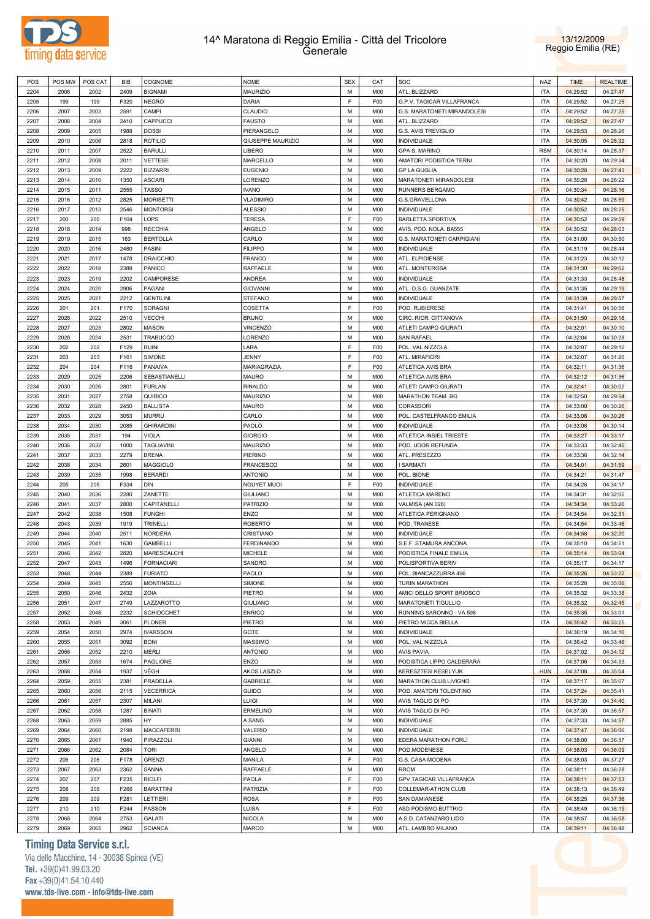



| POS  | POS MW | POS CAT | <b>BIB</b> | COGNOME            | <b>NOME</b>       | <b>SEX</b> | CAT             | SOC                         | <b>NAZ</b> | <b>TIME</b> | <b>REALTIME</b> |
|------|--------|---------|------------|--------------------|-------------------|------------|-----------------|-----------------------------|------------|-------------|-----------------|
| 2204 | 2006   | 2002    | 2409       | <b>BIGNAMI</b>     | MAURIZIO          | M          | M00             | ATL. BLIZZARD               | <b>ITA</b> | 04:29:52    | 04:27:47        |
| 2205 | 199    | 199     | F320       | <b>NEGRO</b>       | DARIA             | E          | F <sub>0</sub>  | G.P.V. TAGICAR VILLAFRANCA  | <b>ITA</b> | 04:29:52    | 04:27:25        |
| 2206 |        |         | 2591       | CAMPI              | CLAUDIO           | M          |                 |                             | <b>ITA</b> | 04:29:52    | 04:27:25        |
|      | 2007   | 2003    |            |                    |                   |            | M00             | G.S. MARATONETI MIRANDOLESI |            |             |                 |
| 2207 | 2008   | 2004    | 2410       | CAPPUCCI           | <b>FAUSTO</b>     | M          | M00             | ATL. BLIZZARD               | <b>ITA</b> | 04:29:52    | 04:27:47        |
| 2208 | 2009   | 2005    | 1988       | <b>DOSSI</b>       | PIERANGELO        | M          | M00             | G.S. AVIS TREVIGLIO         | <b>ITA</b> | 04:29:53    | 04:28:26        |
| 2209 | 2010   | 2006    | 2818       | <b>ROTILIO</b>     | GIUSEPPE MAURIZIO | M          | M00             | <b>INDIVIDUALE</b>          | <b>ITA</b> | 04:30:05    | 04:28:32        |
| 2210 | 2011   | 2007    | 2522       | <b>BARULLI</b>     | LIBERO            | M          | M00             | <b>GPA S. MARINO</b>        | <b>RSM</b> | 04:30:14    | 04:28:37        |
| 2211 | 2012   | 2008    | 2011       | VETTESE            | MARCELLO          | M          | M00             | AMATORI PODISTICA TERNI     | <b>ITA</b> | 04:30:20    | 04:29:34        |
| 2212 | 2013   | 2009    | 2222       | <b>BIZZARRI</b>    | <b>EUGENIO</b>    | M          | M00             | <b>GP LA GUGLIA</b>         | <b>ITA</b> | 04:30:28    | 04:27:43        |
| 2213 | 2014   | 2010    | 1350       | ASCARI             | LORENZO           | M          | M00             | MARATONETI MIRANDOLESI      | <b>ITA</b> | 04:30:28    | 04:28:22        |
| 2214 | 2015   | 2011    | 2555       | <b>TASSO</b>       | <b>IVANO</b>      | M          | M00             | RUNNERS BERGAMO             | <b>ITA</b> | 04:30:34    | 04:28:16        |
| 2215 | 2016   | 2012    | 2825       | MORISETTI          | <b>VLADIMIRO</b>  | M          | M00             | G.S.GRAVELLONA              | <b>ITA</b> | 04:30:42    | 04:28:59        |
|      |        |         |            |                    |                   |            |                 |                             |            |             |                 |
| 2216 | 2017   | 2013    | 2546       | <b>MONTORSI</b>    | <b>ALESSIO</b>    | M          | M00             | <b>INDIVIDUALE</b>          | <b>ITA</b> | 04:30:52    | 04:28:25        |
| 2217 | 200    | 200     | F104       | LOPS               | <b>TERESA</b>     | E          | F <sub>00</sub> | <b>BARLETTA SPORTIVA</b>    | <b>ITA</b> | 04:30:52    | 04:29:59        |
| 2218 | 2018   | 2014    | 998        | <b>RECCHIA</b>     | ANGELO            | M          | M00             | AVIS. POD. NOLA. BA555      | <b>ITA</b> | 04:30:52    | 04:28:03        |
| 2219 | 2019   | 2015    | 163        | <b>BERTOLLA</b>    | CARLO             | M          | M00             | G.S. MARATONETI CARPIGIANI  | <b>ITA</b> | 04:31:00    | 04:30:50        |
| 2220 | 2020   | 2016    | 2480       | PASINI             | <b>FILIPPO</b>    | M          | M00             | <b>INDIVIDUALE</b>          | <b>ITA</b> | 04:31:19    | 04:28:44        |
| 2221 | 2021   | 2017    | 1478       | DRAICCHIO          | <b>FRANCO</b>     | M          | M00             | ATL. ELPIDIENSE             | <b>ITA</b> | 04:31:23    | 04:30:12        |
| 2222 | 2022   | 2018    | 2388       | PANICO             | RAFFAELE          | M          | M00             | ATL. MONTEROSA              | <b>ITA</b> | 04:31:30    | 04:29:02        |
| 2223 | 2023   | 2019    | 2202       | CAMPORESE          | ANDREA            | M          | M00             | <b>INDIVIDUALE</b>          | <b>ITA</b> | 04:31:33    | 04:28:48        |
| 2224 | 2024   | 2020    | 2906       | PAGANI             | <b>GIOVANNI</b>   | M          | M00             | ATL. O.S.G. GUANZATE        | <b>ITA</b> | 04:31:35    | 04:29:19        |
|      |        |         |            |                    |                   |            |                 |                             |            |             |                 |
| 2225 | 2025   | 2021    | 2212       | <b>GENTILINI</b>   | <b>STEFANO</b>    | M          | M00             | <b>INDIVIDUALE</b>          | <b>ITA</b> | 04:31:39    | 04:28:57        |
| 2226 | 201    | 201     | F170       | SORAGNI            | COSETTA           | F          | F <sub>00</sub> | POD. RUBIERESE              | <b>ITA</b> | 04:31:41    | 04:30:56        |
| 2227 | 2026   | 2022    | 2510       | VECCHI             | <b>BRUNO</b>      | M          | M00             | CIRC. RICR. CITTANOVA       | <b>ITA</b> | 04:31:50    | 04:29:18        |
| 2228 | 2027   | 2023    | 2802       | MASON              | <b>VINCENZO</b>   | M          | M00             | ATLETI CAMPO GIURATI        | <b>ITA</b> | 04:32:01    | 04:30:10        |
| 2229 | 2028   | 2024    | 2531       | <b>TRABUCCO</b>    | LORENZO           | M          | M00             | <b>SAN RAFAEL</b>           | <b>ITA</b> | 04:32:04    | 04:30:28        |
| 2230 | 202    | 202     | F129       | <b>RUINI</b>       | LARA              | F          | F <sub>00</sub> | POL. VAL NIZZOLA            | <b>ITA</b> | 04:32:07    | 04:29:12        |
| 2231 | 203    | 203     | F161       | SIMONE             | JENNY             | E          | F <sub>00</sub> | ATL. MIRAFIORI              | <b>ITA</b> | 04:32:07    | 04:31:20        |
| 2232 | 204    | 204     | F116       | PANAIVA            | MARIAGRAZIA       | E          | F <sub>00</sub> | ATLETICA AVIS BRA           | <b>ITA</b> | 04:32:11    | 04:31:36        |
| 2233 | 2029   | 2025    | 2206       | SEBASTIANELLI      | <b>MAURO</b>      | M          | M00             | ATLETICA AVIS BRA           | <b>ITA</b> | 04:32:12    | 04:31:36        |
| 2234 |        |         |            |                    |                   | M          | M00             |                             |            | 04:32:41    |                 |
|      | 2030   | 2026    | 2801       | <b>FURLAN</b>      | <b>RINALDO</b>    |            |                 | ATLETI CAMPO GIURATI        | <b>ITA</b> |             | 04:30:02        |
| 2235 | 2031   | 2027    | 2758       | QUIRICO            | MAURIZIO          | M          | M00             | MARATHON TEAM BG            | <b>ITA</b> | 04:32:50    | 04:29:54        |
| 2236 | 2032   | 2028    | 2450       | <b>BALLISTA</b>    | <b>MAURO</b>      | M          | M00             | CORASSORI                   | <b>ITA</b> | 04:33:00    | 04:30:26        |
| 2237 | 2033   | 2029    | 3053       | <b>MURRU</b>       | CARLO             | M          | M00             | POL. CASTELFRANCO EMILIA    | <b>ITA</b> | 04:33:06    | 04:30:26        |
| 2238 | 2034   | 2030    | 2085       | <b>GHIRARDINI</b>  | PAOLO             | M          | M00             | <b>INDIVIDUALE</b>          | <b>ITA</b> | 04:33:06    | 04:30:14        |
| 2239 | 2035   | 2031    | 194        | VIOLA              | <b>GIORGIO</b>    | M          | M00             | ATLETICA INSIEL TRIESTE     | <b>ITA</b> | 04:33:27    | 04:33:17        |
| 2240 | 2036   | 2032    | 1000       | TAGLIAVINI         | MAURIZIO          | M          | M00             | POD. UDOR REFUNDA           | <b>ITA</b> | 04:33:33    | 04:32:45        |
| 2241 | 2037   | 2033    | 2279       | <b>BRENA</b>       | PIERINO           | M          | M00             | ATL. PRESEZZO               | <b>ITA</b> | 04:33:36    | 04:32:14        |
| 2242 | 2038   | 2034    | 2601       | MAGGIOLO           | <b>FRANCESCO</b>  | M          | M00             | I SARMATI                   | <b>ITA</b> | 04:34:01    | 04:31:59        |
| 2243 | 2039   | 2035    | 1998       | <b>BERARDI</b>     | <b>ANTONIO</b>    | M          | M00             | POL. BIONE                  | <b>ITA</b> | 04:34:21    | 04:31:47        |
|      |        |         |            |                    |                   | F          |                 |                             |            |             |                 |
| 2244 | 205    | 205     | F334       | DIN                | NGUYET MUOI       |            | F <sub>00</sub> | <b>INDIVIDUALE</b>          | <b>ITA</b> | 04:34:26    | 04:34:17        |
| 2245 | 2040   | 2036    | 2280       | ZANETTE            | <b>GIULIANO</b>   | M          | M00             | ATLETICA MARENO             | <b>ITA</b> | 04:34:31    | 04:32:02        |
| 2246 | 2041   | 2037    | 2800       | CAPITANELLI        | <b>PATRIZIO</b>   | M          | M00             | VALMISA (AN 026)            | <b>ITA</b> | 04:34:34    | 04:33:26        |
| 2247 | 2042   | 2038    | 1508       | FUNGHI             | ENZO              | M          | M00             | ATLETICA PERIGNANO          | <b>ITA</b> | 04:34:54    | 04:32:31        |
| 2248 | 2043   | 2039    | 1919       | TRINELLI           | <b>ROBERTO</b>    | M          | M00             | POD. TRANESE                | <b>ITA</b> | 04:34:54    | 04:33:46        |
| 2249 | 2044   | 2040    | 2511       | NORDERA            | CRISTIANO         | М          | M00             | <b>INDIVIDUALE</b>          | ITA        | 04:34:58    | 04:32:20        |
| 2250 | 2045   | 2041    | 1630       | GAMBELLI           | <b>FERDINANDO</b> | M          | M00             | S.E.F. STAMURA ANCONA       | <b>ITA</b> | 04:35:10    | 04:34:51        |
| 2251 | 2046   | 2042    | 2820       | MARESCALCHI        | <b>MICHELE</b>    | M          | M00             | PODISTICA FINALE EMILIA     | <b>ITA</b> | 04:35:14    | 04:33:04        |
| 2252 | 2047   | 2043    | 1496       | <b>FORNACIARI</b>  | SANDRO            | М          | M00             | POLISPORTIVA BERIV          | <b>ITA</b> | 04:35:17    | 04:34:17        |
| 2253 | 2048   | 2044    |            | <b>FURIATO</b>     | PAOLO             | M          |                 | POL. BIANCAZZURRA 496       | <b>ITA</b> | 04:35:26    | 04:33:22        |
|      |        |         | 2389       |                    |                   |            | M00             |                             |            |             |                 |
| 2254 | 2049   | 2045    | 2556       | <b>MONTINGELLI</b> | SIMONE            | M          | M00             | TURIN MARATHON              | <b>ITA</b> | 04:35:28    | 04:35:06        |
| 2255 | 2050   | 2046    | 2432       | ZOIA               | PIETRO            | M          | M00             | AMICI DELLO SPORT BRIOSCO   | <b>ITA</b> | 04:35:32    | 04:33:38        |
| 2256 | 2051   | 2047    | 2749       | LAZZAROTTO         | <b>GIULIANO</b>   | M          | M00             | MARATONETI TIGULLIO         | <b>ITA</b> | 04:35:32    | 04:32:45        |
| 2257 | 2052   | 2048    | 2232       | <b>SCHIOCCHET</b>  | <b>ENRICO</b>     | M          | M00             | RUNNING SARONNO - VA 598    | <b>ITA</b> | 04:35:35    | 04:33:01        |
| 2258 | 2053   | 2049    | 3061       | <b>PLONER</b>      | PIETRO            | M          | M00             | PIETRO MICCA BIELLA         | <b>ITA</b> | 04:35:42    | 04:33:25        |
| 2259 | 2054   | 2050    | 2974       | <b>IVARSSON</b>    | GOTE              | M          | M00             | <b>INDIVIDUALE</b>          |            | 04:36:19    | 04:34:10        |
| 2260 | 2055   | 2051    | 3092       | <b>BONI</b>        | <b>MASSIMO</b>    | M          | M00             | POL. VAL NIZZOLA            | <b>ITA</b> | 04:36:42    | 04:33:46        |
| 2261 | 2056   | 2052    | 2210       | MERLI              | <b>ANTONIO</b>    | М          | M00             | <b>AVIS PAVIA</b>           | <b>ITA</b> | 04:37:02    | 04:34:12        |
| 2262 | 2057   | 2053    | 1674       | PAGLIONE           | ENZO              | M          | M00             | PODISTICA LIPPO CALDERARA   | <b>ITA</b> | 04:37:06    | 04:34:33        |
|      |        |         |            |                    |                   |            |                 |                             |            |             |                 |
| 2263 | 2058   | 2054    | 1937       | VÉGH               | AKOS LASZLO       | М          | M00             | <b>KERESZTESI KESELYUK</b>  | <b>HUN</b> | 04:37:08    | 04:35:04        |
| 2264 | 2059   | 2055    | 2381       | PRADELLA           | GABRIELE          | M          | M00             | MARATHON CLUB LIVIGNO       | <b>ITA</b> | 04:37:17    | 04:35:07        |
| 2265 | 2060   | 2056    | 2115       | <b>VECERRICA</b>   | GUIDO             | М          | M00             | POD. AMATORI TOLENTINO      | <b>ITA</b> | 04:37:24    | 04:35:41        |
| 2266 | 2061   | 2057    | 2307       | MILANI             | LUIGI             | M          | M00             | AVIS TAGLIO DI PO           | <b>ITA</b> | 04:37:30    | 04:34:40        |
| 2267 | 2062   | 2058    | 1287       | <b>BINATI</b>      | <b>ERMELINO</b>   | М          | M00             | AVIS TAGLIO DI PO           | <b>ITA</b> | 04:37:30    | 04:36:57        |
| 2268 | 2063   | 2059    | 2885       | HY                 | A SANG            | M          | M00             | <b>INDIVIDUALE</b>          | <b>ITA</b> | 04:37:33    | 04:34:57        |
| 2269 | 2064   | 2060    | 2198       | <b>MACCAFERRI</b>  | VALERIO           | М          | M00             | <b>INDIVIDUALE</b>          | <b>ITA</b> | 04:37:47    | 04:36:06        |
| 2270 | 2065   | 2061    | 1940       | PIRAZZOLI          | <b>GIANNI</b>     | M          | M00             | EDERA MARATHON FORLI        | <b>ITA</b> | 04:38:00    | 04:36:37        |
|      |        |         |            |                    |                   | M          |                 |                             |            |             |                 |
| 2271 | 2066   | 2062    | 2084       | TORI               | ANGELO            |            | M00             | POD.MODENESE                | <b>ITA</b> | 04:38:03    | 04:36:09        |
| 2272 | 206    | 206     | F178       | <b>GRENZI</b>      | MANILA            | F.         | F <sub>0</sub>  | G.S. CASA MODENA            | <b>ITA</b> | 04:38:03    | 04:37:27        |
| 2273 | 2067   | 2063    | 2362       | SANNA              | RAFFAELE          | M          | M00             | <b>RRCM</b>                 | <b>ITA</b> | 04:38:11    | 04:36:28        |
| 2274 | 207    | 207     | F235       | <b>RIOLFI</b>      | PAOLA             | F.         | F <sub>00</sub> | GPV TAGICAR VILLAFRANCA     | <b>ITA</b> | 04:38:11    | 04:37:53        |
| 2275 | 208    | 208     | F266       | <b>BARATTINI</b>   | PATRIZIA          | F.         | F <sub>00</sub> | COLLEMAR-ATHON CLUB         | <b>ITA</b> | 04:38:13    | 04:36:49        |
| 2276 | 209    | 209     | F281       | LETTIERI           | <b>ROSA</b>       | F          | F <sub>00</sub> | <b>SAN DAMIANESE</b>        | <b>ITA</b> | 04:38:25    | 04:37:36        |
| 2277 | 210    | 210     | F244       | PASSON             | LUISA             | F.         | F <sub>00</sub> | ASD PODISMO BUTTRIO         | <b>ITA</b> | 04:38:49    | 04:38:19        |
| 2278 | 2068   | 2064    | 2753       | GALATI             | <b>NICOLA</b>     | M          | M00             | A.S.D. CATANZARO LIDO       | <b>ITA</b> | 04:38:57    | 04:36:08        |
| 2279 | 2069   | 2065    | 2962       | <b>SCIANCA</b>     | MARCO             | М          | M00             | ATL. LAMBRO MILANO          | <b>ITA</b> | 04:39:11    | 04:36:48        |
|      |        |         |            |                    |                   |            |                 |                             |            |             |                 |

# **Timing Data Service s.r.l.**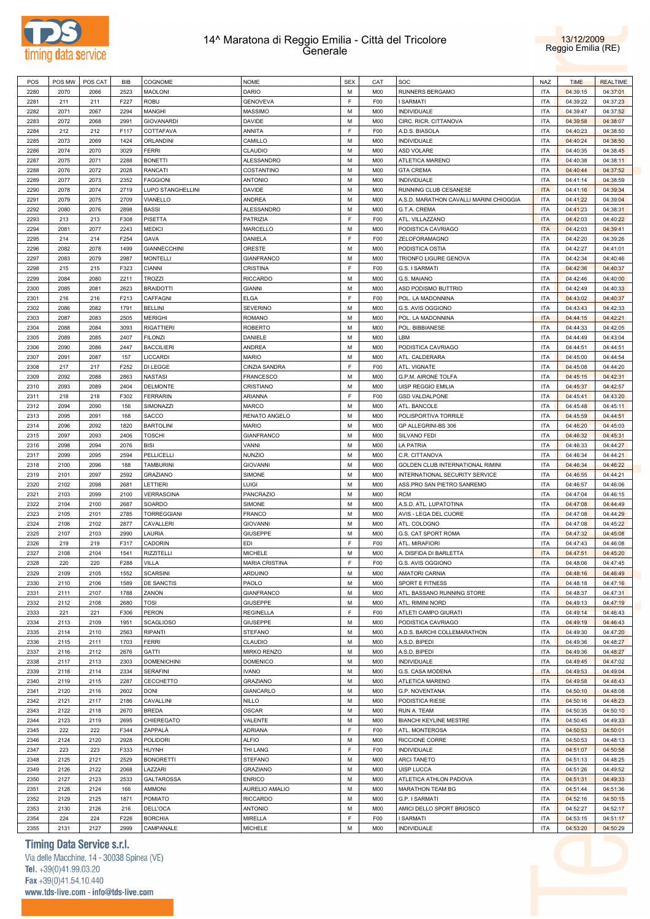



| POS  | POS MW | POS CAT | BIB  | COGNOME             | <b>NOME</b>           | <b>SEX</b> | CAT             | SOC                                     | <b>NAZ</b> | <b>TIME</b> | <b>REALTIME</b> |
|------|--------|---------|------|---------------------|-----------------------|------------|-----------------|-----------------------------------------|------------|-------------|-----------------|
| 2280 | 2070   | 2066    | 2523 | <b>MAOLONI</b>      | <b>DARIO</b>          | M          | <b>M00</b>      | RUNNERS BERGAMO                         | <b>ITA</b> | 04:39:15    | 04:37:01        |
|      | 211    |         |      |                     | <b>GENOVEVA</b>       | F          | F <sub>0</sub>  |                                         | <b>ITA</b> | 04:39:22    |                 |
| 2281 |        | 211     | F227 | <b>ROBU</b>         |                       |            |                 | I SARMATI                               |            |             | 04:37:23        |
| 2282 | 2071   | 2067    | 2294 | MANGHI              | <b>MASSIMO</b>        | М          | M00             | <b>INDIVIDUALE</b>                      | <b>ITA</b> | 04:39:47    | 04:37:52        |
| 2283 | 2072   | 2068    | 2991 | <b>GIOVANARDI</b>   | DAVIDE                | М          | M <sub>0</sub>  | CIRC. RICR. CITTANOVA                   | <b>ITA</b> | 04:39:58    | 04:38:07        |
| 2284 | 212    | 212     | F117 | COTTAFAVA           | ANNITA                | F          | F <sub>00</sub> | A.D.S. BIASOLA                          | <b>ITA</b> | 04:40:23    | 04:38:50        |
| 2285 | 2073   | 2069    | 1424 | <b>ORLANDINI</b>    | CAMILLO               | М          | M <sub>0</sub>  | INDIVIDUALE                             | <b>ITA</b> | 04:40:24    | 04:38:50        |
| 2286 | 2074   | 2070    | 3029 | <b>FERRI</b>        | CLAUDIO               | М          | M <sub>0</sub>  | ASD VOLARE                              | <b>ITA</b> | 04:40:35    | 04:38:45        |
|      |        |         |      |                     |                       |            |                 |                                         |            |             |                 |
| 2287 | 2075   | 2071    | 2288 | <b>BONETTI</b>      | ALESSANDRO            | М          | M <sub>0</sub>  | ATLETICA MARENO                         | <b>ITA</b> | 04:40:38    | 04:38:11        |
| 2288 | 2076   | 2072    | 2028 | RANCATI             | COSTANTINO            | M          | M <sub>0</sub>  | <b>GTA CREMA</b>                        | <b>ITA</b> | 04:40:44    | 04:37:52        |
| 2289 | 2077   | 2073    | 2352 | <b>FAGGIONI</b>     | <b>ANTONIO</b>        | М          | M <sub>0</sub>  | INDIVIDUALE                             | <b>ITA</b> | 04:41:14    | 04:38:59        |
| 2290 | 2078   | 2074    | 2719 | LUPO STANGHELLINI   | DAVIDE                | M          | M <sub>0</sub>  | RUNNING CLUB CESANESE                   | <b>ITA</b> | 04:41:16    | 04:39:34        |
| 2291 | 2079   | 2075    | 2709 | VIANELLO            | <b>ANDREA</b>         | М          | M <sub>0</sub>  | A.S.D. MARATHON CAVALLI MARINI CHIOGGIA | <b>ITA</b> | 04:41:22    | 04:39:04        |
| 2292 | 2080   | 2076    | 2898 | <b>BASSI</b>        | ALESSANDRO            | M          | <b>M00</b>      | G.T.A. CREMA                            | <b>ITA</b> | 04:41:23    | 04:38:31        |
|      |        |         |      |                     |                       | E          |                 |                                         |            |             |                 |
| 2293 | 213    | 213     | F308 | <b>PISETTA</b>      | PATRIZIA              |            | F <sub>0</sub>  | ATL. VILLAZZANO                         | <b>ITA</b> | 04:42:03    | 04:40:22        |
| 2294 | 2081   | 2077    | 2243 | <b>MEDICI</b>       | MARCELLO              | М          | <b>M00</b>      | PODISTICA CAVRIAGO                      | <b>ITA</b> | 04:42:03    | 04:39:41        |
| 2295 | 214    | 214     | F254 | GAVA                | DANIELA               | F          | F <sub>00</sub> | ZELOFORAMAGNO                           | <b>ITA</b> | 04:42:20    | 04:39:26        |
| 2296 | 2082   | 2078    | 1499 | <b>GIANNECCHINI</b> | ORESTE                | М          | M00             | PODISTICA OSTIA                         | <b>ITA</b> | 04:42:27    | 04:41:01        |
| 2297 | 2083   | 2079    | 2987 | <b>MONTELLI</b>     | <b>GIANFRANCO</b>     | М          | M <sub>0</sub>  | TRIONFO LIGURE GENOVA                   | <b>ITA</b> | 04:42:34    | 04:40:46        |
|      |        |         |      |                     |                       | F          |                 |                                         |            |             |                 |
| 2298 | 215    | 215     | F323 | <b>CIANNI</b>       | CRISTINA              |            | F <sub>00</sub> | G.S. I SARMATI                          | <b>ITA</b> | 04:42:36    | 04:40:37        |
| 2299 | 2084   | 2080    | 2211 | <b>TROZZI</b>       | <b>RICCARDO</b>       | М          | M <sub>0</sub>  | G.S. MAIANO                             | <b>ITA</b> | 04:42:46    | 04:40:00        |
| 2300 | 2085   | 2081    | 2623 | <b>BRAIDOTTI</b>    | <b>GIANNI</b>         | М          | M <sub>0</sub>  | ASD PODISMO BUTTRIO                     | <b>ITA</b> | 04:42:49    | 04:40:33        |
| 2301 | 216    | 216     | F213 | CAFFAGNI            | <b>ELGA</b>           | F          | F <sub>00</sub> | POL. LA MADONNINA                       | <b>ITA</b> | 04:43:02    | 04:40:37        |
| 2302 | 2086   | 2082    | 1791 | <b>BELLINI</b>      | <b>SEVERINO</b>       | М          | M <sub>0</sub>  | G.S. AVIS OGGIONO                       | <b>ITA</b> | 04:43:43    | 04:42:33        |
|      |        |         |      |                     |                       | М          |                 |                                         | <b>ITA</b> |             |                 |
| 2303 | 2087   | 2083    | 2505 | <b>MERIGHI</b>      | <b>ROMANO</b>         |            | M <sub>0</sub>  | POL. LA MADONNINA                       |            | 04:44:15    | 04:42:21        |
| 2304 | 2088   | 2084    | 3093 | <b>RIGATTIERI</b>   | <b>ROBERTO</b>        | M          | M <sub>0</sub>  | POL. BIBBIANESE                         | <b>ITA</b> | 04:44:33    | 04:42:05        |
| 2305 | 2089   | 2085    | 2407 | <b>FILONZI</b>      | DANIELE               | М          | M <sub>0</sub>  | LBM                                     | <b>ITA</b> | 04:44:49    | 04:43:04        |
| 2306 | 2090   | 2086    | 2447 | <b>BACCILIERI</b>   | <b>ANDREA</b>         | M          | <b>M00</b>      | PODISTICA CAVRIAGO                      | <b>ITA</b> | 04:44:51    | 04:44:51        |
| 2307 | 2091   | 2087    | 157  | LICCARDI            | <b>MARIO</b>          | М          | M <sub>0</sub>  | ATL. CALDERARA                          | <b>ITA</b> | 04:45:00    | 04:44:54        |
| 2308 | 217    | 217     | F252 | DI LEGGE            | CINZIA SANDRA         | F          | F <sub>00</sub> | ATL. VIGNATE                            | <b>ITA</b> | 04:45:08    | 04:44:20        |
|      |        |         |      |                     |                       |            |                 |                                         |            |             |                 |
| 2309 | 2092   | 2088    | 2863 | <b>NASTASI</b>      | <b>FRANCESCO</b>      | М          | M <sub>0</sub>  | G.P.M. AIRONE TOLFA                     | <b>ITA</b> | 04:45:15    | 04:42:31        |
| 2310 | 2093   | 2089    | 2404 | <b>DELMONTE</b>     | CRISTIANO             | М          | M00             | UISP REGGIO EMILIA                      | <b>ITA</b> | 04:45:37    | 04:42:57        |
| 2311 | 218    | 218     | F302 | <b>FERRARIN</b>     | ARIANNA               | F          | F <sub>00</sub> | <b>GSD VALDALPONE</b>                   | <b>ITA</b> | 04:45:41    | 04:43:20        |
| 2312 | 2094   | 2090    | 156  | SIMONAZZI           | MARCO                 | М          | M <sub>0</sub>  | ATL. BANCOLE                            | <b>ITA</b> | 04:45:48    | 04:45:11        |
|      |        |         |      |                     |                       | М          |                 |                                         | <b>ITA</b> |             |                 |
| 2313 | 2095   | 2091    | 168  | SACCO               | RENATO ANGELO         |            | M <sub>0</sub>  | POLISPORTIVA TORRILE                    |            | 04:45:59    | 04:44:51        |
| 2314 | 2096   | 2092    | 1820 | <b>BARTOLINI</b>    | <b>MARIO</b>          | М          | M <sub>0</sub>  | GP ALLEGRINI-BS 306                     | <b>ITA</b> | 04:46:20    | 04:45:03        |
| 2315 | 2097   | 2093    | 2406 | <b>TOSCHI</b>       | <b>GIANFRANCO</b>     | М          | M <sub>0</sub>  | SILVANO FEDI                            | <b>ITA</b> | 04:46:32    | 04:45:31        |
| 2316 | 2098   | 2094    | 2076 | <b>BISI</b>         | VANNI                 | M          | M <sub>0</sub>  | LA PATRIA                               | <b>ITA</b> | 04:46:33    | 04:44:27        |
| 2317 | 2099   | 2095    | 2594 | PELLICELLI          | <b>NUNZIO</b>         | М          | M <sub>0</sub>  | C.R. CITTANOVA                          | <b>ITA</b> | 04:46:34    | 04:44:21        |
| 2318 | 2100   | 2096    | 188  | <b>TAMBURINI</b>    | <b>GIOVANNI</b>       | M          | <b>M00</b>      | GOLDEN CLUB INTERNATIONAL RIMINI        | <b>ITA</b> | 04:46:34    | 04:46:22        |
|      |        |         |      |                     |                       |            |                 |                                         |            |             |                 |
| 2319 | 2101   | 2097    | 2592 | <b>GRAZIANO</b>     | SIMONE                | М          | M <sub>0</sub>  | INTERNATIONAL SECURITY SERVICE          | <b>ITA</b> | 04:46:55    | 04:44:21        |
| 2320 | 2102   | 2098    | 2681 | LETTIERI            | <b>LUIGI</b>          | М          | M00             | ASS.PRO SAN PIETRO SANREMO              | <b>ITA</b> | 04:46:57    | 04:46:06        |
| 2321 | 2103   | 2099    | 2100 | <b>VERRASCINA</b>   | PANCRAZIO             | М          | M00             | <b>RCM</b>                              | <b>ITA</b> | 04:47:04    | 04:46:15        |
| 2322 | 2104   | 2100    | 2687 | SOARDO              | SIMONE                | М          | M00             | A.S.D. ATL. LUPATOTINA                  | <b>ITA</b> | 04:47:08    | 04:44:49        |
| 2323 | 2105   | 2101    | 2785 | <b>TORREGGIANI</b>  | <b>FRANCO</b>         | М          | M <sub>0</sub>  | AVIS - LEGA DEL CUORE                   | <b>ITA</b> | 04:47:08    | 04:44:29        |
|      |        |         |      |                     |                       |            |                 |                                         |            |             |                 |
| 2324 | 2106   | 2102    | 2877 | CAVALLERI           | <b>GIOVANNI</b>       | М          | M00             | ATL. COLOGNO                            | ITA        | 04:47:08    | 04:45:22        |
| 2325 | 2107   | 2103    | 2990 | LAURIA              | <b>GIUSEPPE</b>       | м          | M <sub>0</sub>  | G.S. CAT SPORT ROMA                     | <b>ITA</b> | 04:47:32    | 04:45:08        |
| 2326 | 219    | 219     | F317 | CADORIN             | <b>EDI</b>            | F          | F <sub>0</sub>  | ATL. MIRAFIORI                          | <b>ITA</b> | 04:47:43    | 04:46:08        |
| 2327 | 2108   | 2104    | 1541 | <b>RIZZITELLI</b>   | <b>MICHELE</b>        | М          | M00             | A. DISFIDA DI BARLETTA                  | <b>ITA</b> | 04:47:51    | 04:45:20        |
| 2328 | 220    | 220     | F288 | <b>VILLA</b>        | <b>MARIA CRISTINA</b> | E          | F <sub>00</sub> | G.S. AVIS OGGIONO                       | <b>ITA</b> | 04:48:06    | 04:47:45        |
|      |        |         |      |                     |                       |            |                 |                                         |            |             |                 |
| 2329 | 2109   | 2105    | 1552 | <b>SCARSINI</b>     | ARDUINO               | M          | M <sub>0</sub>  | <b>AMATORI CARNIA</b>                   | <b>ITA</b> | 04:48:16    | 04:46:49        |
| 2330 | 2110   | 2106    | 1589 | DE SANCTIS          | PAOLO                 | М          | <b>M00</b>      | SPORT E FITNESS                         | <b>ITA</b> | 04:48:18    | 04:47:16        |
| 2331 | 2111   | 2107    | 1788 | ZANON               | <b>GIANFRANCO</b>     | M          | M <sub>0</sub>  | ATL. BASSANO RUNNING STORE              | <b>ITA</b> | 04:48:37    | 04:47:31        |
| 2332 | 2112   | 2108    | 2680 | <b>TOSI</b>         | <b>GIUSEPPE</b>       | М          | M <sub>0</sub>  | ATL. RIMINI NORD                        | <b>ITA</b> | 04:49:13    | 04:47:19        |
| 2333 | 221    | 221     | F306 | PERON               | <b>REGINELLA</b>      | F          | F <sub>00</sub> | ATLETI CAMPO GIURATI                    | <b>ITA</b> | 04:49:14    | 04:46:43        |
|      |        |         |      |                     |                       |            |                 |                                         |            |             |                 |
| 2334 | 2113   | 2109    | 1951 | <b>SCAGLIOSO</b>    | <b>GIUSEPPE</b>       | М          | M00             | PODISTICA CAVRIAGO                      | <b>ITA</b> | 04:49:19    | 04:46:43        |
| 2335 | 2114   | 2110    | 2563 | <b>RIPANTI</b>      | STEFANO               | М          | M00             | A.D.S. BARCHI COLLEMARATHON             | ITA        | 04:49:30    | 04:47:20        |
| 2336 | 2115   | 2111    | 1703 | <b>FERRI</b>        | CLAUDIO               | М          | M00             | A.S.D. BIPEDI                           | <b>ITA</b> | 04:49:36    | 04:48:27        |
| 2337 | 2116   | 2112    | 2676 | <b>GATTI</b>        | <b>MIRKO RENZO</b>    | М          | M00             | A.S.D. BIPEDI                           | <b>ITA</b> | 04:49:36    | 04:48:27        |
| 2338 | 2117   | 2113    | 2303 | <b>DOMENICHINI</b>  | <b>DOMENICO</b>       | М          | M <sub>0</sub>  | <b>INDIVIDUALE</b>                      | <b>ITA</b> | 04:49:45    | 04:47:02        |
|      |        |         |      |                     |                       |            |                 |                                         |            |             |                 |
| 2339 | 2118   | 2114    | 2334 | <b>SERAFINI</b>     | <b>IVANO</b>          | М          | M <sub>0</sub>  | G.S. CASA MODENA                        | <b>ITA</b> | 04:49:53    | 04:49:04        |
| 2340 | 2119   | 2115    | 2287 | CECCHETTO           | GRAZIANO              | М          | <b>M00</b>      | ATLETICA MARENO                         | <b>ITA</b> | 04:49:58    | 04:48:43        |
| 2341 | 2120   | 2116    | 2602 | <b>DONI</b>         | GIANCARLO             | М          | M <sub>0</sub>  | G.P. NOVENTANA                          | <b>ITA</b> | 04:50:10    | 04:48:08        |
| 2342 | 2121   | 2117    | 2186 | CAVALLINI           | <b>NILLO</b>          | М          | <b>M00</b>      | PODISTICA RIESE                         | <b>ITA</b> | 04:50:16    | 04:48:23        |
| 2343 | 2122   | 2118    | 2670 | <b>BREDA</b>        | <b>OSCAR</b>          | М          | M <sub>0</sub>  | RUN A. TEAM                             | ITA        | 04:50:35    | 04:50:10        |
|      |        |         |      |                     |                       |            |                 |                                         |            |             |                 |
| 2344 | 2123   | 2119    | 2695 | CHIEREGATO          | VALENTE               | М          | M <sub>0</sub>  | <b>BIANCHI KEYLINE MESTRE</b>           | <b>ITA</b> | 04:50:45    | 04:49:33        |
| 2345 | 222    | 222     | F344 | ZAPPALÀ             | ADRIANA               | F          | F <sub>00</sub> | ATL. MONTEROSA                          | <b>ITA</b> | 04:50:53    | 04:50:01        |
| 2346 | 2124   | 2120    | 2928 | POLIDORI            | <b>ALFIO</b>          | М          | M00             | RICCIONE CORRE                          | <b>ITA</b> | 04:50:53    | 04:48:13        |
| 2347 | 223    | 223     | F333 | <b>HUYNH</b>        | THI LANG              | F          | F <sub>00</sub> | INDIVIDUALE                             | <b>ITA</b> | 04:51:07    | 04:50:58        |
| 2348 | 2125   | 2121    | 2529 | <b>BONORETTI</b>    | <b>STEFANO</b>        | М          | M <sub>0</sub>  | <b>ARCI TANETO</b>                      | ITA        | 04:51:13    | 04:48:25        |
|      |        |         |      |                     |                       |            |                 |                                         |            |             |                 |
| 2349 | 2126   | 2122    | 2068 | LAZZARI             | <b>GRAZIANO</b>       | м          | M <sub>0</sub>  | <b>UISP LUCCA</b>                       | <b>ITA</b> | 04:51:26    | 04:49:52        |
| 2350 | 2127   | 2123    | 2533 | <b>GALTAROSSA</b>   | <b>ENRICO</b>         | М          | M <sub>0</sub>  | ATLETICA ATHLON PADOVA                  | <b>ITA</b> | 04:51:31    | 04:49:33        |
| 2351 | 2128   | 2124    | 166  | <b>AMMONI</b>       | AURELIO AMALIO        | М          | M00             | MARATHON TEAM BG                        | <b>ITA</b> | 04:51:44    | 04:51:36        |
| 2352 | 2129   | 2125    | 1871 | POMIATO             | <b>RICCARDO</b>       | М          | <b>M00</b>      | G.P. I SARMATI                          | <b>ITA</b> | 04:52:16    | 04:50:15        |
| 2353 | 2130   | 2126    | 216  | DELL'OCA            | <b>ANTONIO</b>        | М          | M <sub>0</sub>  | AMICI DELLO SPORT BRIOSCO               | ITA        | 04:52:27    | 04:52:17        |
|      |        |         |      |                     |                       |            |                 |                                         |            |             |                 |
| 2354 | 224    | 224     | F226 | <b>BORCHIA</b>      | <b>MIRELLA</b>        | F          | F <sub>0</sub>  | I SARMATI                               | ITA        | 04:53:15    | 04:51:17        |
| 2355 | 2131   | 2127    | 2999 | CAMPANALE           | <b>MICHELE</b>        | М          | M00             | <b>INDIVIDUALE</b>                      | ITA        | 04:53:20    | 04:50:29        |

# **Timing Data Service s.r.l.**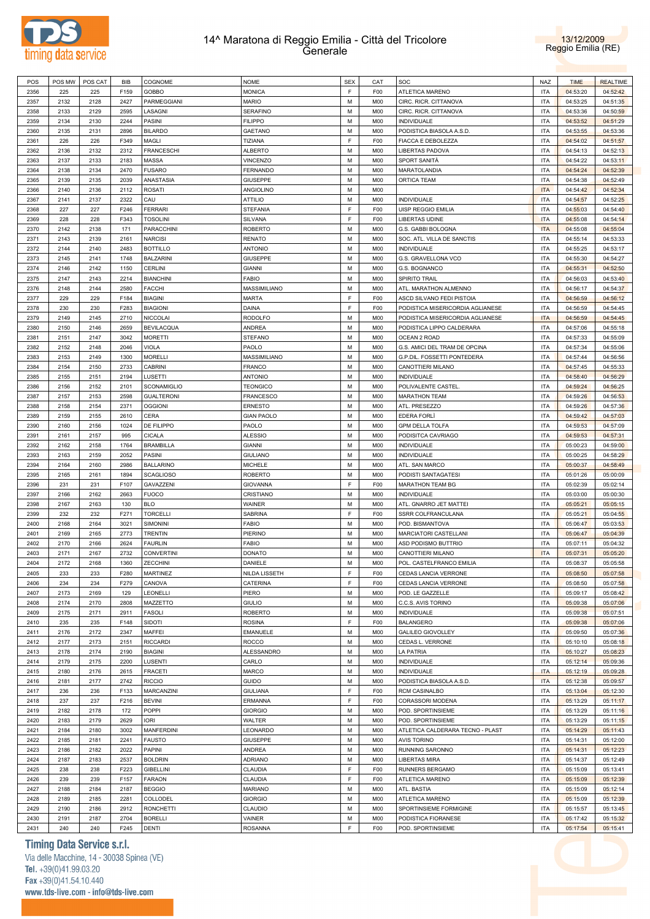



| POS  | POS MW | POS CAT | BIB  | COGNOME           | <b>NOME</b>       | <b>SEX</b> | CAT             | SOC                              | <b>NAZ</b> | <b>TIME</b> | <b>REALTIME</b> |
|------|--------|---------|------|-------------------|-------------------|------------|-----------------|----------------------------------|------------|-------------|-----------------|
| 2356 | 225    | 225     | F159 | GOBBO             | <b>MONICA</b>     | E          | F <sub>0</sub>  | ATLETICA MARENO                  | <b>ITA</b> | 04:53:20    | 04:52:42        |
| 2357 | 2132   | 2128    | 2427 | PARMEGGIANI       | <b>MARIO</b>      | M          | <b>M00</b>      | CIRC. RICR. CITTANOVA            | <b>ITA</b> | 04:53:25    | 04:51:35        |
|      |        |         |      |                   |                   |            |                 |                                  |            |             |                 |
| 2358 | 2133   | 2129    | 2595 | LASAGNI           | <b>SERAFINO</b>   | М          | M00             | CIRC. RICR. CITTANOVA            | <b>ITA</b> | 04:53:36    | 04:50:59        |
| 2359 | 2134   | 2130    | 2244 | PASINI            | <b>FILIPPO</b>    | M          | M00             | <b>INDIVIDUALE</b>               | <b>ITA</b> | 04:53:52    | 04:51:29        |
| 2360 | 2135   | 2131    | 2896 | <b>BILARDO</b>    | GAETANO           | М          | M00             | PODISTICA BIASOLA A.S.D.         | <b>ITA</b> | 04:53:55    | 04:53:36        |
| 2361 | 226    | 226     | F349 | MAGLI             | TIZIANA           | F          | F <sub>00</sub> | FIACCA E DEBOLEZZA               | <b>ITA</b> | 04:54:02    | 04:51:57        |
| 2362 | 2136   | 2132    | 2312 | <b>FRANCESCHI</b> | <b>ALBERTO</b>    | М          | M00             | LIBERTAS PADOVA                  | <b>ITA</b> | 04:54:13    | 04:52:13        |
| 2363 | 2137   | 2133    | 2183 | <b>MASSA</b>      | <b>VINCENZO</b>   | М          | M00             | SPORT SANITÀ                     | <b>ITA</b> | 04:54:22    | 04:53:11        |
| 2364 | 2138   | 2134    | 2470 | <b>FUSARO</b>     | FERNANDO          | М          | M <sub>0</sub>  | MARATOLANDIA                     | <b>ITA</b> | 04:54:24    | 04:52:39        |
| 2365 | 2139   | 2135    | 2039 | ANASTASIA         | <b>GIUSEPPE</b>   | М          | M00             | ORTICA TEAM                      | <b>ITA</b> | 04:54:38    | 04:52:49        |
| 2366 | 2140   | 2136    | 2112 | <b>ROSATI</b>     | ANGIOLINO         | М          | M00             |                                  | <b>ITA</b> | 04:54:42    | 04:52:34        |
| 2367 | 2141   | 2137    | 2322 | CAU               | ATTILIO           | М          | M00             | <b>INDIVIDUALE</b>               | <b>ITA</b> | 04:54:57    | 04:52:25        |
|      |        |         |      |                   |                   | E          |                 |                                  |            |             |                 |
| 2368 | 227    | 227     | F246 | <b>FERRARI</b>    | STEFANIA          |            | F <sub>00</sub> | UISP REGGIO EMILIA               | <b>ITA</b> | 04:55:03    | 04:54:40        |
| 2369 | 228    | 228     | F343 | <b>TOSOLINI</b>   | SILVANA           | E          | F <sub>00</sub> | LIBERTAS UDINE                   | <b>ITA</b> | 04:55:08    | 04:54:14        |
| 2370 | 2142   | 2138    | 171  | PARACCHINI        | <b>ROBERTO</b>    | M          | M <sub>0</sub>  | G.S. GABBI BOLOGNA               | <b>ITA</b> | 04:55:08    | 04:55:04        |
| 2371 | 2143   | 2139    | 2161 | <b>NARCISI</b>    | <b>RENATO</b>     | М          | M <sub>0</sub>  | SOC. ATL. VILLA DE SANCTIS       | <b>ITA</b> | 04:55:14    | 04:53:33        |
| 2372 | 2144   | 2140    | 2483 | <b>BOTTILLO</b>   | <b>ANTONIO</b>    | M          | M <sub>0</sub>  | INDIVIDUALE                      | <b>ITA</b> | 04:55:25    | 04:53:17        |
| 2373 | 2145   | 2141    | 1748 | <b>BALZARINI</b>  | <b>GIUSEPPE</b>   | M          | M <sub>0</sub>  | G.S. GRAVELLONA VCO              | <b>ITA</b> | 04:55:30    | 04:54:27        |
| 2374 | 2146   | 2142    | 1150 | <b>CERLINI</b>    | <b>GIANNI</b>     | М          | M <sub>0</sub>  | G.S. BOGNANCO                    | <b>ITA</b> | 04:55:31    | 04:52:50        |
| 2375 | 2147   | 2143    | 2214 | <b>BIANCHINI</b>  | <b>FABIO</b>      | M          | M00             | SPIRITO TRAIL                    | <b>ITA</b> | 04:56:03    | 04:53:40        |
| 2376 | 2148   | 2144    | 2580 | <b>FACCHI</b>     | MASSIMILIANO      | М          | M00             | ATL. MARATHON ALMENNO            | <b>ITA</b> | 04:56:17    | 04:54:37        |
|      |        |         |      |                   |                   |            |                 |                                  |            |             |                 |
| 2377 | 229    | 229     | F184 | <b>BIAGINI</b>    | <b>MARTA</b>      | F          | F <sub>00</sub> | ASCD SILVANO FEDI PISTOIA        | <b>ITA</b> | 04:56:59    | 04:56:12        |
| 2378 | 230    | 230     | F283 | <b>BIAGIONI</b>   | DAINA             | F          | F <sub>00</sub> | PODISTICA MISERICORDIA AGLIANESE | <b>ITA</b> | 04:56:59    | 04:54:45        |
| 2379 | 2149   | 2145    | 2710 | <b>NICCOLAI</b>   | <b>RODOLFO</b>    | М          | M00             | PODISTICA MISERICORDIA AGLIANESE | <b>ITA</b> | 04:56:59    | 04:54:45        |
| 2380 | 2150   | 2146    | 2659 | <b>BEVILACQUA</b> | ANDREA            | М          | M00             | PODISTICA LIPPO CALDERARA        | <b>ITA</b> | 04:57:06    | 04:55:18        |
| 2381 | 2151   | 2147    | 3042 | <b>MORETTI</b>    | <b>STEFANO</b>    | М          | M00             | OCEAN 2 ROAD                     | <b>ITA</b> | 04:57:33    | 04:55:09        |
| 2382 | 2152   | 2148    | 2046 | <b>VIOLA</b>      | PAOLO             | М          | M <sub>0</sub>  | G.S. AMICI DEL TRAM DE OPCINA    | <b>ITA</b> | 04:57:34    | 04:55:06        |
| 2383 | 2153   | 2149    | 1300 | <b>MORELLI</b>    | MASSIMILIANO      | М          | M <sub>0</sub>  | G.P.DIL. FOSSETTI PONTEDERA      | <b>ITA</b> | 04:57:44    | 04:56:56        |
| 2384 | 2154   | 2150    | 2733 | CABRINI           | <b>FRANCO</b>     | М          | M <sub>0</sub>  | CANOTTIERI MILANO                | <b>ITA</b> | 04:57:45    | 04:55:33        |
| 2385 | 2155   | 2151    | 2194 | LUSETTI           | <b>ANTONIO</b>    | М          | M <sub>0</sub>  | INDIVIDUALE                      | <b>ITA</b> | 04:58:40    | 04:56:29        |
|      |        |         |      |                   |                   | М          |                 | POLIVALENTE CASTEL               | <b>ITA</b> |             |                 |
| 2386 | 2156   | 2152    | 2101 | SCONAMIGLIO       | <b>TEONGICO</b>   |            | M <sub>0</sub>  |                                  |            | 04:59:24    | 04:56:25        |
| 2387 | 2157   | 2153    | 2598 | <b>GUALTERONI</b> | <b>FRANCESCO</b>  | М          | M <sub>0</sub>  | <b>MARATHON TEAM</b>             | <b>ITA</b> | 04:59:26    | 04:56:53        |
| 2388 | 2158   | 2154    | 2371 | <b>OGGIONI</b>    | <b>ERNESTO</b>    | М          | M <sub>0</sub>  | ATL. PRESEZZO                    | <b>ITA</b> | 04:59:26    | 04:57:36        |
| 2389 | 2159   | 2155    | 2610 | CERA              | <b>GIAN PAOLO</b> | М          | M <sub>0</sub>  | EDERA FORLI                      | <b>ITA</b> | 04:59:42    | 04:57:03        |
| 2390 | 2160   | 2156    | 1024 | DE FILIPPO        | PAOLO             | М          | <b>M00</b>      | <b>GPM DELLA TOLFA</b>           | <b>ITA</b> | 04:59:53    | 04:57:09        |
| 2391 | 2161   | 2157    | 995  | <b>CICALA</b>     | <b>ALESSIO</b>    | M          | M <sub>0</sub>  | PODISITCA CAVRIAGO               | <b>ITA</b> | 04:59:53    | 04:57:31        |
| 2392 | 2162   | 2158    | 1764 | <b>BRAMBILLA</b>  | GIANNI            | М          | M00             | <b>INDIVIDUALE</b>               | <b>ITA</b> | 05:00:23    | 04:59:00        |
| 2393 | 2163   | 2159    | 2052 | PASINI            | <b>GIULIANO</b>   | М          | M00             | INDIVIDUALE                      | <b>ITA</b> | 05:00:25    | 04:58:29        |
| 2394 | 2164   | 2160    | 2986 | <b>BALLARINO</b>  | MICHELE           | М          | M00             | ATL. SAN MARCO                   | <b>ITA</b> | 05:00:37    | 04:58:49        |
| 2395 | 2165   | 2161    | 1894 | <b>SCAGLIOSO</b>  | <b>ROBERTO</b>    | М          | M00             | PODISTI SANTAGATESI              | <b>ITA</b> | 05:01:26    | 05:00:09        |
|      |        |         |      |                   |                   | F          |                 |                                  |            |             |                 |
| 2396 | 231    | 231     | F107 | GAVAZZENI         | <b>GIOVANNA</b>   |            | F <sub>00</sub> | MARATHON TEAM BG                 | <b>ITA</b> | 05:02:39    | 05:02:14        |
| 2397 | 2166   | 2162    | 2663 | <b>FUOCO</b>      | CRISTIANO         | М          | M00             | INDIVIDUALE                      | <b>ITA</b> | 05:03:00    | 05:00:30        |
| 2398 | 2167   | 2163    | 130  | <b>BLO</b>        | WAINER            | М          | M00             | ATL. GNARRO JET MATTEI           | <b>ITA</b> | 05:05:21    | 05:05:15        |
| 2399 | 232    | 232     | F271 | <b>TORCELLI</b>   | SABRINA           | F          | F <sub>00</sub> | SSRR COLFRANCULANA               | <b>ITA</b> | 05:05:21    | 05:04:55        |
| 2400 | 2168   | 2164    | 3021 | SIMONINI          | <b>FABIO</b>      | М          | M <sub>0</sub>  | POD. BISMANTOVA                  | <b>ITA</b> | 05:06:47    | 05:03:53        |
| 2401 | 2169   | 2165    | 2773 | <b>TRENTIN</b>    | PIERINO           | М          | M <sub>0</sub>  | MARCIATORI CASTELLANI            | <b>ITA</b> | 05:06:47    | 05:04:39        |
| 2402 | 2170   | 2166    | 2624 | <b>FAURLIN</b>    | <b>FABIO</b>      | М          | <b>M00</b>      | ASD PODISMO BUTTRIO              | <b>ITA</b> | 05:07:11    | 05:04:32        |
| 2403 | 2171   | 2167    | 2732 | <b>CONVERTINI</b> | <b>DONATO</b>     | M          | M00             | CANOTTIERI MILANO                | <b>ITA</b> | 05:07:31    | 05:05:20        |
| 2404 | 2172   | 2168    | 1360 | ZECCHINI          | DANIELE           | М          | M00             | POL. CASTELFRANCO EMILIA         | <b>ITA</b> | 05:08:37    | 05:05:58        |
|      |        |         |      |                   |                   | E          |                 |                                  |            |             |                 |
| 2405 | 233    | 233     | F280 | MARTINEZ          | NILDA LISSETH     |            | F <sub>00</sub> | CEDAS LANCIA VERRONE             | <b>ITA</b> | 05:08:50    | 05:07:58        |
| 2406 | 234    | 234     | F279 | CANOVA            | CATERINA          | E          | F <sub>0</sub>  | CEDAS LANCIA VERRONE             | <b>ITA</b> | 05:08:50    | 05:07:58        |
| 2407 | 2173   | 2169    | 129  | LEONELLI          | PIERO             | M          | M00             | POD. LE GAZZELLE                 | <b>ITA</b> | 05:09:17    | 05:08:42        |
| 2408 | 2174   | 2170    | 2808 | MAZZETTO          | <b>GIULIO</b>     | М          | M00             | C.C.S. AVIS TORINO               | <b>ITA</b> | 05:09:38    | 05:07:06        |
| 2409 | 2175   | 2171    | 2911 | <b>FASOLI</b>     | <b>ROBERTO</b>    | M          | M00             | <b>INDIVIDUALE</b>               | <b>ITA</b> | 05:09:38    | 05:07:51        |
| 2410 | 235    | 235     | F148 | SIDOTI            | <b>ROSINA</b>     | F          | F <sub>00</sub> | <b>BALANGERO</b>                 | <b>ITA</b> | 05:09:38    | 05:07:06        |
| 2411 | 2176   | 2172    | 2347 | MAFFEI            | <b>EMANUELE</b>   | M          | M00             | <b>GALILEO GIOVOLLEY</b>         | <b>ITA</b> | 05:09:50    | 05:07:36        |
| 2412 | 2177   | 2173    | 2151 | <b>RICCARDI</b>   | ROCCO             | М          | M00             | CEDAS L. VERRONE                 | <b>ITA</b> | 05:10:10    | 05:08:18        |
| 2413 | 2178   | 2174    | 2190 | <b>BIAGINI</b>    | ALESSANDRO        | M          | M00             | <b>LA PATRIA</b>                 | <b>ITA</b> | 05:10:27    | 05:08:23        |
|      |        |         |      |                   |                   |            |                 |                                  |            |             |                 |
| 2414 | 2179   | 2175    | 2200 | LUSENTI           | CARLO             | М          | M00             | <b>INDIVIDUALE</b>               | <b>ITA</b> | 05:12:14    | 05:09:36        |
| 2415 | 2180   | 2176    | 2615 | <b>FRACETI</b>    | MARCO             | M          | M00             | <b>INDIVIDUALE</b>               | <b>ITA</b> | 05:12:19    | 05:09:28        |
| 2416 | 2181   | 2177    | 2742 | <b>RICCIO</b>     | GUIDO             | М          | M00             | PODISTICA BIASOLA A.S.D.         | <b>ITA</b> | 05:12:38    | 05:09:57        |
| 2417 | 236    | 236     | F133 | MARCANZINI        | <b>GIULIANA</b>   | F          | F <sub>00</sub> | RCM CASINALBO                    | <b>ITA</b> | 05:13:04    | 05:12:30        |
| 2418 | 237    | 237     | F216 | <b>BEVINI</b>     | <b>ERMANNA</b>    | F          | F <sub>00</sub> | CORASSORI MODENA                 | <b>ITA</b> | 05:13:29    | 05:11:17        |
| 2419 | 2182   | 2178    | 172  | POPPI             | <b>GIORGIO</b>    | M          | M00             | POD. SPORTINSIEME                | <b>ITA</b> | 05:13:29    | 05:11:16        |
| 2420 | 2183   | 2179    | 2629 | <b>IORI</b>       | WALTER            | М          | M00             | POD. SPORTINSIEME                | <b>ITA</b> | 05:13:29    | 05:11:15        |
| 2421 | 2184   | 2180    | 3002 | <b>MANFERDINI</b> | LEONARDO          | M          | M00             | ATLETICA CALDERARA TECNO - PLAST | <b>ITA</b> | 05:14:29    | 05:11:43        |
| 2422 |        |         |      |                   |                   | М          | M00             |                                  | <b>ITA</b> |             |                 |
|      | 2185   | 2181    | 2241 | <b>FAUSTO</b>     | <b>GIUSEPPE</b>   |            |                 | <b>AVIS TORINO</b>               |            | 05:14:31    | 05:12:00        |
| 2423 | 2186   | 2182    | 2022 | PAPINI            | ANDREA            | M          | M00             | RUNNING SARONNO                  | <b>ITA</b> | 05:14:31    | 05:12:23        |
| 2424 | 2187   | 2183    | 2537 | <b>BOLDRIN</b>    | <b>ADRIANO</b>    | М          | M00             | <b>LIBERTAS MIRA</b>             | <b>ITA</b> | 05:14:37    | 05:12:49        |
| 2425 | 238    | 238     | F223 | <b>GIBELLINI</b>  | CLAUDIA           | F          | F <sub>00</sub> | RUNNERS BERGAMO                  | <b>ITA</b> | 05:15:09    | 05:13:41        |
| 2426 | 239    | 239     | F157 | <b>FARAON</b>     | CLAUDIA           | F          | F <sub>00</sub> | ATLETICA MARENO                  | <b>ITA</b> | 05:15:09    | 05:12:39        |
| 2427 | 2188   | 2184    | 2187 | <b>BEGGIO</b>     | <b>MARIANO</b>    | M          | M00             | ATL. BASTIA                      | <b>ITA</b> | 05:15:09    | 05:12:14        |
| 2428 | 2189   | 2185    | 2281 | COLLODEL          | <b>GIORGIO</b>    | М          | M00             | ATLETICA MARENO                  | <b>ITA</b> | 05:15:09    | 05:12:39        |
| 2429 | 2190   | 2186    | 2912 | <b>RONCHETTI</b>  | CLAUDIO           | М          | M00             | SPORTINSIEME FORMIGINE           | <b>ITA</b> | 05:15:57    | 05:13:45        |
| 2430 | 2191   | 2187    | 2704 | <b>BORELLI</b>    | VAINER            | М          | M00             | PODISTICA FIORANESE              | <b>ITA</b> | 05:17:42    | 05:15:32        |
|      |        |         |      |                   |                   | F          |                 |                                  |            |             |                 |
| 2431 | 240    | 240     | F245 | DENTI             | <b>ROSANNA</b>    |            | F <sub>0</sub>  | POD. SPORTINSIEME                | ITA        | 05:17:54    | 05:15:41        |

# **Timing Data Service s.r.l.**